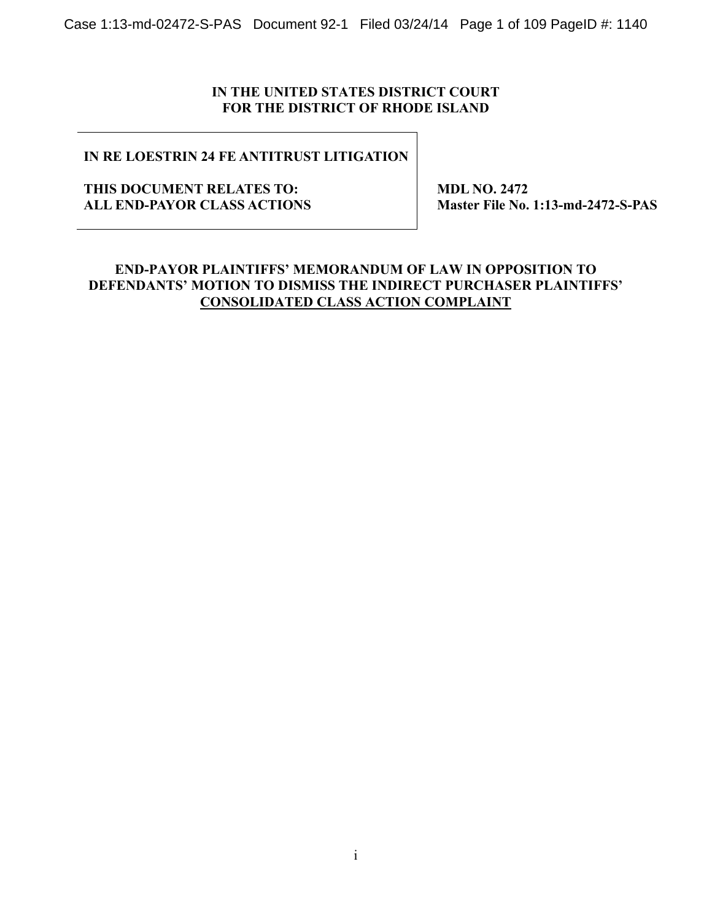Case 1:13-md-02472-S-PAS Document 92-1 Filed 03/24/14 Page 1 of 109 PageID #: 1140

## **IN THE UNITED STATES DISTRICT COURT FOR THE DISTRICT OF RHODE ISLAND**

# **IN RE LOESTRIN 24 FE ANTITRUST LITIGATION**

### **THIS DOCUMENT RELATES TO: ALL END-PAYOR CLASS ACTIONS**

 **MDL NO. 2472 Master File No. 1:13-md-2472-S-PAS** 

## **END-PAYOR PLAINTIFFS' MEMORANDUM OF LAW IN OPPOSITION TO DEFENDANTS' MOTION TO DISMISS THE INDIRECT PURCHASER PLAINTIFFS' CONSOLIDATED CLASS ACTION COMPLAINT**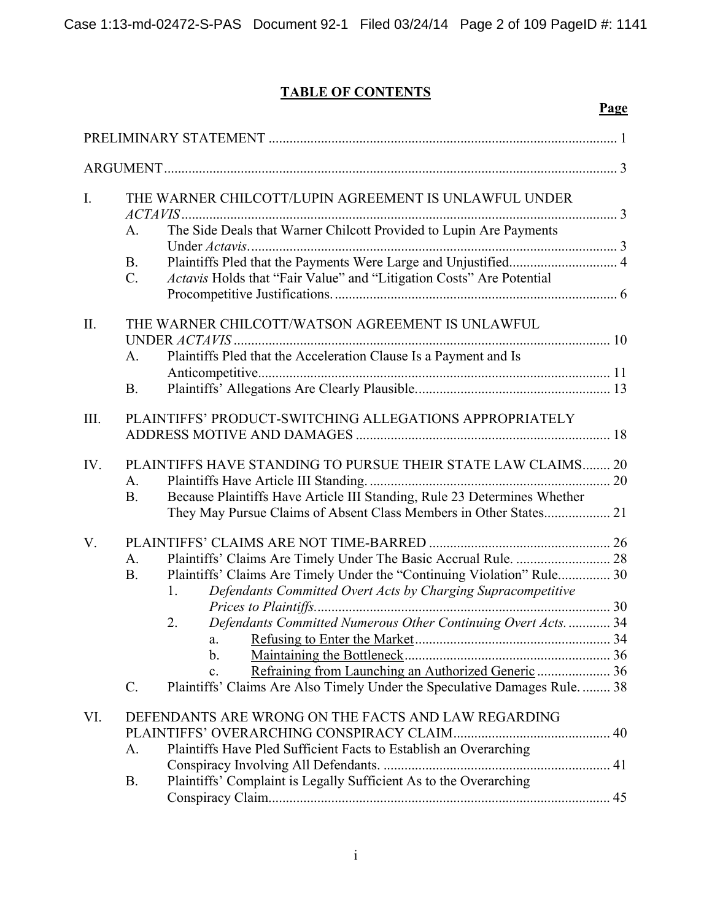# **TABLE OF CONTENTS**

|             |                                                                                                                                                            | Page                                                           |
|-------------|------------------------------------------------------------------------------------------------------------------------------------------------------------|----------------------------------------------------------------|
|             |                                                                                                                                                            |                                                                |
|             |                                                                                                                                                            |                                                                |
| $I_{\cdot}$ | THE WARNER CHILCOTT/LUPIN AGREEMENT IS UNLAWFUL UNDER                                                                                                      |                                                                |
|             | The Side Deals that Warner Chilcott Provided to Lupin Are Payments<br>A.                                                                                   |                                                                |
|             | <b>B.</b><br>$\mathcal{C}$ .                                                                                                                               |                                                                |
|             | Actavis Holds that "Fair Value" and "Litigation Costs" Are Potential                                                                                       |                                                                |
| II.         | THE WARNER CHILCOTT/WATSON AGREEMENT IS UNLAWFUL                                                                                                           |                                                                |
|             | Plaintiffs Pled that the Acceleration Clause Is a Payment and Is<br>A <sub>1</sub>                                                                         |                                                                |
|             | <b>B.</b>                                                                                                                                                  |                                                                |
| III.        | PLAINTIFFS' PRODUCT-SWITCHING ALLEGATIONS APPROPRIATELY                                                                                                    |                                                                |
| IV.         | PLAINTIFFS HAVE STANDING TO PURSUE THEIR STATE LAW CLAIMS 20<br>A.                                                                                         |                                                                |
|             | Because Plaintiffs Have Article III Standing, Rule 23 Determines Whether<br><b>B.</b><br>They May Pursue Claims of Absent Class Members in Other States 21 |                                                                |
| V.          |                                                                                                                                                            |                                                                |
|             | A.                                                                                                                                                         |                                                                |
|             | Plaintiffs' Claims Are Timely Under the "Continuing Violation" Rule 30<br><b>B.</b><br>Defendants Committed Overt Acts by Charging Supracompetitive<br>1.  |                                                                |
|             |                                                                                                                                                            |                                                                |
|             | 2.<br>a.                                                                                                                                                   | Defendants Committed Numerous Other Continuing Overt Acts.  34 |
|             | b.                                                                                                                                                         |                                                                |
|             | $\mathbf{c}$ .                                                                                                                                             |                                                                |
|             | Plaintiffs' Claims Are Also Timely Under the Speculative Damages Rule 38<br>$\mathcal{C}$ .                                                                |                                                                |
| VI.         | DEFENDANTS ARE WRONG ON THE FACTS AND LAW REGARDING                                                                                                        |                                                                |
|             |                                                                                                                                                            |                                                                |
|             | Plaintiffs Have Pled Sufficient Facts to Establish an Overarching<br>A.                                                                                    |                                                                |
|             | Plaintiffs' Complaint is Legally Sufficient As to the Overarching<br><b>B.</b>                                                                             |                                                                |
|             |                                                                                                                                                            |                                                                |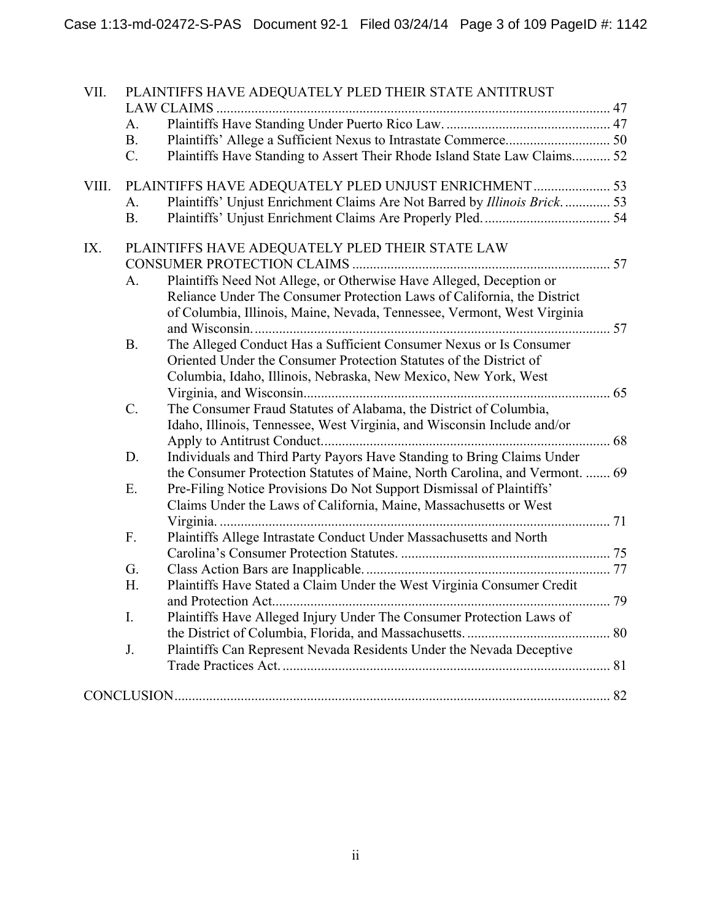| VII.  |                | PLAINTIFFS HAVE ADEQUATELY PLED THEIR STATE ANTITRUST<br>LAW CLAIMS.        |  |
|-------|----------------|-----------------------------------------------------------------------------|--|
|       | A.             |                                                                             |  |
|       | B <sub>r</sub> |                                                                             |  |
|       | $C_{\cdot}$    | Plaintiffs Have Standing to Assert Their Rhode Island State Law Claims 52   |  |
| VIII. |                | PLAINTIFFS HAVE ADEQUATELY PLED UNJUST ENRICHMENT  53                       |  |
|       | A.             | Plaintiffs' Unjust Enrichment Claims Are Not Barred by Illinois Brick 53    |  |
|       | <b>B.</b>      |                                                                             |  |
| IX.   |                | PLAINTIFFS HAVE ADEQUATELY PLED THEIR STATE LAW                             |  |
|       |                |                                                                             |  |
|       | A.             | Plaintiffs Need Not Allege, or Otherwise Have Alleged, Deception or         |  |
|       |                | Reliance Under The Consumer Protection Laws of California, the District     |  |
|       |                | of Columbia, Illinois, Maine, Nevada, Tennessee, Vermont, West Virginia     |  |
|       | <b>B.</b>      | The Alleged Conduct Has a Sufficient Consumer Nexus or Is Consumer          |  |
|       |                | Oriented Under the Consumer Protection Statutes of the District of          |  |
|       |                | Columbia, Idaho, Illinois, Nebraska, New Mexico, New York, West             |  |
|       |                |                                                                             |  |
|       | $C$ .          | The Consumer Fraud Statutes of Alabama, the District of Columbia,           |  |
|       |                | Idaho, Illinois, Tennessee, West Virginia, and Wisconsin Include and/or     |  |
|       |                |                                                                             |  |
|       | D.             | Individuals and Third Party Payors Have Standing to Bring Claims Under      |  |
|       |                | the Consumer Protection Statutes of Maine, North Carolina, and Vermont.  69 |  |
|       | Ε.             | Pre-Filing Notice Provisions Do Not Support Dismissal of Plaintiffs'        |  |
|       |                | Claims Under the Laws of California, Maine, Massachusetts or West           |  |
|       | F.             |                                                                             |  |
|       |                | Plaintiffs Allege Intrastate Conduct Under Massachusetts and North          |  |
|       | G.             |                                                                             |  |
|       | H.             | Plaintiffs Have Stated a Claim Under the West Virginia Consumer Credit      |  |
|       |                |                                                                             |  |
|       | $I_{\cdot}$    | Plaintiffs Have Alleged Injury Under The Consumer Protection Laws of        |  |
|       |                |                                                                             |  |
|       | J.             | Plaintiffs Can Represent Nevada Residents Under the Nevada Deceptive        |  |
|       |                |                                                                             |  |
|       |                |                                                                             |  |
|       |                |                                                                             |  |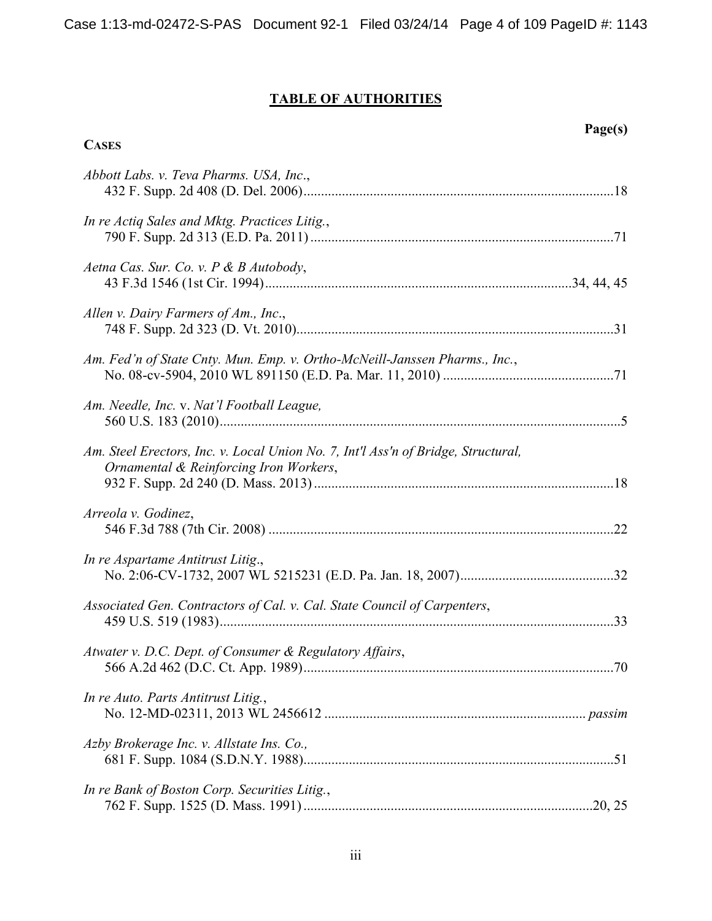# **TABLE OF AUTHORITIES**

**CASES**

**Page(s)** 

| Abbott Labs. v. Teva Pharms. USA, Inc.,                                                                                     |  |
|-----------------------------------------------------------------------------------------------------------------------------|--|
| In re Actiq Sales and Mktg. Practices Litig.,                                                                               |  |
| Aetna Cas. Sur. Co. v. P & B Autobody,                                                                                      |  |
| Allen v. Dairy Farmers of Am., Inc.,                                                                                        |  |
| Am. Fed'n of State Cnty. Mun. Emp. v. Ortho-McNeill-Janssen Pharms., Inc.,                                                  |  |
| Am. Needle, Inc. v. Nat'l Football League,                                                                                  |  |
| Am. Steel Erectors, Inc. v. Local Union No. 7, Int'l Ass'n of Bridge, Structural,<br>Ornamental & Reinforcing Iron Workers, |  |
| Arreola v. Godinez,                                                                                                         |  |
| In re Aspartame Antitrust Litig.,                                                                                           |  |
| Associated Gen. Contractors of Cal. v. Cal. State Council of Carpenters,                                                    |  |
| Atwater v. D.C. Dept. of Consumer & Regulatory Affairs,                                                                     |  |
| In re Auto. Parts Antitrust Litig.,                                                                                         |  |
| Azby Brokerage Inc. v. Allstate Ins. Co.,                                                                                   |  |
| In re Bank of Boston Corp. Securities Litig.,                                                                               |  |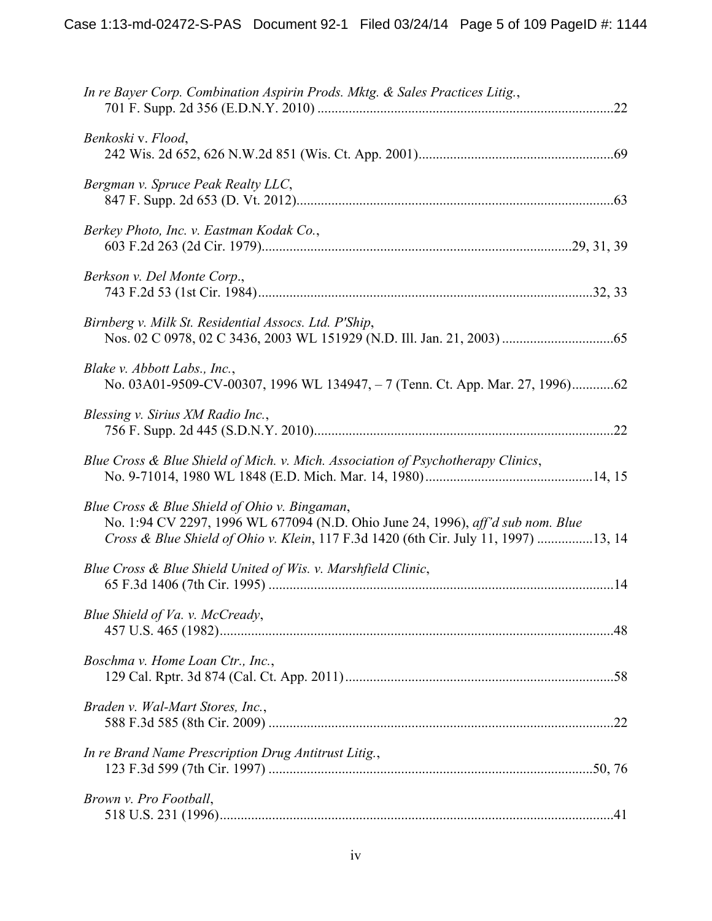| In re Bayer Corp. Combination Aspirin Prods. Mktg. & Sales Practices Litig.,                                                                                                                                            |
|-------------------------------------------------------------------------------------------------------------------------------------------------------------------------------------------------------------------------|
| Benkoski v. Flood,                                                                                                                                                                                                      |
| Bergman v. Spruce Peak Realty LLC,                                                                                                                                                                                      |
| Berkey Photo, Inc. v. Eastman Kodak Co.,                                                                                                                                                                                |
| Berkson v. Del Monte Corp.,                                                                                                                                                                                             |
| Birnberg v. Milk St. Residential Assocs. Ltd. P'Ship,                                                                                                                                                                   |
| Blake v. Abbott Labs., Inc.,<br>No. 03A01-9509-CV-00307, 1996 WL 134947, -7 (Tenn. Ct. App. Mar. 27, 1996)62                                                                                                            |
| Blessing v. Sirius XM Radio Inc.,                                                                                                                                                                                       |
| Blue Cross & Blue Shield of Mich. v. Mich. Association of Psychotherapy Clinics,                                                                                                                                        |
| Blue Cross & Blue Shield of Ohio v. Bingaman,<br>No. 1:94 CV 2297, 1996 WL 677094 (N.D. Ohio June 24, 1996), aff'd sub nom. Blue<br>Cross & Blue Shield of Ohio v. Klein, 117 F.3d 1420 (6th Cir. July 11, 1997) 13, 14 |
| Blue Cross & Blue Shield United of Wis. v. Marshfield Clinic,                                                                                                                                                           |
| Blue Shield of Va. v. McCready,                                                                                                                                                                                         |
| Boschma v. Home Loan Ctr., Inc.,                                                                                                                                                                                        |
| Braden v. Wal-Mart Stores, Inc.,                                                                                                                                                                                        |
| In re Brand Name Prescription Drug Antitrust Litig.,                                                                                                                                                                    |
| Brown v. Pro Football,                                                                                                                                                                                                  |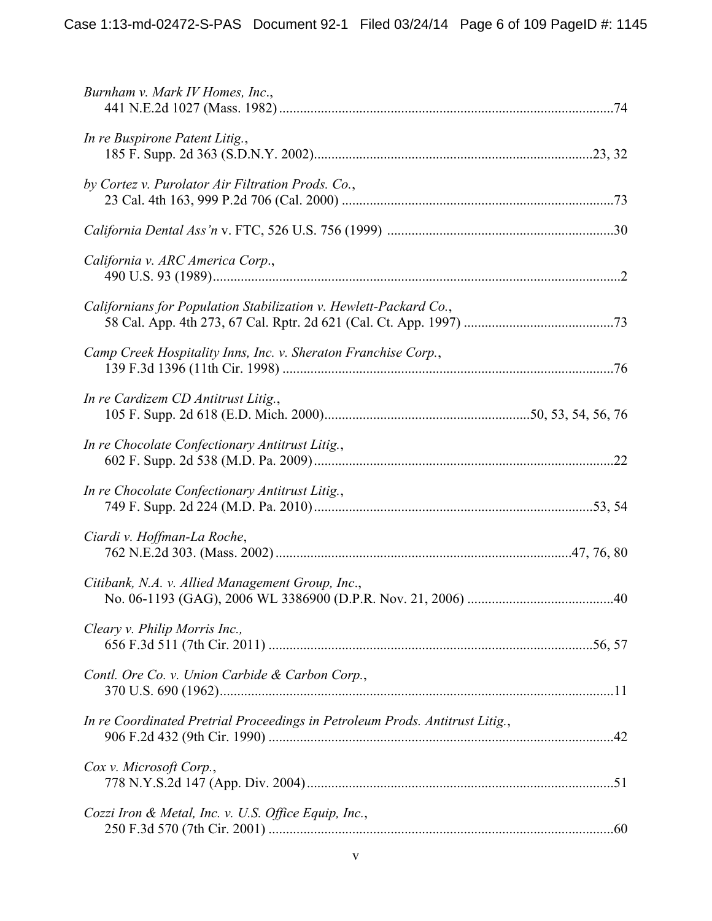| Burnham v. Mark IV Homes, Inc.,                                              |  |
|------------------------------------------------------------------------------|--|
| In re Buspirone Patent Litig.,                                               |  |
| by Cortez v. Purolator Air Filtration Prods. Co.,                            |  |
|                                                                              |  |
| California v. ARC America Corp.,                                             |  |
| Californians for Population Stabilization v. Hewlett-Packard Co.,            |  |
| Camp Creek Hospitality Inns, Inc. v. Sheraton Franchise Corp.,               |  |
| In re Cardizem CD Antitrust Litig.,                                          |  |
| In re Chocolate Confectionary Antitrust Litig.,                              |  |
| In re Chocolate Confectionary Antitrust Litig.,                              |  |
| Ciardi v. Hoffman-La Roche,                                                  |  |
| Citibank, N.A. v. Allied Management Group, Inc.,                             |  |
| Cleary v. Philip Morris Inc.,                                                |  |
| Contl. Ore Co. v. Union Carbide & Carbon Corp.,                              |  |
| In re Coordinated Pretrial Proceedings in Petroleum Prods. Antitrust Litig., |  |
| Cox v. Microsoft Corp.,                                                      |  |
| Cozzi Iron & Metal, Inc. v. U.S. Office Equip, Inc.,                         |  |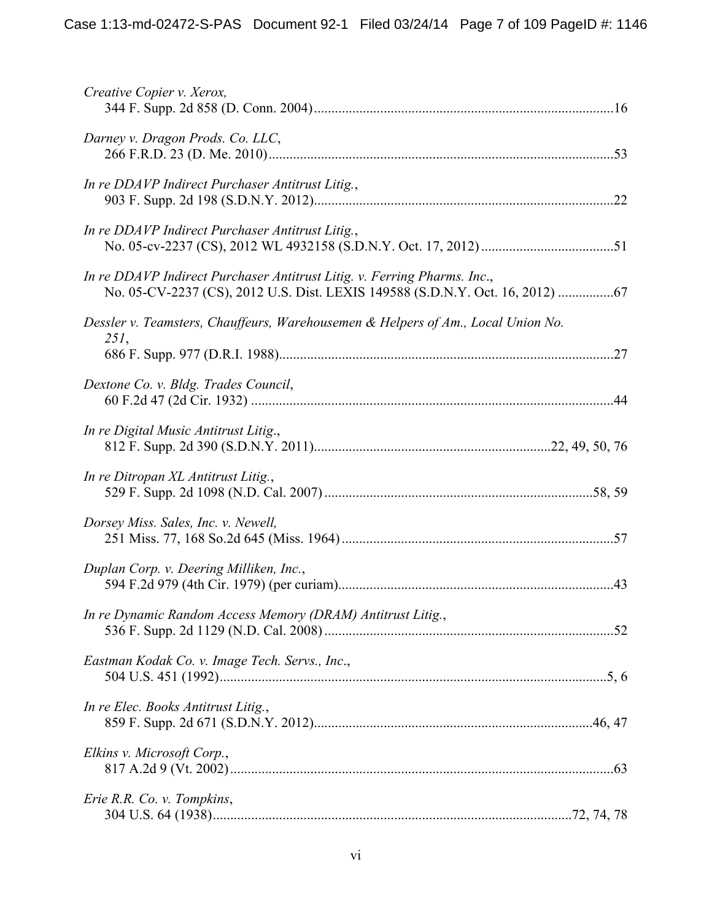| Creative Copier v. Xerox,                                                                                                                              |  |
|--------------------------------------------------------------------------------------------------------------------------------------------------------|--|
| Darney v. Dragon Prods. Co. LLC,                                                                                                                       |  |
| In re DDAVP Indirect Purchaser Antitrust Litig.,                                                                                                       |  |
| In re DDAVP Indirect Purchaser Antitrust Litig.,                                                                                                       |  |
| In re DDAVP Indirect Purchaser Antitrust Litig. v. Ferring Pharms. Inc.,<br>No. 05-CV-2237 (CS), 2012 U.S. Dist. LEXIS 149588 (S.D.N.Y. Oct. 16, 2012) |  |
| Dessler v. Teamsters, Chauffeurs, Warehousemen & Helpers of Am., Local Union No.<br>$251$ ,                                                            |  |
| Dextone Co. v. Bldg. Trades Council,                                                                                                                   |  |
| In re Digital Music Antitrust Litig.,                                                                                                                  |  |
| In re Ditropan XL Antitrust Litig.,                                                                                                                    |  |
| Dorsey Miss. Sales, Inc. v. Newell,                                                                                                                    |  |
| Duplan Corp. v. Deering Milliken, Inc.,                                                                                                                |  |
| In re Dynamic Random Access Memory (DRAM) Antitrust Litig.,                                                                                            |  |
| Eastman Kodak Co. v. Image Tech. Servs., Inc.,                                                                                                         |  |
| In re Elec. Books Antitrust Litig.,                                                                                                                    |  |
| Elkins v. Microsoft Corp.,                                                                                                                             |  |
| Erie R.R. Co. v. Tompkins,                                                                                                                             |  |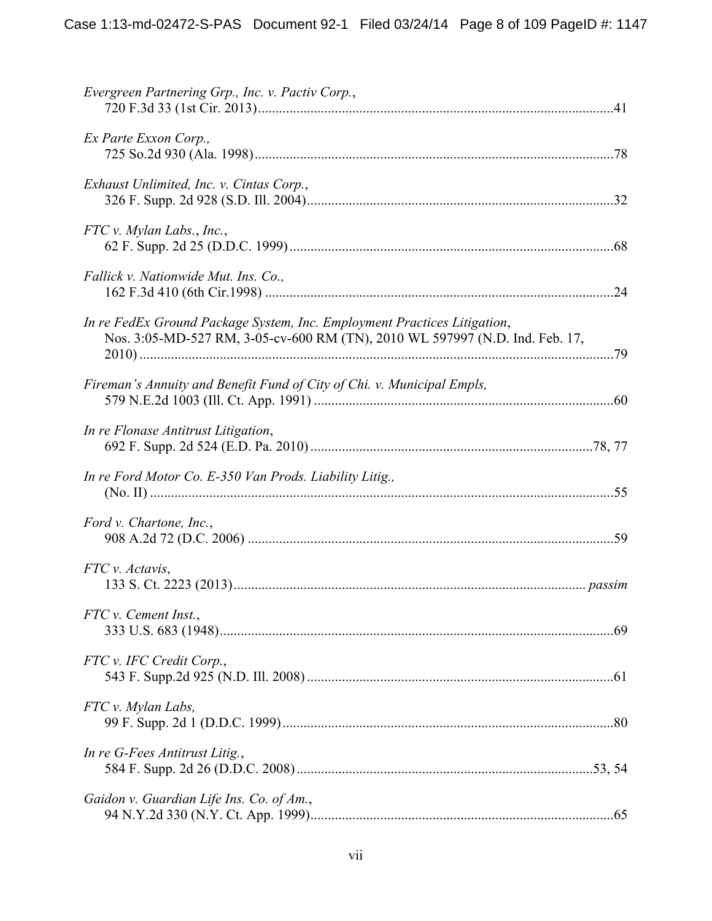| Evergreen Partnering Grp., Inc. v. Pactiv Corp.,                                                                                                         |
|----------------------------------------------------------------------------------------------------------------------------------------------------------|
| Ex Parte Exxon Corp.,                                                                                                                                    |
| Exhaust Unlimited, Inc. v. Cintas Corp.,                                                                                                                 |
| $FTC v.$ Mylan Labs., Inc.,                                                                                                                              |
| Fallick v. Nationwide Mut. Ins. Co.,                                                                                                                     |
| In re FedEx Ground Package System, Inc. Employment Practices Litigation,<br>Nos. 3:05-MD-527 RM, 3-05-cv-600 RM (TN), 2010 WL 597997 (N.D. Ind. Feb. 17, |
| Fireman's Annuity and Benefit Fund of City of Chi. v. Municipal Empls,                                                                                   |
| In re Flonase Antitrust Litigation,                                                                                                                      |
| In re Ford Motor Co. E-350 Van Prods. Liability Litig.,                                                                                                  |
| Ford v. Chartone, Inc.,                                                                                                                                  |
| FTC v. Actavis,                                                                                                                                          |
| FTC v. Cement Inst.,                                                                                                                                     |
| FTC v. IFC Credit Corp.,                                                                                                                                 |
| FTC v. Mylan Labs,                                                                                                                                       |
| In re G-Fees Antitrust Litig.,                                                                                                                           |
| Gaidon v. Guardian Life Ins. Co. of Am.,                                                                                                                 |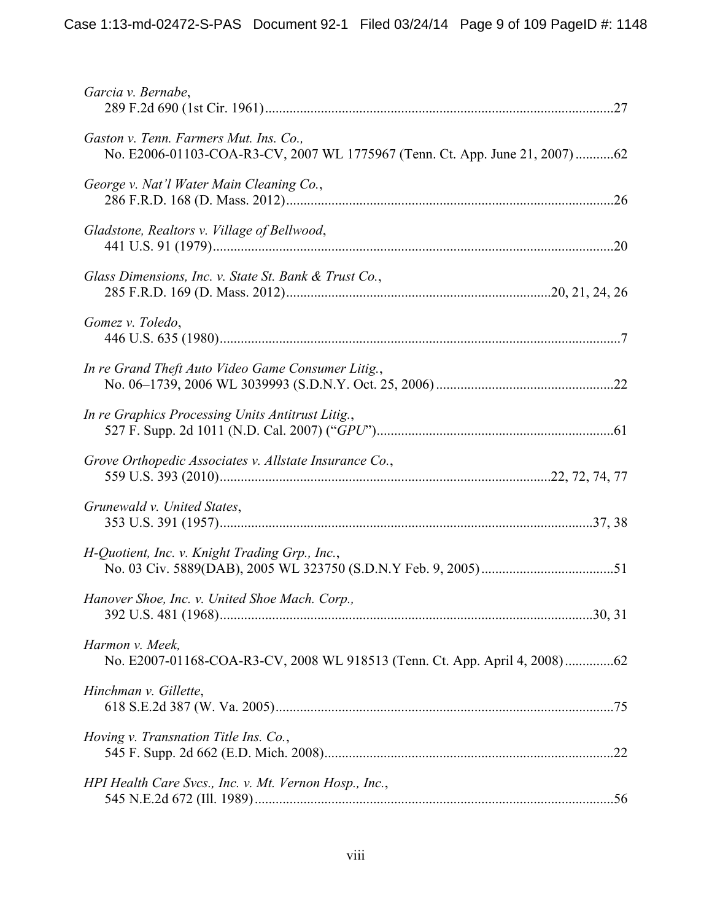| Garcia v. Bernabe,                                                                                                    |
|-----------------------------------------------------------------------------------------------------------------------|
| Gaston v. Tenn. Farmers Mut. Ins. Co.,<br>No. E2006-01103-COA-R3-CV, 2007 WL 1775967 (Tenn. Ct. App. June 21, 2007)62 |
| George v. Nat'l Water Main Cleaning Co.,                                                                              |
| Gladstone, Realtors v. Village of Bellwood,                                                                           |
| Glass Dimensions, Inc. v. State St. Bank & Trust Co.,                                                                 |
| Gomez v. Toledo,                                                                                                      |
| In re Grand Theft Auto Video Game Consumer Litig.,                                                                    |
| In re Graphics Processing Units Antitrust Litig.,                                                                     |
| Grove Orthopedic Associates v. Allstate Insurance Co.,                                                                |
| Grunewald v. United States,                                                                                           |
| H-Quotient, Inc. v. Knight Trading Grp., Inc.,                                                                        |
| Hanover Shoe, Inc. v. United Shoe Mach. Corp.,                                                                        |
| Harmon v. Meek,                                                                                                       |
| Hinchman v. Gillette,                                                                                                 |
| Hoving v. Transnation Title Ins. Co.,                                                                                 |
| HPI Health Care Svcs., Inc. v. Mt. Vernon Hosp., Inc.,                                                                |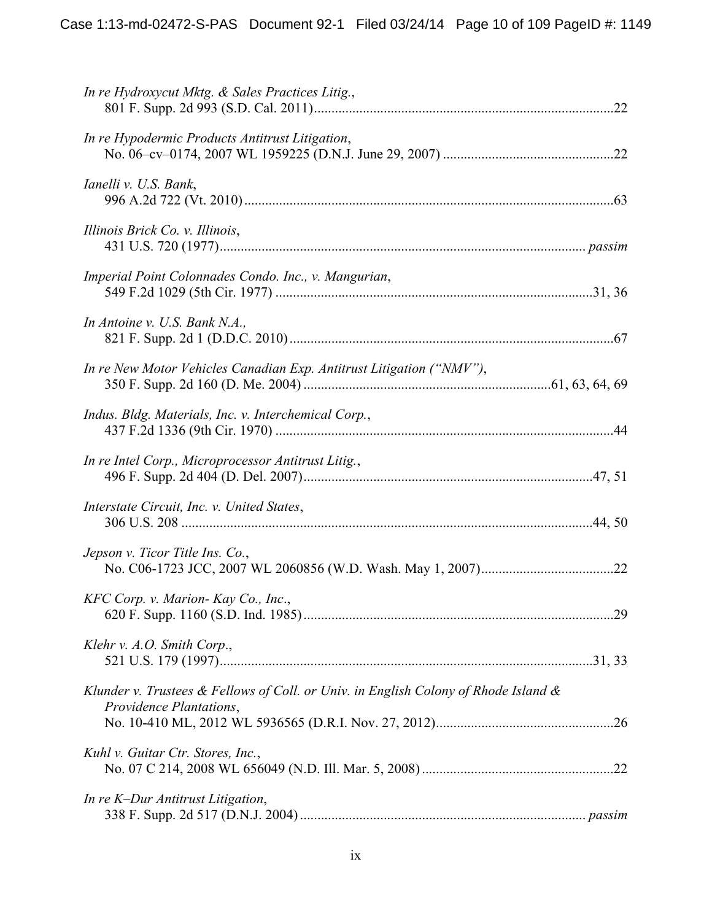| In re Hydroxycut Mktg. & Sales Practices Litig.,                                                                     |  |
|----------------------------------------------------------------------------------------------------------------------|--|
| In re Hypodermic Products Antitrust Litigation,                                                                      |  |
| Ianelli v. U.S. Bank,                                                                                                |  |
| Illinois Brick Co. v. Illinois,                                                                                      |  |
| Imperial Point Colonnades Condo. Inc., v. Mangurian,                                                                 |  |
| In Antoine v. U.S. Bank N.A.,                                                                                        |  |
| In re New Motor Vehicles Canadian Exp. Antitrust Litigation ("NMV"),                                                 |  |
| Indus. Bldg. Materials, Inc. v. Interchemical Corp.,                                                                 |  |
| In re Intel Corp., Microprocessor Antitrust Litig.,                                                                  |  |
| Interstate Circuit, Inc. v. United States,                                                                           |  |
| Jepson v. Ticor Title Ins. Co.,                                                                                      |  |
| KFC Corp. v. Marion- Kay Co., Inc.,                                                                                  |  |
| Klehr v. A.O. Smith Corp.,                                                                                           |  |
| Klunder v. Trustees $\&$ Fellows of Coll. or Univ. in English Colony of Rhode Island $\&$<br>Providence Plantations, |  |
| Kuhl v. Guitar Ctr. Stores, Inc.,                                                                                    |  |
| In re K-Dur Antitrust Litigation,                                                                                    |  |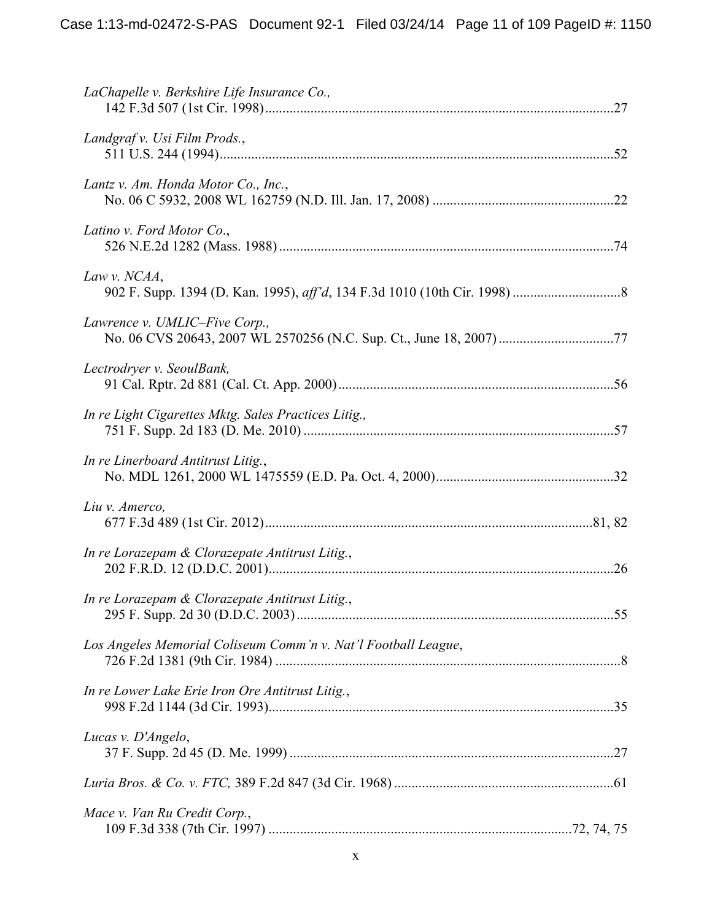| LaChapelle v. Berkshire Life Insurance Co.,                    |  |
|----------------------------------------------------------------|--|
| Landgraf v. Usi Film Prods.,                                   |  |
| Lantz v. Am. Honda Motor Co., Inc.,                            |  |
| Latino v. Ford Motor Co.,                                      |  |
| Law v. NCAA,                                                   |  |
| Lawrence v. UMLIC-Five Corp.,                                  |  |
| Lectrodryer v. SeoulBank,                                      |  |
| In re Light Cigarettes Mktg. Sales Practices Litig.,           |  |
| In re Linerboard Antitrust Litig.,                             |  |
| Liu v. Amerco,                                                 |  |
| In re Lorazepam & Clorazepate Antitrust Litig.,                |  |
| In re Lorazepam & Clorazepate Antitrust Litig.,                |  |
| Los Angeles Memorial Coliseum Comm'n v. Nat'l Football League, |  |
| In re Lower Lake Erie Iron Ore Antitrust Litig.,               |  |
| Lucas v. D'Angelo,                                             |  |
|                                                                |  |
| Mace v. Van Ru Credit Corp.,                                   |  |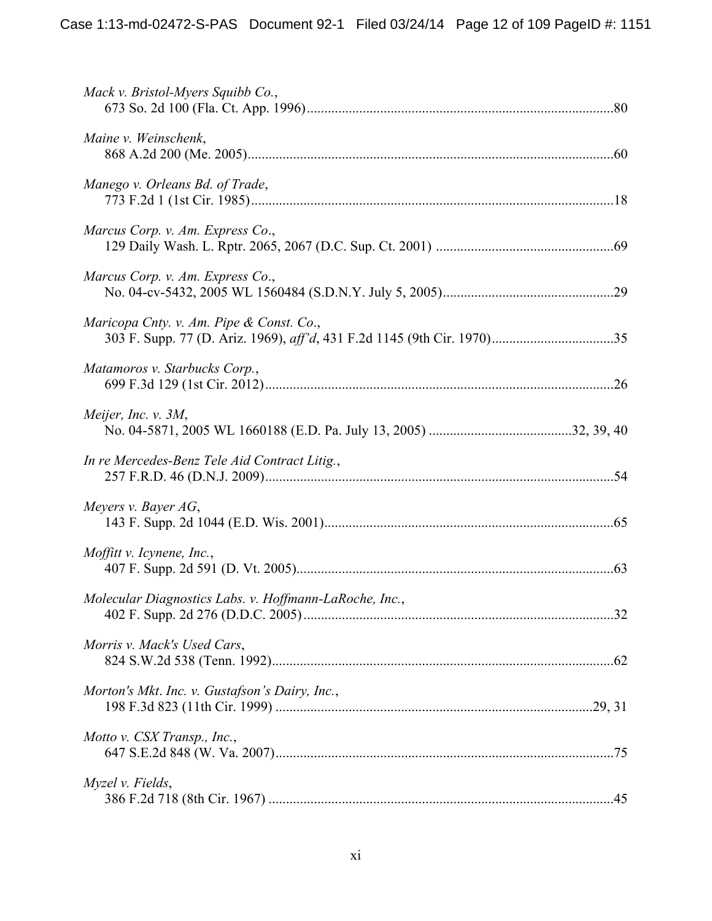| Mack v. Bristol-Myers Squibb Co.,                      |  |
|--------------------------------------------------------|--|
| Maine v. Weinschenk,                                   |  |
| Manego v. Orleans Bd. of Trade,                        |  |
| Marcus Corp. v. Am. Express Co.,                       |  |
| Marcus Corp. v. Am. Express Co.,                       |  |
| Maricopa Cnty. v. Am. Pipe & Const. Co.,               |  |
| Matamoros v. Starbucks Corp.,                          |  |
| Meijer, Inc. v. $3M$ ,                                 |  |
| In re Mercedes-Benz Tele Aid Contract Litig.,          |  |
| Meyers v. Bayer $AG$ ,                                 |  |
| Moffitt v. Icynene, Inc.,                              |  |
| Molecular Diagnostics Labs. v. Hoffmann-LaRoche, Inc., |  |
| Morris v. Mack's Used Cars,                            |  |
| Morton's Mkt. Inc. v. Gustafson's Dairy, Inc.,         |  |
| Motto v. CSX Transp., Inc.,                            |  |
| Myzel v. Fields,                                       |  |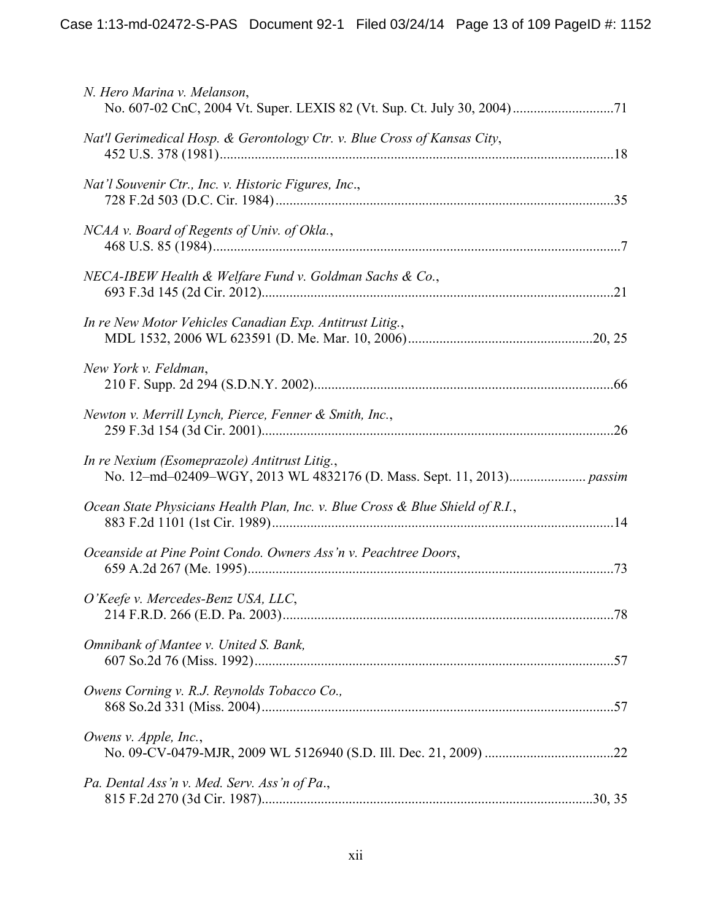| N. Hero Marina v. Melanson,                                                   |  |
|-------------------------------------------------------------------------------|--|
| Nat'l Gerimedical Hosp. & Gerontology Ctr. v. Blue Cross of Kansas City,      |  |
| Nat'l Souvenir Ctr., Inc. v. Historic Figures, Inc.,                          |  |
| NCAA v. Board of Regents of Univ. of Okla.,                                   |  |
| NECA-IBEW Health & Welfare Fund v. Goldman Sachs & Co.,                       |  |
| In re New Motor Vehicles Canadian Exp. Antitrust Litig.,                      |  |
| New York v. Feldman,                                                          |  |
| Newton v. Merrill Lynch, Pierce, Fenner & Smith, Inc.,                        |  |
| In re Nexium (Esomeprazole) Antitrust Litig.,                                 |  |
| Ocean State Physicians Health Plan, Inc. v. Blue Cross & Blue Shield of R.I., |  |
| Oceanside at Pine Point Condo. Owners Ass'n v. Peachtree Doors,               |  |
| O'Keefe v. Mercedes-Benz USA, LLC,                                            |  |
| Omnibank of Mantee v. United S. Bank,                                         |  |
| Owens Corning v. R.J. Reynolds Tobacco Co.,                                   |  |
| Owens v. Apple, Inc.,                                                         |  |
| Pa. Dental Ass'n v. Med. Serv. Ass'n of Pa.,                                  |  |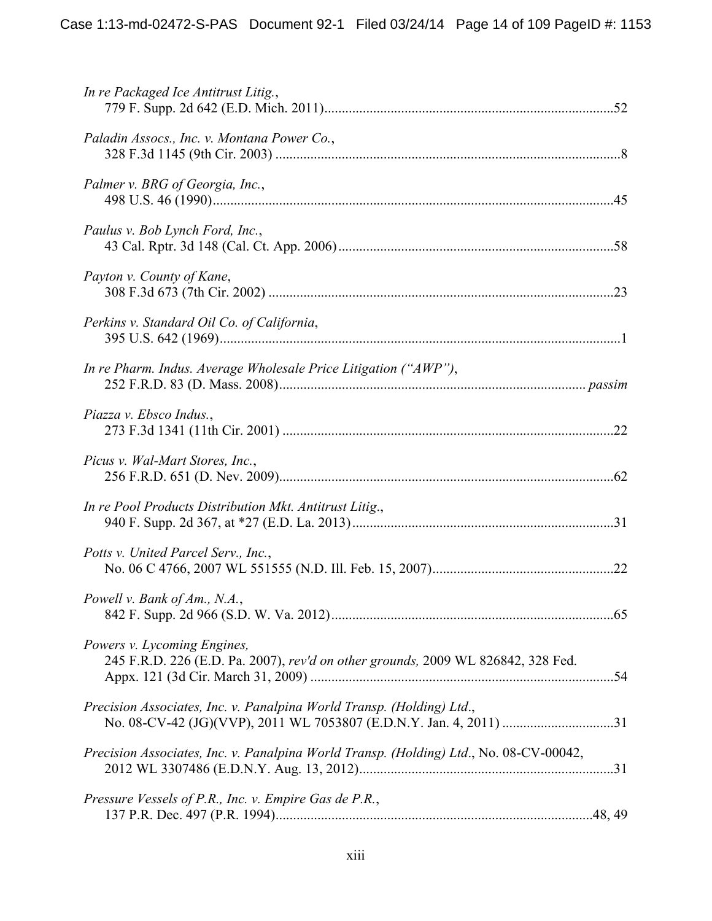| In re Packaged Ice Antitrust Litig.,                                                                            |
|-----------------------------------------------------------------------------------------------------------------|
| Paladin Assocs., Inc. v. Montana Power Co.,                                                                     |
| Palmer v. BRG of Georgia, Inc.,                                                                                 |
| Paulus v. Bob Lynch Ford, Inc.,                                                                                 |
| Payton v. County of Kane,                                                                                       |
| Perkins v. Standard Oil Co. of California,                                                                      |
| In re Pharm. Indus. Average Wholesale Price Litigation ("AWP"),                                                 |
| Piazza v. Ebsco Indus.,                                                                                         |
| Picus v. Wal-Mart Stores, Inc.,                                                                                 |
| In re Pool Products Distribution Mkt. Antitrust Litig.,                                                         |
| Potts v. United Parcel Serv., Inc.,                                                                             |
| Powell v. Bank of Am., N.A.,                                                                                    |
| Powers v. Lycoming Engines,<br>245 F.R.D. 226 (E.D. Pa. 2007), rev'd on other grounds, 2009 WL 826842, 328 Fed. |
| Precision Associates, Inc. v. Panalpina World Transp. (Holding) Ltd.,                                           |
| Precision Associates, Inc. v. Panalpina World Transp. (Holding) Ltd., No. 08-CV-00042,                          |
| Pressure Vessels of P.R., Inc. v. Empire Gas de P.R.,                                                           |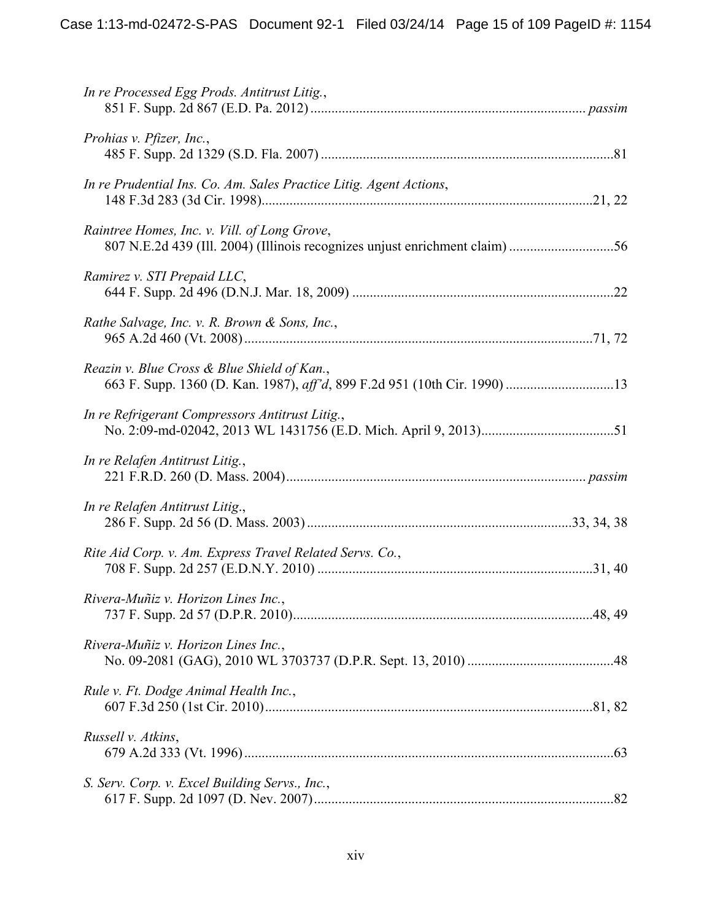| In re Processed Egg Prods. Antitrust Litig.,                                                                             |  |
|--------------------------------------------------------------------------------------------------------------------------|--|
| Prohias v. Pfizer, Inc.,                                                                                                 |  |
| In re Prudential Ins. Co. Am. Sales Practice Litig. Agent Actions,                                                       |  |
| Raintree Homes, Inc. v. Vill. of Long Grove,                                                                             |  |
| Ramirez v. STI Prepaid LLC,                                                                                              |  |
| Rathe Salvage, Inc. v. R. Brown & Sons, Inc.,                                                                            |  |
| Reazin v. Blue Cross & Blue Shield of Kan.,<br>663 F. Supp. 1360 (D. Kan. 1987), aff'd, 899 F.2d 951 (10th Cir. 1990) 13 |  |
| In re Refrigerant Compressors Antitrust Litig.,                                                                          |  |
| In re Relafen Antitrust Litig.,                                                                                          |  |
| In re Relafen Antitrust Litig.,                                                                                          |  |
| Rite Aid Corp. v. Am. Express Travel Related Servs. Co.,                                                                 |  |
| Rivera-Muñiz v. Horizon Lines Inc.,                                                                                      |  |
| Rivera-Muñiz v. Horizon Lines Inc.,                                                                                      |  |
| Rule v. Ft. Dodge Animal Health Inc.,                                                                                    |  |
| Russell v. Atkins,                                                                                                       |  |
| S. Serv. Corp. v. Excel Building Servs., Inc.,                                                                           |  |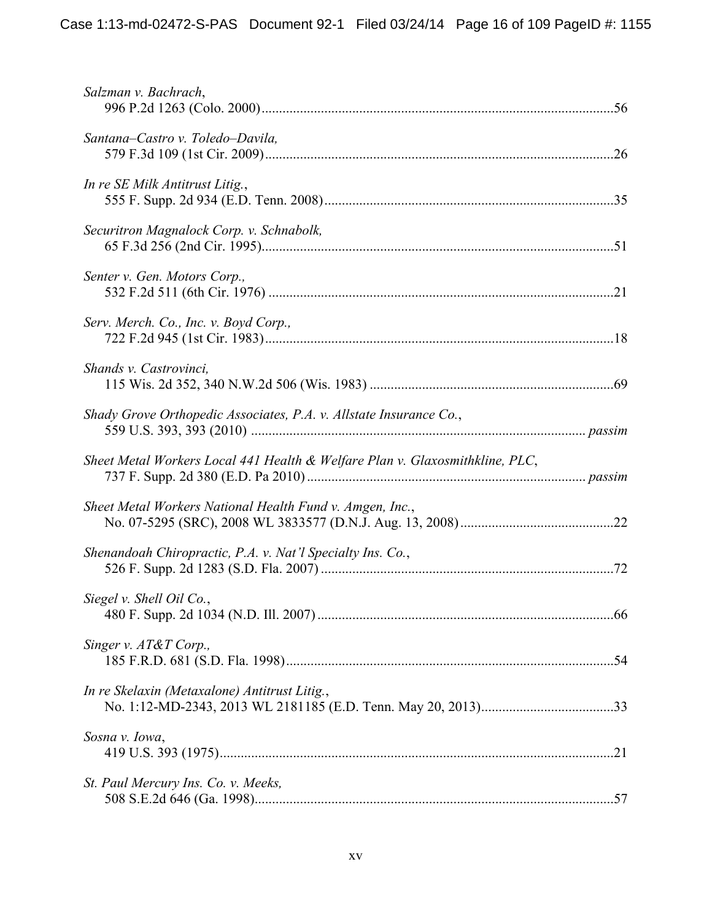| Salzman v. Bachrach,                                                         |  |
|------------------------------------------------------------------------------|--|
| Santana–Castro v. Toledo–Davila,                                             |  |
| In re SE Milk Antitrust Litig.,                                              |  |
| Securitron Magnalock Corp. v. Schnabolk,                                     |  |
| Senter v. Gen. Motors Corp.,                                                 |  |
| Serv. Merch. Co., Inc. v. Boyd Corp.,                                        |  |
| Shands v. Castrovinci,                                                       |  |
| Shady Grove Orthopedic Associates, P.A. v. Allstate Insurance Co.,           |  |
| Sheet Metal Workers Local 441 Health & Welfare Plan v. Glaxosmithkline, PLC, |  |
| Sheet Metal Workers National Health Fund v. Amgen, Inc.,                     |  |
| Shenandoah Chiropractic, P.A. v. Nat'l Specialty Ins. Co.,                   |  |
| Siegel v. Shell Oil Co.,                                                     |  |
| Singer v. AT&T Corp.,                                                        |  |
| In re Skelaxin (Metaxalone) Antitrust Litig.,                                |  |
| Sosna v. Iowa,                                                               |  |
| St. Paul Mercury Ins. Co. v. Meeks,                                          |  |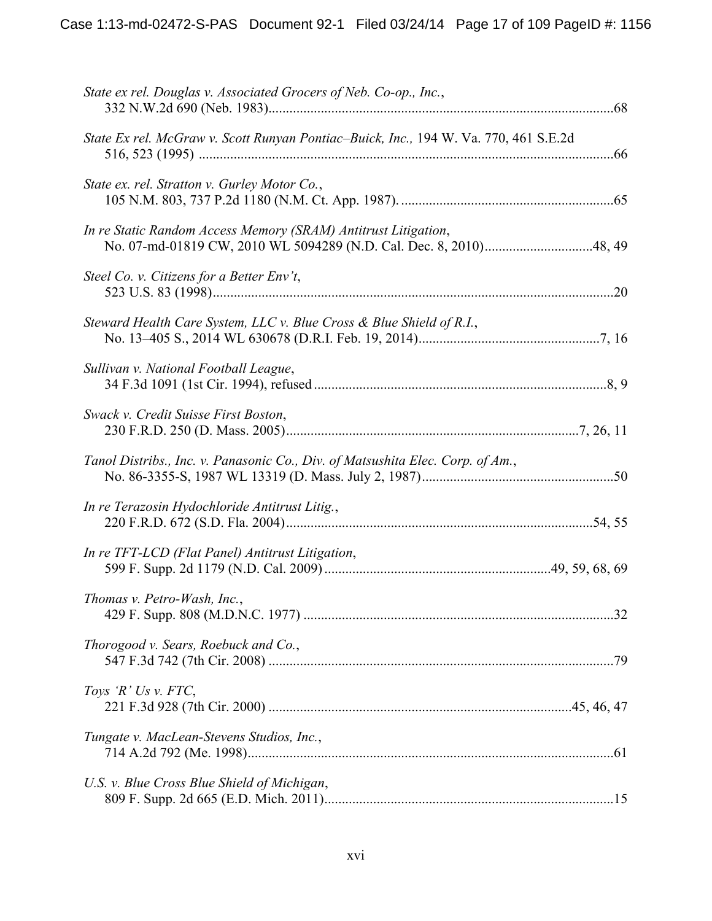| State ex rel. Douglas v. Associated Grocers of Neb. Co-op., Inc.,                    |  |
|--------------------------------------------------------------------------------------|--|
| State Ex rel. McGraw v. Scott Runyan Pontiac–Buick, Inc., 194 W. Va. 770, 461 S.E.2d |  |
| State ex. rel. Stratton v. Gurley Motor Co.,                                         |  |
| In re Static Random Access Memory (SRAM) Antitrust Litigation,                       |  |
| Steel Co. v. Citizens for a Better Env't,                                            |  |
| Steward Health Care System, LLC v. Blue Cross & Blue Shield of R.I.,                 |  |
| Sullivan v. National Football League,                                                |  |
| Swack v. Credit Suisse First Boston,                                                 |  |
| Tanol Distribs., Inc. v. Panasonic Co., Div. of Matsushita Elec. Corp. of Am.,       |  |
| In re Terazosin Hydochloride Antitrust Litig.,                                       |  |
| In re TFT-LCD (Flat Panel) Antitrust Litigation,                                     |  |
| Thomas v. Petro-Wash, Inc.,                                                          |  |
| Thorogood v. Sears, Roebuck and Co.,                                                 |  |
| Toys 'R' Us v. FTC,                                                                  |  |
| Tungate v. MacLean-Stevens Studios, Inc.,                                            |  |
| U.S. v. Blue Cross Blue Shield of Michigan,                                          |  |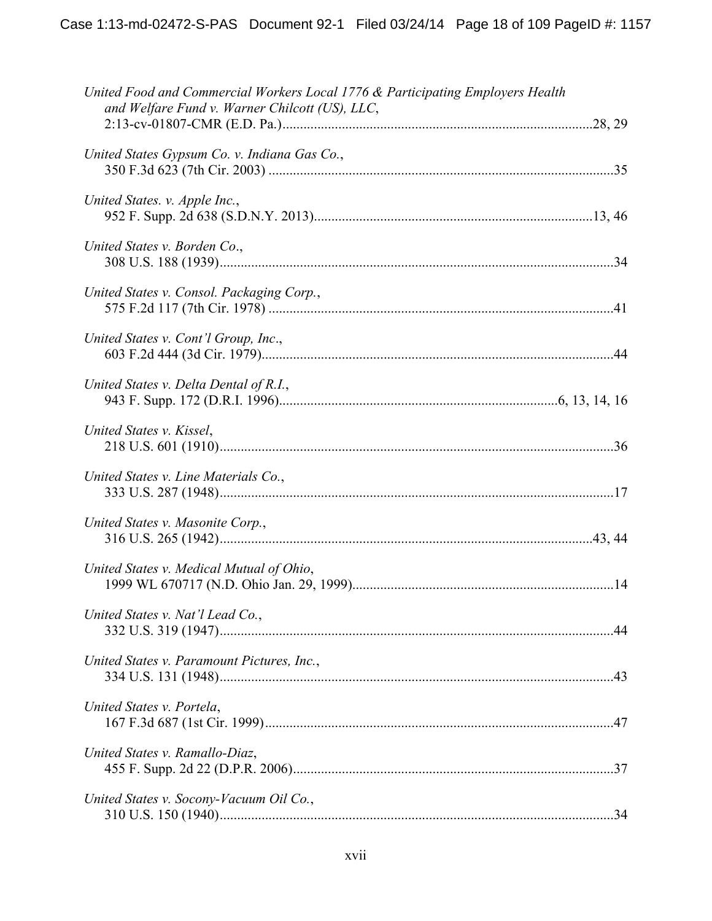| United Food and Commercial Workers Local 1776 & Participating Employers Health<br>and Welfare Fund v. Warner Chilcott (US), LLC, |  |
|----------------------------------------------------------------------------------------------------------------------------------|--|
| United States Gypsum Co. v. Indiana Gas Co.,                                                                                     |  |
| United States. v. Apple Inc.,                                                                                                    |  |
| United States v. Borden Co.,                                                                                                     |  |
| United States v. Consol. Packaging Corp.,                                                                                        |  |
| United States v. Cont'l Group, Inc.,                                                                                             |  |
| United States v. Delta Dental of R.I.,                                                                                           |  |
| United States v. Kissel,                                                                                                         |  |
| United States v. Line Materials Co.,                                                                                             |  |
| United States v. Masonite Corp.,                                                                                                 |  |
| United States v. Medical Mutual of Ohio,                                                                                         |  |
| United States v. Nat'l Lead Co.,                                                                                                 |  |
| United States v. Paramount Pictures, Inc.,                                                                                       |  |
| United States v. Portela,                                                                                                        |  |
| United States v. Ramallo-Diaz,                                                                                                   |  |
| United States v. Socony-Vacuum Oil Co.,                                                                                          |  |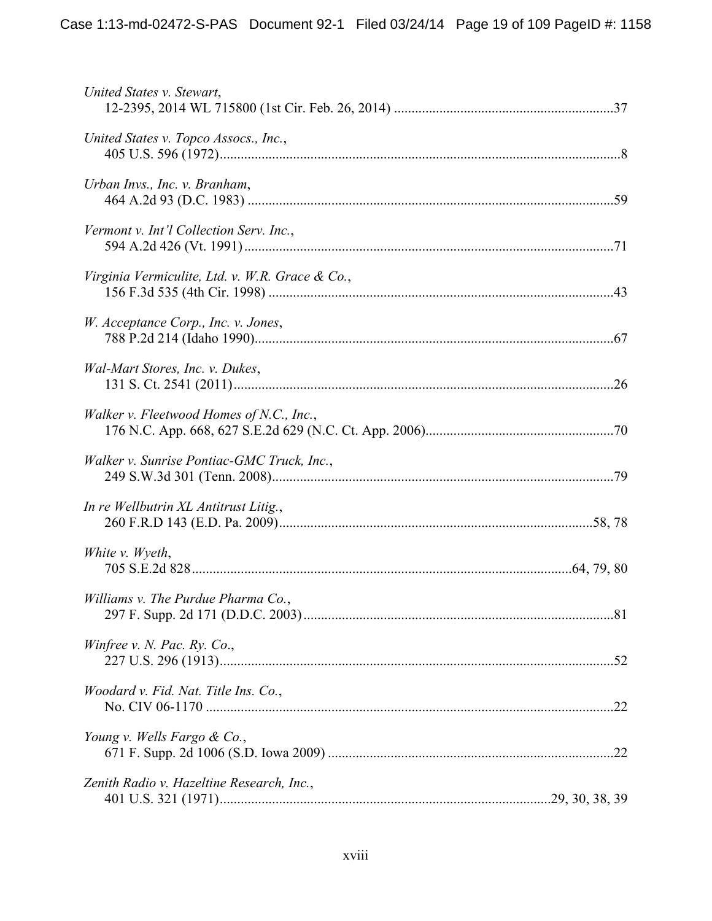| United States v. Stewart,                       |  |
|-------------------------------------------------|--|
| United States v. Topco Assocs., Inc.,           |  |
| Urban Invs., Inc. v. Branham,                   |  |
| Vermont v. Int'l Collection Serv. Inc.,         |  |
| Virginia Vermiculite, Ltd. v. W.R. Grace & Co., |  |
| W. Acceptance Corp., Inc. v. Jones,             |  |
| Wal-Mart Stores, Inc. v. Dukes,                 |  |
| Walker v. Fleetwood Homes of N.C., Inc.,        |  |
| Walker v. Sunrise Pontiac-GMC Truck, Inc.,      |  |
| In re Wellbutrin XL Antitrust Litig.,           |  |
| White v. Wyeth,                                 |  |
| Williams v. The Purdue Pharma Co.,              |  |
| Winfree v. N. Pac. Ry. Co.,                     |  |
| Woodard v. Fid. Nat. Title Ins. Co.,            |  |
| Young v. Wells Fargo & Co.,                     |  |
| Zenith Radio v. Hazeltine Research, Inc.,       |  |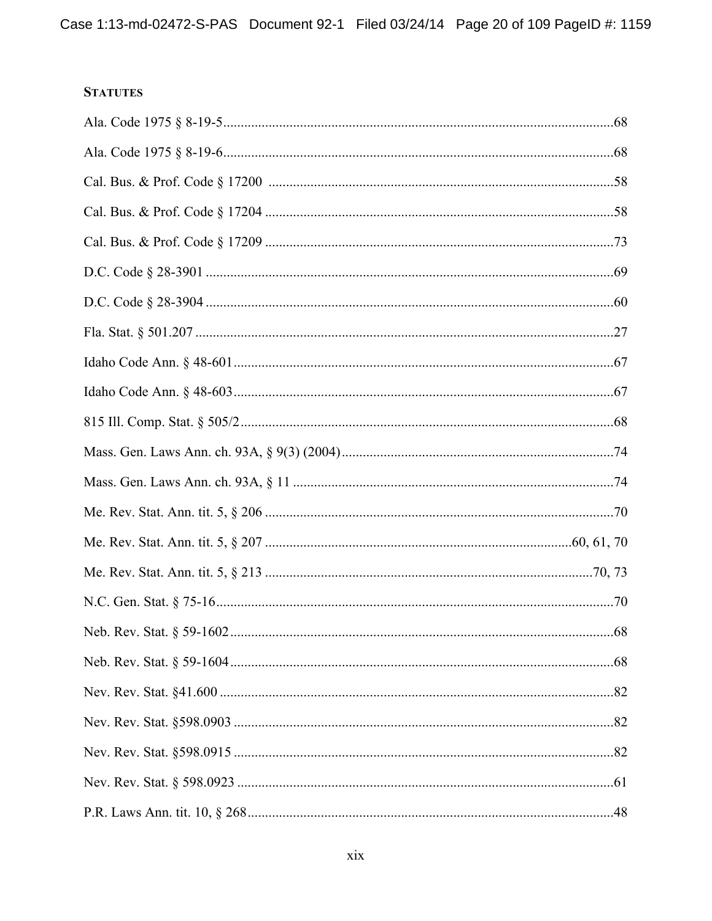# **STATUTES**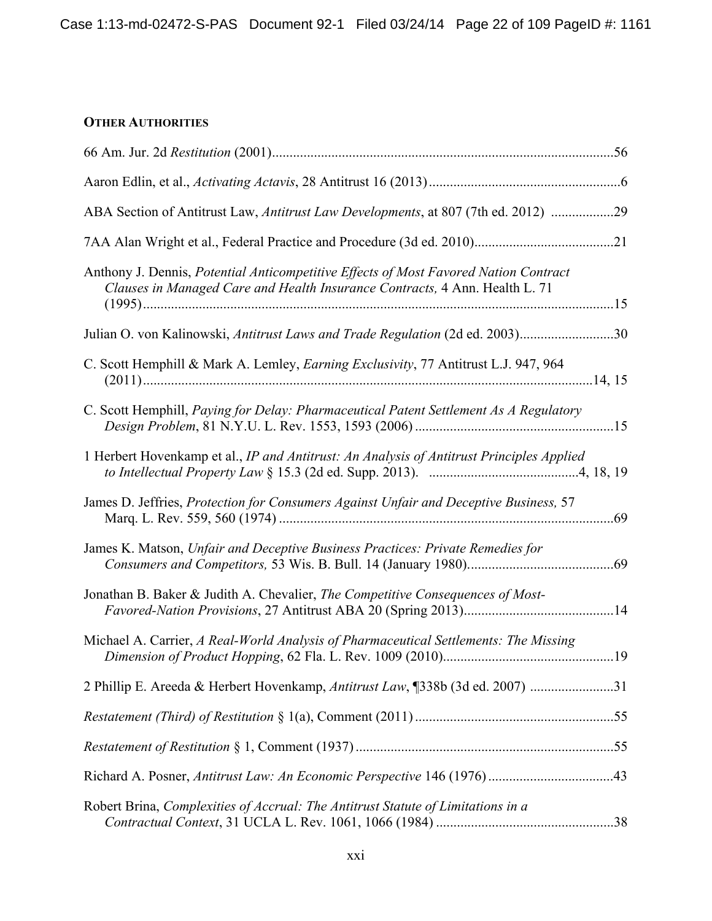# **OTHER AUTHORITIES**

| ABA Section of Antitrust Law, Antitrust Law Developments, at 807 (7th ed. 2012) 29                                                                                  |  |
|---------------------------------------------------------------------------------------------------------------------------------------------------------------------|--|
|                                                                                                                                                                     |  |
| Anthony J. Dennis, Potential Anticompetitive Effects of Most Favored Nation Contract<br>Clauses in Managed Care and Health Insurance Contracts, 4 Ann. Health L. 71 |  |
| Julian O. von Kalinowski, Antitrust Laws and Trade Regulation (2d ed. 2003)30                                                                                       |  |
| C. Scott Hemphill & Mark A. Lemley, Earning Exclusivity, 77 Antitrust L.J. 947, 964                                                                                 |  |
| C. Scott Hemphill, Paying for Delay: Pharmaceutical Patent Settlement As A Regulatory                                                                               |  |
| 1 Herbert Hovenkamp et al., IP and Antitrust: An Analysis of Antitrust Principles Applied                                                                           |  |
| James D. Jeffries, Protection for Consumers Against Unfair and Deceptive Business, 57                                                                               |  |
| James K. Matson, Unfair and Deceptive Business Practices: Private Remedies for                                                                                      |  |
| Jonathan B. Baker & Judith A. Chevalier, The Competitive Consequences of Most-                                                                                      |  |
| Michael A. Carrier, A Real-World Analysis of Pharmaceutical Settlements: The Missing                                                                                |  |
| 2 Phillip E. Areeda & Herbert Hovenkamp, Antitrust Law, [338b (3d ed. 2007)                                                                                         |  |
|                                                                                                                                                                     |  |
|                                                                                                                                                                     |  |
|                                                                                                                                                                     |  |
| Robert Brina, Complexities of Accrual: The Antitrust Statute of Limitations in a                                                                                    |  |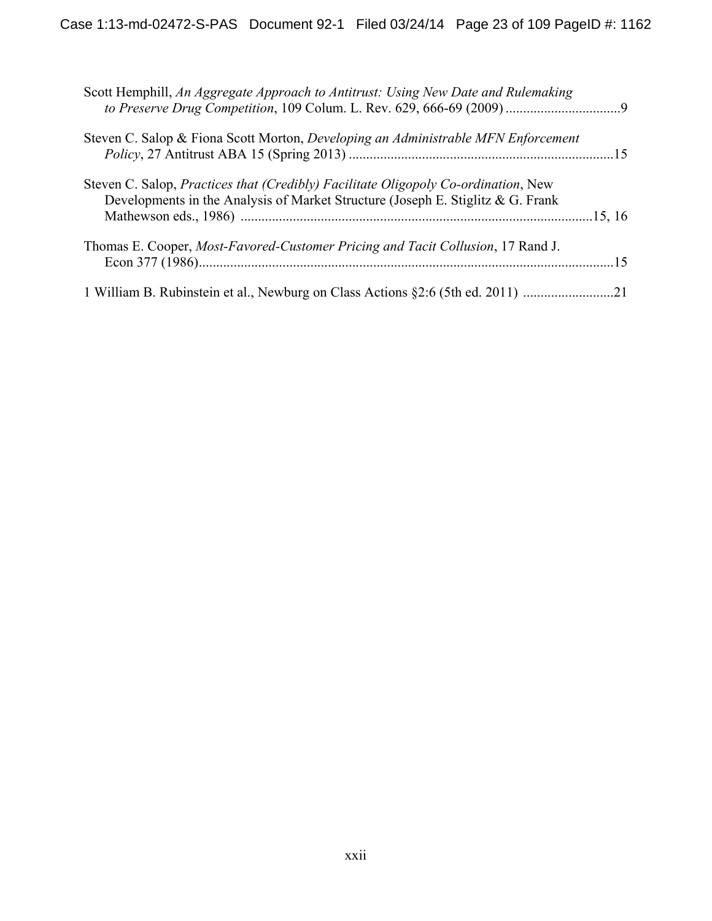| Scott Hemphill, An Aggregate Approach to Antitrust: Using New Date and Rulemaking                                                                                     |  |
|-----------------------------------------------------------------------------------------------------------------------------------------------------------------------|--|
| Steven C. Salop & Fiona Scott Morton, Developing an Administrable MFN Enforcement                                                                                     |  |
| Steven C. Salop, Practices that (Credibly) Facilitate Oligopoly Co-ordination, New<br>Developments in the Analysis of Market Structure (Joseph E. Stiglitz & G. Frank |  |
| Thomas E. Cooper, <i>Most-Favored-Customer Pricing and Tacit Collusion</i> , 17 Rand J.                                                                               |  |
| 1 William B. Rubinstein et al., Newburg on Class Actions §2:6 (5th ed. 2011) 21                                                                                       |  |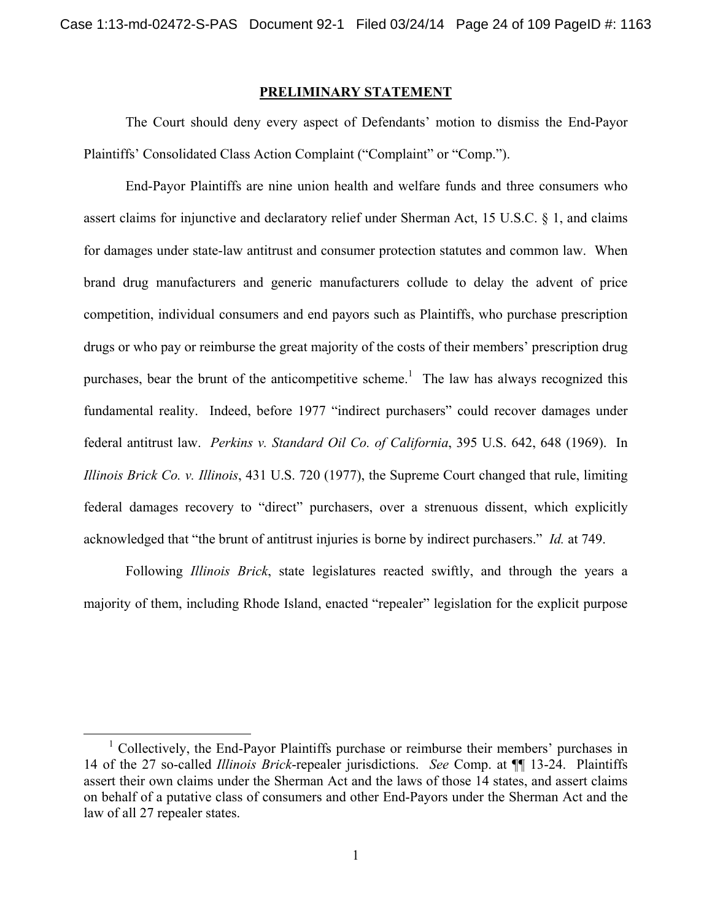#### **PRELIMINARY STATEMENT**

 The Court should deny every aspect of Defendants' motion to dismiss the End-Payor Plaintiffs' Consolidated Class Action Complaint ("Complaint" or "Comp.").

End-Payor Plaintiffs are nine union health and welfare funds and three consumers who assert claims for injunctive and declaratory relief under Sherman Act, 15 U.S.C. § 1, and claims for damages under state-law antitrust and consumer protection statutes and common law. When brand drug manufacturers and generic manufacturers collude to delay the advent of price competition, individual consumers and end payors such as Plaintiffs, who purchase prescription drugs or who pay or reimburse the great majority of the costs of their members' prescription drug purchases, bear the brunt of the anticompetitive scheme.<sup>1</sup> The law has always recognized this fundamental reality. Indeed, before 1977 "indirect purchasers" could recover damages under federal antitrust law. *Perkins v. Standard Oil Co. of California*, 395 U.S. 642, 648 (1969). In *Illinois Brick Co. v. Illinois*, 431 U.S. 720 (1977), the Supreme Court changed that rule, limiting federal damages recovery to "direct" purchasers, over a strenuous dissent, which explicitly acknowledged that "the brunt of antitrust injuries is borne by indirect purchasers." *Id.* at 749.

 Following *Illinois Brick*, state legislatures reacted swiftly, and through the years a majority of them, including Rhode Island, enacted "repealer" legislation for the explicit purpose

 <sup>1</sup> <sup>1</sup> Collectively, the End-Payor Plaintiffs purchase or reimburse their members' purchases in 14 of the 27 so-called *Illinois Brick*-repealer jurisdictions. *See* Comp. at ¶¶ 13-24. Plaintiffs assert their own claims under the Sherman Act and the laws of those 14 states, and assert claims on behalf of a putative class of consumers and other End-Payors under the Sherman Act and the law of all 27 repealer states.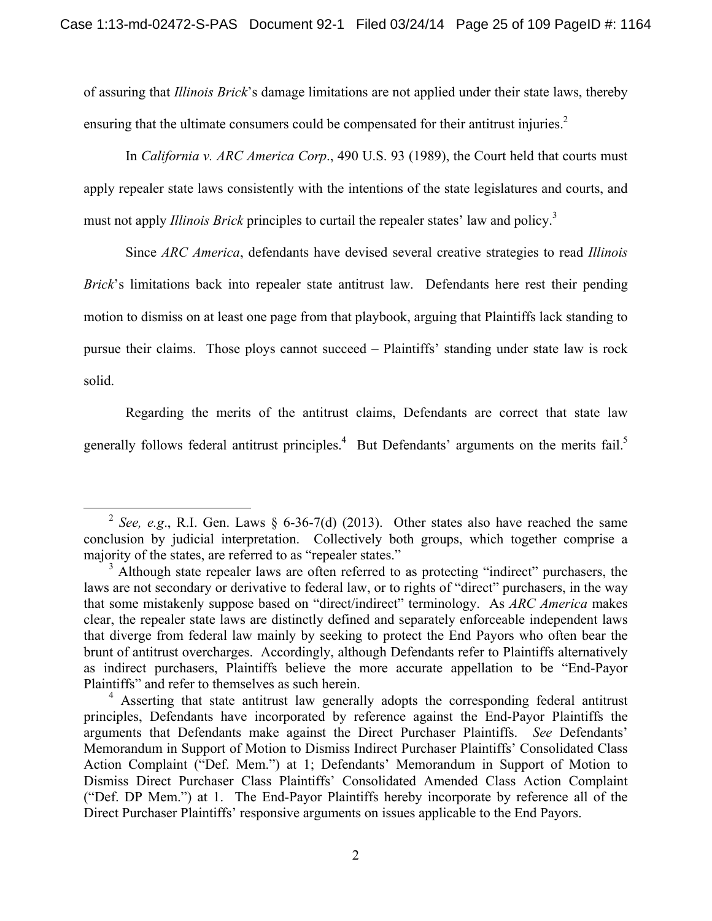of assuring that *Illinois Brick*'s damage limitations are not applied under their state laws, thereby ensuring that the ultimate consumers could be compensated for their antitrust injuries. $2$ 

In *California v. ARC America Corp*., 490 U.S. 93 (1989), the Court held that courts must apply repealer state laws consistently with the intentions of the state legislatures and courts, and must not apply *Illinois Brick* principles to curtail the repealer states' law and policy.3

 Since *ARC America*, defendants have devised several creative strategies to read *Illinois Brick*'s limitations back into repealer state antitrust law. Defendants here rest their pending motion to dismiss on at least one page from that playbook, arguing that Plaintiffs lack standing to pursue their claims. Those ploys cannot succeed – Plaintiffs' standing under state law is rock solid.

 Regarding the merits of the antitrust claims, Defendants are correct that state law generally follows federal antitrust principles.<sup>4</sup> But Defendants' arguments on the merits fail.<sup>5</sup>

<sup>&</sup>lt;sup>2</sup> *See, e.g.*, R.I. Gen. Laws  $\S$  6-36-7(d) (2013). Other states also have reached the same conclusion by judicial interpretation. Collectively both groups, which together comprise a majority of the states, are referred to as "repealer states."

<sup>&</sup>lt;sup>3</sup> Although state repealer laws are often referred to as protecting "indirect" purchasers, the laws are not secondary or derivative to federal law, or to rights of "direct" purchasers, in the way that some mistakenly suppose based on "direct/indirect" terminology. As *ARC America* makes clear, the repealer state laws are distinctly defined and separately enforceable independent laws that diverge from federal law mainly by seeking to protect the End Payors who often bear the brunt of antitrust overcharges. Accordingly, although Defendants refer to Plaintiffs alternatively as indirect purchasers, Plaintiffs believe the more accurate appellation to be "End-Payor Plaintiffs" and refer to themselves as such herein.

<sup>&</sup>lt;sup>4</sup> Asserting that state antitrust law generally adopts the corresponding federal antitrust principles, Defendants have incorporated by reference against the End-Payor Plaintiffs the arguments that Defendants make against the Direct Purchaser Plaintiffs. *See* Defendants' Memorandum in Support of Motion to Dismiss Indirect Purchaser Plaintiffs' Consolidated Class Action Complaint ("Def. Mem.") at 1; Defendants' Memorandum in Support of Motion to Dismiss Direct Purchaser Class Plaintiffs' Consolidated Amended Class Action Complaint ("Def. DP Mem.") at 1. The End-Payor Plaintiffs hereby incorporate by reference all of the Direct Purchaser Plaintiffs' responsive arguments on issues applicable to the End Payors.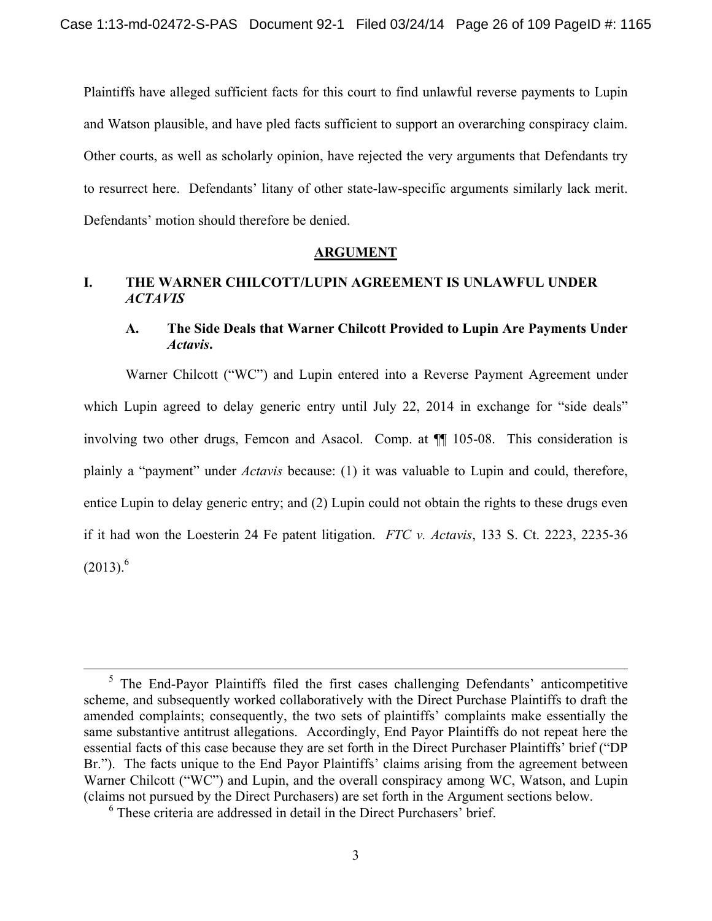Plaintiffs have alleged sufficient facts for this court to find unlawful reverse payments to Lupin and Watson plausible, and have pled facts sufficient to support an overarching conspiracy claim. Other courts, as well as scholarly opinion, have rejected the very arguments that Defendants try to resurrect here. Defendants' litany of other state-law-specific arguments similarly lack merit. Defendants' motion should therefore be denied.

#### **ARGUMENT**

# **I. THE WARNER CHILCOTT/LUPIN AGREEMENT IS UNLAWFUL UNDER**  *ACTAVIS*

## **A. The Side Deals that Warner Chilcott Provided to Lupin Are Payments Under**  *Actavis***.**

Warner Chilcott ("WC") and Lupin entered into a Reverse Payment Agreement under which Lupin agreed to delay generic entry until July 22, 2014 in exchange for "side deals" involving two other drugs, Femcon and Asacol. Comp. at ¶¶ 105-08. This consideration is plainly a "payment" under *Actavis* because: (1) it was valuable to Lupin and could, therefore, entice Lupin to delay generic entry; and (2) Lupin could not obtain the rights to these drugs even if it had won the Loesterin 24 Fe patent litigation. *FTC v. Actavis*, 133 S. Ct. 2223, 2235-36  $(2013)^6$ 

<sup>&</sup>lt;sup>5</sup> The End-Payor Plaintiffs filed the first cases challenging Defendants' anticompetitive scheme, and subsequently worked collaboratively with the Direct Purchase Plaintiffs to draft the amended complaints; consequently, the two sets of plaintiffs' complaints make essentially the same substantive antitrust allegations. Accordingly, End Payor Plaintiffs do not repeat here the essential facts of this case because they are set forth in the Direct Purchaser Plaintiffs' brief ("DP Br."). The facts unique to the End Payor Plaintiffs' claims arising from the agreement between Warner Chilcott ("WC") and Lupin, and the overall conspiracy among WC, Watson, and Lupin (claims not pursued by the Direct Purchasers) are set forth in the Argument sections below.

<sup>6</sup> These criteria are addressed in detail in the Direct Purchasers' brief.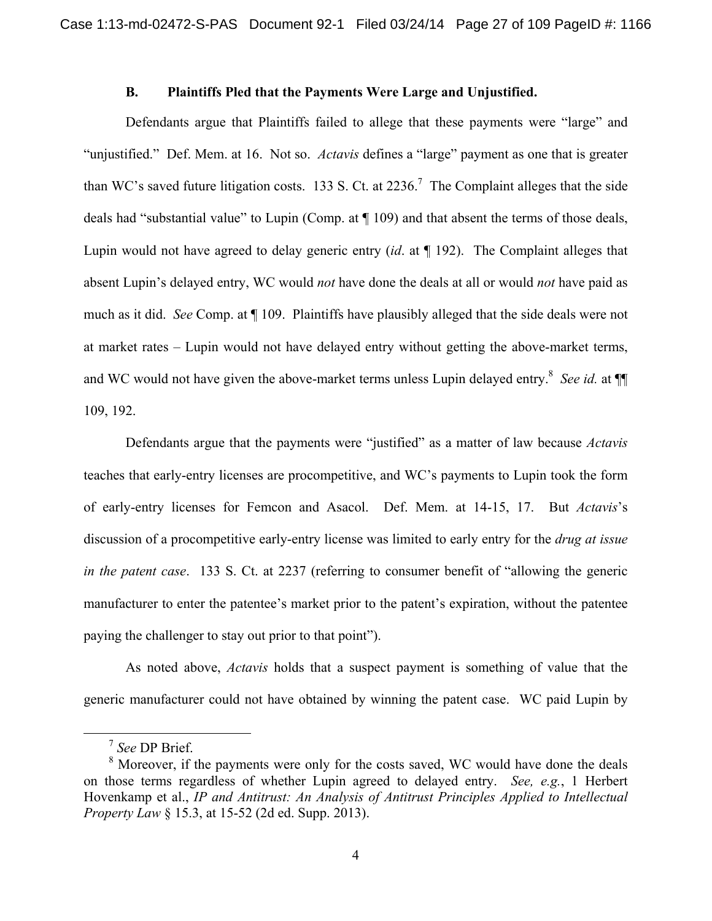## **B. Plaintiffs Pled that the Payments Were Large and Unjustified.**

Defendants argue that Plaintiffs failed to allege that these payments were "large" and "unjustified." Def. Mem. at 16. Not so. *Actavis* defines a "large" payment as one that is greater than WC's saved future litigation costs. 133 S. Ct. at  $2236$ .<sup>7</sup> The Complaint alleges that the side deals had "substantial value" to Lupin (Comp. at ¶ 109) and that absent the terms of those deals, Lupin would not have agreed to delay generic entry (*id*. at ¶ 192). The Complaint alleges that absent Lupin's delayed entry, WC would *not* have done the deals at all or would *not* have paid as much as it did. *See* Comp. at ¶ 109. Plaintiffs have plausibly alleged that the side deals were not at market rates – Lupin would not have delayed entry without getting the above-market terms, and WC would not have given the above-market terms unless Lupin delayed entry.<sup>8</sup> See id. at  $\P$ 109, 192.

 Defendants argue that the payments were "justified" as a matter of law because *Actavis* teaches that early-entry licenses are procompetitive, and WC's payments to Lupin took the form of early-entry licenses for Femcon and Asacol. Def. Mem. at 14-15, 17. But *Actavis*'s discussion of a procompetitive early-entry license was limited to early entry for the *drug at issue in the patent case*. 133 S. Ct. at 2237 (referring to consumer benefit of "allowing the generic manufacturer to enter the patentee's market prior to the patent's expiration, without the patentee paying the challenger to stay out prior to that point").

 As noted above, *Actavis* holds that a suspect payment is something of value that the generic manufacturer could not have obtained by winning the patent case. WC paid Lupin by

 <sup>7</sup> *See* DP Brief.

<sup>&</sup>lt;sup>8</sup> Moreover, if the payments were only for the costs saved, WC would have done the deals on those terms regardless of whether Lupin agreed to delayed entry. *See, e.g.*, 1 Herbert Hovenkamp et al., *IP and Antitrust: An Analysis of Antitrust Principles Applied to Intellectual Property Law* § 15.3, at 15-52 (2d ed. Supp. 2013).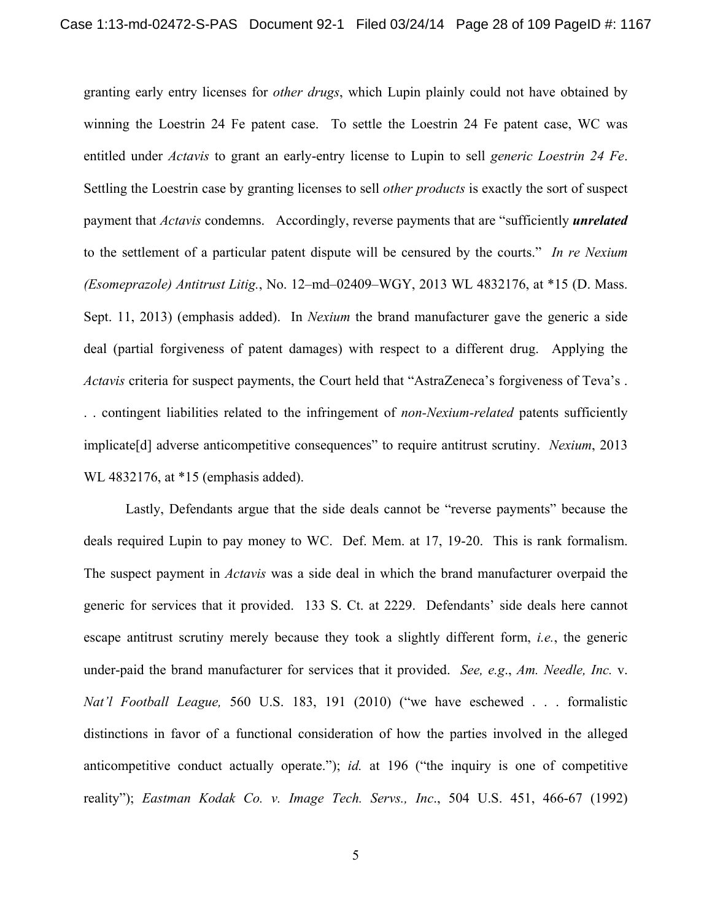granting early entry licenses for *other drugs*, which Lupin plainly could not have obtained by winning the Loestrin 24 Fe patent case. To settle the Loestrin 24 Fe patent case, WC was entitled under *Actavis* to grant an early-entry license to Lupin to sell *generic Loestrin 24 Fe*. Settling the Loestrin case by granting licenses to sell *other products* is exactly the sort of suspect payment that *Actavis* condemns. Accordingly, reverse payments that are "sufficiently *unrelated* to the settlement of a particular patent dispute will be censured by the courts." *In re Nexium (Esomeprazole) Antitrust Litig.*, No. 12–md–02409–WGY, 2013 WL 4832176, at \*15 (D. Mass. Sept. 11, 2013) (emphasis added). In *Nexium* the brand manufacturer gave the generic a side deal (partial forgiveness of patent damages) with respect to a different drug. Applying the *Actavis* criteria for suspect payments, the Court held that "AstraZeneca's forgiveness of Teva's . . . contingent liabilities related to the infringement of *non-Nexium-related* patents sufficiently implicate[d] adverse anticompetitive consequences" to require antitrust scrutiny. *Nexium*, 2013 WL 4832176, at \*15 (emphasis added).

 Lastly, Defendants argue that the side deals cannot be "reverse payments" because the deals required Lupin to pay money to WC. Def. Mem. at 17, 19-20. This is rank formalism. The suspect payment in *Actavis* was a side deal in which the brand manufacturer overpaid the generic for services that it provided. 133 S. Ct. at 2229. Defendants' side deals here cannot escape antitrust scrutiny merely because they took a slightly different form, *i.e.*, the generic under-paid the brand manufacturer for services that it provided. *See, e.g*., *Am. Needle, Inc.* v. *Nat'l Football League,* 560 U.S. 183, 191 (2010) ("we have eschewed . . . formalistic distinctions in favor of a functional consideration of how the parties involved in the alleged anticompetitive conduct actually operate."); *id.* at 196 ("the inquiry is one of competitive reality"); *Eastman Kodak Co. v. Image Tech. Servs., Inc*., 504 U.S. 451, 466-67 (1992)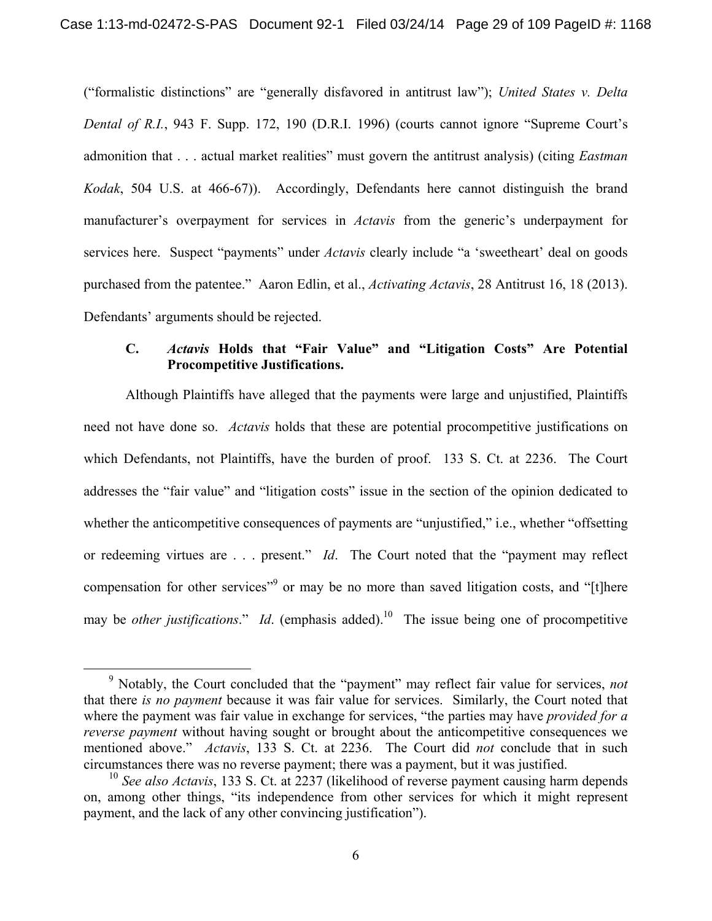("formalistic distinctions" are "generally disfavored in antitrust law"); *United States v. Delta Dental of R.I.*, 943 F. Supp. 172, 190 (D.R.I. 1996) (courts cannot ignore "Supreme Court's admonition that . . . actual market realities" must govern the antitrust analysis) (citing *Eastman Kodak*, 504 U.S. at 466-67)). Accordingly, Defendants here cannot distinguish the brand manufacturer's overpayment for services in *Actavis* from the generic's underpayment for services here. Suspect "payments" under *Actavis* clearly include "a 'sweetheart' deal on goods purchased from the patentee." Aaron Edlin, et al., *Activating Actavis*, 28 Antitrust 16, 18 (2013). Defendants' arguments should be rejected.

# **C.** *Actavis* **Holds that "Fair Value" and "Litigation Costs" Are Potential Procompetitive Justifications.**

Although Plaintiffs have alleged that the payments were large and unjustified, Plaintiffs need not have done so. *Actavis* holds that these are potential procompetitive justifications on which Defendants, not Plaintiffs, have the burden of proof. 133 S. Ct. at 2236. The Court addresses the "fair value" and "litigation costs" issue in the section of the opinion dedicated to whether the anticompetitive consequences of payments are "unjustified," i.e., whether "offsetting or redeeming virtues are . . . present." *Id*. The Court noted that the "payment may reflect compensation for other services<sup>"9</sup> or may be no more than saved litigation costs, and "[t]here may be *other justifications*." *Id*. (emphasis added).10 The issue being one of procompetitive

 $\frac{1}{9}$  Notably, the Court concluded that the "payment" may reflect fair value for services, *not* that there *is no payment* because it was fair value for services. Similarly, the Court noted that where the payment was fair value in exchange for services, "the parties may have *provided for a reverse payment* without having sought or brought about the anticompetitive consequences we mentioned above." *Actavis*, 133 S. Ct. at 2236. The Court did *not* conclude that in such circumstances there was no reverse payment; there was a payment, but it was justified.

<sup>&</sup>lt;sup>10</sup> *See also Actavis*, 133 S. Ct. at 2237 (likelihood of reverse payment causing harm depends on, among other things, "its independence from other services for which it might represent payment, and the lack of any other convincing justification").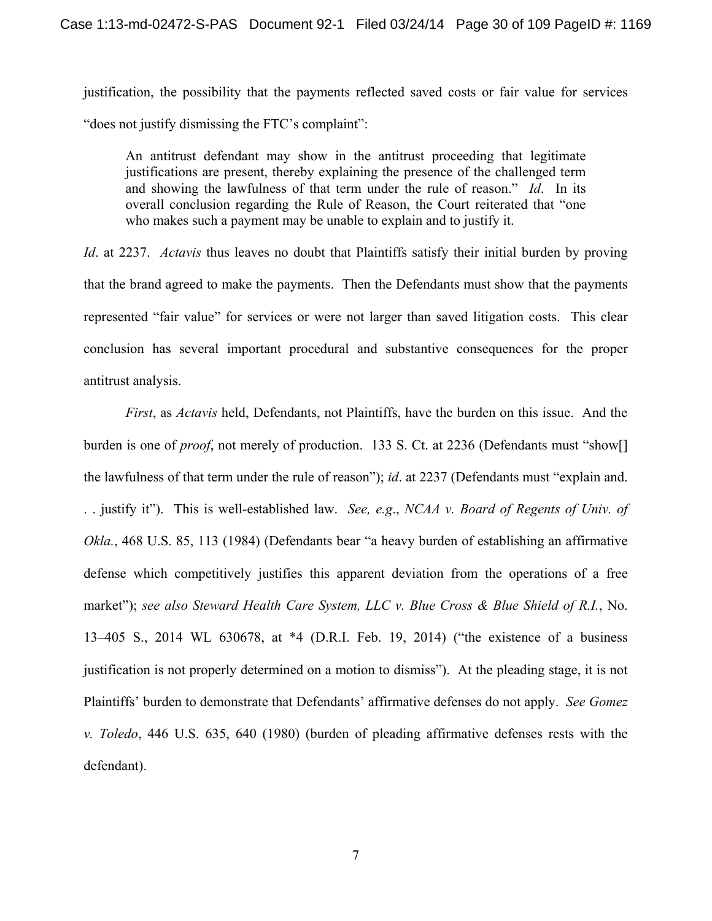justification, the possibility that the payments reflected saved costs or fair value for services "does not justify dismissing the FTC's complaint":

An antitrust defendant may show in the antitrust proceeding that legitimate justifications are present, thereby explaining the presence of the challenged term and showing the lawfulness of that term under the rule of reason." *Id*. In its overall conclusion regarding the Rule of Reason, the Court reiterated that "one who makes such a payment may be unable to explain and to justify it.

*Id*. at 2237. *Actavis* thus leaves no doubt that Plaintiffs satisfy their initial burden by proving that the brand agreed to make the payments. Then the Defendants must show that the payments represented "fair value" for services or were not larger than saved litigation costs. This clear conclusion has several important procedural and substantive consequences for the proper antitrust analysis.

*First*, as *Actavis* held, Defendants, not Plaintiffs, have the burden on this issue. And the burden is one of *proof*, not merely of production. 133 S. Ct. at 2236 (Defendants must "show[] the lawfulness of that term under the rule of reason"); *id*. at 2237 (Defendants must "explain and. . . justify it"). This is well-established law. *See, e.g*., *NCAA v. Board of Regents of Univ. of Okla.*, 468 U.S. 85, 113 (1984) (Defendants bear "a heavy burden of establishing an affirmative defense which competitively justifies this apparent deviation from the operations of a free market"); *see also Steward Health Care System, LLC v. Blue Cross & Blue Shield of R.I.*, No. 13–405 S., 2014 WL 630678, at \*4 (D.R.I. Feb. 19, 2014) ("the existence of a business justification is not properly determined on a motion to dismiss"). At the pleading stage, it is not Plaintiffs' burden to demonstrate that Defendants' affirmative defenses do not apply. *See Gomez v. Toledo*, 446 U.S. 635, 640 (1980) (burden of pleading affirmative defenses rests with the defendant).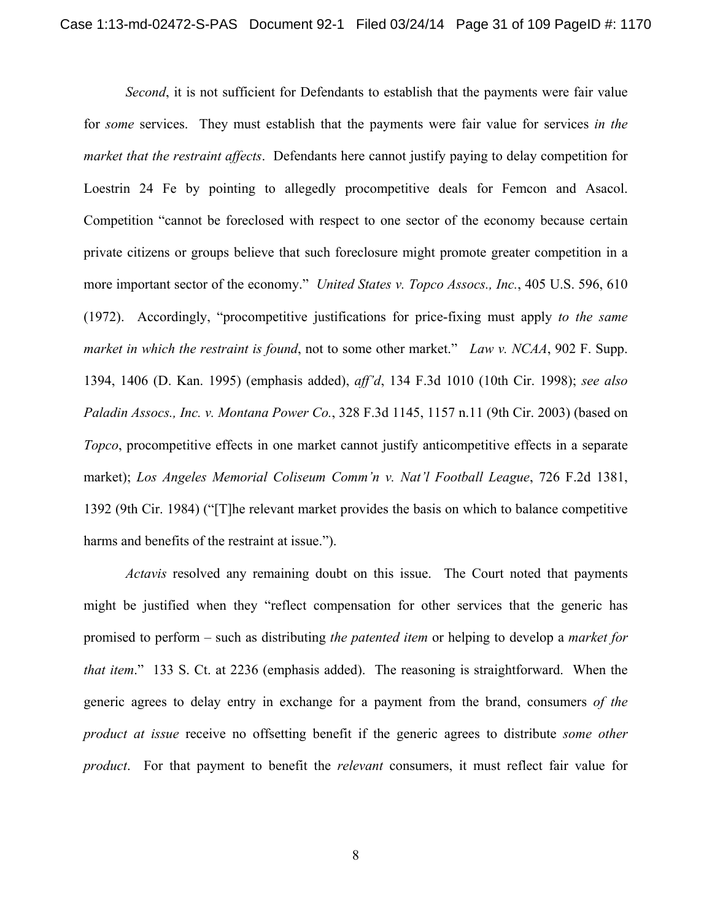*Second*, it is not sufficient for Defendants to establish that the payments were fair value for *some* services. They must establish that the payments were fair value for services *in the market that the restraint affects*. Defendants here cannot justify paying to delay competition for Loestrin 24 Fe by pointing to allegedly procompetitive deals for Femcon and Asacol. Competition "cannot be foreclosed with respect to one sector of the economy because certain private citizens or groups believe that such foreclosure might promote greater competition in a more important sector of the economy." *United States v. Topco Assocs., Inc.*, 405 U.S. 596, 610 (1972). Accordingly, "procompetitive justifications for price-fixing must apply *to the same market in which the restraint is found*, not to some other market." *Law v. NCAA*, 902 F. Supp. 1394, 1406 (D. Kan. 1995) (emphasis added), *aff'd*, 134 F.3d 1010 (10th Cir. 1998); *see also Paladin Assocs., Inc. v. Montana Power Co.*, 328 F.3d 1145, 1157 n.11 (9th Cir. 2003) (based on *Topco*, procompetitive effects in one market cannot justify anticompetitive effects in a separate market); *Los Angeles Memorial Coliseum Comm'n v. Nat'l Football League*, 726 F.2d 1381, 1392 (9th Cir. 1984) ("[T]he relevant market provides the basis on which to balance competitive harms and benefits of the restraint at issue.").

*Actavis* resolved any remaining doubt on this issue. The Court noted that payments might be justified when they "reflect compensation for other services that the generic has promised to perform – such as distributing *the patented item* or helping to develop a *market for that item*." 133 S. Ct. at 2236 (emphasis added). The reasoning is straightforward. When the generic agrees to delay entry in exchange for a payment from the brand, consumers *of the product at issue* receive no offsetting benefit if the generic agrees to distribute *some other product*. For that payment to benefit the *relevant* consumers, it must reflect fair value for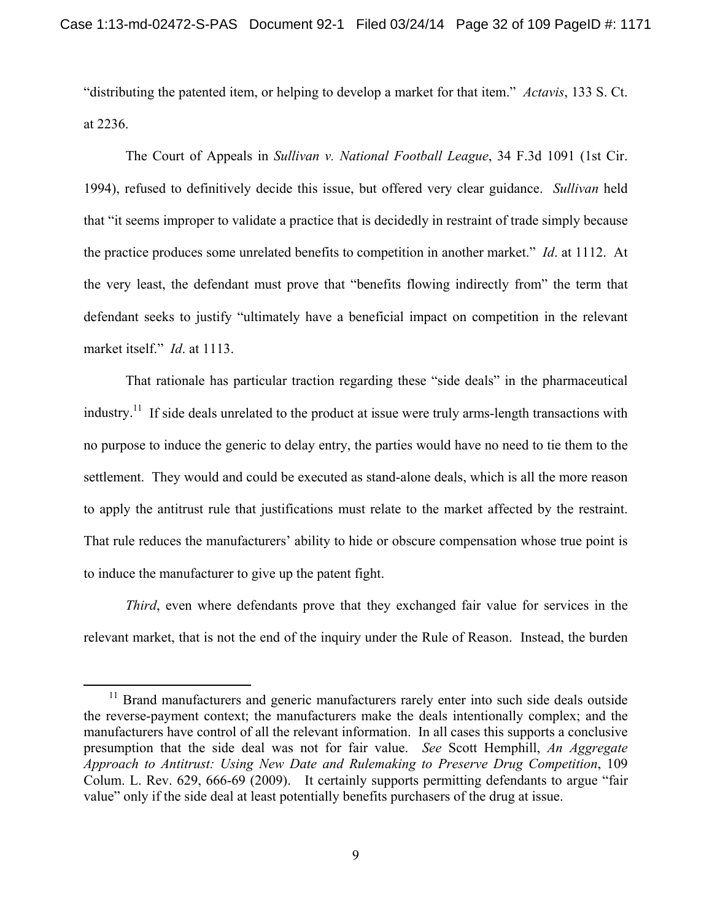"distributing the patented item, or helping to develop a market for that item." *Actavis*, 133 S. Ct. at 2236.

The Court of Appeals in *Sullivan v. National Football League*, 34 F.3d 1091 (1st Cir. 1994), refused to definitively decide this issue, but offered very clear guidance. *Sullivan* held that "it seems improper to validate a practice that is decidedly in restraint of trade simply because the practice produces some unrelated benefits to competition in another market." *Id*. at 1112. At the very least, the defendant must prove that "benefits flowing indirectly from" the term that defendant seeks to justify "ultimately have a beneficial impact on competition in the relevant market itself." *Id*. at 1113.

 That rationale has particular traction regarding these "side deals" in the pharmaceutical industry.<sup>11</sup> If side deals unrelated to the product at issue were truly arms-length transactions with no purpose to induce the generic to delay entry, the parties would have no need to tie them to the settlement. They would and could be executed as stand-alone deals, which is all the more reason to apply the antitrust rule that justifications must relate to the market affected by the restraint. That rule reduces the manufacturers' ability to hide or obscure compensation whose true point is to induce the manufacturer to give up the patent fight.

*Third*, even where defendants prove that they exchanged fair value for services in the relevant market, that is not the end of the inquiry under the Rule of Reason. Instead, the burden

<sup>&</sup>lt;sup>11</sup> Brand manufacturers and generic manufacturers rarely enter into such side deals outside the reverse-payment context; the manufacturers make the deals intentionally complex; and the manufacturers have control of all the relevant information. In all cases this supports a conclusive presumption that the side deal was not for fair value. *See* Scott Hemphill, *An Aggregate Approach to Antitrust: Using New Date and Rulemaking to Preserve Drug Competition*, 109 Colum. L. Rev. 629, 666-69 (2009). It certainly supports permitting defendants to argue "fair value" only if the side deal at least potentially benefits purchasers of the drug at issue.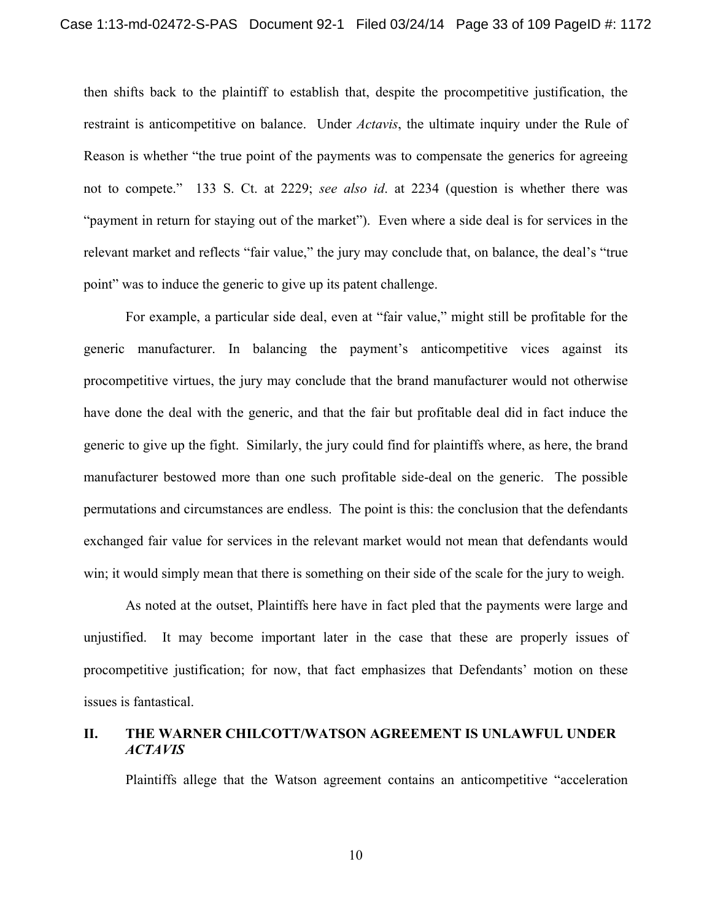then shifts back to the plaintiff to establish that, despite the procompetitive justification, the restraint is anticompetitive on balance. Under *Actavis*, the ultimate inquiry under the Rule of Reason is whether "the true point of the payments was to compensate the generics for agreeing not to compete." 133 S. Ct. at 2229; *see also id*. at 2234 (question is whether there was "payment in return for staying out of the market"). Even where a side deal is for services in the relevant market and reflects "fair value," the jury may conclude that, on balance, the deal's "true point" was to induce the generic to give up its patent challenge.

For example, a particular side deal, even at "fair value," might still be profitable for the generic manufacturer. In balancing the payment's anticompetitive vices against its procompetitive virtues, the jury may conclude that the brand manufacturer would not otherwise have done the deal with the generic, and that the fair but profitable deal did in fact induce the generic to give up the fight. Similarly, the jury could find for plaintiffs where, as here, the brand manufacturer bestowed more than one such profitable side-deal on the generic. The possible permutations and circumstances are endless. The point is this: the conclusion that the defendants exchanged fair value for services in the relevant market would not mean that defendants would win; it would simply mean that there is something on their side of the scale for the jury to weigh.

As noted at the outset, Plaintiffs here have in fact pled that the payments were large and unjustified. It may become important later in the case that these are properly issues of procompetitive justification; for now, that fact emphasizes that Defendants' motion on these issues is fantastical.

### **II. THE WARNER CHILCOTT/WATSON AGREEMENT IS UNLAWFUL UNDER**  *ACTAVIS*

Plaintiffs allege that the Watson agreement contains an anticompetitive "acceleration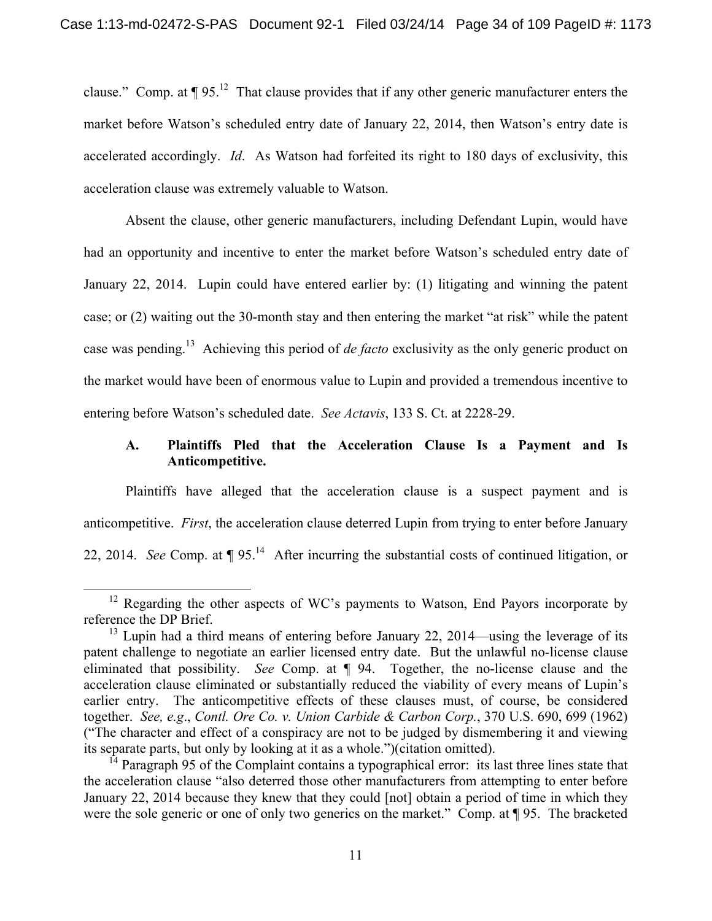clause." Comp. at  $\P 95$ .<sup>12</sup> That clause provides that if any other generic manufacturer enters the market before Watson's scheduled entry date of January 22, 2014, then Watson's entry date is accelerated accordingly. *Id*. As Watson had forfeited its right to 180 days of exclusivity, this acceleration clause was extremely valuable to Watson.

Absent the clause, other generic manufacturers, including Defendant Lupin, would have had an opportunity and incentive to enter the market before Watson's scheduled entry date of January 22, 2014. Lupin could have entered earlier by: (1) litigating and winning the patent case; or (2) waiting out the 30-month stay and then entering the market "at risk" while the patent case was pending.13 Achieving this period of *de facto* exclusivity as the only generic product on the market would have been of enormous value to Lupin and provided a tremendous incentive to entering before Watson's scheduled date. *See Actavis*, 133 S. Ct. at 2228-29.

# **A. Plaintiffs Pled that the Acceleration Clause Is a Payment and Is Anticompetitive.**

Plaintiffs have alleged that the acceleration clause is a suspect payment and is anticompetitive. *First*, the acceleration clause deterred Lupin from trying to enter before January 22, 2014. *See* Comp. at  $\P 95$ <sup>14</sup> After incurring the substantial costs of continued litigation, or

<sup>&</sup>lt;sup>12</sup> Regarding the other aspects of WC's payments to Watson, End Payors incorporate by reference the DP Brief.

 $13$  Lupin had a third means of entering before January 22, 2014—using the leverage of its patent challenge to negotiate an earlier licensed entry date. But the unlawful no-license clause eliminated that possibility. *See* Comp. at ¶ 94. Together, the no-license clause and the acceleration clause eliminated or substantially reduced the viability of every means of Lupin's earlier entry. The anticompetitive effects of these clauses must, of course, be considered together. *See, e.g*., *Contl. Ore Co. v. Union Carbide & Carbon Corp.*, 370 U.S. 690, 699 (1962) ("The character and effect of a conspiracy are not to be judged by dismembering it and viewing its separate parts, but only by looking at it as a whole.")(citation omitted).

<sup>&</sup>lt;sup>14</sup> Paragraph 95 of the Complaint contains a typographical error: its last three lines state that the acceleration clause "also deterred those other manufacturers from attempting to enter before January 22, 2014 because they knew that they could [not] obtain a period of time in which they were the sole generic or one of only two generics on the market." Comp. at  $\P$ 95. The bracketed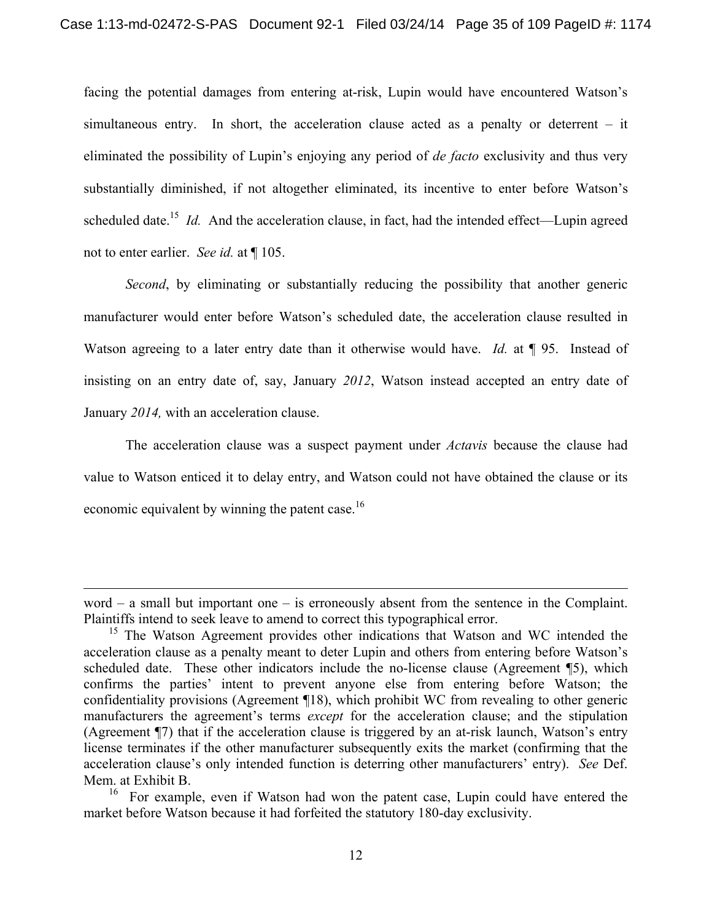facing the potential damages from entering at-risk, Lupin would have encountered Watson's simultaneous entry. In short, the acceleration clause acted as a penalty or deterrent – it eliminated the possibility of Lupin's enjoying any period of *de facto* exclusivity and thus very substantially diminished, if not altogether eliminated, its incentive to enter before Watson's scheduled date.<sup>15</sup> *Id.* And the acceleration clause, in fact, had the intended effect—Lupin agreed not to enter earlier. *See id.* at ¶ 105.

*Second*, by eliminating or substantially reducing the possibility that another generic manufacturer would enter before Watson's scheduled date, the acceleration clause resulted in Watson agreeing to a later entry date than it otherwise would have. *Id.* at **[95.** Instead of insisting on an entry date of, say, January *2012*, Watson instead accepted an entry date of January *2014,* with an acceleration clause.

The acceleration clause was a suspect payment under *Actavis* because the clause had value to Watson enticed it to delay entry, and Watson could not have obtained the clause or its economic equivalent by winning the patent case.<sup>16</sup>

 $\overline{a}$ 

word – a small but important one – is erroneously absent from the sentence in the Complaint. Plaintiffs intend to seek leave to amend to correct this typographical error.

<sup>&</sup>lt;sup>15</sup> The Watson Agreement provides other indications that Watson and WC intended the acceleration clause as a penalty meant to deter Lupin and others from entering before Watson's scheduled date. These other indicators include the no-license clause (Agreement ¶5), which confirms the parties' intent to prevent anyone else from entering before Watson; the confidentiality provisions (Agreement ¶18), which prohibit WC from revealing to other generic manufacturers the agreement's terms *except* for the acceleration clause; and the stipulation (Agreement ¶7) that if the acceleration clause is triggered by an at-risk launch, Watson's entry license terminates if the other manufacturer subsequently exits the market (confirming that the acceleration clause's only intended function is deterring other manufacturers' entry). *See* Def. Mem. at Exhibit B.

<sup>&</sup>lt;sup>16</sup> For example, even if Watson had won the patent case, Lupin could have entered the market before Watson because it had forfeited the statutory 180-day exclusivity.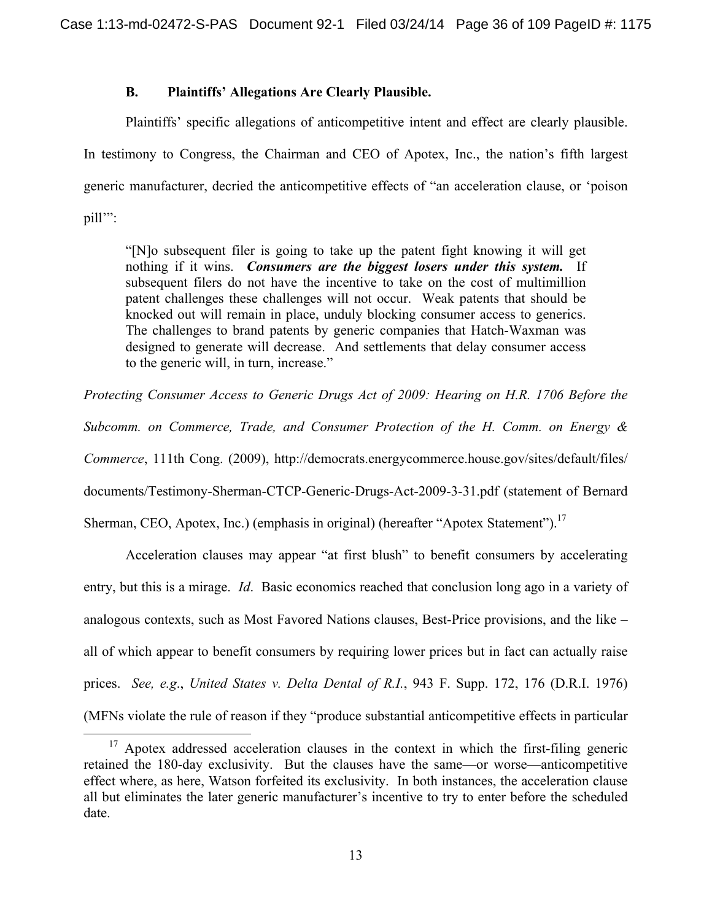## **B. Plaintiffs' Allegations Are Clearly Plausible.**

Plaintiffs' specific allegations of anticompetitive intent and effect are clearly plausible. In testimony to Congress, the Chairman and CEO of Apotex, Inc., the nation's fifth largest generic manufacturer, decried the anticompetitive effects of "an acceleration clause, or 'poison pill'":

"[N]o subsequent filer is going to take up the patent fight knowing it will get nothing if it wins. *Consumers are the biggest losers under this system.* If subsequent filers do not have the incentive to take on the cost of multimillion patent challenges these challenges will not occur. Weak patents that should be knocked out will remain in place, unduly blocking consumer access to generics. The challenges to brand patents by generic companies that Hatch-Waxman was designed to generate will decrease. And settlements that delay consumer access to the generic will, in turn, increase."

*Protecting Consumer Access to Generic Drugs Act of 2009: Hearing on H.R. 1706 Before the* 

*Subcomm. on Commerce, Trade, and Consumer Protection of the H. Comm. on Energy &* 

*Commerce*, 111th Cong. (2009), http://democrats.energycommerce.house.gov/sites/default/files/

documents/Testimony-Sherman-CTCP-Generic-Drugs-Act-2009-3-31.pdf (statement of Bernard

Sherman, CEO, Apotex, Inc.) (emphasis in original) (hereafter "Apotex Statement").<sup>17</sup>

Acceleration clauses may appear "at first blush" to benefit consumers by accelerating entry, but this is a mirage. *Id*. Basic economics reached that conclusion long ago in a variety of analogous contexts, such as Most Favored Nations clauses, Best-Price provisions, and the like – all of which appear to benefit consumers by requiring lower prices but in fact can actually raise prices. *See, e.g*., *United States v. Delta Dental of R.I.*, 943 F. Supp. 172, 176 (D.R.I. 1976) (MFNs violate the rule of reason if they "produce substantial anticompetitive effects in particular

 $17$  Apotex addressed acceleration clauses in the context in which the first-filing generic retained the 180-day exclusivity. But the clauses have the same—or worse—anticompetitive effect where, as here, Watson forfeited its exclusivity. In both instances, the acceleration clause all but eliminates the later generic manufacturer's incentive to try to enter before the scheduled date.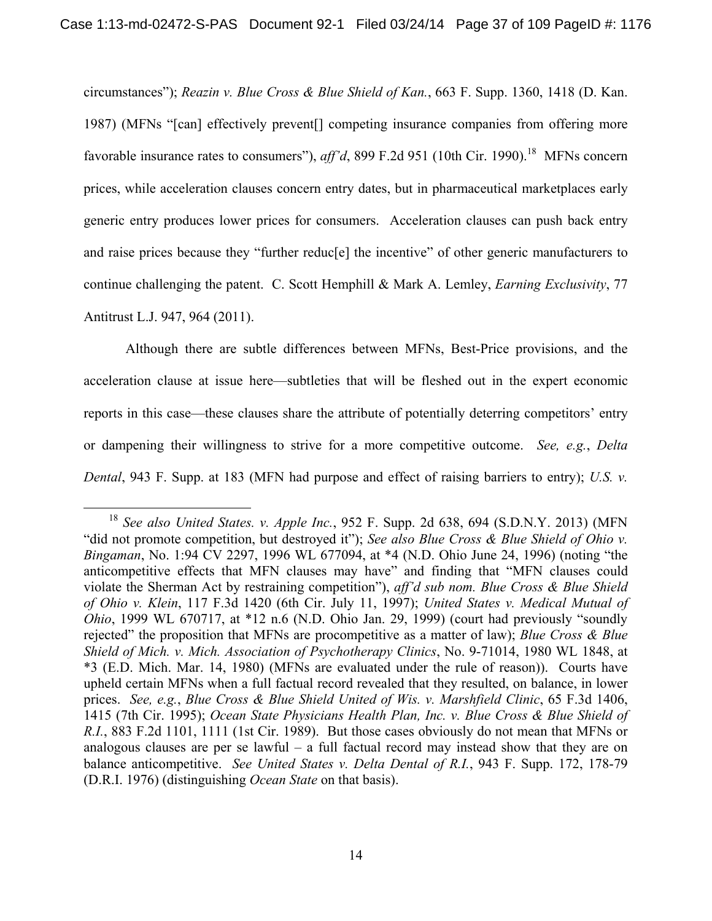circumstances"); *Reazin v. Blue Cross & Blue Shield of Kan.*, 663 F. Supp. 1360, 1418 (D. Kan. 1987) (MFNs "[can] effectively prevent[] competing insurance companies from offering more favorable insurance rates to consumers"), *aff'd*, 899 F.2d 951 (10th Cir. 1990).<sup>18</sup> MFNs concern prices, while acceleration clauses concern entry dates, but in pharmaceutical marketplaces early generic entry produces lower prices for consumers. Acceleration clauses can push back entry and raise prices because they "further reduc[e] the incentive" of other generic manufacturers to continue challenging the patent. C. Scott Hemphill & Mark A. Lemley, *Earning Exclusivity*, 77 Antitrust L.J. 947, 964 (2011).

Although there are subtle differences between MFNs, Best-Price provisions, and the acceleration clause at issue here—subtleties that will be fleshed out in the expert economic reports in this case—these clauses share the attribute of potentially deterring competitors' entry or dampening their willingness to strive for a more competitive outcome. *See, e.g.*, *Delta Dental*, 943 F. Supp. at 183 (MFN had purpose and effect of raising barriers to entry); *U.S. v.* 

 <sup>18</sup> *See also United States. v. Apple Inc.*, 952 F. Supp. 2d 638, 694 (S.D.N.Y. 2013) (MFN "did not promote competition, but destroyed it"); *See also Blue Cross & Blue Shield of Ohio v. Bingaman*, No. 1:94 CV 2297, 1996 WL 677094, at \*4 (N.D. Ohio June 24, 1996) (noting "the anticompetitive effects that MFN clauses may have" and finding that "MFN clauses could violate the Sherman Act by restraining competition"), *aff'd sub nom. Blue Cross & Blue Shield of Ohio v. Klein*, 117 F.3d 1420 (6th Cir. July 11, 1997); *United States v. Medical Mutual of Ohio*, 1999 WL 670717, at \*12 n.6 (N.D. Ohio Jan. 29, 1999) (court had previously "soundly rejected" the proposition that MFNs are procompetitive as a matter of law); *Blue Cross & Blue Shield of Mich. v. Mich. Association of Psychotherapy Clinics*, No. 9-71014, 1980 WL 1848, at \*3 (E.D. Mich. Mar. 14, 1980) (MFNs are evaluated under the rule of reason)). Courts have upheld certain MFNs when a full factual record revealed that they resulted, on balance, in lower prices. *See, e.g.*, *Blue Cross & Blue Shield United of Wis. v. Marshfield Clinic*, 65 F.3d 1406, 1415 (7th Cir. 1995); *Ocean State Physicians Health Plan, Inc. v. Blue Cross & Blue Shield of R.I.*, 883 F.2d 1101, 1111 (1st Cir. 1989). But those cases obviously do not mean that MFNs or analogous clauses are per se lawful – a full factual record may instead show that they are on balance anticompetitive. *See United States v. Delta Dental of R.I.*, 943 F. Supp. 172, 178-79 (D.R.I. 1976) (distinguishing *Ocean State* on that basis).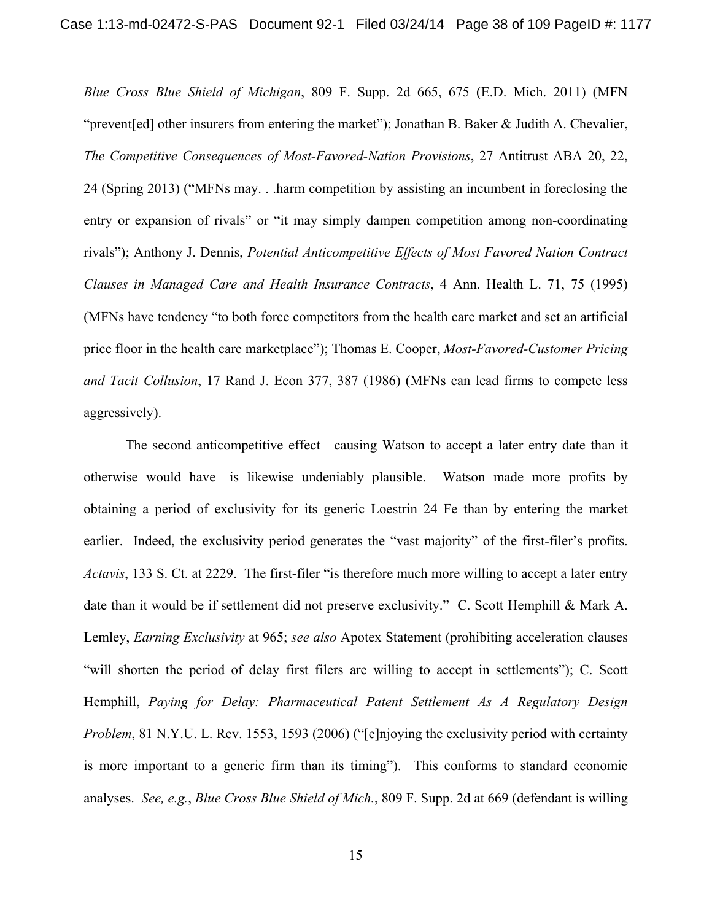*Blue Cross Blue Shield of Michigan*, 809 F. Supp. 2d 665, 675 (E.D. Mich. 2011) (MFN "prevent[ed] other insurers from entering the market"); Jonathan B. Baker & Judith A. Chevalier, *The Competitive Consequences of Most-Favored-Nation Provisions*, 27 Antitrust ABA 20, 22, 24 (Spring 2013) ("MFNs may. . .harm competition by assisting an incumbent in foreclosing the entry or expansion of rivals" or "it may simply dampen competition among non-coordinating rivals"); Anthony J. Dennis, *Potential Anticompetitive Effects of Most Favored Nation Contract Clauses in Managed Care and Health Insurance Contracts*, 4 Ann. Health L. 71, 75 (1995) (MFNs have tendency "to both force competitors from the health care market and set an artificial price floor in the health care marketplace"); Thomas E. Cooper, *Most-Favored-Customer Pricing and Tacit Collusion*, 17 Rand J. Econ 377, 387 (1986) (MFNs can lead firms to compete less aggressively).

The second anticompetitive effect—causing Watson to accept a later entry date than it otherwise would have—is likewise undeniably plausible. Watson made more profits by obtaining a period of exclusivity for its generic Loestrin 24 Fe than by entering the market earlier. Indeed, the exclusivity period generates the "vast majority" of the first-filer's profits. *Actavis*, 133 S. Ct. at 2229. The first-filer "is therefore much more willing to accept a later entry date than it would be if settlement did not preserve exclusivity." C. Scott Hemphill & Mark A. Lemley, *Earning Exclusivity* at 965; *see also* Apotex Statement (prohibiting acceleration clauses "will shorten the period of delay first filers are willing to accept in settlements"); C. Scott Hemphill, *Paying for Delay: Pharmaceutical Patent Settlement As A Regulatory Design Problem*, 81 N.Y.U. L. Rev. 1553, 1593 (2006) ("[e]njoying the exclusivity period with certainty is more important to a generic firm than its timing"). This conforms to standard economic analyses. *See, e.g.*, *Blue Cross Blue Shield of Mich.*, 809 F. Supp. 2d at 669 (defendant is willing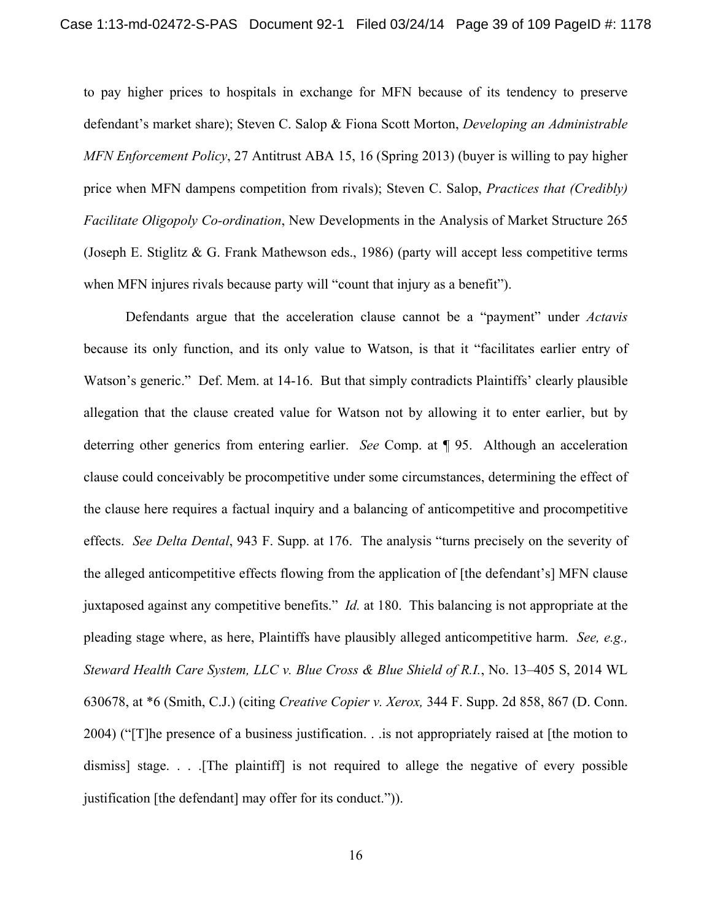to pay higher prices to hospitals in exchange for MFN because of its tendency to preserve defendant's market share); Steven C. Salop & Fiona Scott Morton, *Developing an Administrable MFN Enforcement Policy*, 27 Antitrust ABA 15, 16 (Spring 2013) (buyer is willing to pay higher price when MFN dampens competition from rivals); Steven C. Salop, *Practices that (Credibly) Facilitate Oligopoly Co-ordination*, New Developments in the Analysis of Market Structure 265 (Joseph E. Stiglitz & G. Frank Mathewson eds., 1986) (party will accept less competitive terms when MFN injures rivals because party will "count that injury as a benefit").

Defendants argue that the acceleration clause cannot be a "payment" under *Actavis* because its only function, and its only value to Watson, is that it "facilitates earlier entry of Watson's generic." Def. Mem. at 14-16. But that simply contradicts Plaintiffs' clearly plausible allegation that the clause created value for Watson not by allowing it to enter earlier, but by deterring other generics from entering earlier. *See* Comp. at ¶ 95. Although an acceleration clause could conceivably be procompetitive under some circumstances, determining the effect of the clause here requires a factual inquiry and a balancing of anticompetitive and procompetitive effects. *See Delta Dental*, 943 F. Supp. at 176. The analysis "turns precisely on the severity of the alleged anticompetitive effects flowing from the application of [the defendant's] MFN clause juxtaposed against any competitive benefits." *Id.* at 180. This balancing is not appropriate at the pleading stage where, as here, Plaintiffs have plausibly alleged anticompetitive harm. *See, e.g., Steward Health Care System, LLC v. Blue Cross & Blue Shield of R.I.*, No. 13–405 S, 2014 WL 630678, at \*6 (Smith, C.J.) (citing *Creative Copier v. Xerox,* 344 F. Supp. 2d 858, 867 (D. Conn. 2004) ("[T]he presence of a business justification. . .is not appropriately raised at [the motion to dismiss] stage. . . .[The plaintiff] is not required to allege the negative of every possible justification [the defendant] may offer for its conduct.")).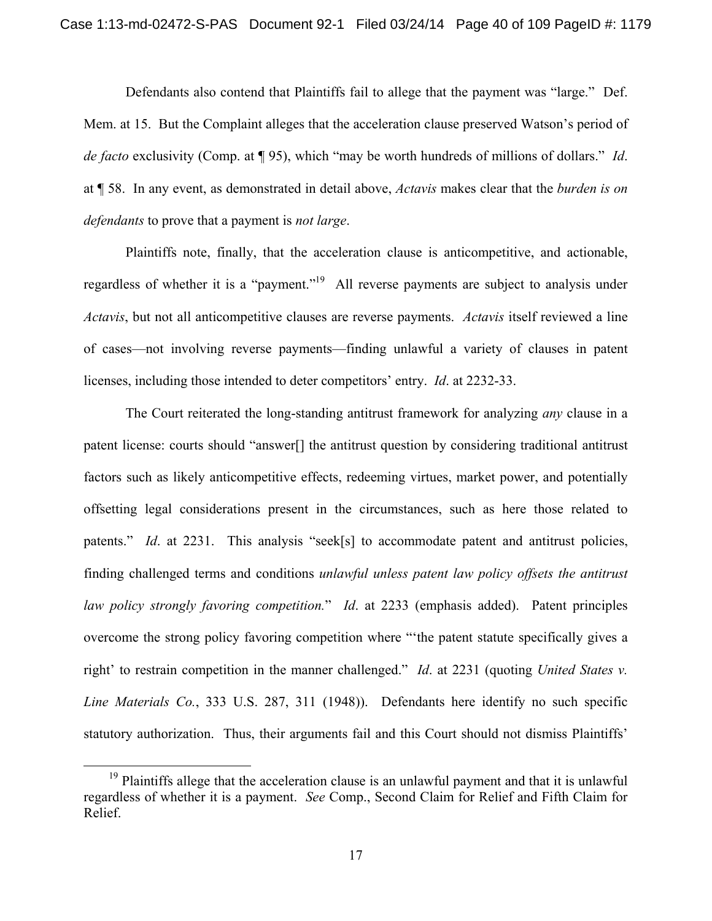Defendants also contend that Plaintiffs fail to allege that the payment was "large." Def. Mem. at 15. But the Complaint alleges that the acceleration clause preserved Watson's period of *de facto* exclusivity (Comp. at ¶ 95), which "may be worth hundreds of millions of dollars." *Id*. at ¶ 58. In any event, as demonstrated in detail above, *Actavis* makes clear that the *burden is on defendants* to prove that a payment is *not large*.

Plaintiffs note, finally, that the acceleration clause is anticompetitive, and actionable, regardless of whether it is a "payment."<sup>19</sup> All reverse payments are subject to analysis under *Actavis*, but not all anticompetitive clauses are reverse payments. *Actavis* itself reviewed a line of cases—not involving reverse payments—finding unlawful a variety of clauses in patent licenses, including those intended to deter competitors' entry. *Id*. at 2232-33.

The Court reiterated the long-standing antitrust framework for analyzing *any* clause in a patent license: courts should "answer[] the antitrust question by considering traditional antitrust factors such as likely anticompetitive effects, redeeming virtues, market power, and potentially offsetting legal considerations present in the circumstances, such as here those related to patents." *Id*. at 2231. This analysis "seek[s] to accommodate patent and antitrust policies, finding challenged terms and conditions *unlawful unless patent law policy offsets the antitrust law policy strongly favoring competition.*" *Id*. at 2233 (emphasis added). Patent principles overcome the strong policy favoring competition where "'the patent statute specifically gives a right' to restrain competition in the manner challenged." *Id*. at 2231 (quoting *United States v. Line Materials Co.*, 333 U.S. 287, 311 (1948)). Defendants here identify no such specific statutory authorization.Thus, their arguments fail and this Court should not dismiss Plaintiffs'

<sup>&</sup>lt;sup>19</sup> Plaintiffs allege that the acceleration clause is an unlawful payment and that it is unlawful regardless of whether it is a payment. *See* Comp., Second Claim for Relief and Fifth Claim for Relief.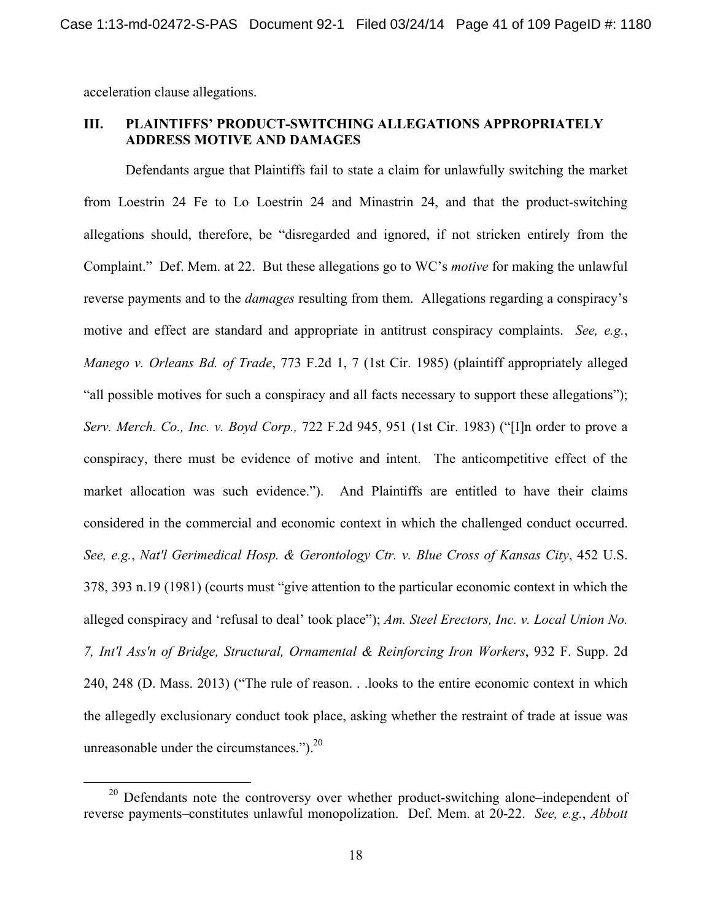acceleration clause allegations.

### **III. PLAINTIFFS' PRODUCT-SWITCHING ALLEGATIONS APPROPRIATELY ADDRESS MOTIVE AND DAMAGES**

Defendants argue that Plaintiffs fail to state a claim for unlawfully switching the market from Loestrin 24 Fe to Lo Loestrin 24 and Minastrin 24, and that the product-switching allegations should, therefore, be "disregarded and ignored, if not stricken entirely from the Complaint." Def. Mem. at 22. But these allegations go to WC's *motive* for making the unlawful reverse payments and to the *damages* resulting from them. Allegations regarding a conspiracy's motive and effect are standard and appropriate in antitrust conspiracy complaints. *See, e.g.*, *Manego v. Orleans Bd. of Trade*, 773 F.2d 1, 7 (1st Cir. 1985) (plaintiff appropriately alleged "all possible motives for such a conspiracy and all facts necessary to support these allegations"); *Serv. Merch. Co., Inc. v. Boyd Corp.,* 722 F.2d 945, 951 (1st Cir. 1983) ("[I]n order to prove a conspiracy, there must be evidence of motive and intent. The anticompetitive effect of the market allocation was such evidence."). And Plaintiffs are entitled to have their claims considered in the commercial and economic context in which the challenged conduct occurred. *See, e.g.*, *Nat'l Gerimedical Hosp. & Gerontology Ctr. v. Blue Cross of Kansas City*, 452 U.S. 378, 393 n.19 (1981) (courts must "give attention to the particular economic context in which the alleged conspiracy and 'refusal to deal' took place"); *Am. Steel Erectors, Inc. v. Local Union No. 7, Int'l Ass'n of Bridge, Structural, Ornamental & Reinforcing Iron Workers*, 932 F. Supp. 2d 240, 248 (D. Mass. 2013) ("The rule of reason. . .looks to the entire economic context in which the allegedly exclusionary conduct took place, asking whether the restraint of trade at issue was unreasonable under the circumstances." $)^{20}$ 

 $20$  Defendants note the controversy over whether product-switching alone–independent of reverse payments–constitutes unlawful monopolization. Def. Mem. at 20-22. *See, e.g.*, *Abbott*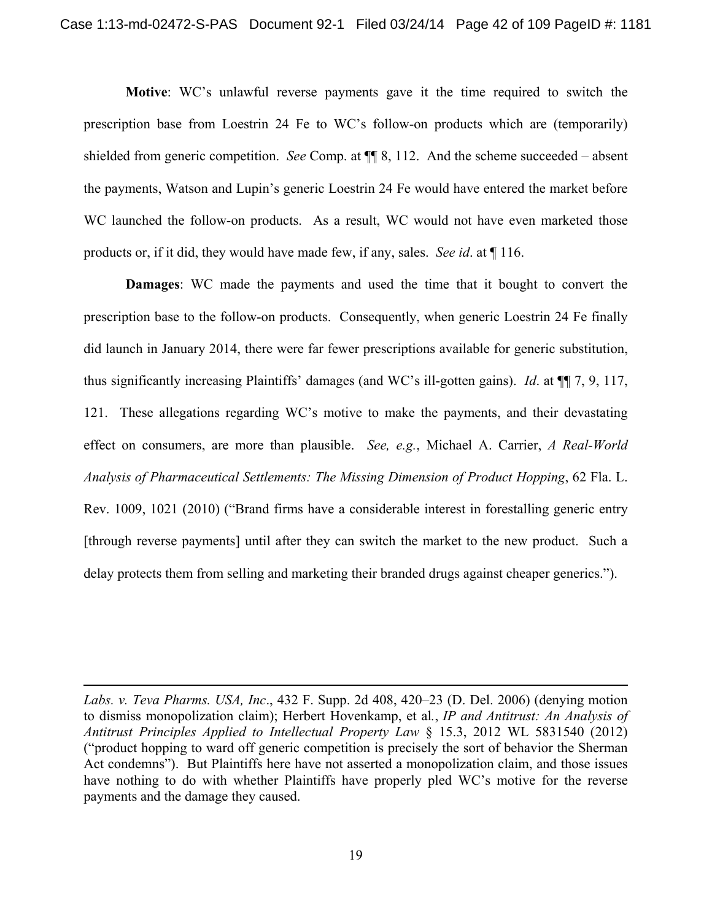**Motive**: WC's unlawful reverse payments gave it the time required to switch the prescription base from Loestrin 24 Fe to WC's follow-on products which are (temporarily) shielded from generic competition. *See* Comp. at ¶¶ 8, 112. And the scheme succeeded – absent the payments, Watson and Lupin's generic Loestrin 24 Fe would have entered the market before WC launched the follow-on products. As a result, WC would not have even marketed those products or, if it did, they would have made few, if any, sales. *See id*. at ¶ 116.

**Damages**: WC made the payments and used the time that it bought to convert the prescription base to the follow-on products. Consequently, when generic Loestrin 24 Fe finally did launch in January 2014, there were far fewer prescriptions available for generic substitution, thus significantly increasing Plaintiffs' damages (and WC's ill-gotten gains). *Id*. at ¶¶ 7, 9, 117, 121. These allegations regarding WC's motive to make the payments, and their devastating effect on consumers, are more than plausible. *See, e.g.*, Michael A. Carrier, *A Real-World Analysis of Pharmaceutical Settlements: The Missing Dimension of Product Hopping*, 62 Fla. L. Rev. 1009, 1021 (2010) ("Brand firms have a considerable interest in forestalling generic entry [through reverse payments] until after they can switch the market to the new product. Such a delay protects them from selling and marketing their branded drugs against cheaper generics.").

*Labs. v. Teva Pharms. USA, Inc*., 432 F. Supp. 2d 408, 420–23 (D. Del. 2006) (denying motion to dismiss monopolization claim); Herbert Hovenkamp, et al*.*, *IP and Antitrust: An Analysis of Antitrust Principles Applied to Intellectual Property Law* § 15.3, 2012 WL 5831540 (2012) ("product hopping to ward off generic competition is precisely the sort of behavior the Sherman Act condemns"). But Plaintiffs here have not asserted a monopolization claim, and those issues have nothing to do with whether Plaintiffs have properly pled WC's motive for the reverse payments and the damage they caused.

 $\overline{a}$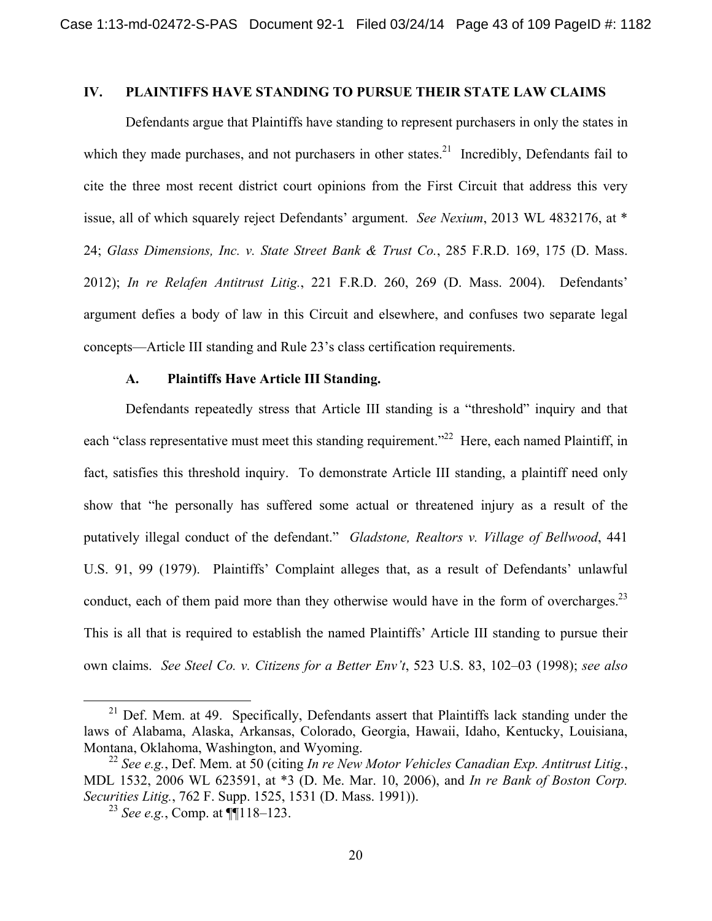## **IV. PLAINTIFFS HAVE STANDING TO PURSUE THEIR STATE LAW CLAIMS**

Defendants argue that Plaintiffs have standing to represent purchasers in only the states in which they made purchases, and not purchasers in other states.<sup>21</sup> Incredibly, Defendants fail to cite the three most recent district court opinions from the First Circuit that address this very issue, all of which squarely reject Defendants' argument. *See Nexium*, 2013 WL 4832176, at \* 24; *Glass Dimensions, Inc. v. State Street Bank & Trust Co.*, 285 F.R.D. 169, 175 (D. Mass. 2012); *In re Relafen Antitrust Litig.*, 221 F.R.D. 260, 269 (D. Mass. 2004). Defendants' argument defies a body of law in this Circuit and elsewhere, and confuses two separate legal concepts—Article III standing and Rule 23's class certification requirements.

#### **A. Plaintiffs Have Article III Standing.**

Defendants repeatedly stress that Article III standing is a "threshold" inquiry and that each "class representative must meet this standing requirement."<sup>22</sup> Here, each named Plaintiff, in fact, satisfies this threshold inquiry. To demonstrate Article III standing, a plaintiff need only show that "he personally has suffered some actual or threatened injury as a result of the putatively illegal conduct of the defendant." *Gladstone, Realtors v. Village of Bellwood*, 441 U.S. 91, 99 (1979). Plaintiffs' Complaint alleges that, as a result of Defendants' unlawful conduct, each of them paid more than they otherwise would have in the form of overcharges.<sup>23</sup> This is all that is required to establish the named Plaintiffs' Article III standing to pursue their own claims. *See Steel Co. v. Citizens for a Better Env't*, 523 U.S. 83, 102–03 (1998); *see also* 

<sup>&</sup>lt;sup>21</sup> Def. Mem. at 49. Specifically, Defendants assert that Plaintiffs lack standing under the laws of Alabama, Alaska, Arkansas, Colorado, Georgia, Hawaii, Idaho, Kentucky, Louisiana, Montana, Oklahoma, Washington, and Wyoming.

<sup>22</sup> *See e.g.*, Def. Mem. at 50 (citing *In re New Motor Vehicles Canadian Exp. Antitrust Litig.*, MDL 1532, 2006 WL 623591, at \*3 (D. Me. Mar. 10, 2006), and *In re Bank of Boston Corp. Securities Litig.*, 762 F. Supp. 1525, 1531 (D. Mass. 1991)).

<sup>23</sup> *See e.g.*, Comp. at ¶¶118–123.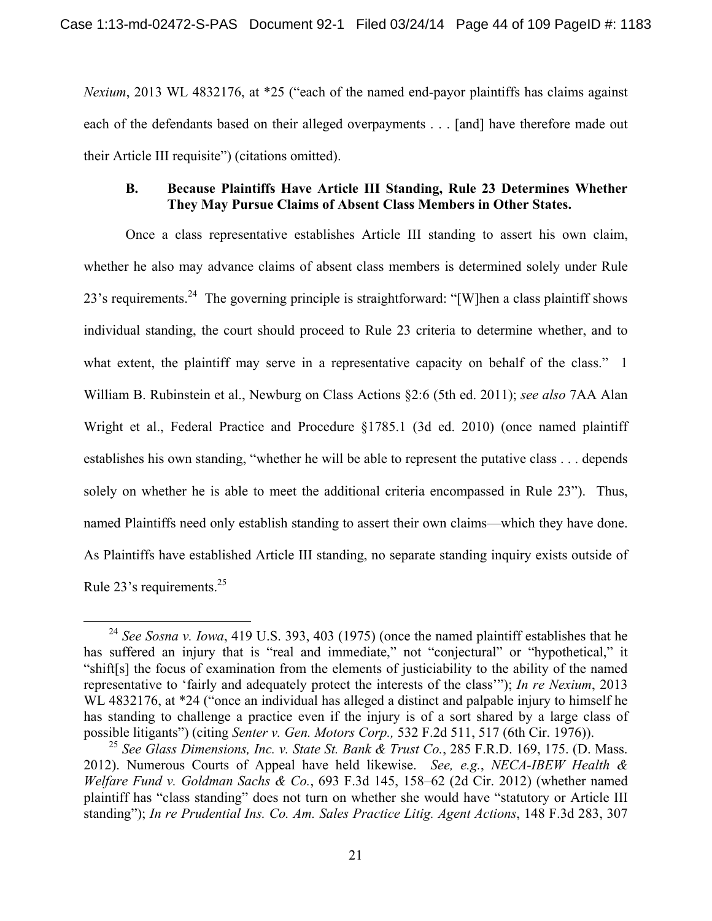*Nexium*, 2013 WL 4832176, at \*25 ("each of the named end-payor plaintiffs has claims against each of the defendants based on their alleged overpayments . . . [and] have therefore made out their Article III requisite") (citations omitted).

### **B. Because Plaintiffs Have Article III Standing, Rule 23 Determines Whether They May Pursue Claims of Absent Class Members in Other States.**

Once a class representative establishes Article III standing to assert his own claim, whether he also may advance claims of absent class members is determined solely under Rule 23's requirements.<sup>24</sup> The governing principle is straightforward: "[W]hen a class plaintiff shows individual standing, the court should proceed to Rule 23 criteria to determine whether, and to what extent, the plaintiff may serve in a representative capacity on behalf of the class." 1 William B. Rubinstein et al., Newburg on Class Actions §2:6 (5th ed. 2011); *see also* 7AA Alan Wright et al., Federal Practice and Procedure §1785.1 (3d ed. 2010) (once named plaintiff establishes his own standing, "whether he will be able to represent the putative class . . . depends solely on whether he is able to meet the additional criteria encompassed in Rule 23"). Thus, named Plaintiffs need only establish standing to assert their own claims—which they have done. As Plaintiffs have established Article III standing, no separate standing inquiry exists outside of Rule 23's requirements.<sup>25</sup>

 <sup>24</sup> *See Sosna v. Iowa*, 419 U.S. 393, 403 (1975) (once the named plaintiff establishes that he has suffered an injury that is "real and immediate," not "conjectural" or "hypothetical," it "shift[s] the focus of examination from the elements of justiciability to the ability of the named representative to 'fairly and adequately protect the interests of the class'"); *In re Nexium*, 2013 WL 4832176, at \*24 ("once an individual has alleged a distinct and palpable injury to himself he has standing to challenge a practice even if the injury is of a sort shared by a large class of possible litigants") (citing *Senter v. Gen. Motors Corp.,* 532 F.2d 511, 517 (6th Cir. 1976)).

<sup>25</sup> *See Glass Dimensions, Inc. v. State St. Bank & Trust Co.*, 285 F.R.D. 169, 175. (D. Mass. 2012). Numerous Courts of Appeal have held likewise. *See, e.g.*, *NECA-IBEW Health & Welfare Fund v. Goldman Sachs & Co.*, 693 F.3d 145, 158–62 (2d Cir. 2012) (whether named plaintiff has "class standing" does not turn on whether she would have "statutory or Article III standing"); *In re Prudential Ins. Co. Am. Sales Practice Litig. Agent Actions*, 148 F.3d 283, 307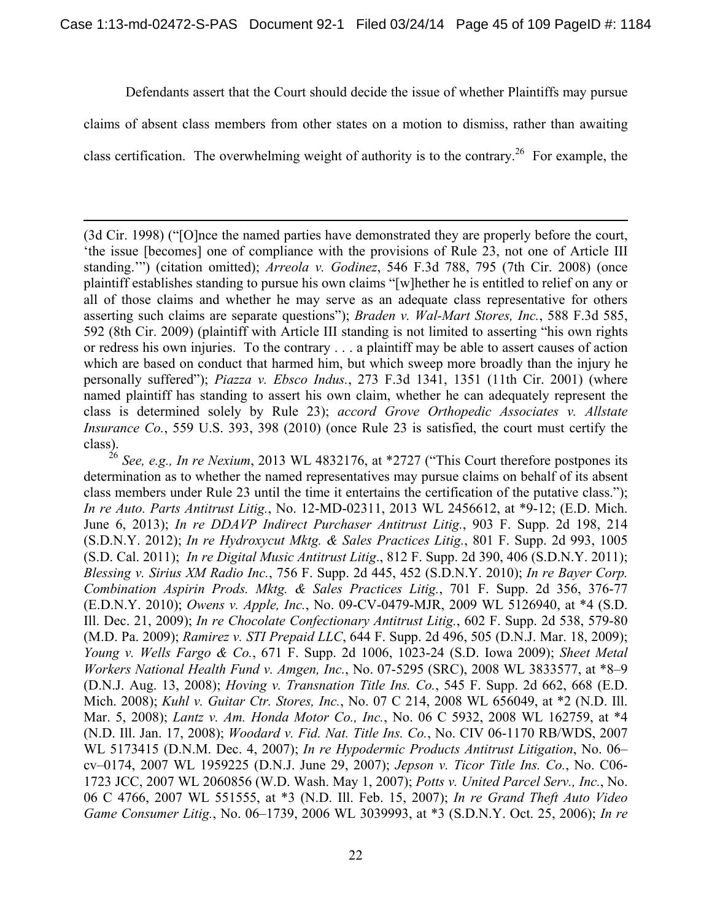Defendants assert that the Court should decide the issue of whether Plaintiffs may pursue

claims of absent class members from other states on a motion to dismiss, rather than awaiting

class certification. The overwhelming weight of authority is to the contrary.<sup>26</sup> For example, the

 $\overline{a}$ 

(3d Cir. 1998) ("[O]nce the named parties have demonstrated they are properly before the court, 'the issue [becomes] one of compliance with the provisions of Rule 23, not one of Article III standing.'") (citation omitted); *Arreola v. Godinez*, 546 F.3d 788, 795 (7th Cir. 2008) (once plaintiff establishes standing to pursue his own claims "[w]hether he is entitled to relief on any or all of those claims and whether he may serve as an adequate class representative for others asserting such claims are separate questions"); *Braden v. Wal-Mart Stores, Inc.*, 588 F.3d 585, 592 (8th Cir. 2009) (plaintiff with Article III standing is not limited to asserting "his own rights or redress his own injuries. To the contrary . . . a plaintiff may be able to assert causes of action which are based on conduct that harmed him, but which sweep more broadly than the injury he personally suffered"); *Piazza v. Ebsco Indus.*, 273 F.3d 1341, 1351 (11th Cir. 2001) (where named plaintiff has standing to assert his own claim, whether he can adequately represent the class is determined solely by Rule 23); *accord Grove Orthopedic Associates v. Allstate Insurance Co.*, 559 U.S. 393, 398 (2010) (once Rule 23 is satisfied, the court must certify the class).

<sup>26</sup> *See, e.g., In re Nexium*, 2013 WL 4832176, at \*2727 ("This Court therefore postpones its determination as to whether the named representatives may pursue claims on behalf of its absent class members under Rule 23 until the time it entertains the certification of the putative class."); *In re Auto. Parts Antitrust Litig.*, No. 12-MD-02311, 2013 WL 2456612, at \*9-12; (E.D. Mich. June 6, 2013); *In re DDAVP Indirect Purchaser Antitrust Litig.*, 903 F. Supp. 2d 198, 214 (S.D.N.Y. 2012); *In re Hydroxycut Mktg. & Sales Practices Litig.*, 801 F. Supp. 2d 993, 1005 (S.D. Cal. 2011); *In re Digital Music Antitrust Litig*., 812 F. Supp. 2d 390, 406 (S.D.N.Y. 2011); *Blessing v. Sirius XM Radio Inc.*, 756 F. Supp. 2d 445, 452 (S.D.N.Y. 2010); *In re Bayer Corp. Combination Aspirin Prods. Mktg. & Sales Practices Litig.*, 701 F. Supp. 2d 356, 376-77 (E.D.N.Y. 2010); *Owens v. Apple, Inc.*, No. 09-CV-0479-MJR, 2009 WL 5126940, at \*4 (S.D. Ill. Dec. 21, 2009); *In re Chocolate Confectionary Antitrust Litig.*, 602 F. Supp. 2d 538, 579-80 (M.D. Pa. 2009); *Ramirez v. STI Prepaid LLC*, 644 F. Supp. 2d 496, 505 (D.N.J. Mar. 18, 2009); *Young v. Wells Fargo & Co.*, 671 F. Supp. 2d 1006, 1023-24 (S.D. Iowa 2009); *Sheet Metal Workers National Health Fund v. Amgen, Inc.*, No. 07-5295 (SRC), 2008 WL 3833577, at \*8–9 (D.N.J. Aug. 13, 2008); *Hoving v. Transnation Title Ins. Co.*, 545 F. Supp. 2d 662, 668 (E.D. Mich. 2008); *Kuhl v. Guitar Ctr. Stores, Inc.*, No. 07 C 214, 2008 WL 656049, at \*2 (N.D. Ill. Mar. 5, 2008); *Lantz v. Am. Honda Motor Co., Inc.*, No. 06 C 5932, 2008 WL 162759, at \*4 (N.D. Ill. Jan. 17, 2008); *Woodard v. Fid. Nat. Title Ins. Co.*, No. CIV 06-1170 RB/WDS, 2007 WL 5173415 (D.N.M. Dec. 4, 2007); *In re Hypodermic Products Antitrust Litigation*, No. 06– cv–0174, 2007 WL 1959225 (D.N.J. June 29, 2007); *Jepson v. Ticor Title Ins. Co.*, No. C06- 1723 JCC, 2007 WL 2060856 (W.D. Wash. May 1, 2007); *Potts v. United Parcel Serv., Inc.*, No. 06 C 4766, 2007 WL 551555, at \*3 (N.D. Ill. Feb. 15, 2007); *In re Grand Theft Auto Video Game Consumer Litig.*, No. 06–1739, 2006 WL 3039993, at \*3 (S.D.N.Y. Oct. 25, 2006); *In re*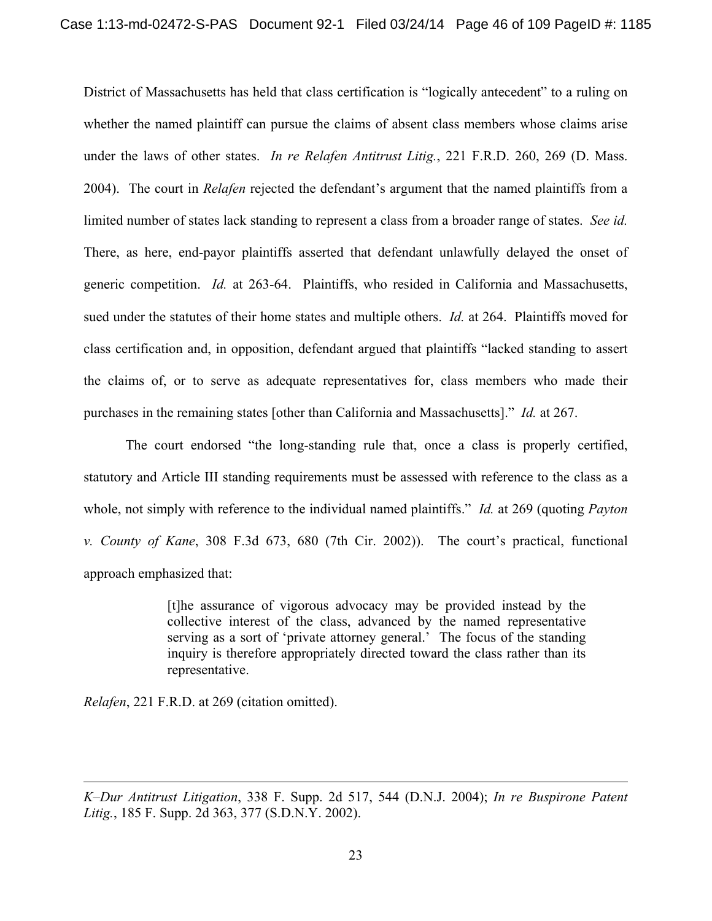District of Massachusetts has held that class certification is "logically antecedent" to a ruling on whether the named plaintiff can pursue the claims of absent class members whose claims arise under the laws of other states. *In re Relafen Antitrust Litig.*, 221 F.R.D. 260, 269 (D. Mass. 2004). The court in *Relafen* rejected the defendant's argument that the named plaintiffs from a limited number of states lack standing to represent a class from a broader range of states. *See id.*  There, as here, end-payor plaintiffs asserted that defendant unlawfully delayed the onset of generic competition. *Id.* at 263-64. Plaintiffs, who resided in California and Massachusetts, sued under the statutes of their home states and multiple others. *Id.* at 264. Plaintiffs moved for class certification and, in opposition, defendant argued that plaintiffs "lacked standing to assert the claims of, or to serve as adequate representatives for, class members who made their purchases in the remaining states [other than California and Massachusetts]." *Id.* at 267.

The court endorsed "the long-standing rule that, once a class is properly certified, statutory and Article III standing requirements must be assessed with reference to the class as a whole, not simply with reference to the individual named plaintiffs." *Id.* at 269 (quoting *Payton v. County of Kane*, 308 F.3d 673, 680 (7th Cir. 2002)). The court's practical, functional approach emphasized that:

> [t]he assurance of vigorous advocacy may be provided instead by the collective interest of the class, advanced by the named representative serving as a sort of 'private attorney general.' The focus of the standing inquiry is therefore appropriately directed toward the class rather than its representative.

*Relafen*, 221 F.R.D. at 269 (citation omitted).

 $\overline{a}$ 

*K–Dur Antitrust Litigation*, 338 F. Supp. 2d 517, 544 (D.N.J. 2004); *In re Buspirone Patent Litig.*, 185 F. Supp. 2d 363, 377 (S.D.N.Y. 2002).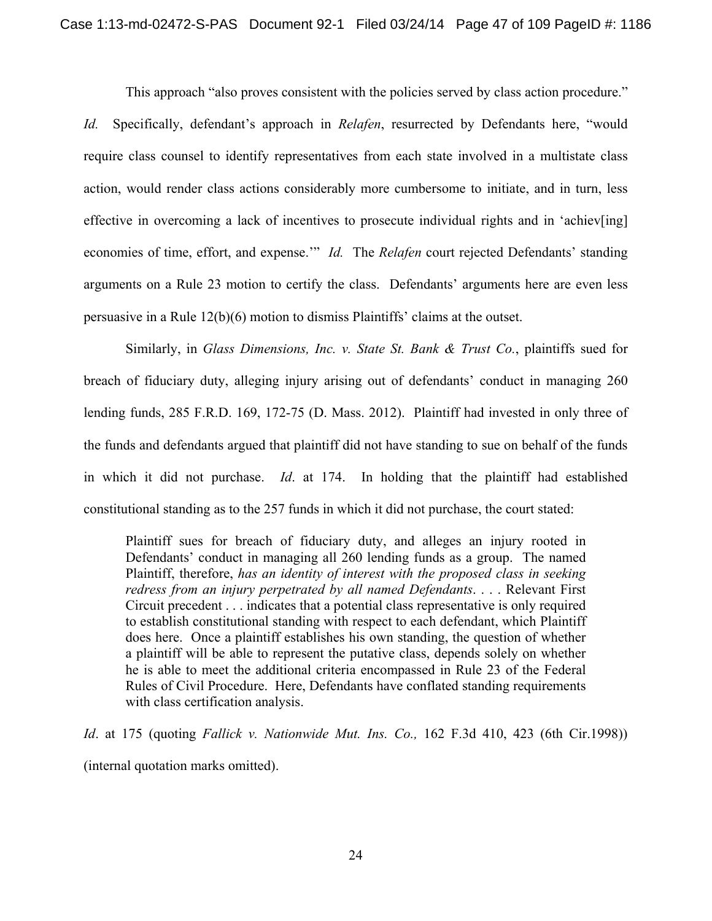This approach "also proves consistent with the policies served by class action procedure."

*Id.* Specifically, defendant's approach in *Relafen*, resurrected by Defendants here, "would require class counsel to identify representatives from each state involved in a multistate class action, would render class actions considerably more cumbersome to initiate, and in turn, less effective in overcoming a lack of incentives to prosecute individual rights and in 'achiev[ing] economies of time, effort, and expense.'" *Id.* The *Relafen* court rejected Defendants' standing arguments on a Rule 23 motion to certify the class. Defendants' arguments here are even less persuasive in a Rule 12(b)(6) motion to dismiss Plaintiffs' claims at the outset.

Similarly, in *Glass Dimensions, Inc. v. State St. Bank & Trust Co.*, plaintiffs sued for breach of fiduciary duty, alleging injury arising out of defendants' conduct in managing 260 lending funds, 285 F.R.D. 169, 172-75 (D. Mass. 2012). Plaintiff had invested in only three of the funds and defendants argued that plaintiff did not have standing to sue on behalf of the funds in which it did not purchase. *Id*. at 174. In holding that the plaintiff had established constitutional standing as to the 257 funds in which it did not purchase, the court stated:

Plaintiff sues for breach of fiduciary duty, and alleges an injury rooted in Defendants' conduct in managing all 260 lending funds as a group. The named Plaintiff, therefore, *has an identity of interest with the proposed class in seeking redress from an injury perpetrated by all named Defendants*. . . . Relevant First Circuit precedent . . . indicates that a potential class representative is only required to establish constitutional standing with respect to each defendant, which Plaintiff does here. Once a plaintiff establishes his own standing, the question of whether a plaintiff will be able to represent the putative class, depends solely on whether he is able to meet the additional criteria encompassed in Rule 23 of the Federal Rules of Civil Procedure. Here, Defendants have conflated standing requirements with class certification analysis.

*Id*. at 175 (quoting *Fallick v. Nationwide Mut. Ins. Co.,* 162 F.3d 410, 423 (6th Cir.1998)) (internal quotation marks omitted).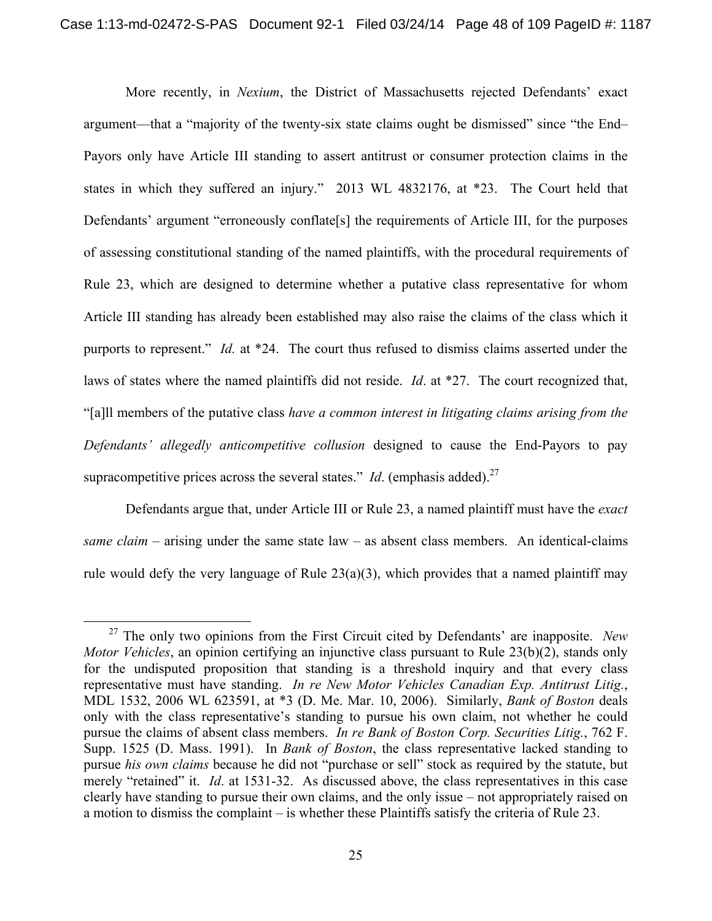More recently, in *Nexium*, the District of Massachusetts rejected Defendants' exact argument—that a "majority of the twenty-six state claims ought be dismissed" since "the End– Payors only have Article III standing to assert antitrust or consumer protection claims in the states in which they suffered an injury." 2013 WL 4832176, at \*23. The Court held that Defendants' argument "erroneously conflate[s] the requirements of Article III, for the purposes of assessing constitutional standing of the named plaintiffs, with the procedural requirements of Rule 23, which are designed to determine whether a putative class representative for whom Article III standing has already been established may also raise the claims of the class which it purports to represent." *Id.* at \*24. The court thus refused to dismiss claims asserted under the laws of states where the named plaintiffs did not reside. *Id*. at \*27. The court recognized that, "[a]ll members of the putative class *have a common interest in litigating claims arising from the Defendants' allegedly anticompetitive collusion* designed to cause the End-Payors to pay supracompetitive prices across the several states." *Id.* (emphasis added).<sup>27</sup>

Defendants argue that, under Article III or Rule 23, a named plaintiff must have the *exact same claim* – arising under the same state  $law - as$  absent class members. An identical-claims rule would defy the very language of Rule  $23(a)(3)$ , which provides that a named plaintiff may

 <sup>27</sup> The only two opinions from the First Circuit cited by Defendants' are inapposite. *New Motor Vehicles*, an opinion certifying an injunctive class pursuant to Rule 23(b)(2), stands only for the undisputed proposition that standing is a threshold inquiry and that every class representative must have standing. *In re New Motor Vehicles Canadian Exp. Antitrust Litig.*, MDL 1532, 2006 WL 623591, at \*3 (D. Me. Mar. 10, 2006). Similarly, *Bank of Boston* deals only with the class representative's standing to pursue his own claim, not whether he could pursue the claims of absent class members. *In re Bank of Boston Corp. Securities Litig.*, 762 F. Supp. 1525 (D. Mass. 1991). In *Bank of Boston*, the class representative lacked standing to pursue *his own claims* because he did not "purchase or sell" stock as required by the statute, but merely "retained" it. *Id*. at 1531-32. As discussed above, the class representatives in this case clearly have standing to pursue their own claims, and the only issue – not appropriately raised on a motion to dismiss the complaint – is whether these Plaintiffs satisfy the criteria of Rule 23.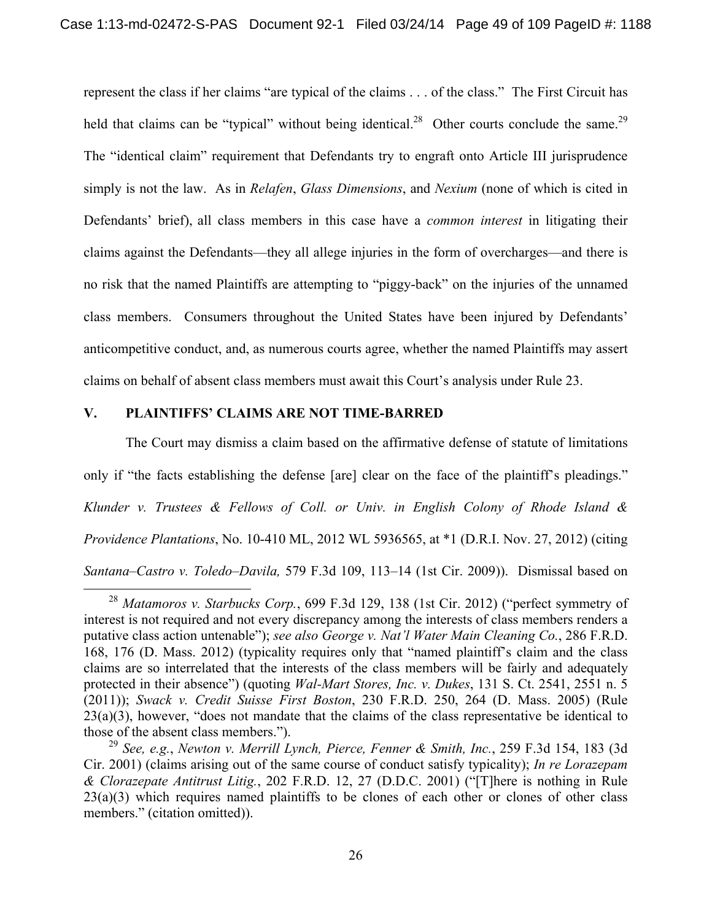represent the class if her claims "are typical of the claims . . . of the class." The First Circuit has held that claims can be "typical" without being identical.<sup>28</sup> Other courts conclude the same.<sup>29</sup> The "identical claim" requirement that Defendants try to engraft onto Article III jurisprudence simply is not the law. As in *Relafen*, *Glass Dimensions*, and *Nexium* (none of which is cited in Defendants' brief), all class members in this case have a *common interest* in litigating their claims against the Defendants—they all allege injuries in the form of overcharges—and there is no risk that the named Plaintiffs are attempting to "piggy-back" on the injuries of the unnamed class members. Consumers throughout the United States have been injured by Defendants' anticompetitive conduct, and, as numerous courts agree, whether the named Plaintiffs may assert claims on behalf of absent class members must await this Court's analysis under Rule 23.

#### **V. PLAINTIFFS' CLAIMS ARE NOT TIME-BARRED**

The Court may dismiss a claim based on the affirmative defense of statute of limitations only if "the facts establishing the defense [are] clear on the face of the plaintiff's pleadings." *Klunder v. Trustees & Fellows of Coll. or Univ. in English Colony of Rhode Island & Providence Plantations*, No. 10-410 ML, 2012 WL 5936565, at \*1 (D.R.I. Nov. 27, 2012) (citing *Santana–Castro v. Toledo–Davila,* 579 F.3d 109, 113–14 (1st Cir. 2009)). Dismissal based on

 <sup>28</sup> *Matamoros v. Starbucks Corp.*, 699 F.3d 129, 138 (1st Cir. 2012) ("perfect symmetry of interest is not required and not every discrepancy among the interests of class members renders a putative class action untenable"); *see also George v. Nat'l Water Main Cleaning Co.*, 286 F.R.D. 168, 176 (D. Mass. 2012) (typicality requires only that "named plaintiff's claim and the class claims are so interrelated that the interests of the class members will be fairly and adequately protected in their absence") (quoting *Wal-Mart Stores, Inc. v. Dukes*, 131 S. Ct. 2541, 2551 n. 5 (2011)); *Swack v. Credit Suisse First Boston*, 230 F.R.D. 250, 264 (D. Mass. 2005) (Rule 23(a)(3), however, "does not mandate that the claims of the class representative be identical to those of the absent class members.").

<sup>29</sup> *See, e.g.*, *Newton v. Merrill Lynch, Pierce, Fenner & Smith, Inc.*, 259 F.3d 154, 183 (3d Cir. 2001) (claims arising out of the same course of conduct satisfy typicality); *In re Lorazepam & Clorazepate Antitrust Litig.*, 202 F.R.D. 12, 27 (D.D.C. 2001) ("[T]here is nothing in Rule  $23(a)(3)$  which requires named plaintiffs to be clones of each other or clones of other class members." (citation omitted)).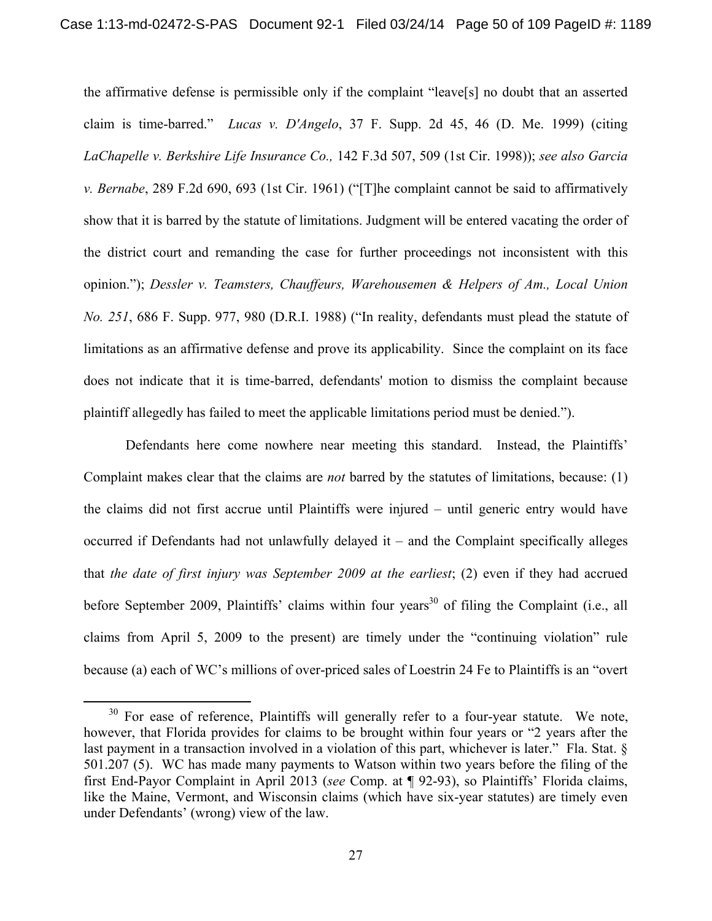the affirmative defense is permissible only if the complaint "leave[s] no doubt that an asserted claim is time-barred." *Lucas v. D'Angelo*, 37 F. Supp. 2d 45, 46 (D. Me. 1999) (citing *LaChapelle v. Berkshire Life Insurance Co.,* 142 F.3d 507, 509 (1st Cir. 1998)); *see also Garcia v. Bernabe*, 289 F.2d 690, 693 (1st Cir. 1961) ("[T]he complaint cannot be said to affirmatively show that it is barred by the statute of limitations. Judgment will be entered vacating the order of the district court and remanding the case for further proceedings not inconsistent with this opinion."); *Dessler v. Teamsters, Chauffeurs, Warehousemen & Helpers of Am., Local Union No. 251*, 686 F. Supp. 977, 980 (D.R.I. 1988) ("In reality, defendants must plead the statute of limitations as an affirmative defense and prove its applicability. Since the complaint on its face does not indicate that it is time-barred, defendants' motion to dismiss the complaint because plaintiff allegedly has failed to meet the applicable limitations period must be denied.").

Defendants here come nowhere near meeting this standard. Instead, the Plaintiffs' Complaint makes clear that the claims are *not* barred by the statutes of limitations, because: (1) the claims did not first accrue until Plaintiffs were injured – until generic entry would have occurred if Defendants had not unlawfully delayed it – and the Complaint specifically alleges that *the date of first injury was September 2009 at the earliest*; (2) even if they had accrued before September 2009, Plaintiffs' claims within four years<sup>30</sup> of filing the Complaint (i.e., all claims from April 5, 2009 to the present) are timely under the "continuing violation" rule because (a) each of WC's millions of over-priced sales of Loestrin 24 Fe to Plaintiffs is an "overt

 $30$  For ease of reference, Plaintiffs will generally refer to a four-year statute. We note, however, that Florida provides for claims to be brought within four years or "2 years after the last payment in a transaction involved in a violation of this part, whichever is later." Fla. Stat. § 501.207 (5). WC has made many payments to Watson within two years before the filing of the first End-Payor Complaint in April 2013 (*see* Comp. at ¶ 92-93), so Plaintiffs' Florida claims, like the Maine, Vermont, and Wisconsin claims (which have six-year statutes) are timely even under Defendants' (wrong) view of the law.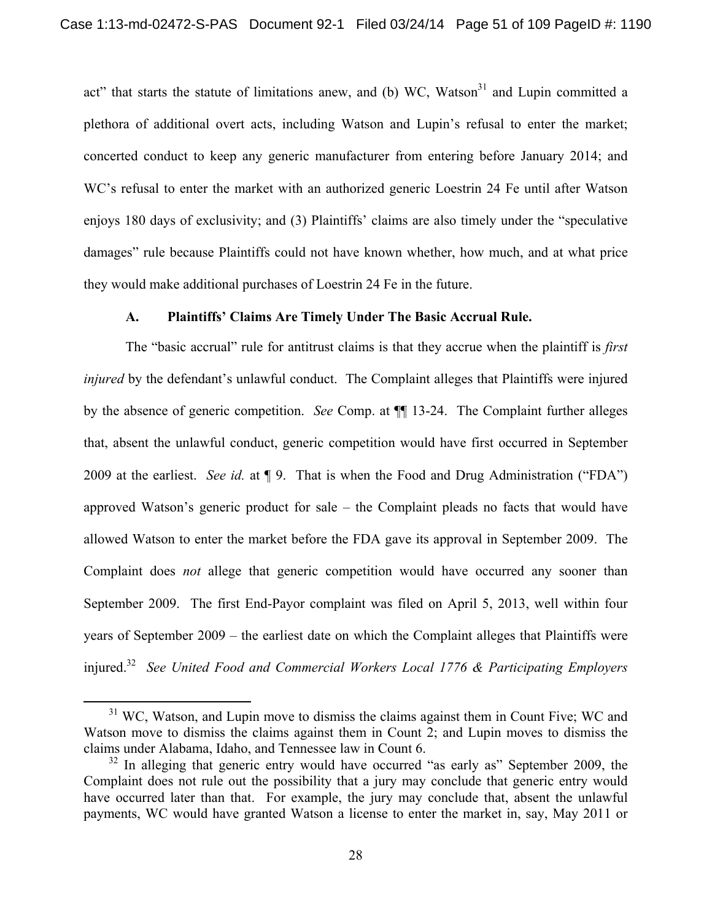act" that starts the statute of limitations anew, and (b) WC, Watson<sup>31</sup> and Lupin committed a plethora of additional overt acts, including Watson and Lupin's refusal to enter the market; concerted conduct to keep any generic manufacturer from entering before January 2014; and WC's refusal to enter the market with an authorized generic Loestrin 24 Fe until after Watson enjoys 180 days of exclusivity; and (3) Plaintiffs' claims are also timely under the "speculative damages" rule because Plaintiffs could not have known whether, how much, and at what price they would make additional purchases of Loestrin 24 Fe in the future.

#### **A. Plaintiffs' Claims Are Timely Under The Basic Accrual Rule.**

 The "basic accrual" rule for antitrust claims is that they accrue when the plaintiff is *first injured* by the defendant's unlawful conduct. The Complaint alleges that Plaintiffs were injured by the absence of generic competition. *See* Comp. at ¶¶ 13-24. The Complaint further alleges that, absent the unlawful conduct, generic competition would have first occurred in September 2009 at the earliest. *See id.* at ¶ 9. That is when the Food and Drug Administration ("FDA") approved Watson's generic product for sale – the Complaint pleads no facts that would have allowed Watson to enter the market before the FDA gave its approval in September 2009. The Complaint does *not* allege that generic competition would have occurred any sooner than September 2009. The first End-Payor complaint was filed on April 5, 2013, well within four years of September 2009 – the earliest date on which the Complaint alleges that Plaintiffs were injured.32 *See United Food and Commercial Workers Local 1776 & Participating Employers* 

 $31$  WC, Watson, and Lupin move to dismiss the claims against them in Count Five; WC and Watson move to dismiss the claims against them in Count 2; and Lupin moves to dismiss the claims under Alabama, Idaho, and Tennessee law in Count 6.

 $32$  In alleging that generic entry would have occurred "as early as" September 2009, the Complaint does not rule out the possibility that a jury may conclude that generic entry would have occurred later than that. For example, the jury may conclude that, absent the unlawful payments, WC would have granted Watson a license to enter the market in, say, May 2011 or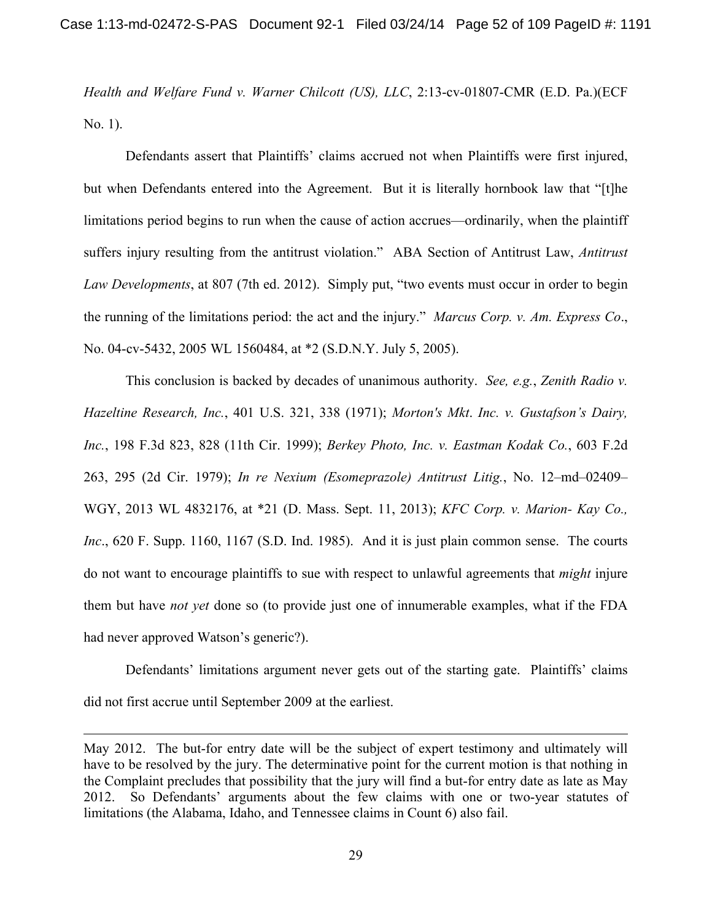*Health and Welfare Fund v. Warner Chilcott (US), LLC*, 2:13-cv-01807-CMR (E.D. Pa.)(ECF No. 1).

Defendants assert that Plaintiffs' claims accrued not when Plaintiffs were first injured, but when Defendants entered into the Agreement. But it is literally hornbook law that "[t]he limitations period begins to run when the cause of action accrues—ordinarily, when the plaintiff suffers injury resulting from the antitrust violation." ABA Section of Antitrust Law, *Antitrust Law Developments*, at 807 (7th ed. 2012). Simply put, "two events must occur in order to begin the running of the limitations period: the act and the injury." *Marcus Corp. v. Am. Express Co*., No. 04-cv-5432, 2005 WL 1560484, at \*2 (S.D.N.Y. July 5, 2005).

This conclusion is backed by decades of unanimous authority. *See, e.g.*, *Zenith Radio v. Hazeltine Research, Inc.*, 401 U.S. 321, 338 (1971); *Morton's Mkt*. *Inc. v. Gustafson's Dairy, Inc.*, 198 F.3d 823, 828 (11th Cir. 1999); *Berkey Photo, Inc. v. Eastman Kodak Co.*, 603 F.2d 263, 295 (2d Cir. 1979); *In re Nexium (Esomeprazole) Antitrust Litig.*, No. 12–md–02409– WGY, 2013 WL 4832176, at \*21 (D. Mass. Sept. 11, 2013); *KFC Corp. v. Marion- Kay Co., Inc*., 620 F. Supp. 1160, 1167 (S.D. Ind. 1985). And it is just plain common sense. The courts do not want to encourage plaintiffs to sue with respect to unlawful agreements that *might* injure them but have *not yet* done so (to provide just one of innumerable examples, what if the FDA had never approved Watson's generic?).

Defendants' limitations argument never gets out of the starting gate. Plaintiffs' claims did not first accrue until September 2009 at the earliest.

 $\overline{a}$ 

May 2012. The but-for entry date will be the subject of expert testimony and ultimately will have to be resolved by the jury. The determinative point for the current motion is that nothing in the Complaint precludes that possibility that the jury will find a but-for entry date as late as May 2012. So Defendants' arguments about the few claims with one or two-year statutes of limitations (the Alabama, Idaho, and Tennessee claims in Count 6) also fail.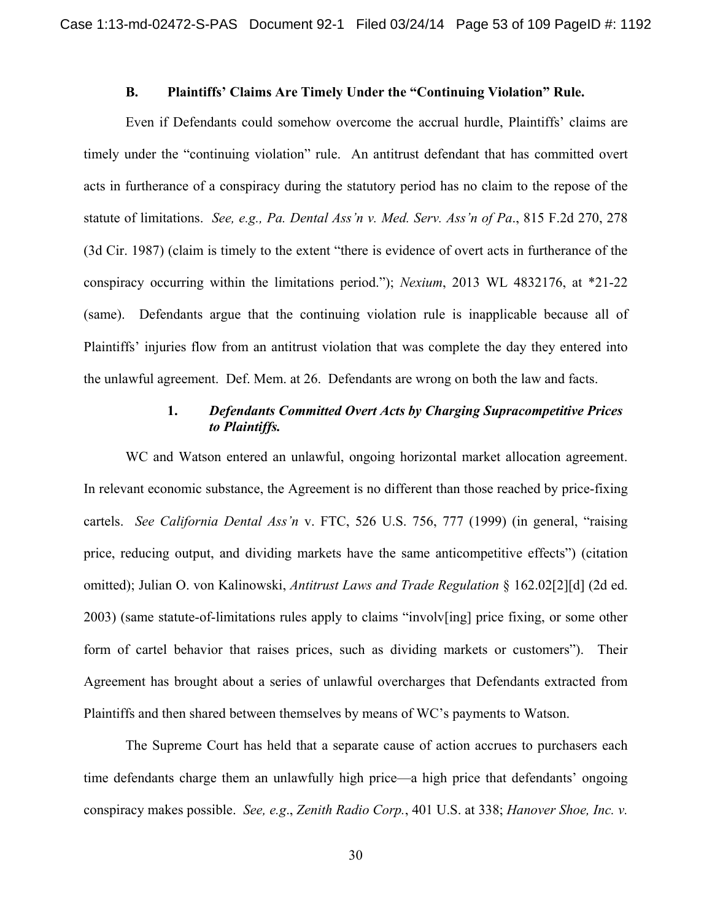### **B. Plaintiffs' Claims Are Timely Under the "Continuing Violation" Rule.**

Even if Defendants could somehow overcome the accrual hurdle, Plaintiffs' claims are timely under the "continuing violation" rule. An antitrust defendant that has committed overt acts in furtherance of a conspiracy during the statutory period has no claim to the repose of the statute of limitations. *See, e.g., Pa. Dental Ass'n v. Med. Serv. Ass'n of Pa*., 815 F.2d 270, 278 (3d Cir. 1987) (claim is timely to the extent "there is evidence of overt acts in furtherance of the conspiracy occurring within the limitations period."); *Nexium*, 2013 WL 4832176, at \*21-22 (same). Defendants argue that the continuing violation rule is inapplicable because all of Plaintiffs' injuries flow from an antitrust violation that was complete the day they entered into the unlawful agreement. Def. Mem. at 26. Defendants are wrong on both the law and facts.

### **1.** *Defendants Committed Overt Acts by Charging Supracompetitive Prices to Plaintiffs.*

 WC and Watson entered an unlawful, ongoing horizontal market allocation agreement. In relevant economic substance, the Agreement is no different than those reached by price-fixing cartels. *See California Dental Ass'n* v. FTC, 526 U.S. 756, 777 (1999) (in general, "raising price, reducing output, and dividing markets have the same anticompetitive effects") (citation omitted); Julian O. von Kalinowski, *Antitrust Laws and Trade Regulation* § 162.02[2][d] (2d ed. 2003) (same statute-of-limitations rules apply to claims "involv[ing] price fixing, or some other form of cartel behavior that raises prices, such as dividing markets or customers"). Their Agreement has brought about a series of unlawful overcharges that Defendants extracted from Plaintiffs and then shared between themselves by means of WC's payments to Watson.

 The Supreme Court has held that a separate cause of action accrues to purchasers each time defendants charge them an unlawfully high price—a high price that defendants' ongoing conspiracy makes possible. *See, e.g*., *Zenith Radio Corp.*, 401 U.S. at 338; *Hanover Shoe, Inc. v.*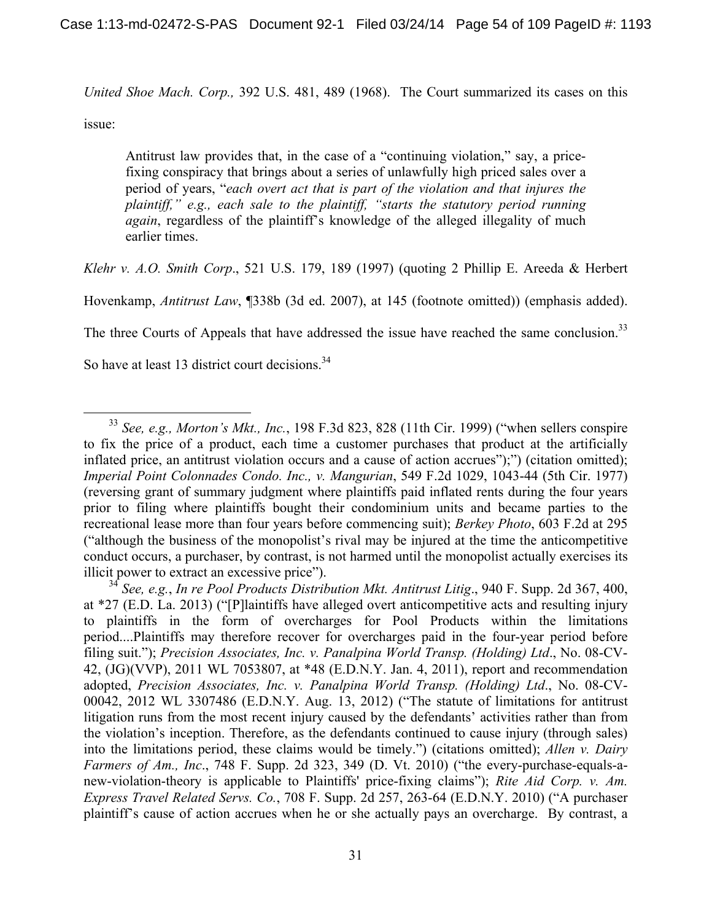*United Shoe Mach. Corp.,* 392 U.S. 481, 489 (1968). The Court summarized its cases on this

issue:

Antitrust law provides that, in the case of a "continuing violation," say, a pricefixing conspiracy that brings about a series of unlawfully high priced sales over a period of years, "*each overt act that is part of the violation and that injures the plaintiff," e.g., each sale to the plaintiff, "starts the statutory period running again*, regardless of the plaintiff's knowledge of the alleged illegality of much earlier times.

*Klehr v. A.O. Smith Corp*., 521 U.S. 179, 189 (1997) (quoting 2 Phillip E. Areeda & Herbert

Hovenkamp, *Antitrust Law*, ¶338b (3d ed. 2007), at 145 (footnote omitted)) (emphasis added).

The three Courts of Appeals that have addressed the issue have reached the same conclusion.<sup>33</sup>

So have at least 13 district court decisions.<sup>34</sup>

 <sup>33</sup> *See, e.g., Morton's Mkt., Inc.*, 198 F.3d 823, 828 (11th Cir. 1999) ("when sellers conspire to fix the price of a product, each time a customer purchases that product at the artificially inflated price, an antitrust violation occurs and a cause of action accrues");") (citation omitted); *Imperial Point Colonnades Condo. Inc., v. Mangurian*, 549 F.2d 1029, 1043-44 (5th Cir. 1977) (reversing grant of summary judgment where plaintiffs paid inflated rents during the four years prior to filing where plaintiffs bought their condominium units and became parties to the recreational lease more than four years before commencing suit); *Berkey Photo*, 603 F.2d at 295 ("although the business of the monopolist's rival may be injured at the time the anticompetitive conduct occurs, a purchaser, by contrast, is not harmed until the monopolist actually exercises its illicit power to extract an excessive price").

<sup>34</sup> *See, e.g.*, *In re Pool Products Distribution Mkt. Antitrust Litig*., 940 F. Supp. 2d 367, 400, at \*27 (E.D. La. 2013) ("[P]laintiffs have alleged overt anticompetitive acts and resulting injury to plaintiffs in the form of overcharges for Pool Products within the limitations period....Plaintiffs may therefore recover for overcharges paid in the four-year period before filing suit."); *Precision Associates, Inc. v. Panalpina World Transp. (Holding) Ltd*., No. 08-CV-42, (JG)(VVP), 2011 WL 7053807, at \*48 (E.D.N.Y. Jan. 4, 2011), report and recommendation adopted, *Precision Associates, Inc. v. Panalpina World Transp. (Holding) Ltd*., No. 08-CV-00042, 2012 WL 3307486 (E.D.N.Y. Aug. 13, 2012) ("The statute of limitations for antitrust litigation runs from the most recent injury caused by the defendants' activities rather than from the violation's inception. Therefore, as the defendants continued to cause injury (through sales) into the limitations period, these claims would be timely.") (citations omitted); *Allen v. Dairy Farmers of Am., Inc*., 748 F. Supp. 2d 323, 349 (D. Vt. 2010) ("the every-purchase-equals-anew-violation-theory is applicable to Plaintiffs' price-fixing claims"); *Rite Aid Corp. v. Am. Express Travel Related Servs. Co.*, 708 F. Supp. 2d 257, 263-64 (E.D.N.Y. 2010) ("A purchaser plaintiff's cause of action accrues when he or she actually pays an overcharge. By contrast, a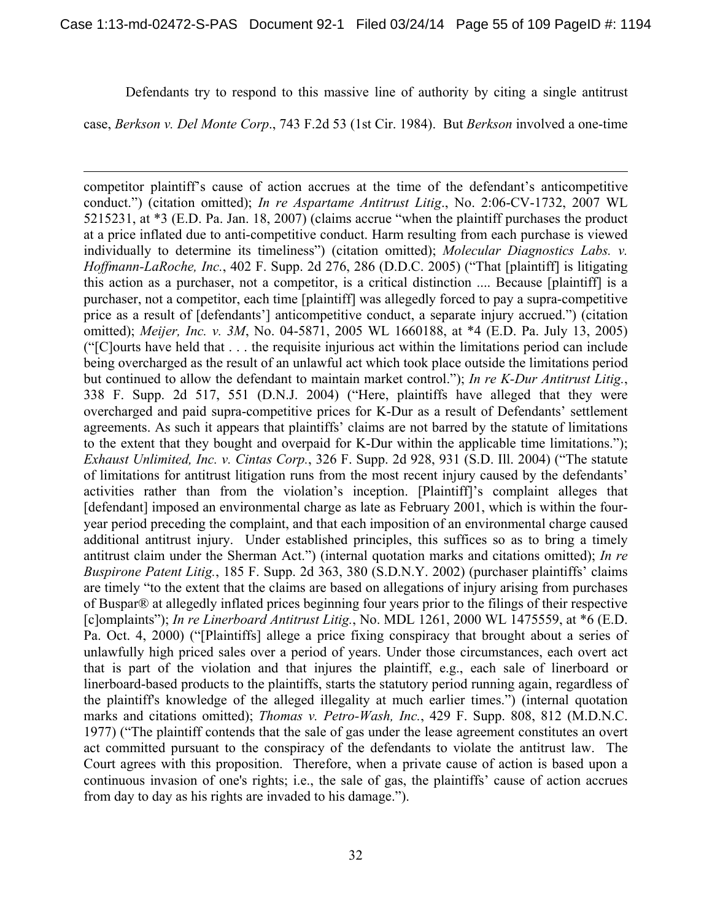Defendants try to respond to this massive line of authority by citing a single antitrust

case, *Berkson v. Del Monte Corp*., 743 F.2d 53 (1st Cir. 1984). But *Berkson* involved a one-time

 $\overline{a}$ 

competitor plaintiff's cause of action accrues at the time of the defendant's anticompetitive conduct.") (citation omitted); *In re Aspartame Antitrust Litig*., No. 2:06-CV-1732, 2007 WL 5215231, at \*3 (E.D. Pa. Jan. 18, 2007) (claims accrue "when the plaintiff purchases the product at a price inflated due to anti-competitive conduct. Harm resulting from each purchase is viewed individually to determine its timeliness") (citation omitted); *Molecular Diagnostics Labs. v. Hoffmann-LaRoche, Inc.*, 402 F. Supp. 2d 276, 286 (D.D.C. 2005) ("That [plaintiff] is litigating this action as a purchaser, not a competitor, is a critical distinction .... Because [plaintiff] is a purchaser, not a competitor, each time [plaintiff] was allegedly forced to pay a supra-competitive price as a result of [defendants'] anticompetitive conduct, a separate injury accrued.") (citation omitted); *Meijer, Inc. v. 3M*, No. 04-5871, 2005 WL 1660188, at \*4 (E.D. Pa. July 13, 2005) ("[C]ourts have held that . . . the requisite injurious act within the limitations period can include being overcharged as the result of an unlawful act which took place outside the limitations period but continued to allow the defendant to maintain market control."); *In re K-Dur Antitrust Litig.*, 338 F. Supp. 2d 517, 551 (D.N.J. 2004) ("Here, plaintiffs have alleged that they were overcharged and paid supra-competitive prices for K-Dur as a result of Defendants' settlement agreements. As such it appears that plaintiffs' claims are not barred by the statute of limitations to the extent that they bought and overpaid for K-Dur within the applicable time limitations."); *Exhaust Unlimited, Inc. v. Cintas Corp.*, 326 F. Supp. 2d 928, 931 (S.D. Ill. 2004) ("The statute of limitations for antitrust litigation runs from the most recent injury caused by the defendants' activities rather than from the violation's inception. [Plaintiff]'s complaint alleges that [defendant] imposed an environmental charge as late as February 2001, which is within the fouryear period preceding the complaint, and that each imposition of an environmental charge caused additional antitrust injury. Under established principles, this suffices so as to bring a timely antitrust claim under the Sherman Act.") (internal quotation marks and citations omitted); *In re Buspirone Patent Litig.*, 185 F. Supp. 2d 363, 380 (S.D.N.Y. 2002) (purchaser plaintiffs' claims are timely "to the extent that the claims are based on allegations of injury arising from purchases of Buspar® at allegedly inflated prices beginning four years prior to the filings of their respective [c]omplaints"); *In re Linerboard Antitrust Litig.*, No. MDL 1261, 2000 WL 1475559, at \*6 (E.D. Pa. Oct. 4, 2000) ("[Plaintiffs] allege a price fixing conspiracy that brought about a series of unlawfully high priced sales over a period of years. Under those circumstances, each overt act that is part of the violation and that injures the plaintiff, e.g., each sale of linerboard or linerboard-based products to the plaintiffs, starts the statutory period running again, regardless of the plaintiff's knowledge of the alleged illegality at much earlier times.") (internal quotation marks and citations omitted); *Thomas v. Petro-Wash, Inc.*, 429 F. Supp. 808, 812 (M.D.N.C. 1977) ("The plaintiff contends that the sale of gas under the lease agreement constitutes an overt act committed pursuant to the conspiracy of the defendants to violate the antitrust law. The Court agrees with this proposition. Therefore, when a private cause of action is based upon a continuous invasion of one's rights; i.e., the sale of gas, the plaintiffs' cause of action accrues from day to day as his rights are invaded to his damage.").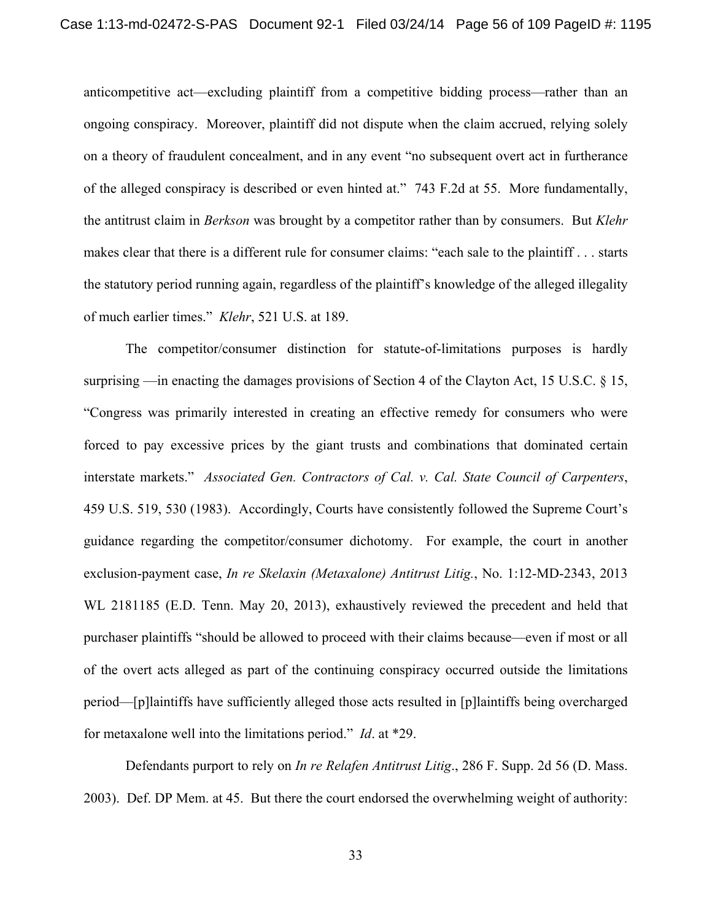anticompetitive act—excluding plaintiff from a competitive bidding process—rather than an ongoing conspiracy. Moreover, plaintiff did not dispute when the claim accrued, relying solely on a theory of fraudulent concealment, and in any event "no subsequent overt act in furtherance of the alleged conspiracy is described or even hinted at." 743 F.2d at 55. More fundamentally, the antitrust claim in *Berkson* was brought by a competitor rather than by consumers. But *Klehr* makes clear that there is a different rule for consumer claims: "each sale to the plaintiff . . . starts the statutory period running again, regardless of the plaintiff's knowledge of the alleged illegality of much earlier times." *Klehr*, 521 U.S. at 189.

The competitor/consumer distinction for statute-of-limitations purposes is hardly surprising —in enacting the damages provisions of Section 4 of the Clayton Act, 15 U.S.C. § 15, "Congress was primarily interested in creating an effective remedy for consumers who were forced to pay excessive prices by the giant trusts and combinations that dominated certain interstate markets." *Associated Gen. Contractors of Cal. v. Cal. State Council of Carpenters*, 459 U.S. 519, 530 (1983). Accordingly, Courts have consistently followed the Supreme Court's guidance regarding the competitor/consumer dichotomy. For example, the court in another exclusion-payment case, *In re Skelaxin (Metaxalone) Antitrust Litig.*, No. 1:12-MD-2343, 2013 WL 2181185 (E.D. Tenn. May 20, 2013), exhaustively reviewed the precedent and held that purchaser plaintiffs "should be allowed to proceed with their claims because—even if most or all of the overt acts alleged as part of the continuing conspiracy occurred outside the limitations period—[p]laintiffs have sufficiently alleged those acts resulted in [p]laintiffs being overcharged for metaxalone well into the limitations period." *Id*. at \*29.

Defendants purport to rely on *In re Relafen Antitrust Litig*., 286 F. Supp. 2d 56 (D. Mass. 2003). Def. DP Mem. at 45. But there the court endorsed the overwhelming weight of authority: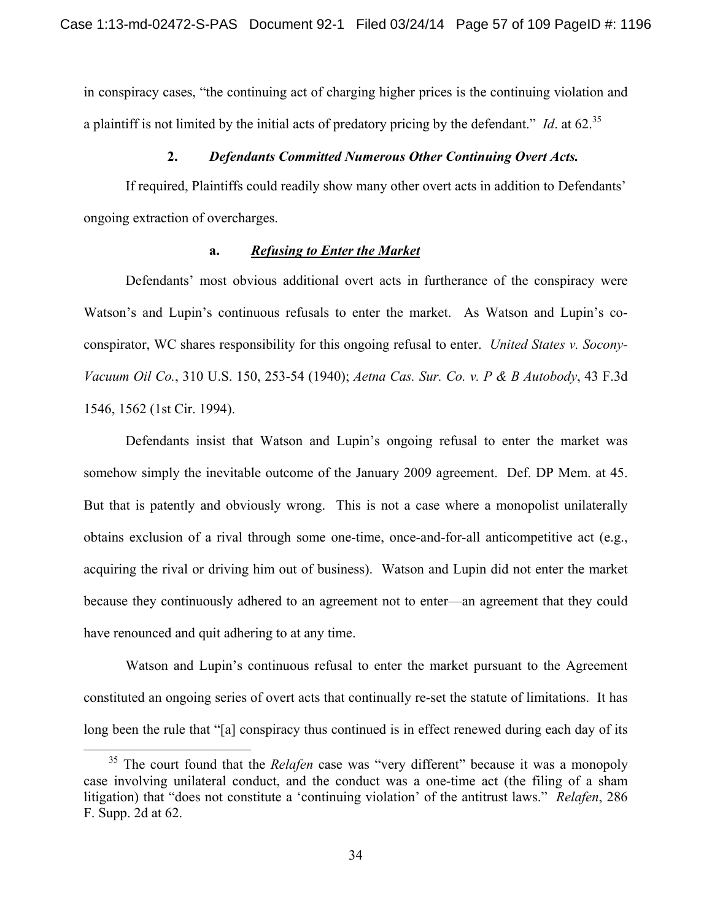in conspiracy cases, "the continuing act of charging higher prices is the continuing violation and a plaintiff is not limited by the initial acts of predatory pricing by the defendant." *Id*. at 62.35

#### **2.** *Defendants Committed Numerous Other Continuing Overt Acts.*

If required, Plaintiffs could readily show many other overt acts in addition to Defendants' ongoing extraction of overcharges.

#### **a.** *Refusing to Enter the Market*

Defendants' most obvious additional overt acts in furtherance of the conspiracy were Watson's and Lupin's continuous refusals to enter the market. As Watson and Lupin's coconspirator, WC shares responsibility for this ongoing refusal to enter. *United States v. Socony-Vacuum Oil Co.*, 310 U.S. 150, 253-54 (1940); *Aetna Cas. Sur. Co. v. P & B Autobody*, 43 F.3d 1546, 1562 (1st Cir. 1994).

Defendants insist that Watson and Lupin's ongoing refusal to enter the market was somehow simply the inevitable outcome of the January 2009 agreement. Def. DP Mem. at 45. But that is patently and obviously wrong. This is not a case where a monopolist unilaterally obtains exclusion of a rival through some one-time, once-and-for-all anticompetitive act (e.g., acquiring the rival or driving him out of business). Watson and Lupin did not enter the market because they continuously adhered to an agreement not to enter—an agreement that they could have renounced and quit adhering to at any time.

Watson and Lupin's continuous refusal to enter the market pursuant to the Agreement constituted an ongoing series of overt acts that continually re-set the statute of limitations. It has long been the rule that "[a] conspiracy thus continued is in effect renewed during each day of its

<sup>&</sup>lt;sup>35</sup> The court found that the *Relafen* case was "very different" because it was a monopoly case involving unilateral conduct, and the conduct was a one-time act (the filing of a sham litigation) that "does not constitute a 'continuing violation' of the antitrust laws." *Relafen*, 286 F. Supp. 2d at 62.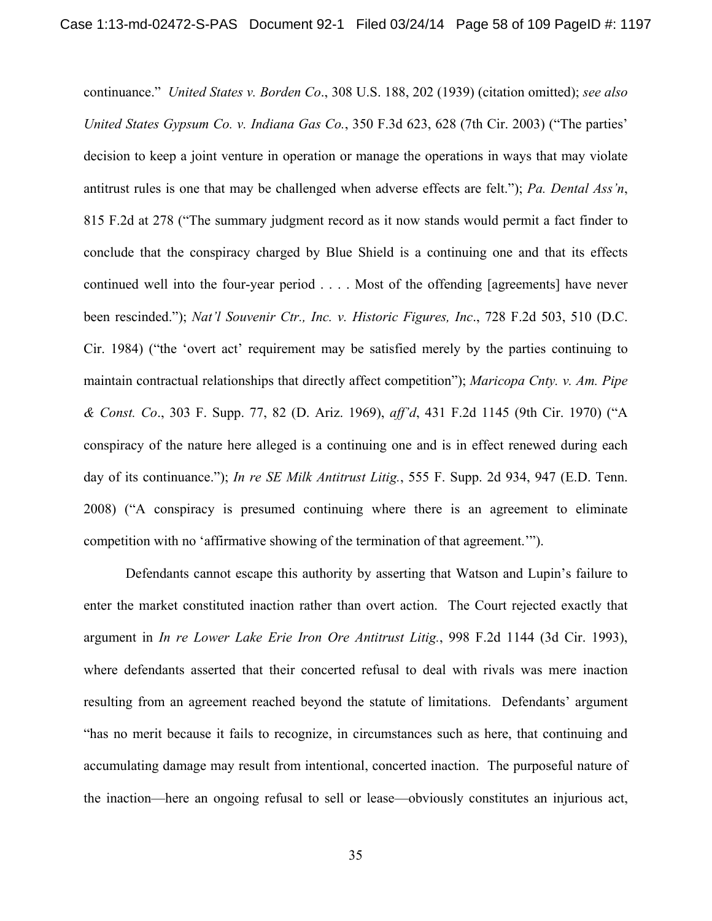continuance." *United States v. Borden Co*., 308 U.S. 188, 202 (1939) (citation omitted); *see also United States Gypsum Co. v. Indiana Gas Co.*, 350 F.3d 623, 628 (7th Cir. 2003) ("The parties' decision to keep a joint venture in operation or manage the operations in ways that may violate antitrust rules is one that may be challenged when adverse effects are felt."); *Pa. Dental Ass'n*, 815 F.2d at 278 ("The summary judgment record as it now stands would permit a fact finder to conclude that the conspiracy charged by Blue Shield is a continuing one and that its effects continued well into the four-year period . . . . Most of the offending [agreements] have never been rescinded."); *Nat'l Souvenir Ctr., Inc. v. Historic Figures, Inc*., 728 F.2d 503, 510 (D.C. Cir. 1984) ("the 'overt act' requirement may be satisfied merely by the parties continuing to maintain contractual relationships that directly affect competition"); *Maricopa Cnty. v. Am. Pipe & Const. Co*., 303 F. Supp. 77, 82 (D. Ariz. 1969), *aff'd*, 431 F.2d 1145 (9th Cir. 1970) ("A conspiracy of the nature here alleged is a continuing one and is in effect renewed during each day of its continuance."); *In re SE Milk Antitrust Litig.*, 555 F. Supp. 2d 934, 947 (E.D. Tenn. 2008) ("A conspiracy is presumed continuing where there is an agreement to eliminate competition with no 'affirmative showing of the termination of that agreement.'").

Defendants cannot escape this authority by asserting that Watson and Lupin's failure to enter the market constituted inaction rather than overt action. The Court rejected exactly that argument in *In re Lower Lake Erie Iron Ore Antitrust Litig.*, 998 F.2d 1144 (3d Cir. 1993), where defendants asserted that their concerted refusal to deal with rivals was mere inaction resulting from an agreement reached beyond the statute of limitations. Defendants' argument "has no merit because it fails to recognize, in circumstances such as here, that continuing and accumulating damage may result from intentional, concerted inaction. The purposeful nature of the inaction—here an ongoing refusal to sell or lease—obviously constitutes an injurious act,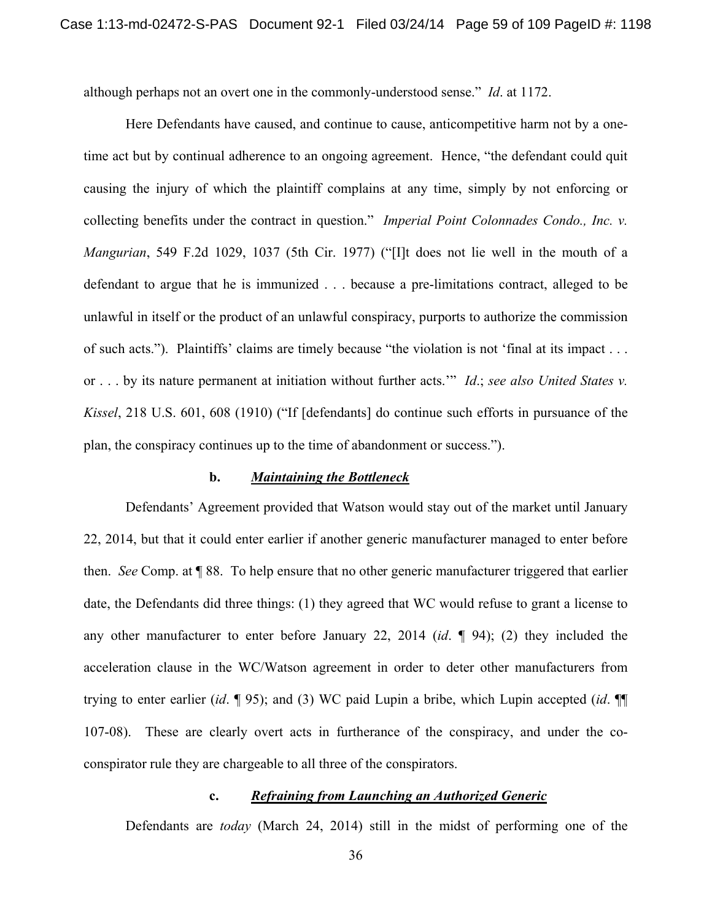although perhaps not an overt one in the commonly-understood sense." *Id*. at 1172.

Here Defendants have caused, and continue to cause, anticompetitive harm not by a onetime act but by continual adherence to an ongoing agreement. Hence, "the defendant could quit causing the injury of which the plaintiff complains at any time, simply by not enforcing or collecting benefits under the contract in question." *Imperial Point Colonnades Condo., Inc. v. Mangurian*, 549 F.2d 1029, 1037 (5th Cir. 1977) ("[I]t does not lie well in the mouth of a defendant to argue that he is immunized . . . because a pre-limitations contract, alleged to be unlawful in itself or the product of an unlawful conspiracy, purports to authorize the commission of such acts."). Plaintiffs' claims are timely because "the violation is not 'final at its impact . . . or . . . by its nature permanent at initiation without further acts.'" *Id*.; *see also United States v. Kissel*, 218 U.S. 601, 608 (1910) ("If [defendants] do continue such efforts in pursuance of the plan, the conspiracy continues up to the time of abandonment or success.").

#### **b.** *Maintaining the Bottleneck*

 Defendants' Agreement provided that Watson would stay out of the market until January 22, 2014, but that it could enter earlier if another generic manufacturer managed to enter before then. *See* Comp. at ¶ 88. To help ensure that no other generic manufacturer triggered that earlier date, the Defendants did three things: (1) they agreed that WC would refuse to grant a license to any other manufacturer to enter before January 22, 2014 (*id*. ¶ 94); (2) they included the acceleration clause in the WC/Watson agreement in order to deter other manufacturers from trying to enter earlier (*id*. ¶ 95); and (3) WC paid Lupin a bribe, which Lupin accepted (*id*. ¶¶ 107-08). These are clearly overt acts in furtherance of the conspiracy, and under the coconspirator rule they are chargeable to all three of the conspirators.

### **c.** *Refraining from Launching an Authorized Generic*

Defendants are *today* (March 24, 2014) still in the midst of performing one of the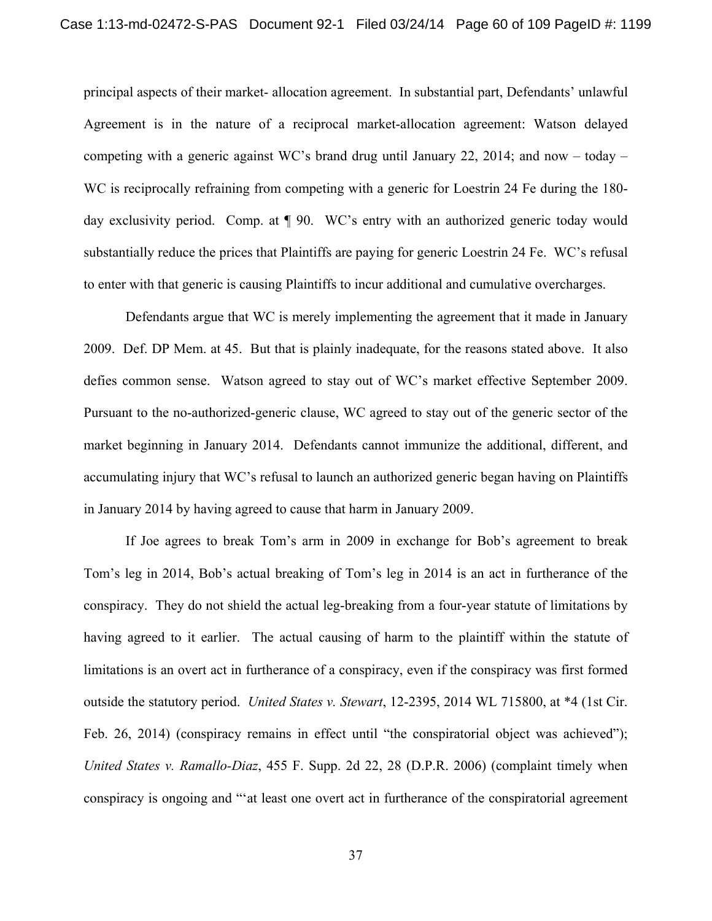principal aspects of their market- allocation agreement. In substantial part, Defendants' unlawful Agreement is in the nature of a reciprocal market-allocation agreement: Watson delayed competing with a generic against WC's brand drug until January 22, 2014; and now – today – WC is reciprocally refraining from competing with a generic for Loestrin 24 Fe during the 180day exclusivity period. Comp. at ¶ 90. WC's entry with an authorized generic today would substantially reduce the prices that Plaintiffs are paying for generic Loestrin 24 Fe. WC's refusal to enter with that generic is causing Plaintiffs to incur additional and cumulative overcharges.

 Defendants argue that WC is merely implementing the agreement that it made in January 2009. Def. DP Mem. at 45. But that is plainly inadequate, for the reasons stated above. It also defies common sense. Watson agreed to stay out of WC's market effective September 2009. Pursuant to the no-authorized-generic clause, WC agreed to stay out of the generic sector of the market beginning in January 2014. Defendants cannot immunize the additional, different, and accumulating injury that WC's refusal to launch an authorized generic began having on Plaintiffs in January 2014 by having agreed to cause that harm in January 2009.

 If Joe agrees to break Tom's arm in 2009 in exchange for Bob's agreement to break Tom's leg in 2014, Bob's actual breaking of Tom's leg in 2014 is an act in furtherance of the conspiracy. They do not shield the actual leg-breaking from a four-year statute of limitations by having agreed to it earlier. The actual causing of harm to the plaintiff within the statute of limitations is an overt act in furtherance of a conspiracy, even if the conspiracy was first formed outside the statutory period. *United States v. Stewart*, 12-2395, 2014 WL 715800, at \*4 (1st Cir. Feb. 26, 2014) (conspiracy remains in effect until "the conspiratorial object was achieved"); *United States v. Ramallo-Diaz*, 455 F. Supp. 2d 22, 28 (D.P.R. 2006) (complaint timely when conspiracy is ongoing and "'at least one overt act in furtherance of the conspiratorial agreement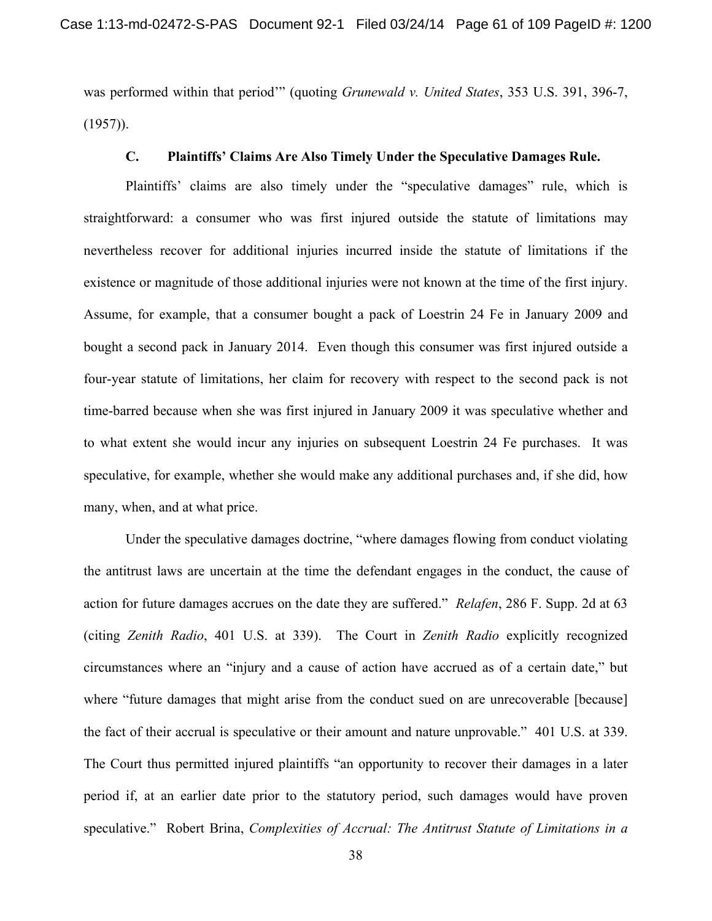was performed within that period'" (quoting *Grunewald v. United States*, 353 U.S. 391, 396-7,  $(1957)$ ).

#### **C. Plaintiffs' Claims Are Also Timely Under the Speculative Damages Rule.**

 Plaintiffs' claims are also timely under the "speculative damages" rule, which is straightforward: a consumer who was first injured outside the statute of limitations may nevertheless recover for additional injuries incurred inside the statute of limitations if the existence or magnitude of those additional injuries were not known at the time of the first injury. Assume, for example, that a consumer bought a pack of Loestrin 24 Fe in January 2009 and bought a second pack in January 2014. Even though this consumer was first injured outside a four-year statute of limitations, her claim for recovery with respect to the second pack is not time-barred because when she was first injured in January 2009 it was speculative whether and to what extent she would incur any injuries on subsequent Loestrin 24 Fe purchases. It was speculative, for example, whether she would make any additional purchases and, if she did, how many, when, and at what price.

 Under the speculative damages doctrine, "where damages flowing from conduct violating the antitrust laws are uncertain at the time the defendant engages in the conduct, the cause of action for future damages accrues on the date they are suffered." *Relafen*, 286 F. Supp. 2d at 63 (citing *Zenith Radio*, 401 U.S. at 339). The Court in *Zenith Radio* explicitly recognized circumstances where an "injury and a cause of action have accrued as of a certain date," but where "future damages that might arise from the conduct sued on are unrecoverable [because] the fact of their accrual is speculative or their amount and nature unprovable." 401 U.S. at 339. The Court thus permitted injured plaintiffs "an opportunity to recover their damages in a later period if, at an earlier date prior to the statutory period, such damages would have proven speculative." Robert Brina, *Complexities of Accrual: The Antitrust Statute of Limitations in a*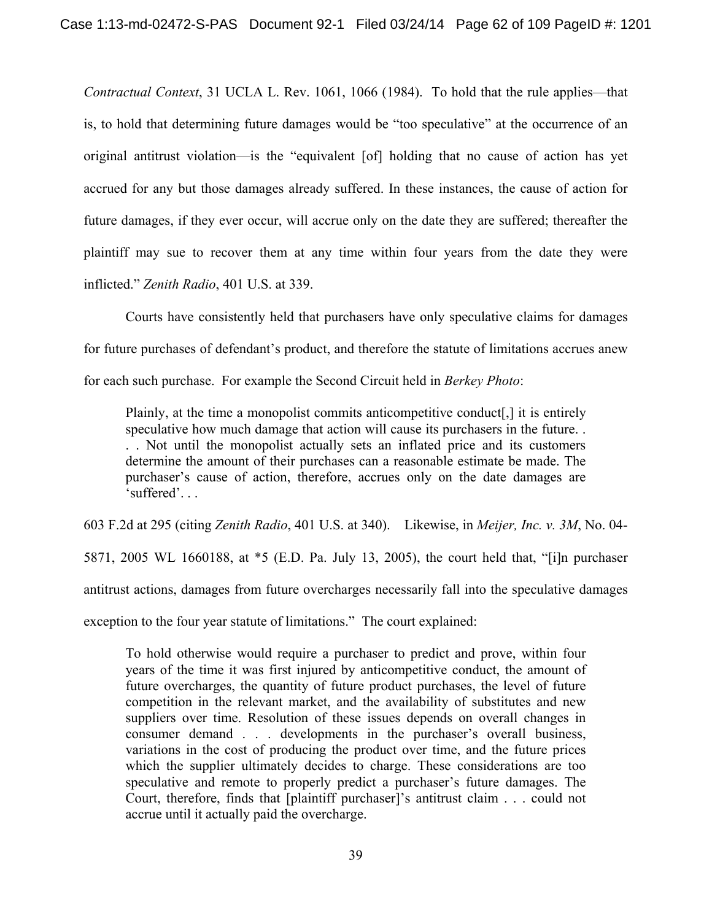*Contractual Context*, 31 UCLA L. Rev. 1061, 1066 (1984). To hold that the rule applies—that is, to hold that determining future damages would be "too speculative" at the occurrence of an original antitrust violation—is the "equivalent [of] holding that no cause of action has yet accrued for any but those damages already suffered. In these instances, the cause of action for future damages, if they ever occur, will accrue only on the date they are suffered; thereafter the plaintiff may sue to recover them at any time within four years from the date they were inflicted." *Zenith Radio*, 401 U.S. at 339.

 Courts have consistently held that purchasers have only speculative claims for damages for future purchases of defendant's product, and therefore the statute of limitations accrues anew for each such purchase. For example the Second Circuit held in *Berkey Photo*:

Plainly, at the time a monopolist commits anticompetitive conduct[,] it is entirely speculative how much damage that action will cause its purchasers in the future. . . . Not until the monopolist actually sets an inflated price and its customers determine the amount of their purchases can a reasonable estimate be made. The purchaser's cause of action, therefore, accrues only on the date damages are 'suffered'. . .

603 F.2d at 295 (citing *Zenith Radio*, 401 U.S. at 340).Likewise, in *Meijer, Inc. v. 3M*, No. 04- 5871, 2005 WL 1660188, at \*5 (E.D. Pa. July 13, 2005), the court held that, "[i]n purchaser antitrust actions, damages from future overcharges necessarily fall into the speculative damages exception to the four year statute of limitations." The court explained:

To hold otherwise would require a purchaser to predict and prove, within four years of the time it was first injured by anticompetitive conduct, the amount of future overcharges, the quantity of future product purchases, the level of future competition in the relevant market, and the availability of substitutes and new suppliers over time. Resolution of these issues depends on overall changes in consumer demand . . . developments in the purchaser's overall business, variations in the cost of producing the product over time, and the future prices which the supplier ultimately decides to charge. These considerations are too speculative and remote to properly predict a purchaser's future damages. The Court, therefore, finds that [plaintiff purchaser]'s antitrust claim . . . could not accrue until it actually paid the overcharge.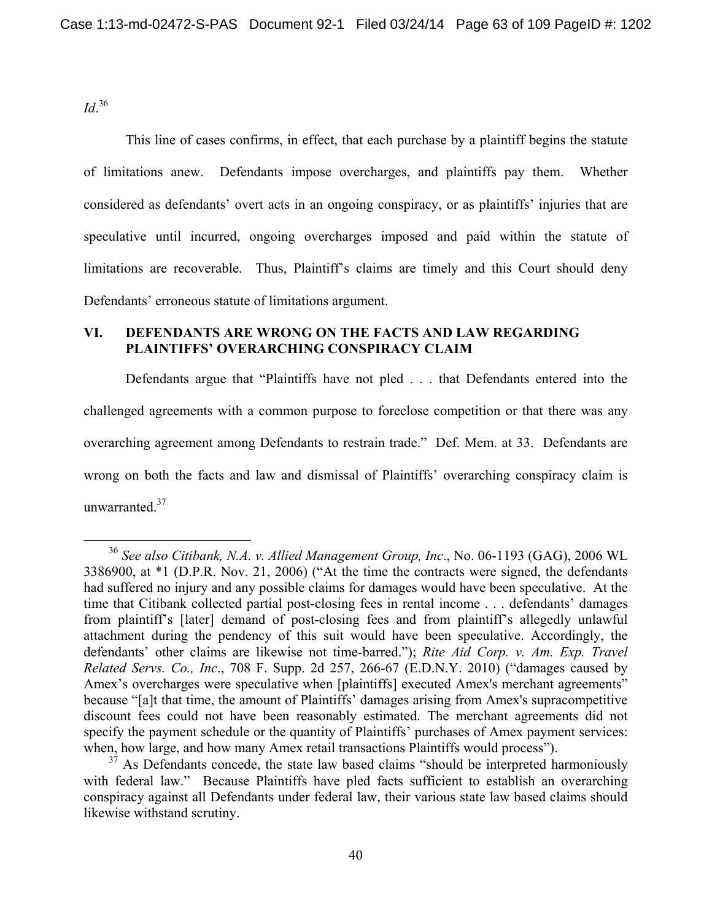*Id*. 36

This line of cases confirms, in effect, that each purchase by a plaintiff begins the statute of limitations anew. Defendants impose overcharges, and plaintiffs pay them. Whether considered as defendants' overt acts in an ongoing conspiracy, or as plaintiffs' injuries that are speculative until incurred, ongoing overcharges imposed and paid within the statute of limitations are recoverable. Thus, Plaintiff's claims are timely and this Court should deny Defendants' erroneous statute of limitations argument.

### **VI. DEFENDANTS ARE WRONG ON THE FACTS AND LAW REGARDING PLAINTIFFS' OVERARCHING CONSPIRACY CLAIM**

Defendants argue that "Plaintiffs have not pled . . . that Defendants entered into the challenged agreements with a common purpose to foreclose competition or that there was any overarching agreement among Defendants to restrain trade." Def. Mem. at 33. Defendants are wrong on both the facts and law and dismissal of Plaintiffs' overarching conspiracy claim is unwarranted.37

 <sup>36</sup> *See also Citibank, N.A. v. Allied Management Group, Inc*., No. 06-1193 (GAG), 2006 WL 3386900, at \*1 (D.P.R. Nov. 21, 2006) ("At the time the contracts were signed, the defendants had suffered no injury and any possible claims for damages would have been speculative. At the time that Citibank collected partial post-closing fees in rental income . . . defendants' damages from plaintiff's [later] demand of post-closing fees and from plaintiff's allegedly unlawful attachment during the pendency of this suit would have been speculative. Accordingly, the defendants' other claims are likewise not time-barred."); *Rite Aid Corp. v. Am. Exp. Travel Related Servs. Co., Inc*., 708 F. Supp. 2d 257, 266-67 (E.D.N.Y. 2010) ("damages caused by Amex's overcharges were speculative when [plaintiffs] executed Amex's merchant agreements" because "[a]t that time, the amount of Plaintiffs' damages arising from Amex's supracompetitive discount fees could not have been reasonably estimated. The merchant agreements did not specify the payment schedule or the quantity of Plaintiffs' purchases of Amex payment services: when, how large, and how many Amex retail transactions Plaintiffs would process").

 $37$  As Defendants concede, the state law based claims "should be interpreted harmoniously with federal law." Because Plaintiffs have pled facts sufficient to establish an overarching conspiracy against all Defendants under federal law, their various state law based claims should likewise withstand scrutiny.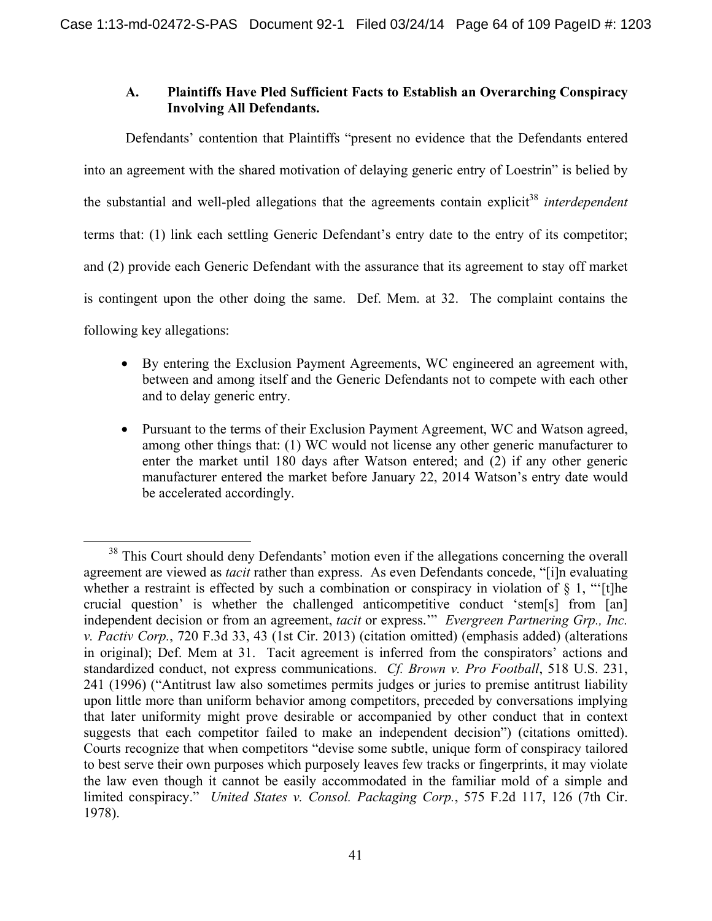# **A. Plaintiffs Have Pled Sufficient Facts to Establish an Overarching Conspiracy Involving All Defendants.**

Defendants' contention that Plaintiffs "present no evidence that the Defendants entered into an agreement with the shared motivation of delaying generic entry of Loestrin" is belied by the substantial and well-pled allegations that the agreements contain explicit<sup>38</sup> *interdependent* terms that: (1) link each settling Generic Defendant's entry date to the entry of its competitor; and (2) provide each Generic Defendant with the assurance that its agreement to stay off market is contingent upon the other doing the same. Def. Mem. at 32. The complaint contains the following key allegations:

- By entering the Exclusion Payment Agreements, WC engineered an agreement with, between and among itself and the Generic Defendants not to compete with each other and to delay generic entry.
- Pursuant to the terms of their Exclusion Payment Agreement, WC and Watson agreed, among other things that: (1) WC would not license any other generic manufacturer to enter the market until 180 days after Watson entered; and (2) if any other generic manufacturer entered the market before January 22, 2014 Watson's entry date would be accelerated accordingly.

<sup>&</sup>lt;sup>38</sup> This Court should deny Defendants' motion even if the allegations concerning the overall agreement are viewed as *tacit* rather than express. As even Defendants concede, "[i]n evaluating whether a restraint is effected by such a combination or conspiracy in violation of  $\S$  1, "[t]he crucial question' is whether the challenged anticompetitive conduct 'stem[s] from [an] independent decision or from an agreement, *tacit* or express.'" *Evergreen Partnering Grp., Inc. v. Pactiv Corp.*, 720 F.3d 33, 43 (1st Cir. 2013) (citation omitted) (emphasis added) (alterations in original); Def. Mem at 31. Tacit agreement is inferred from the conspirators' actions and standardized conduct, not express communications. *Cf. Brown v. Pro Football*, 518 U.S. 231, 241 (1996) ("Antitrust law also sometimes permits judges or juries to premise antitrust liability upon little more than uniform behavior among competitors, preceded by conversations implying that later uniformity might prove desirable or accompanied by other conduct that in context suggests that each competitor failed to make an independent decision") (citations omitted). Courts recognize that when competitors "devise some subtle, unique form of conspiracy tailored to best serve their own purposes which purposely leaves few tracks or fingerprints, it may violate the law even though it cannot be easily accommodated in the familiar mold of a simple and limited conspiracy." *United States v. Consol. Packaging Corp.*, 575 F.2d 117, 126 (7th Cir. 1978).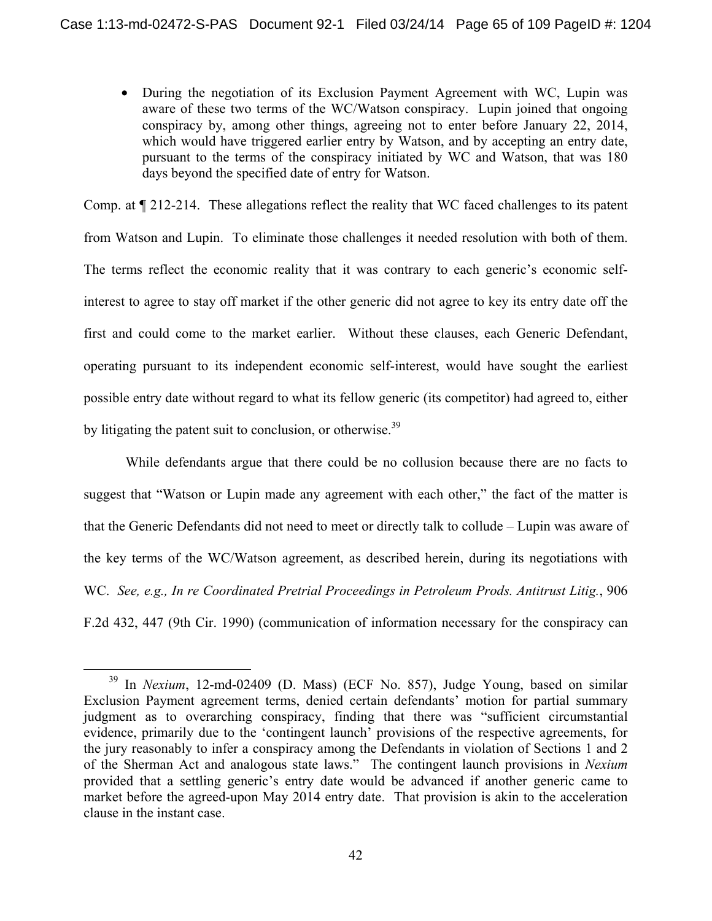• During the negotiation of its Exclusion Payment Agreement with WC, Lupin was aware of these two terms of the WC/Watson conspiracy. Lupin joined that ongoing conspiracy by, among other things, agreeing not to enter before January 22, 2014, which would have triggered earlier entry by Watson, and by accepting an entry date, pursuant to the terms of the conspiracy initiated by WC and Watson, that was 180 days beyond the specified date of entry for Watson.

Comp. at ¶ 212-214. These allegations reflect the reality that WC faced challenges to its patent from Watson and Lupin. To eliminate those challenges it needed resolution with both of them. The terms reflect the economic reality that it was contrary to each generic's economic selfinterest to agree to stay off market if the other generic did not agree to key its entry date off the first and could come to the market earlier. Without these clauses, each Generic Defendant, operating pursuant to its independent economic self-interest, would have sought the earliest possible entry date without regard to what its fellow generic (its competitor) had agreed to, either by litigating the patent suit to conclusion, or otherwise.<sup>39</sup>

 While defendants argue that there could be no collusion because there are no facts to suggest that "Watson or Lupin made any agreement with each other," the fact of the matter is that the Generic Defendants did not need to meet or directly talk to collude – Lupin was aware of the key terms of the WC/Watson agreement, as described herein, during its negotiations with WC. *See, e.g., In re Coordinated Pretrial Proceedings in Petroleum Prods. Antitrust Litig.*, 906 F.2d 432, 447 (9th Cir. 1990) (communication of information necessary for the conspiracy can

 <sup>39</sup> In *Nexium*, 12-md-02409 (D. Mass) (ECF No. 857), Judge Young, based on similar Exclusion Payment agreement terms, denied certain defendants' motion for partial summary judgment as to overarching conspiracy, finding that there was "sufficient circumstantial evidence, primarily due to the 'contingent launch' provisions of the respective agreements, for the jury reasonably to infer a conspiracy among the Defendants in violation of Sections 1 and 2 of the Sherman Act and analogous state laws." The contingent launch provisions in *Nexium* provided that a settling generic's entry date would be advanced if another generic came to market before the agreed-upon May 2014 entry date. That provision is akin to the acceleration clause in the instant case.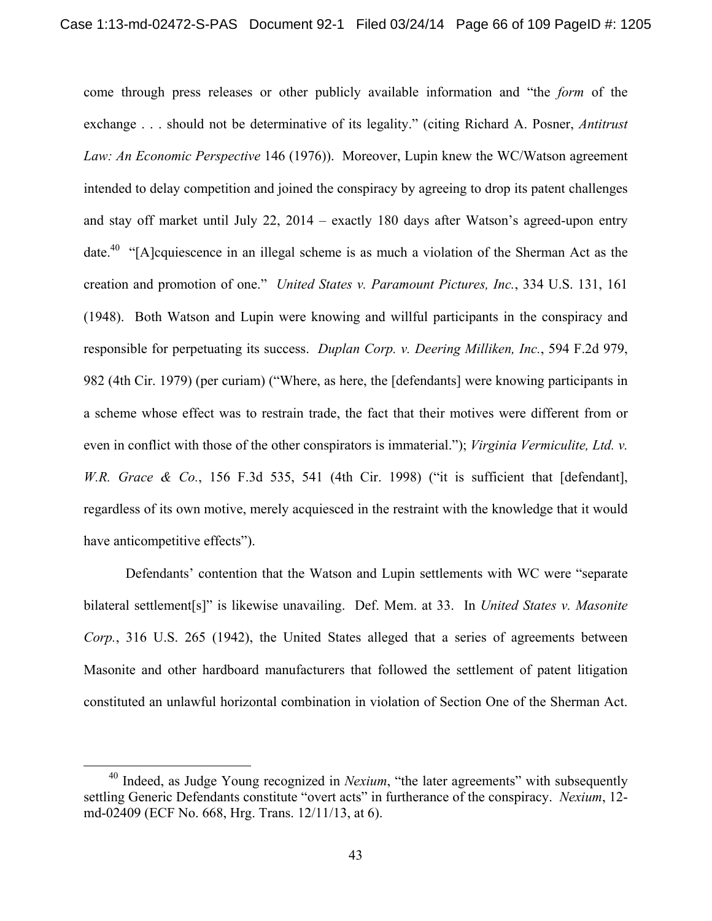come through press releases or other publicly available information and "the *form* of the exchange . . . should not be determinative of its legality." (citing Richard A. Posner, *Antitrust Law: An Economic Perspective* 146 (1976)). Moreover, Lupin knew the WC/Watson agreement intended to delay competition and joined the conspiracy by agreeing to drop its patent challenges and stay off market until July 22, 2014 – exactly 180 days after Watson's agreed-upon entry date.<sup>40</sup> "[A]cquiescence in an illegal scheme is as much a violation of the Sherman Act as the creation and promotion of one." *United States v. Paramount Pictures, Inc.*, 334 U.S. 131, 161 (1948). Both Watson and Lupin were knowing and willful participants in the conspiracy and responsible for perpetuating its success. *Duplan Corp. v. Deering Milliken, Inc.*, 594 F.2d 979, 982 (4th Cir. 1979) (per curiam) ("Where, as here, the [defendants] were knowing participants in a scheme whose effect was to restrain trade, the fact that their motives were different from or even in conflict with those of the other conspirators is immaterial."); *Virginia Vermiculite, Ltd. v. W.R. Grace & Co.*, 156 F.3d 535, 541 (4th Cir. 1998) ("it is sufficient that [defendant], regardless of its own motive, merely acquiesced in the restraint with the knowledge that it would have anticompetitive effects").

 Defendants' contention that the Watson and Lupin settlements with WC were "separate bilateral settlement[s]" is likewise unavailing. Def. Mem. at 33. In *United States v. Masonite Corp.*, 316 U.S. 265 (1942), the United States alleged that a series of agreements between Masonite and other hardboard manufacturers that followed the settlement of patent litigation constituted an unlawful horizontal combination in violation of Section One of the Sherman Act.

<sup>&</sup>lt;sup>40</sup> Indeed, as Judge Young recognized in *Nexium*, "the later agreements" with subsequently settling Generic Defendants constitute "overt acts" in furtherance of the conspiracy. *Nexium*, 12 md-02409 (ECF No. 668, Hrg. Trans. 12/11/13, at 6).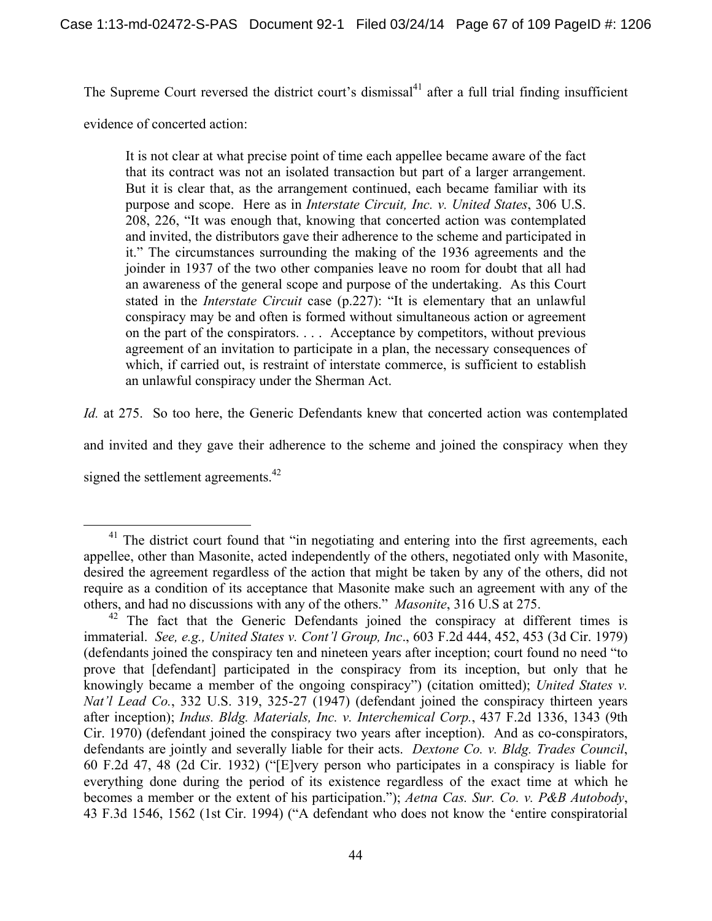The Supreme Court reversed the district court's dismissal<sup>41</sup> after a full trial finding insufficient

evidence of concerted action:

It is not clear at what precise point of time each appellee became aware of the fact that its contract was not an isolated transaction but part of a larger arrangement. But it is clear that, as the arrangement continued, each became familiar with its purpose and scope. Here as in *Interstate Circuit, Inc. v. United States*, 306 U.S. 208, 226, "It was enough that, knowing that concerted action was contemplated and invited, the distributors gave their adherence to the scheme and participated in it." The circumstances surrounding the making of the 1936 agreements and the joinder in 1937 of the two other companies leave no room for doubt that all had an awareness of the general scope and purpose of the undertaking. As this Court stated in the *Interstate Circuit* case (p.227): "It is elementary that an unlawful conspiracy may be and often is formed without simultaneous action or agreement on the part of the conspirators. . . . Acceptance by competitors, without previous agreement of an invitation to participate in a plan, the necessary consequences of which, if carried out, is restraint of interstate commerce, is sufficient to establish an unlawful conspiracy under the Sherman Act.

*Id.* at 275. So too here, the Generic Defendants knew that concerted action was contemplated

and invited and they gave their adherence to the scheme and joined the conspiracy when they

signed the settlement agreements.<sup>42</sup>

 $41$  The district court found that "in negotiating and entering into the first agreements, each appellee, other than Masonite, acted independently of the others, negotiated only with Masonite, desired the agreement regardless of the action that might be taken by any of the others, did not require as a condition of its acceptance that Masonite make such an agreement with any of the others, and had no discussions with any of the others." *Masonite*, 316 U.S at 275.

 $42$  The fact that the Generic Defendants joined the conspiracy at different times is immaterial. *See, e.g., United States v. Cont'l Group, Inc*., 603 F.2d 444, 452, 453 (3d Cir. 1979) (defendants joined the conspiracy ten and nineteen years after inception; court found no need "to prove that [defendant] participated in the conspiracy from its inception, but only that he knowingly became a member of the ongoing conspiracy") (citation omitted); *United States v. Nat'l Lead Co.*, 332 U.S. 319, 325-27 (1947) (defendant joined the conspiracy thirteen years after inception); *Indus. Bldg. Materials, Inc. v. Interchemical Corp.*, 437 F.2d 1336, 1343 (9th Cir. 1970) (defendant joined the conspiracy two years after inception). And as co-conspirators, defendants are jointly and severally liable for their acts. *Dextone Co. v. Bldg. Trades Council*, 60 F.2d 47, 48 (2d Cir. 1932) ("[E]very person who participates in a conspiracy is liable for everything done during the period of its existence regardless of the exact time at which he becomes a member or the extent of his participation."); *Aetna Cas. Sur. Co. v. P&B Autobody*, 43 F.3d 1546, 1562 (1st Cir. 1994) ("A defendant who does not know the 'entire conspiratorial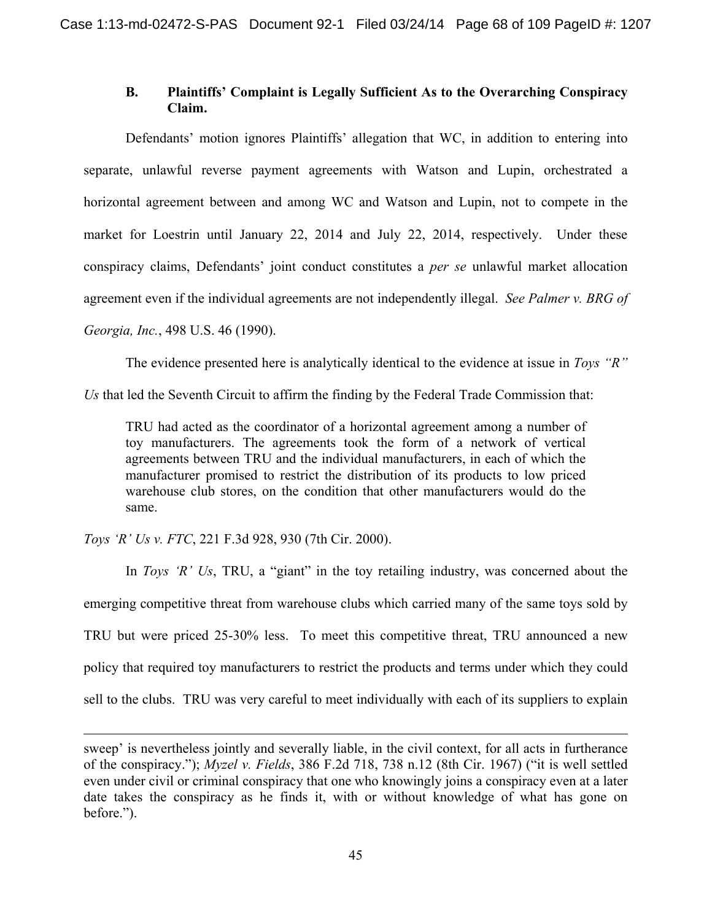# **B. Plaintiffs' Complaint is Legally Sufficient As to the Overarching Conspiracy Claim.**

 Defendants' motion ignores Plaintiffs' allegation that WC, in addition to entering into separate, unlawful reverse payment agreements with Watson and Lupin, orchestrated a horizontal agreement between and among WC and Watson and Lupin, not to compete in the market for Loestrin until January 22, 2014 and July 22, 2014, respectively. Under these conspiracy claims, Defendants' joint conduct constitutes a *per se* unlawful market allocation agreement even if the individual agreements are not independently illegal. *See Palmer v. BRG of Georgia, Inc.*, 498 U.S. 46 (1990).

The evidence presented here is analytically identical to the evidence at issue in *Toys "R"* 

*Us* that led the Seventh Circuit to affirm the finding by the Federal Trade Commission that:

TRU had acted as the coordinator of a horizontal agreement among a number of toy manufacturers. The agreements took the form of a network of vertical agreements between TRU and the individual manufacturers, in each of which the manufacturer promised to restrict the distribution of its products to low priced warehouse club stores, on the condition that other manufacturers would do the same.

*Toys 'R' Us v. FTC*, 221 F.3d 928, 930 (7th Cir. 2000).

 $\overline{a}$ 

In *Toys 'R' Us*, TRU, a "giant" in the toy retailing industry, was concerned about the emerging competitive threat from warehouse clubs which carried many of the same toys sold by TRU but were priced 25-30% less. To meet this competitive threat, TRU announced a new policy that required toy manufacturers to restrict the products and terms under which they could sell to the clubs. TRU was very careful to meet individually with each of its suppliers to explain

sweep' is nevertheless jointly and severally liable, in the civil context, for all acts in furtherance of the conspiracy."); *Myzel v. Fields*, 386 F.2d 718, 738 n.12 (8th Cir. 1967) ("it is well settled even under civil or criminal conspiracy that one who knowingly joins a conspiracy even at a later date takes the conspiracy as he finds it, with or without knowledge of what has gone on before.").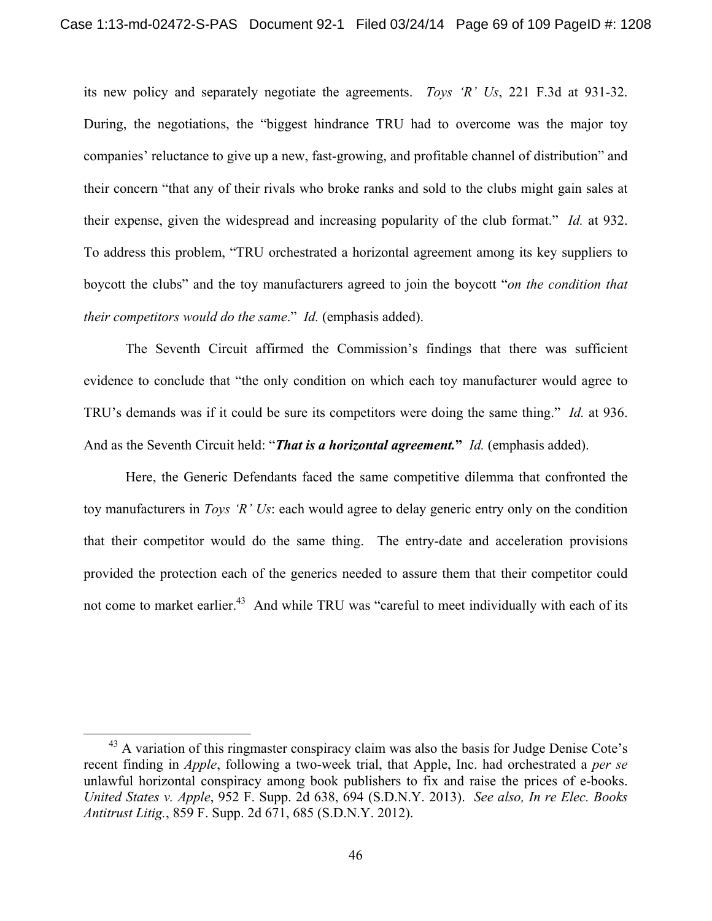its new policy and separately negotiate the agreements. *Toys 'R' Us*, 221 F.3d at 931-32. During, the negotiations, the "biggest hindrance TRU had to overcome was the major toy companies' reluctance to give up a new, fast-growing, and profitable channel of distribution" and their concern "that any of their rivals who broke ranks and sold to the clubs might gain sales at their expense, given the widespread and increasing popularity of the club format." *Id.* at 932. To address this problem, "TRU orchestrated a horizontal agreement among its key suppliers to boycott the clubs" and the toy manufacturers agreed to join the boycott "*on the condition that their competitors would do the same*." *Id.* (emphasis added).

The Seventh Circuit affirmed the Commission's findings that there was sufficient evidence to conclude that "the only condition on which each toy manufacturer would agree to TRU's demands was if it could be sure its competitors were doing the same thing." *Id.* at 936. And as the Seventh Circuit held: "*That is a horizontal agreement.***"** *Id.* (emphasis added).

Here, the Generic Defendants faced the same competitive dilemma that confronted the toy manufacturers in *Toys 'R' Us*: each would agree to delay generic entry only on the condition that their competitor would do the same thing. The entry-date and acceleration provisions provided the protection each of the generics needed to assure them that their competitor could not come to market earlier.<sup>43</sup> And while TRU was "careful to meet individually with each of its

 $43$  A variation of this ringmaster conspiracy claim was also the basis for Judge Denise Cote's recent finding in *Apple*, following a two-week trial, that Apple, Inc. had orchestrated a *per se* unlawful horizontal conspiracy among book publishers to fix and raise the prices of e-books. *United States v. Apple*, 952 F. Supp. 2d 638, 694 (S.D.N.Y. 2013). *See also, In re Elec. Books Antitrust Litig.*, 859 F. Supp. 2d 671, 685 (S.D.N.Y. 2012).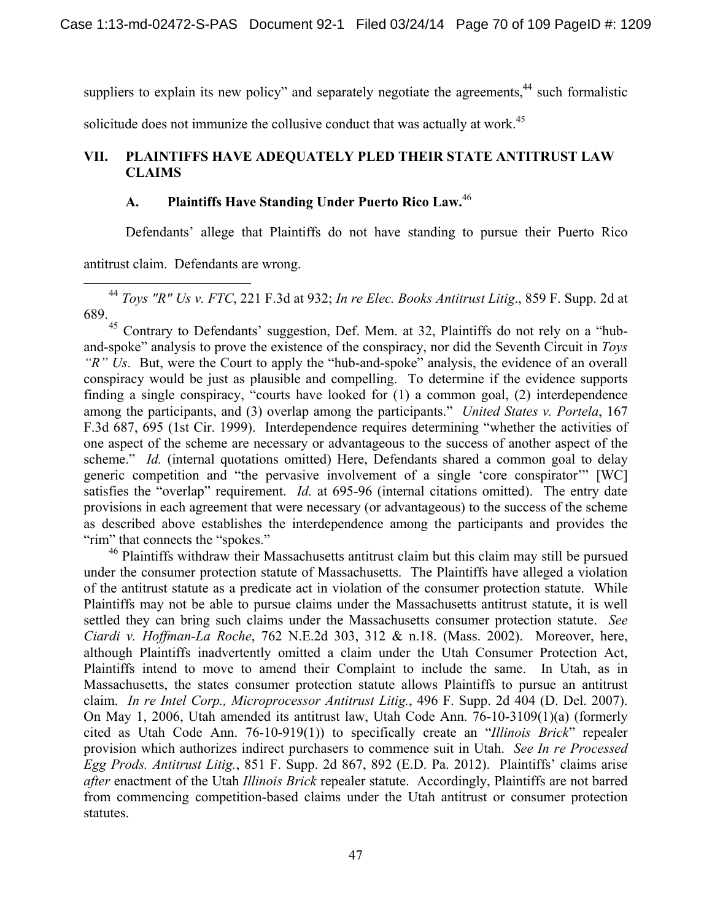suppliers to explain its new policy" and separately negotiate the agreements, $44$  such formalistic

solicitude does not immunize the collusive conduct that was actually at work.<sup>45</sup>

# **VII. PLAINTIFFS HAVE ADEQUATELY PLED THEIR STATE ANTITRUST LAW CLAIMS**

# **A. Plaintiffs Have Standing Under Puerto Rico Law.**<sup>46</sup>

Defendants' allege that Plaintiffs do not have standing to pursue their Puerto Rico

antitrust claim. Defendants are wrong.

 44 *Toys "R" Us v. FTC*, 221 F.3d at 932; *In re Elec. Books Antitrust Litig*., 859 F. Supp. 2d at 689.

<sup>45</sup> Contrary to Defendants' suggestion, Def. Mem. at 32, Plaintiffs do not rely on a "huband-spoke" analysis to prove the existence of the conspiracy, nor did the Seventh Circuit in *Toys "R" Us*. But, were the Court to apply the "hub-and-spoke" analysis, the evidence of an overall conspiracy would be just as plausible and compelling. To determine if the evidence supports finding a single conspiracy, "courts have looked for (1) a common goal, (2) interdependence among the participants, and (3) overlap among the participants." *United States v. Portela*, 167 F.3d 687, 695 (1st Cir. 1999). Interdependence requires determining "whether the activities of one aspect of the scheme are necessary or advantageous to the success of another aspect of the scheme." *Id.* (internal quotations omitted) Here, Defendants shared a common goal to delay generic competition and "the pervasive involvement of a single 'core conspirator'" [WC] satisfies the "overlap" requirement. *Id.* at 695-96 (internal citations omitted). The entry date provisions in each agreement that were necessary (or advantageous) to the success of the scheme as described above establishes the interdependence among the participants and provides the "rim" that connects the "spokes."

<sup>46</sup> Plaintiffs withdraw their Massachusetts antitrust claim but this claim may still be pursued under the consumer protection statute of Massachusetts. The Plaintiffs have alleged a violation of the antitrust statute as a predicate act in violation of the consumer protection statute. While Plaintiffs may not be able to pursue claims under the Massachusetts antitrust statute, it is well settled they can bring such claims under the Massachusetts consumer protection statute. *See Ciardi v. Hoffman-La Roche*, 762 N.E.2d 303, 312 & n.18. (Mass. 2002). Moreover, here, although Plaintiffs inadvertently omitted a claim under the Utah Consumer Protection Act, Plaintiffs intend to move to amend their Complaint to include the same. In Utah, as in Massachusetts, the states consumer protection statute allows Plaintiffs to pursue an antitrust claim. *In re Intel Corp., Microprocessor Antitrust Litig.*, 496 F. Supp. 2d 404 (D. Del. 2007). On May 1, 2006, Utah amended its antitrust law, Utah Code Ann. 76-10-3109(1)(a) (formerly cited as Utah Code Ann. 76-10-919(1)) to specifically create an "*Illinois Brick*" repealer provision which authorizes indirect purchasers to commence suit in Utah. *See In re Processed Egg Prods. Antitrust Litig.*, 851 F. Supp. 2d 867, 892 (E.D. Pa. 2012). Plaintiffs' claims arise *after* enactment of the Utah *Illinois Brick* repealer statute. Accordingly, Plaintiffs are not barred from commencing competition-based claims under the Utah antitrust or consumer protection statutes.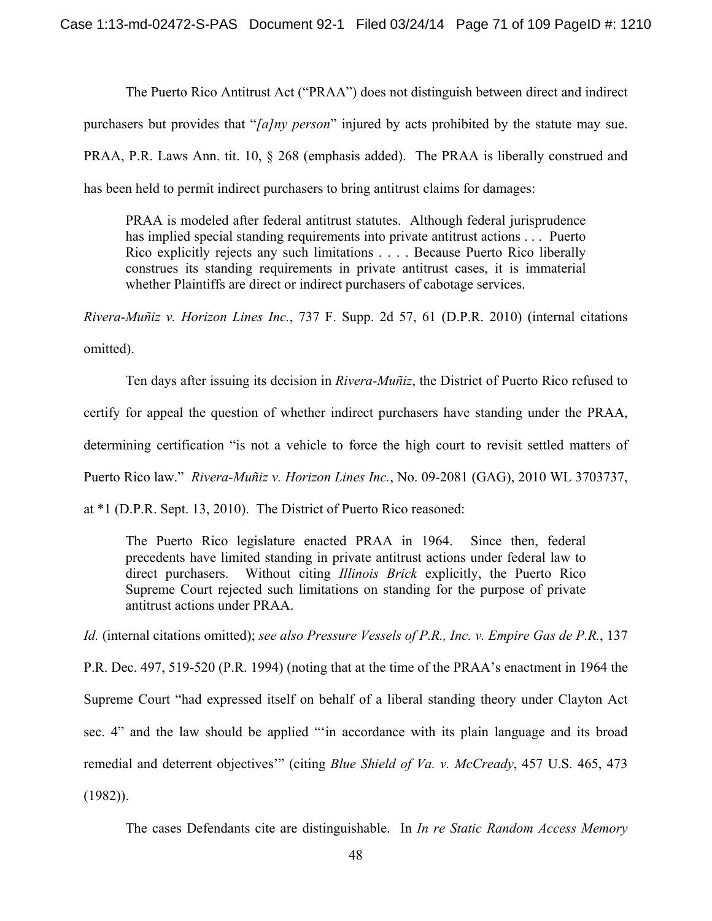The Puerto Rico Antitrust Act ("PRAA") does not distinguish between direct and indirect purchasers but provides that "*[a]ny person*" injured by acts prohibited by the statute may sue. PRAA, P.R. Laws Ann. tit. 10, § 268 (emphasis added). The PRAA is liberally construed and has been held to permit indirect purchasers to bring antitrust claims for damages:

PRAA is modeled after federal antitrust statutes. Although federal jurisprudence has implied special standing requirements into private antitrust actions . . . Puerto Rico explicitly rejects any such limitations . . . . Because Puerto Rico liberally construes its standing requirements in private antitrust cases, it is immaterial whether Plaintiffs are direct or indirect purchasers of cabotage services.

*Rivera-Muñiz v. Horizon Lines Inc.*, 737 F. Supp. 2d 57, 61 (D.P.R. 2010) (internal citations omitted).

Ten days after issuing its decision in *Rivera-Muñiz*, the District of Puerto Rico refused to certify for appeal the question of whether indirect purchasers have standing under the PRAA, determining certification "is not a vehicle to force the high court to revisit settled matters of Puerto Rico law." *Rivera-Muñiz v. Horizon Lines Inc.*, No. 09-2081 (GAG), 2010 WL 3703737, at \*1 (D.P.R. Sept. 13, 2010). The District of Puerto Rico reasoned:

The Puerto Rico legislature enacted PRAA in 1964. Since then, federal precedents have limited standing in private antitrust actions under federal law to direct purchasers. Without citing *Illinois Brick* explicitly, the Puerto Rico Supreme Court rejected such limitations on standing for the purpose of private antitrust actions under PRAA.

*Id.* (internal citations omitted); *see also Pressure Vessels of P.R., Inc. v. Empire Gas de P.R.*, 137

P.R. Dec. 497, 519-520 (P.R. 1994) (noting that at the time of the PRAA's enactment in 1964 the Supreme Court "had expressed itself on behalf of a liberal standing theory under Clayton Act sec. 4" and the law should be applied "'in accordance with its plain language and its broad remedial and deterrent objectives'" (citing *Blue Shield of Va. v. McCready*, 457 U.S. 465, 473  $(1982)$ ).

The cases Defendants cite are distinguishable. In *In re Static Random Access Memory*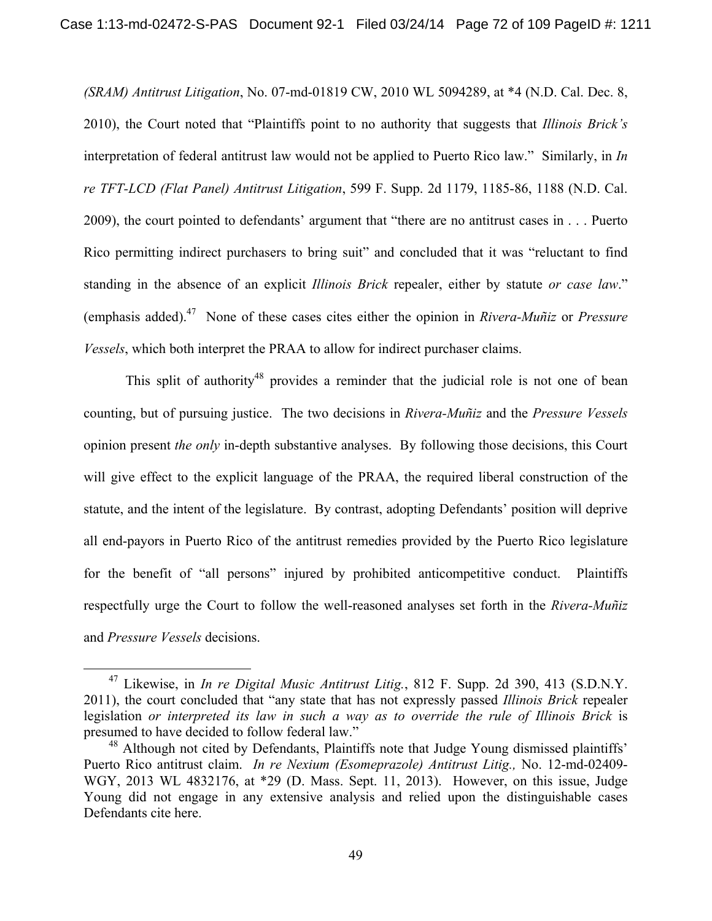*(SRAM) Antitrust Litigation*, No. 07-md-01819 CW, 2010 WL 5094289, at \*4 (N.D. Cal. Dec. 8, 2010), the Court noted that "Plaintiffs point to no authority that suggests that *Illinois Brick's* interpretation of federal antitrust law would not be applied to Puerto Rico law." Similarly, in *In re TFT-LCD (Flat Panel) Antitrust Litigation*, 599 F. Supp. 2d 1179, 1185-86, 1188 (N.D. Cal. 2009), the court pointed to defendants' argument that "there are no antitrust cases in . . . Puerto Rico permitting indirect purchasers to bring suit" and concluded that it was "reluctant to find standing in the absence of an explicit *Illinois Brick* repealer, either by statute *or case law*." (emphasis added).47 None of these cases cites either the opinion in *Rivera-Muñiz* or *Pressure Vessels*, which both interpret the PRAA to allow for indirect purchaser claims.

This split of authority<sup>48</sup> provides a reminder that the judicial role is not one of bean counting, but of pursuing justice. The two decisions in *Rivera-Muñiz* and the *Pressure Vessels*  opinion present *the only* in-depth substantive analyses. By following those decisions, this Court will give effect to the explicit language of the PRAA, the required liberal construction of the statute, and the intent of the legislature. By contrast, adopting Defendants' position will deprive all end-payors in Puerto Rico of the antitrust remedies provided by the Puerto Rico legislature for the benefit of "all persons" injured by prohibited anticompetitive conduct. Plaintiffs respectfully urge the Court to follow the well-reasoned analyses set forth in the *Rivera-Muñiz* and *Pressure Vessels* decisions.

 <sup>47</sup> Likewise, in *In re Digital Music Antitrust Litig.*, 812 F. Supp. 2d 390, 413 (S.D.N.Y. 2011), the court concluded that "any state that has not expressly passed *Illinois Brick* repealer legislation *or interpreted its law in such a way as to override the rule of Illinois Brick* is presumed to have decided to follow federal law."

<sup>&</sup>lt;sup>48</sup> Although not cited by Defendants, Plaintiffs note that Judge Young dismissed plaintiffs' Puerto Rico antitrust claim. *In re Nexium (Esomeprazole) Antitrust Litig.,* No. 12-md-02409- WGY, 2013 WL 4832176, at \*29 (D. Mass. Sept. 11, 2013). However, on this issue, Judge Young did not engage in any extensive analysis and relied upon the distinguishable cases Defendants cite here.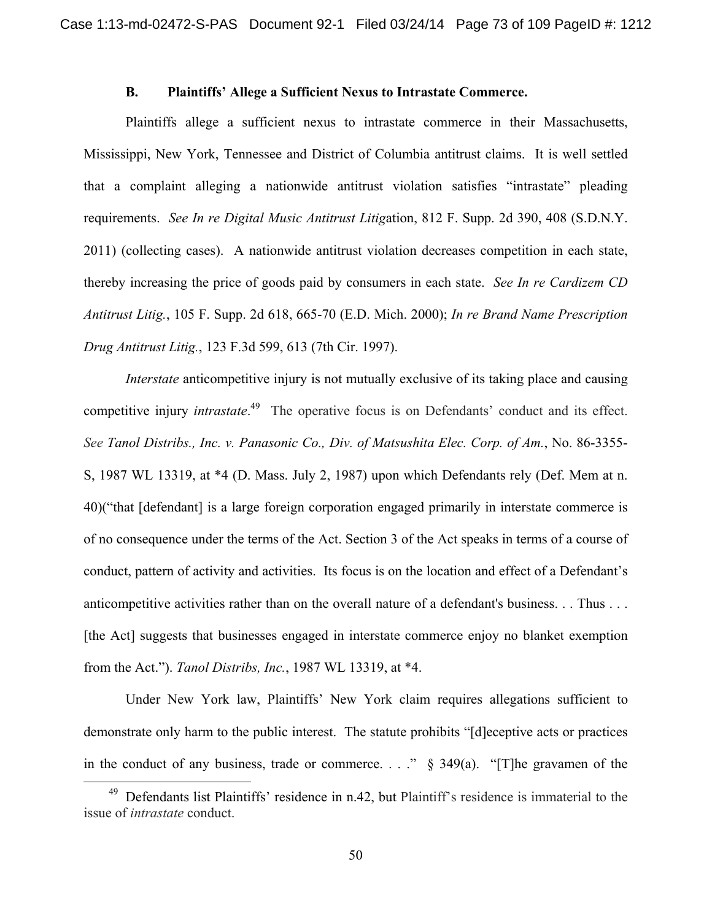### **B. Plaintiffs' Allege a Sufficient Nexus to Intrastate Commerce.**

Plaintiffs allege a sufficient nexus to intrastate commerce in their Massachusetts, Mississippi, New York, Tennessee and District of Columbia antitrust claims. It is well settled that a complaint alleging a nationwide antitrust violation satisfies "intrastate" pleading requirements. *See In re Digital Music Antitrust Litig*ation, 812 F. Supp. 2d 390, 408 (S.D.N.Y. 2011) (collecting cases). A nationwide antitrust violation decreases competition in each state, thereby increasing the price of goods paid by consumers in each state. *See In re Cardizem CD Antitrust Litig.*, 105 F. Supp. 2d 618, 665-70 (E.D. Mich. 2000); *In re Brand Name Prescription Drug Antitrust Litig.*, 123 F.3d 599, 613 (7th Cir. 1997).

*Interstate* anticompetitive injury is not mutually exclusive of its taking place and causing competitive injury *intrastate*. 49 The operative focus is on Defendants' conduct and its effect. *See Tanol Distribs., Inc. v. Panasonic Co., Div. of Matsushita Elec. Corp. of Am.*, No. 86-3355- S, 1987 WL 13319, at \*4 (D. Mass. July 2, 1987) upon which Defendants rely (Def. Mem at n. 40)("that [defendant] is a large foreign corporation engaged primarily in interstate commerce is of no consequence under the terms of the Act. Section 3 of the Act speaks in terms of a course of conduct, pattern of activity and activities. Its focus is on the location and effect of a Defendant's anticompetitive activities rather than on the overall nature of a defendant's business. . . Thus . . . [the Act] suggests that businesses engaged in interstate commerce enjoy no blanket exemption from the Act."). *Tanol Distribs, Inc.*, 1987 WL 13319, at \*4.

Under New York law, Plaintiffs' New York claim requires allegations sufficient to demonstrate only harm to the public interest. The statute prohibits "[d]eceptive acts or practices in the conduct of any business, trade or commerce. . . ." § 349(a). "[T]he gravamen of the

<sup>&</sup>lt;sup>49</sup> Defendants list Plaintiffs' residence in n.42, but Plaintiff's residence is immaterial to the issue of *intrastate* conduct.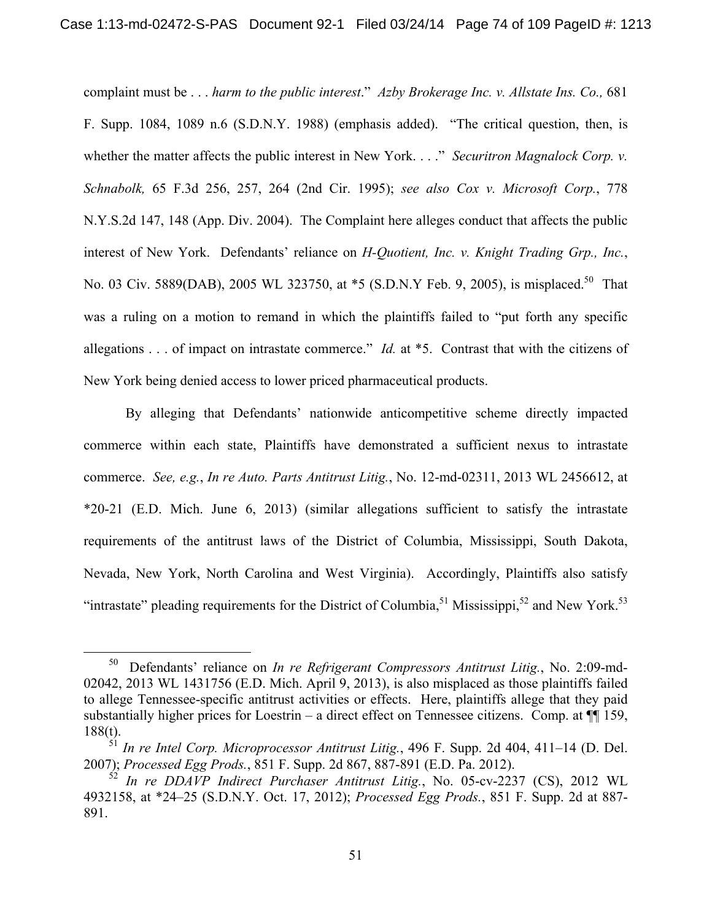complaint must be . . . *harm to the public interest*." *Azby Brokerage Inc. v. Allstate Ins. Co.,* 681 F. Supp. 1084, 1089 n.6 (S.D.N.Y. 1988) (emphasis added). "The critical question, then, is whether the matter affects the public interest in New York. . . ." *Securitron Magnalock Corp. v. Schnabolk,* 65 F.3d 256, 257, 264 (2nd Cir. 1995); *see also Cox v. Microsoft Corp.*, 778 N.Y.S.2d 147, 148 (App. Div. 2004). The Complaint here alleges conduct that affects the public interest of New York. Defendants' reliance on *H-Quotient, Inc. v. Knight Trading Grp., Inc.*, No. 03 Civ. 5889(DAB), 2005 WL 323750, at \*5 (S.D.N.Y Feb. 9, 2005), is misplaced.<sup>50</sup> That was a ruling on a motion to remand in which the plaintiffs failed to "put forth any specific allegations . . . of impact on intrastate commerce." *Id.* at \*5. Contrast that with the citizens of New York being denied access to lower priced pharmaceutical products.

By alleging that Defendants' nationwide anticompetitive scheme directly impacted commerce within each state, Plaintiffs have demonstrated a sufficient nexus to intrastate commerce. *See, e.g.*, *In re Auto. Parts Antitrust Litig.*, No. 12-md-02311, 2013 WL 2456612, at \*20-21 (E.D. Mich. June 6, 2013) (similar allegations sufficient to satisfy the intrastate requirements of the antitrust laws of the District of Columbia, Mississippi, South Dakota, Nevada, New York, North Carolina and West Virginia). Accordingly, Plaintiffs also satisfy "intrastate" pleading requirements for the District of Columbia,<sup>51</sup> Mississippi,<sup>52</sup> and New York.<sup>53</sup>

 <sup>50</sup> Defendants' reliance on *In re Refrigerant Compressors Antitrust Litig.*, No. 2:09-md-02042, 2013 WL 1431756 (E.D. Mich. April 9, 2013), is also misplaced as those plaintiffs failed to allege Tennessee-specific antitrust activities or effects. Here, plaintiffs allege that they paid substantially higher prices for Loestrin – a direct effect on Tennessee citizens. Comp. at  $\P$  159, 188(t).

<sup>51</sup> *In re Intel Corp. Microprocessor Antitrust Litig.*, 496 F. Supp. 2d 404, 411–14 (D. Del. 2007); *Processed Egg Prods.*, 851 F. Supp. 2d 867, 887-891 (E.D. Pa. 2012).

<sup>52</sup> *In re DDAVP Indirect Purchaser Antitrust Litig.*, No. 05-cv-2237 (CS), 2012 WL 4932158, at \*24–25 (S.D.N.Y. Oct. 17, 2012); *Processed Egg Prods.*, 851 F. Supp. 2d at 887- 891.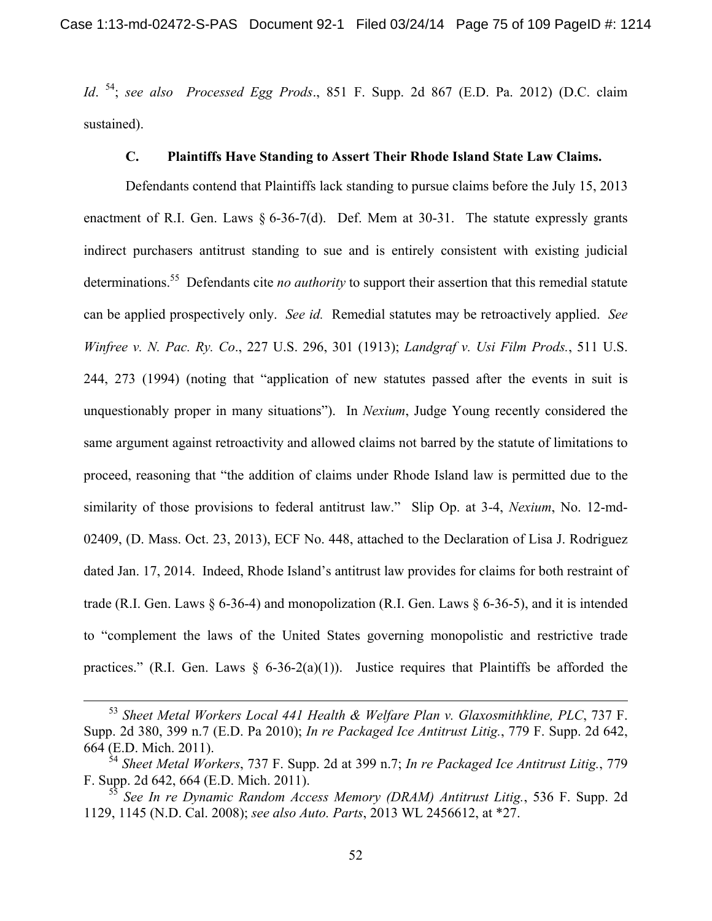*Id*. 54; *see also Processed Egg Prods*., 851 F. Supp. 2d 867 (E.D. Pa. 2012) (D.C. claim sustained).

# **C. Plaintiffs Have Standing to Assert Their Rhode Island State Law Claims.**

 Defendants contend that Plaintiffs lack standing to pursue claims before the July 15, 2013 enactment of R.I. Gen. Laws § 6-36-7(d). Def. Mem at 30-31. The statute expressly grants indirect purchasers antitrust standing to sue and is entirely consistent with existing judicial determinations.55 Defendants cite *no authority* to support their assertion that this remedial statute can be applied prospectively only. *See id.* Remedial statutes may be retroactively applied. *See Winfree v. N. Pac. Ry. Co*., 227 U.S. 296, 301 (1913); *Landgraf v. Usi Film Prods.*, 511 U.S. 244, 273 (1994) (noting that "application of new statutes passed after the events in suit is unquestionably proper in many situations"). In *Nexium*, Judge Young recently considered the same argument against retroactivity and allowed claims not barred by the statute of limitations to proceed, reasoning that "the addition of claims under Rhode Island law is permitted due to the similarity of those provisions to federal antitrust law." Slip Op. at 3-4, *Nexium*, No. 12-md-02409, (D. Mass. Oct. 23, 2013), ECF No. 448, attached to the Declaration of Lisa J. Rodriguez dated Jan. 17, 2014. Indeed, Rhode Island's antitrust law provides for claims for both restraint of trade (R.I. Gen. Laws § 6-36-4) and monopolization (R.I. Gen. Laws § 6-36-5), and it is intended to "complement the laws of the United States governing monopolistic and restrictive trade practices." (R.I. Gen. Laws  $\S$  6-36-2(a)(1)). Justice requires that Plaintiffs be afforded the

 <sup>53</sup> *Sheet Metal Workers Local 441 Health & Welfare Plan v. Glaxosmithkline, PLC*, 737 F. Supp. 2d 380, 399 n.7 (E.D. Pa 2010); *In re Packaged Ice Antitrust Litig.*, 779 F. Supp. 2d 642, 664 (E.D. Mich. 2011).

<sup>54</sup> *Sheet Metal Workers*, 737 F. Supp. 2d at 399 n.7; *In re Packaged Ice Antitrust Litig.*, 779 F. Supp. 2d 642, 664 (E.D. Mich. 2011).

<sup>55</sup> *See In re Dynamic Random Access Memory (DRAM) Antitrust Litig.*, 536 F. Supp. 2d 1129, 1145 (N.D. Cal. 2008); *see also Auto. Parts*, 2013 WL 2456612, at \*27.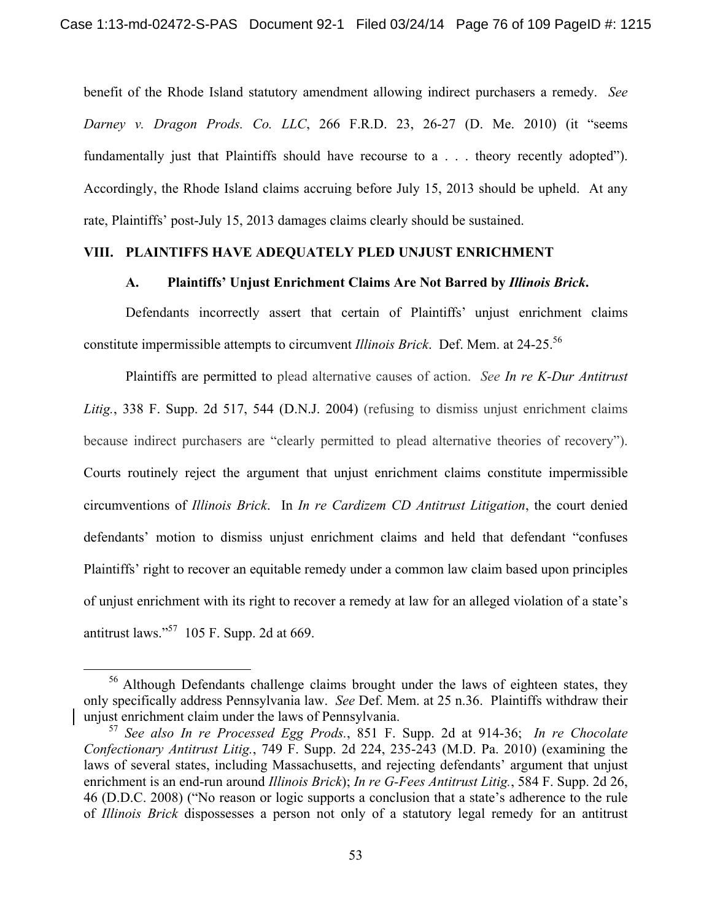benefit of the Rhode Island statutory amendment allowing indirect purchasers a remedy. *See Darney v. Dragon Prods. Co. LLC*, 266 F.R.D. 23, 26-27 (D. Me. 2010) (it "seems fundamentally just that Plaintiffs should have recourse to a . . . theory recently adopted"). Accordingly, the Rhode Island claims accruing before July 15, 2013 should be upheld. At any rate, Plaintiffs' post-July 15, 2013 damages claims clearly should be sustained.

## **VIII. PLAINTIFFS HAVE ADEQUATELY PLED UNJUST ENRICHMENT**

### **A. Plaintiffs' Unjust Enrichment Claims Are Not Barred by** *Illinois Brick***.**

Defendants incorrectly assert that certain of Plaintiffs' unjust enrichment claims constitute impermissible attempts to circumvent *Illinois Brick*. Def. Mem. at 24-25.56

Plaintiffs are permitted to plead alternative causes of action. *See In re K-Dur Antitrust Litig.*, 338 F. Supp. 2d 517, 544 (D.N.J. 2004) (refusing to dismiss unjust enrichment claims because indirect purchasers are "clearly permitted to plead alternative theories of recovery"). Courts routinely reject the argument that unjust enrichment claims constitute impermissible circumventions of *Illinois Brick*. In *In re Cardizem CD Antitrust Litigation*, the court denied defendants' motion to dismiss unjust enrichment claims and held that defendant "confuses Plaintiffs' right to recover an equitable remedy under a common law claim based upon principles of unjust enrichment with its right to recover a remedy at law for an alleged violation of a state's antitrust laws."57 105 F. Supp. 2d at 669.

<sup>&</sup>lt;sup>56</sup> Although Defendants challenge claims brought under the laws of eighteen states, they only specifically address Pennsylvania law. *See* Def. Mem. at 25 n.36. Plaintiffs withdraw their unjust enrichment claim under the laws of Pennsylvania.

<sup>57</sup> *See also In re Processed Egg Prods.*, 851 F. Supp. 2d at 914-36; *In re Chocolate Confectionary Antitrust Litig.*, 749 F. Supp. 2d 224, 235-243 (M.D. Pa. 2010) (examining the laws of several states, including Massachusetts, and rejecting defendants' argument that unjust enrichment is an end-run around *Illinois Brick*); *In re G-Fees Antitrust Litig.*, 584 F. Supp. 2d 26, 46 (D.D.C. 2008) ("No reason or logic supports a conclusion that a state's adherence to the rule of *Illinois Brick* dispossesses a person not only of a statutory legal remedy for an antitrust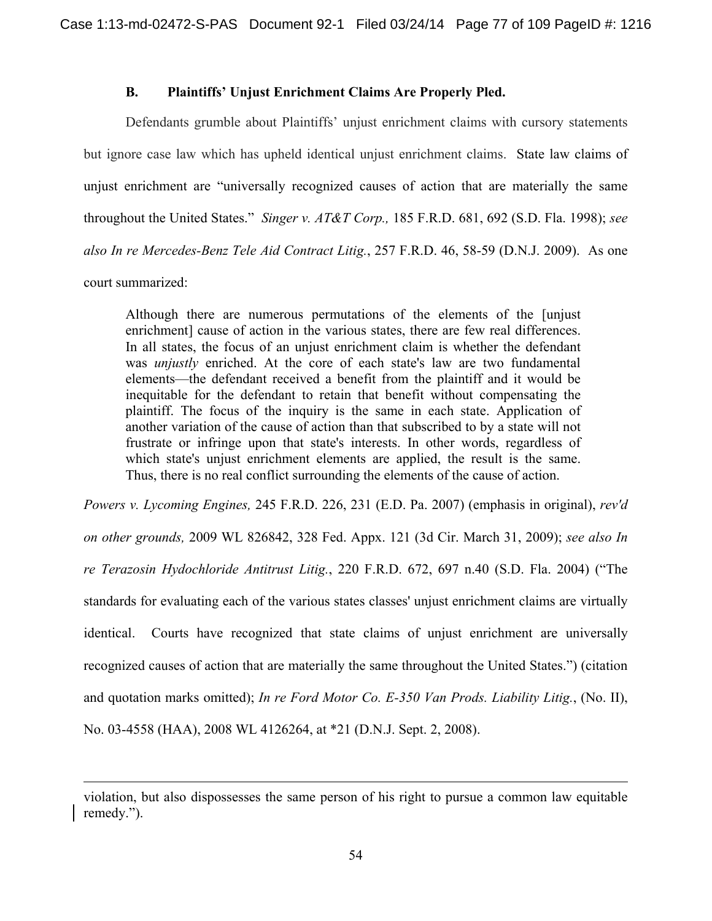# **B. Plaintiffs' Unjust Enrichment Claims Are Properly Pled.**

 Defendants grumble about Plaintiffs' unjust enrichment claims with cursory statements but ignore case law which has upheld identical unjust enrichment claims. State law claims of unjust enrichment are "universally recognized causes of action that are materially the same throughout the United States." *Singer v. AT&T Corp.,* 185 F.R.D. 681, 692 (S.D. Fla. 1998); *see also In re Mercedes-Benz Tele Aid Contract Litig.*, 257 F.R.D. 46, 58-59 (D.N.J. 2009). As one court summarized:

Although there are numerous permutations of the elements of the [unjust enrichment] cause of action in the various states, there are few real differences. In all states, the focus of an unjust enrichment claim is whether the defendant was *unjustly* enriched. At the core of each state's law are two fundamental elements—the defendant received a benefit from the plaintiff and it would be inequitable for the defendant to retain that benefit without compensating the plaintiff. The focus of the inquiry is the same in each state. Application of another variation of the cause of action than that subscribed to by a state will not frustrate or infringe upon that state's interests. In other words, regardless of which state's unjust enrichment elements are applied, the result is the same. Thus, there is no real conflict surrounding the elements of the cause of action.

*Powers v. Lycoming Engines,* 245 F.R.D. 226, 231 (E.D. Pa. 2007) (emphasis in original), *rev'd on other grounds,* 2009 WL 826842, 328 Fed. Appx. 121 (3d Cir. March 31, 2009); *see also In re Terazosin Hydochloride Antitrust Litig.*, 220 F.R.D. 672, 697 n.40 (S.D. Fla. 2004) ("The standards for evaluating each of the various states classes' unjust enrichment claims are virtually identical. Courts have recognized that state claims of unjust enrichment are universally recognized causes of action that are materially the same throughout the United States.") (citation and quotation marks omitted); *In re Ford Motor Co. E-350 Van Prods. Liability Litig.*, (No. II), No. 03-4558 (HAA), 2008 WL 4126264, at \*21 (D.N.J. Sept. 2, 2008).

 $\overline{a}$ 

violation, but also dispossesses the same person of his right to pursue a common law equitable remedy.").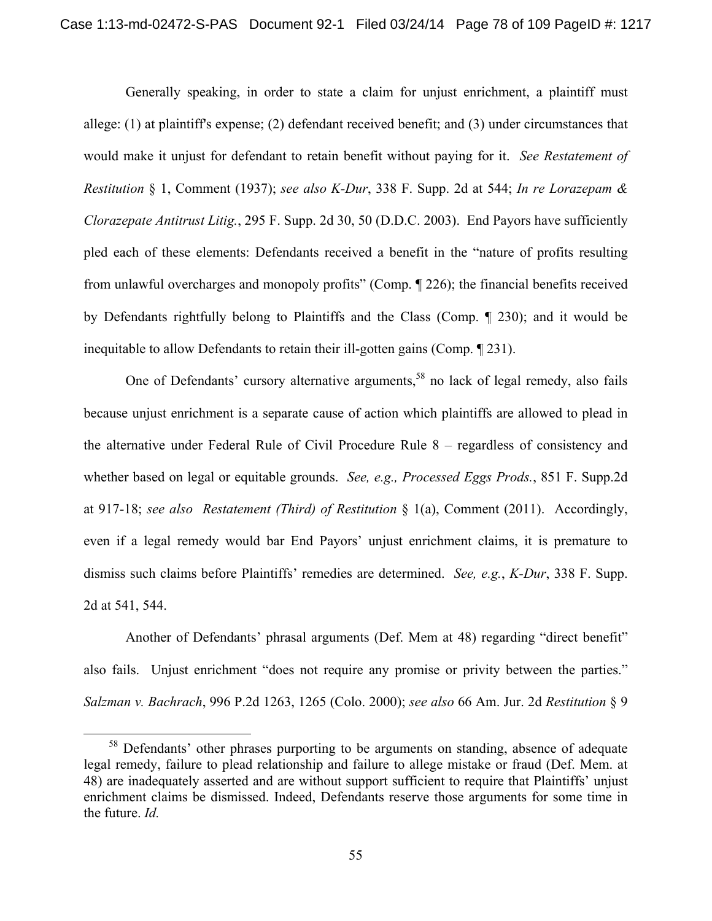Generally speaking, in order to state a claim for unjust enrichment, a plaintiff must allege: (1) at plaintiff's expense; (2) defendant received benefit; and (3) under circumstances that would make it unjust for defendant to retain benefit without paying for it. *See Restatement of Restitution* § 1, Comment (1937); *see also K-Dur*, 338 F. Supp. 2d at 544; *In re Lorazepam & Clorazepate Antitrust Litig.*, 295 F. Supp. 2d 30, 50 (D.D.C. 2003). End Payors have sufficiently pled each of these elements: Defendants received a benefit in the "nature of profits resulting from unlawful overcharges and monopoly profits" (Comp. ¶ 226); the financial benefits received by Defendants rightfully belong to Plaintiffs and the Class (Comp. ¶ 230); and it would be inequitable to allow Defendants to retain their ill-gotten gains (Comp. ¶ 231).

One of Defendants' cursory alternative arguments,<sup>58</sup> no lack of legal remedy, also fails because unjust enrichment is a separate cause of action which plaintiffs are allowed to plead in the alternative under Federal Rule of Civil Procedure Rule 8 – regardless of consistency and whether based on legal or equitable grounds. *See, e.g., Processed Eggs Prods.*, 851 F. Supp.2d at 917-18; *see also Restatement (Third) of Restitution* § 1(a), Comment (2011). Accordingly, even if a legal remedy would bar End Payors' unjust enrichment claims, it is premature to dismiss such claims before Plaintiffs' remedies are determined. *See, e.g.*, *K-Dur*, 338 F. Supp. 2d at 541, 544.

Another of Defendants' phrasal arguments (Def. Mem at 48) regarding "direct benefit" also fails. Unjust enrichment "does not require any promise or privity between the parties." *Salzman v. Bachrach*, 996 P.2d 1263, 1265 (Colo. 2000); *see also* 66 Am. Jur. 2d *Restitution* § 9

<sup>&</sup>lt;sup>58</sup> Defendants' other phrases purporting to be arguments on standing, absence of adequate legal remedy, failure to plead relationship and failure to allege mistake or fraud (Def. Mem. at 48) are inadequately asserted and are without support sufficient to require that Plaintiffs' unjust enrichment claims be dismissed. Indeed, Defendants reserve those arguments for some time in the future. *Id.*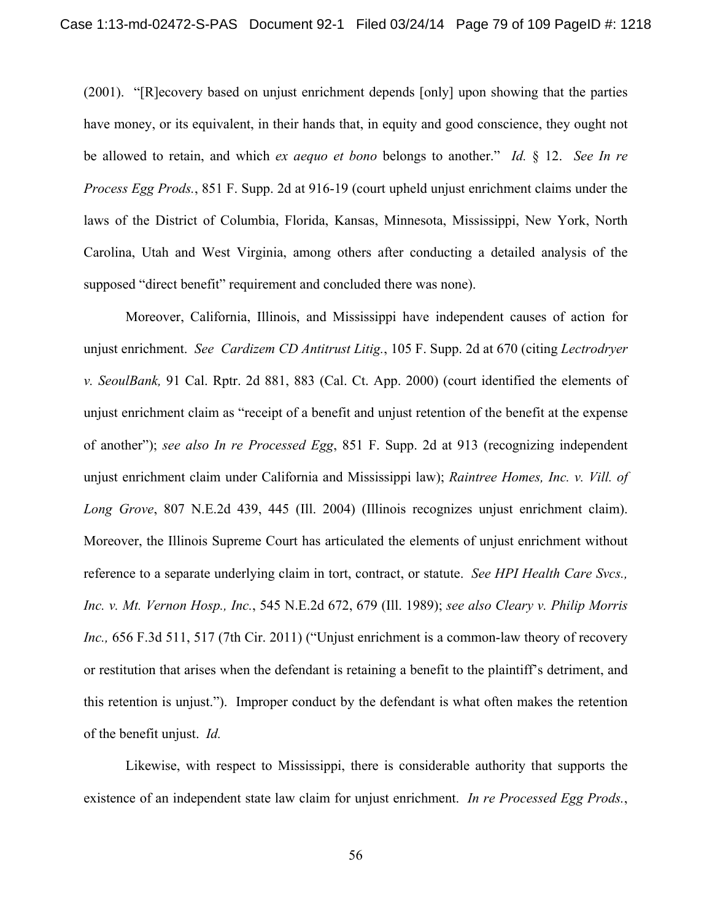(2001). "[R]ecovery based on unjust enrichment depends [only] upon showing that the parties have money, or its equivalent, in their hands that, in equity and good conscience, they ought not be allowed to retain, and which *ex aequo et bono* belongs to another." *Id.* § 12. *See In re Process Egg Prods.*, 851 F. Supp. 2d at 916-19 (court upheld unjust enrichment claims under the laws of the District of Columbia, Florida, Kansas, Minnesota, Mississippi, New York, North Carolina, Utah and West Virginia, among others after conducting a detailed analysis of the supposed "direct benefit" requirement and concluded there was none).

Moreover, California, Illinois, and Mississippi have independent causes of action for unjust enrichment. *See Cardizem CD Antitrust Litig.*, 105 F. Supp. 2d at 670 (citing *Lectrodryer v. SeoulBank,* 91 Cal. Rptr. 2d 881, 883 (Cal. Ct. App. 2000) (court identified the elements of unjust enrichment claim as "receipt of a benefit and unjust retention of the benefit at the expense of another"); *see also In re Processed Egg*, 851 F. Supp. 2d at 913 (recognizing independent unjust enrichment claim under California and Mississippi law); *Raintree Homes, Inc. v. Vill. of Long Grove*, 807 N.E.2d 439, 445 (Ill. 2004) (Illinois recognizes unjust enrichment claim). Moreover, the Illinois Supreme Court has articulated the elements of unjust enrichment without reference to a separate underlying claim in tort, contract, or statute. *See HPI Health Care Svcs., Inc. v. Mt. Vernon Hosp., Inc.*, 545 N.E.2d 672, 679 (Ill. 1989); *see also Cleary v. Philip Morris Inc.,* 656 F.3d 511, 517 (7th Cir. 2011) ("Unjust enrichment is a common-law theory of recovery or restitution that arises when the defendant is retaining a benefit to the plaintiff's detriment, and this retention is unjust."). Improper conduct by the defendant is what often makes the retention of the benefit unjust. *Id.* 

Likewise, with respect to Mississippi, there is considerable authority that supports the existence of an independent state law claim for unjust enrichment. *In re Processed Egg Prods.*,

56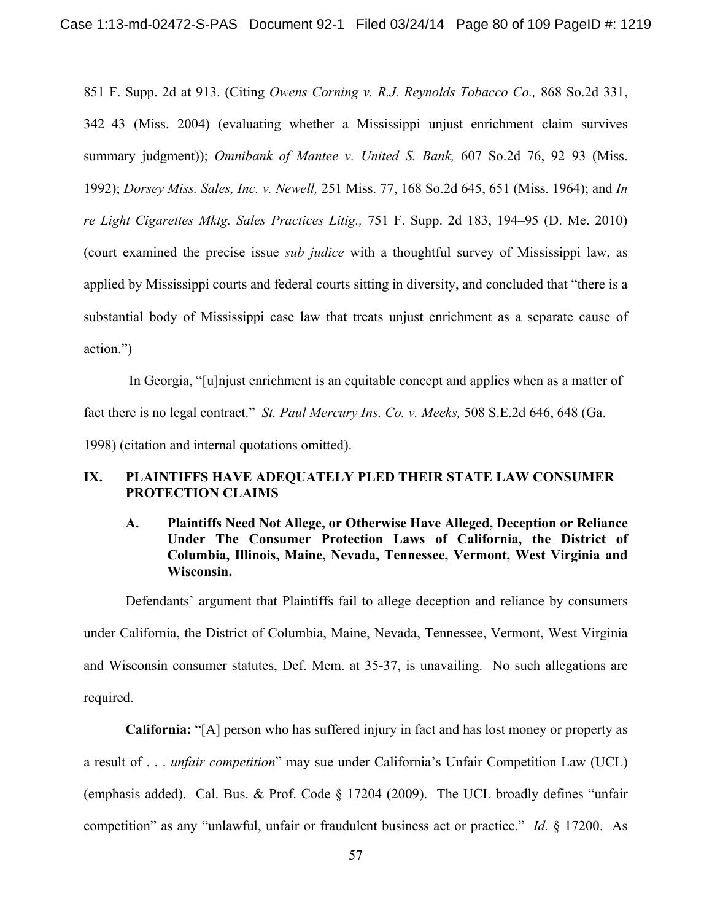851 F. Supp. 2d at 913. (Citing *Owens Corning v. R.J. Reynolds Tobacco Co.,* 868 So.2d 331, 342–43 (Miss. 2004) (evaluating whether a Mississippi unjust enrichment claim survives summary judgment)); *Omnibank of Mantee v. United S. Bank,* 607 So.2d 76, 92–93 (Miss. 1992); *Dorsey Miss. Sales, Inc. v. Newell,* 251 Miss. 77, 168 So.2d 645, 651 (Miss. 1964); and *In re Light Cigarettes Mktg. Sales Practices Litig.,* 751 F. Supp. 2d 183, 194–95 (D. Me. 2010) (court examined the precise issue *sub judice* with a thoughtful survey of Mississippi law, as applied by Mississippi courts and federal courts sitting in diversity, and concluded that "there is a substantial body of Mississippi case law that treats unjust enrichment as a separate cause of action.")

 In Georgia, "[u]njust enrichment is an equitable concept and applies when as a matter of fact there is no legal contract." *St. Paul Mercury Ins. Co. v. Meeks,* 508 S.E.2d 646, 648 (Ga. 1998) (citation and internal quotations omitted).

### **IX. PLAINTIFFS HAVE ADEQUATELY PLED THEIR STATE LAW CONSUMER PROTECTION CLAIMS**

# **A. Plaintiffs Need Not Allege, or Otherwise Have Alleged, Deception or Reliance Under The Consumer Protection Laws of California, the District of Columbia, Illinois, Maine, Nevada, Tennessee, Vermont, West Virginia and Wisconsin.**

Defendants' argument that Plaintiffs fail to allege deception and reliance by consumers under California, the District of Columbia, Maine, Nevada, Tennessee, Vermont, West Virginia and Wisconsin consumer statutes, Def. Mem. at 35-37, is unavailing. No such allegations are required.

**California:** "[A] person who has suffered injury in fact and has lost money or property as a result of . . . *unfair competition*" may sue under California's Unfair Competition Law (UCL) (emphasis added). Cal. Bus. & Prof. Code § 17204 (2009). The UCL broadly defines "unfair competition" as any "unlawful, unfair or fraudulent business act or practice." *Id.* § 17200. As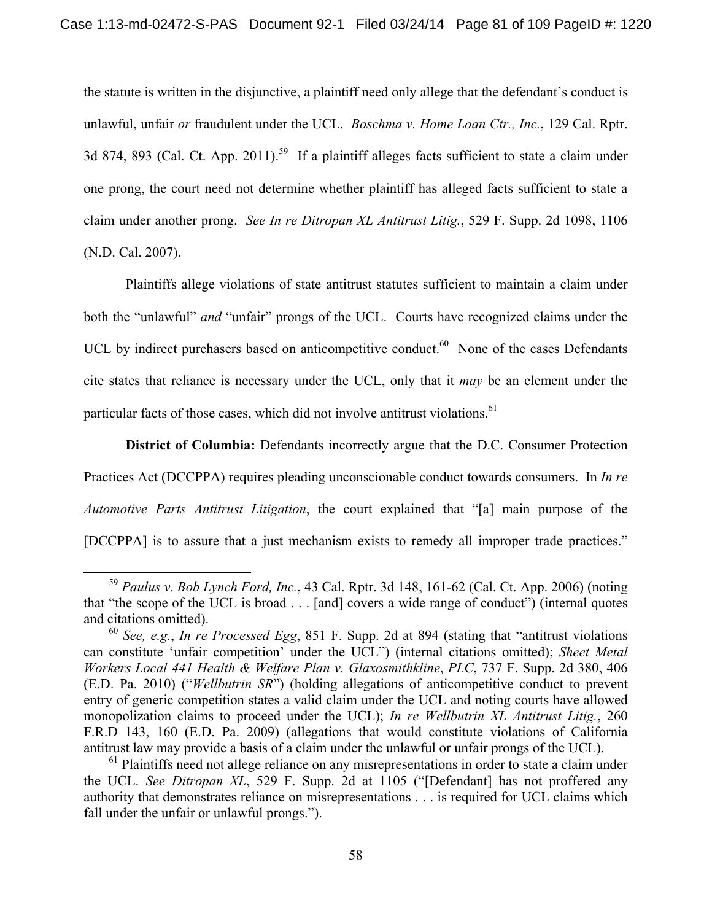the statute is written in the disjunctive, a plaintiff need only allege that the defendant's conduct is unlawful, unfair *or* fraudulent under the UCL. *Boschma v. Home Loan Ctr., Inc.*, 129 Cal. Rptr. 3d 874, 893 (Cal. Ct. App. 2011).<sup>59</sup> If a plaintiff alleges facts sufficient to state a claim under one prong, the court need not determine whether plaintiff has alleged facts sufficient to state a claim under another prong. *See In re Ditropan XL Antitrust Litig.*, 529 F. Supp. 2d 1098, 1106 (N.D. Cal. 2007).

Plaintiffs allege violations of state antitrust statutes sufficient to maintain a claim under both the "unlawful" *and* "unfair" prongs of the UCL. Courts have recognized claims under the UCL by indirect purchasers based on anticompetitive conduct. $60$  None of the cases Defendants cite states that reliance is necessary under the UCL, only that it *may* be an element under the particular facts of those cases, which did not involve antitrust violations.<sup>61</sup>

**District of Columbia:** Defendants incorrectly argue that the D.C. Consumer Protection Practices Act (DCCPPA) requires pleading unconscionable conduct towards consumers. In *In re Automotive Parts Antitrust Litigation*, the court explained that "[a] main purpose of the [DCCPPA] is to assure that a just mechanism exists to remedy all improper trade practices."

 <sup>59</sup> *Paulus v. Bob Lynch Ford, Inc.*, 43 Cal. Rptr. 3d 148, 161-62 (Cal. Ct. App. 2006) (noting that "the scope of the UCL is broad . . . [and] covers a wide range of conduct") (internal quotes and citations omitted).

<sup>60</sup> *See, e.g.*, *In re Processed Egg*, 851 F. Supp. 2d at 894 (stating that "antitrust violations can constitute 'unfair competition' under the UCL") (internal citations omitted); *Sheet Metal Workers Local 441 Health & Welfare Plan v. Glaxosmithkline*, *PLC*, 737 F. Supp. 2d 380, 406 (E.D. Pa. 2010) ("*Wellbutrin SR*") (holding allegations of anticompetitive conduct to prevent entry of generic competition states a valid claim under the UCL and noting courts have allowed monopolization claims to proceed under the UCL); *In re Wellbutrin XL Antitrust Litig.*, 260 F.R.D 143, 160 (E.D. Pa. 2009) (allegations that would constitute violations of California antitrust law may provide a basis of a claim under the unlawful or unfair prongs of the UCL).

 $<sup>61</sup>$  Plaintiffs need not allege reliance on any misrepresentations in order to state a claim under</sup> the UCL. *See Ditropan XL*, 529 F. Supp. 2d at 1105 ("[Defendant] has not proffered any authority that demonstrates reliance on misrepresentations . . . is required for UCL claims which fall under the unfair or unlawful prongs.").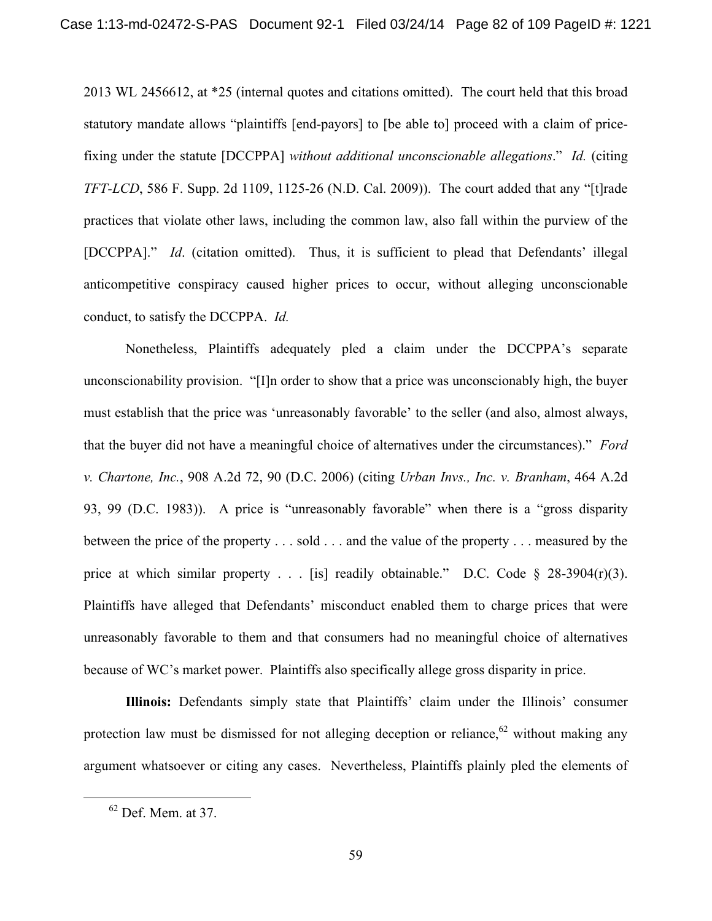2013 WL 2456612, at \*25 (internal quotes and citations omitted). The court held that this broad statutory mandate allows "plaintiffs [end-payors] to [be able to] proceed with a claim of pricefixing under the statute [DCCPPA] *without additional unconscionable allegations*." *Id.* (citing *TFT-LCD*, 586 F. Supp. 2d 1109, 1125-26 (N.D. Cal. 2009)). The court added that any "[t]rade practices that violate other laws, including the common law, also fall within the purview of the [DCCPPA]." *Id*. (citation omitted). Thus, it is sufficient to plead that Defendants' illegal anticompetitive conspiracy caused higher prices to occur, without alleging unconscionable conduct, to satisfy the DCCPPA. *Id.* 

Nonetheless, Plaintiffs adequately pled a claim under the DCCPPA's separate unconscionability provision. "[I]n order to show that a price was unconscionably high, the buyer must establish that the price was 'unreasonably favorable' to the seller (and also, almost always, that the buyer did not have a meaningful choice of alternatives under the circumstances)." *Ford v. Chartone, Inc.*, 908 A.2d 72, 90 (D.C. 2006) (citing *Urban Invs., Inc. v. Branham*, 464 A.2d 93, 99 (D.C. 1983)). A price is "unreasonably favorable" when there is a "gross disparity between the price of the property . . . sold . . . and the value of the property . . . measured by the price at which similar property  $\ldots$  [is] readily obtainable." D.C. Code § 28-3904(r)(3). Plaintiffs have alleged that Defendants' misconduct enabled them to charge prices that were unreasonably favorable to them and that consumers had no meaningful choice of alternatives because of WC's market power. Plaintiffs also specifically allege gross disparity in price.

**Illinois:** Defendants simply state that Plaintiffs' claim under the Illinois' consumer protection law must be dismissed for not alleging deception or reliance,  $62$  without making any argument whatsoever or citing any cases. Nevertheless, Plaintiffs plainly pled the elements of

 <sup>62</sup> Def. Mem. at 37.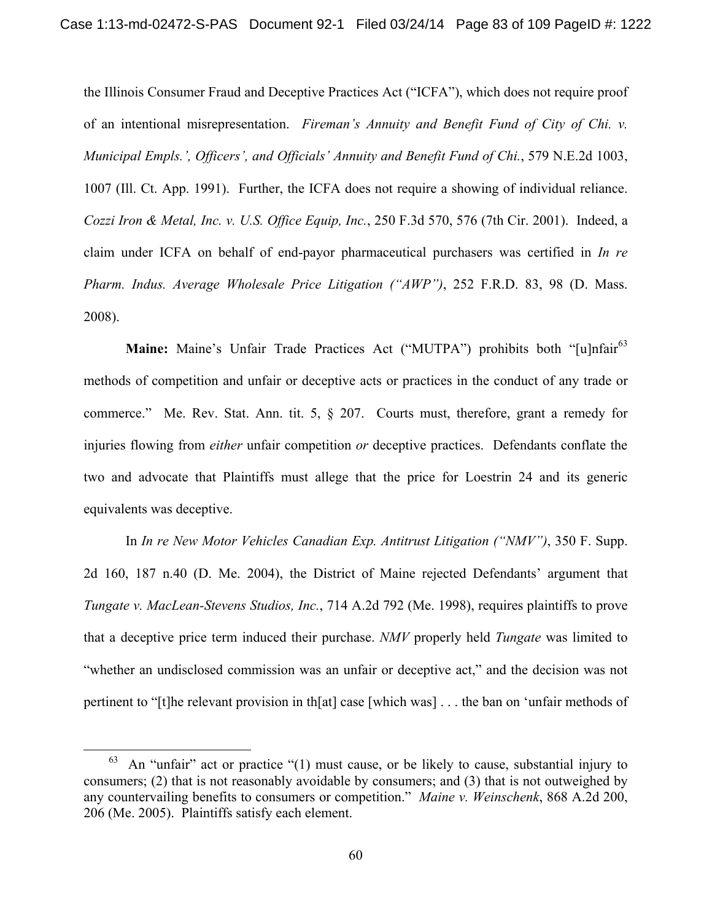the Illinois Consumer Fraud and Deceptive Practices Act ("ICFA"), which does not require proof of an intentional misrepresentation. *Fireman's Annuity and Benefit Fund of City of Chi. v. Municipal Empls.', Officers', and Officials' Annuity and Benefit Fund of Chi.*, 579 N.E.2d 1003, 1007 (Ill. Ct. App. 1991). Further, the ICFA does not require a showing of individual reliance. *Cozzi Iron & Metal, Inc. v. U.S. Office Equip, Inc.*, 250 F.3d 570, 576 (7th Cir. 2001). Indeed, a claim under ICFA on behalf of end-payor pharmaceutical purchasers was certified in *In re Pharm. Indus. Average Wholesale Price Litigation ("AWP")*, 252 F.R.D. 83, 98 (D. Mass. 2008).

**Maine:** Maine's Unfair Trade Practices Act ("MUTPA") prohibits both "[u]nfair<sup>63</sup> methods of competition and unfair or deceptive acts or practices in the conduct of any trade or commerce." Me. Rev. Stat. Ann. tit. 5, § 207. Courts must, therefore, grant a remedy for injuries flowing from *either* unfair competition *or* deceptive practices. Defendants conflate the two and advocate that Plaintiffs must allege that the price for Loestrin 24 and its generic equivalents was deceptive.

In *In re New Motor Vehicles Canadian Exp. Antitrust Litigation ("NMV")*, 350 F. Supp. 2d 160, 187 n.40 (D. Me. 2004), the District of Maine rejected Defendants' argument that *Tungate v. MacLean-Stevens Studios, Inc.*, 714 A.2d 792 (Me. 1998), requires plaintiffs to prove that a deceptive price term induced their purchase. *NMV* properly held *Tungate* was limited to "whether an undisclosed commission was an unfair or deceptive act," and the decision was not pertinent to "[t]he relevant provision in th[at] case [which was] . . . the ban on 'unfair methods of

 $63$  An "unfair" act or practice "(1) must cause, or be likely to cause, substantial injury to consumers; (2) that is not reasonably avoidable by consumers; and (3) that is not outweighed by any countervailing benefits to consumers or competition." *Maine v. Weinschenk*, 868 A.2d 200, 206 (Me. 2005). Plaintiffs satisfy each element.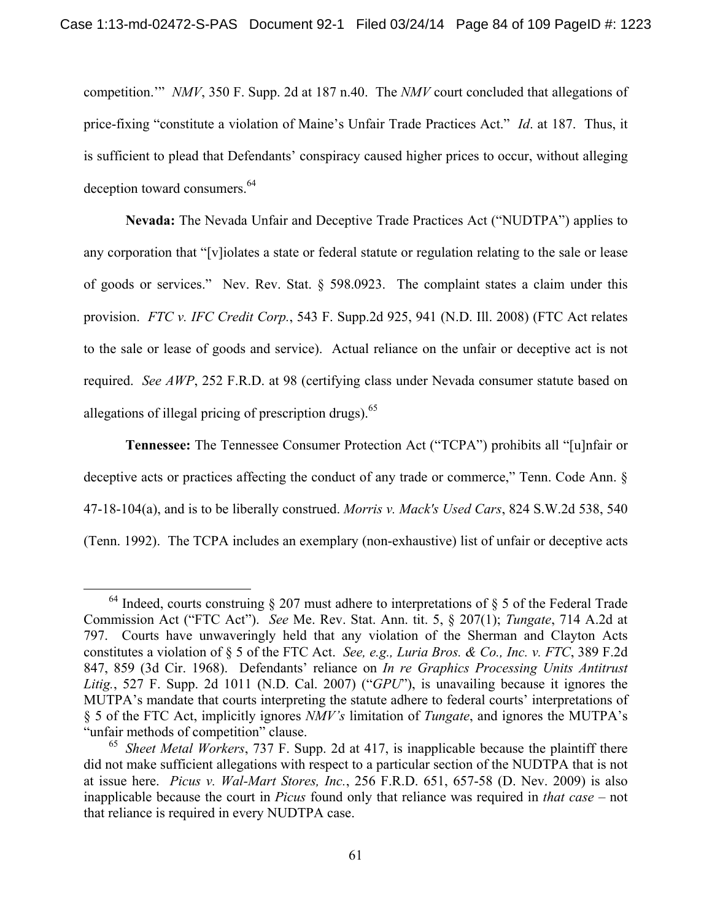competition.'" *NMV*, 350 F. Supp. 2d at 187 n.40. The *NMV* court concluded that allegations of price-fixing "constitute a violation of Maine's Unfair Trade Practices Act." *Id*. at 187. Thus, it is sufficient to plead that Defendants' conspiracy caused higher prices to occur, without alleging deception toward consumers.<sup>64</sup>

**Nevada:** The Nevada Unfair and Deceptive Trade Practices Act ("NUDTPA") applies to any corporation that "[v]iolates a state or federal statute or regulation relating to the sale or lease of goods or services." Nev. Rev. Stat. § 598.0923. The complaint states a claim under this provision. *FTC v. IFC Credit Corp.*, 543 F. Supp.2d 925, 941 (N.D. Ill. 2008) (FTC Act relates to the sale or lease of goods and service). Actual reliance on the unfair or deceptive act is not required. *See AWP*, 252 F.R.D. at 98 (certifying class under Nevada consumer statute based on allegations of illegal pricing of prescription drugs). $65$ 

**Tennessee:** The Tennessee Consumer Protection Act ("TCPA") prohibits all "[u]nfair or deceptive acts or practices affecting the conduct of any trade or commerce," Tenn. Code Ann. § 47-18-104(a), and is to be liberally construed. *Morris v. Mack's Used Cars*, 824 S.W.2d 538, 540 (Tenn. 1992). The TCPA includes an exemplary (non-exhaustive) list of unfair or deceptive acts

<sup>&</sup>lt;sup>64</sup> Indeed, courts construing  $\S 207$  must adhere to interpretations of  $\S 5$  of the Federal Trade Commission Act ("FTC Act"). *See* Me. Rev. Stat. Ann. tit. 5, § 207(1); *Tungate*, 714 A.2d at 797. Courts have unwaveringly held that any violation of the Sherman and Clayton Acts constitutes a violation of § 5 of the FTC Act. *See, e.g., Luria Bros. & Co., Inc. v. FTC*, 389 F.2d 847, 859 (3d Cir. 1968). Defendants' reliance on *In re Graphics Processing Units Antitrust Litig.*, 527 F. Supp. 2d 1011 (N.D. Cal. 2007) ("*GPU*"), is unavailing because it ignores the MUTPA's mandate that courts interpreting the statute adhere to federal courts' interpretations of § 5 of the FTC Act, implicitly ignores *NMV's* limitation of *Tungate*, and ignores the MUTPA's "unfair methods of competition" clause.

<sup>65</sup> *Sheet Metal Workers*, 737 F. Supp. 2d at 417, is inapplicable because the plaintiff there did not make sufficient allegations with respect to a particular section of the NUDTPA that is not at issue here. *Picus v. Wal-Mart Stores, Inc.*, 256 F.R.D. 651, 657-58 (D. Nev. 2009) is also inapplicable because the court in *Picus* found only that reliance was required in *that case* – not that reliance is required in every NUDTPA case.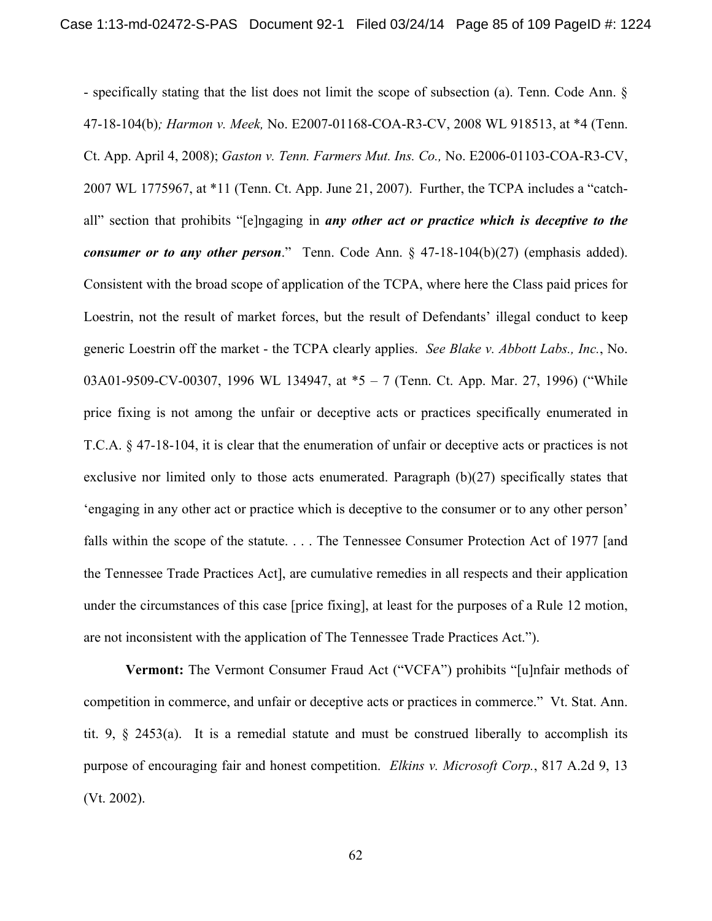- specifically stating that the list does not limit the scope of subsection (a). Tenn. Code Ann. § 47-18-104(b)*; Harmon v. Meek,* No. E2007-01168-COA-R3-CV, 2008 WL 918513, at \*4 (Tenn. Ct. App. April 4, 2008); *Gaston v. Tenn. Farmers Mut. Ins. Co.,* No. E2006-01103-COA-R3-CV, 2007 WL 1775967, at \*11 (Tenn. Ct. App. June 21, 2007). Further, the TCPA includes a "catchall" section that prohibits "[e]ngaging in *any other act or practice which is deceptive to the consumer or to any other person.*" Tenn. Code Ann. § 47-18-104(b)(27) (emphasis added). Consistent with the broad scope of application of the TCPA, where here the Class paid prices for Loestrin, not the result of market forces, but the result of Defendants' illegal conduct to keep generic Loestrin off the market - the TCPA clearly applies. *See Blake v. Abbott Labs., Inc.*, No. 03A01-9509-CV-00307, 1996 WL 134947, at \*5 – 7 (Tenn. Ct. App. Mar. 27, 1996) ("While price fixing is not among the unfair or deceptive acts or practices specifically enumerated in T.C.A. § 47-18-104, it is clear that the enumeration of unfair or deceptive acts or practices is not exclusive nor limited only to those acts enumerated. Paragraph (b)(27) specifically states that 'engaging in any other act or practice which is deceptive to the consumer or to any other person' falls within the scope of the statute. . . . The Tennessee Consumer Protection Act of 1977 [and the Tennessee Trade Practices Act], are cumulative remedies in all respects and their application under the circumstances of this case [price fixing], at least for the purposes of a Rule 12 motion, are not inconsistent with the application of The Tennessee Trade Practices Act.").

**Vermont:** The Vermont Consumer Fraud Act ("VCFA") prohibits "[u]nfair methods of competition in commerce, and unfair or deceptive acts or practices in commerce." Vt. Stat. Ann. tit. 9, § 2453(a). It is a remedial statute and must be construed liberally to accomplish its purpose of encouraging fair and honest competition. *Elkins v. Microsoft Corp.*, 817 A.2d 9, 13 (Vt. 2002).

62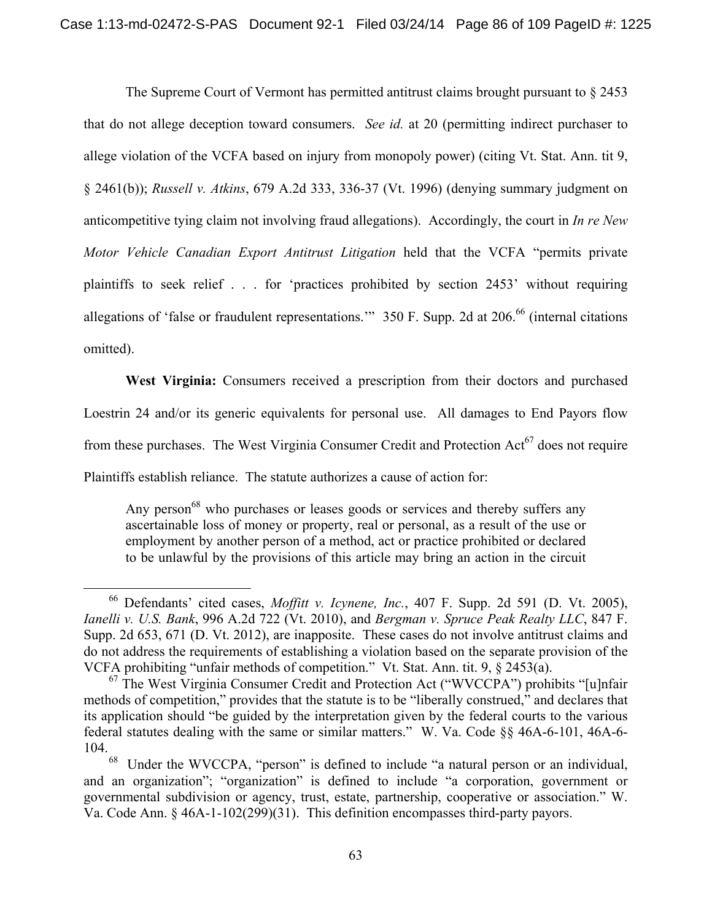The Supreme Court of Vermont has permitted antitrust claims brought pursuant to  $\S 2453$ that do not allege deception toward consumers. *See id.* at 20 (permitting indirect purchaser to allege violation of the VCFA based on injury from monopoly power) (citing Vt. Stat. Ann. tit 9, § 2461(b)); *Russell v. Atkins*, 679 A.2d 333, 336-37 (Vt. 1996) (denying summary judgment on anticompetitive tying claim not involving fraud allegations). Accordingly, the court in *In re New Motor Vehicle Canadian Export Antitrust Litigation* held that the VCFA "permits private plaintiffs to seek relief . . . for 'practices prohibited by section 2453' without requiring allegations of 'false or fraudulent representations.'" 350 F. Supp. 2d at  $206$ .<sup>66</sup> (internal citations omitted).

**West Virginia:** Consumers received a prescription from their doctors and purchased Loestrin 24 and/or its generic equivalents for personal use. All damages to End Payors flow from these purchases. The West Virginia Consumer Credit and Protection  $Act^{67}$  does not require Plaintiffs establish reliance. The statute authorizes a cause of action for:

Any person<sup>68</sup> who purchases or leases goods or services and thereby suffers any ascertainable loss of money or property, real or personal, as a result of the use or employment by another person of a method, act or practice prohibited or declared to be unlawful by the provisions of this article may bring an action in the circuit

 <sup>66</sup> Defendants' cited cases, *Moffitt v. Icynene, Inc.*, 407 F. Supp. 2d 591 (D. Vt. 2005), *Ianelli v. U.S. Bank*, 996 A.2d 722 (Vt. 2010), and *Bergman v. Spruce Peak Realty LLC*, 847 F. Supp. 2d 653, 671 (D. Vt. 2012), are inapposite. These cases do not involve antitrust claims and do not address the requirements of establishing a violation based on the separate provision of the VCFA prohibiting "unfair methods of competition." Vt. Stat. Ann. tit.  $9, §$  2453(a).

 $^{67}$  The West Virginia Consumer Credit and Protection Act ("WVCCPA") prohibits "[u]nfair methods of competition," provides that the statute is to be "liberally construed," and declares that its application should "be guided by the interpretation given by the federal courts to the various federal statutes dealing with the same or similar matters." W. Va. Code §§ 46A-6-101, 46A-6- 104.

<sup>68</sup> Under the WVCCPA, "person" is defined to include "a natural person or an individual, and an organization"; "organization" is defined to include "a corporation, government or governmental subdivision or agency, trust, estate, partnership, cooperative or association." W. Va. Code Ann. § 46A-1-102(299)(31). This definition encompasses third-party payors.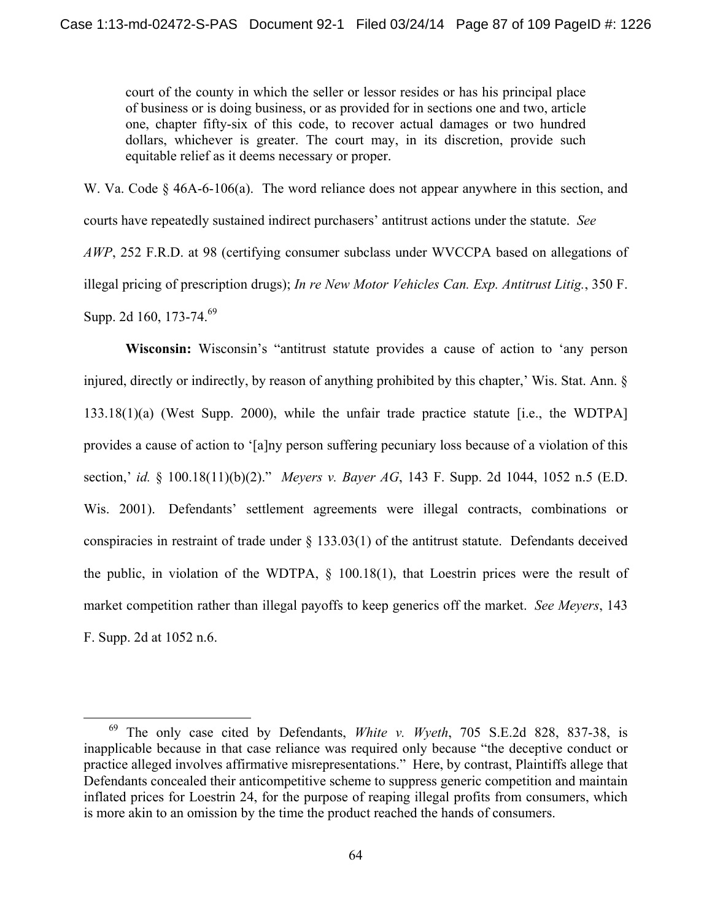court of the county in which the seller or lessor resides or has his principal place of business or is doing business, or as provided for in sections one and two, article one, chapter fifty-six of this code, to recover actual damages or two hundred dollars, whichever is greater. The court may, in its discretion, provide such equitable relief as it deems necessary or proper.

W. Va. Code  $\S$  46A-6-106(a). The word reliance does not appear anywhere in this section, and courts have repeatedly sustained indirect purchasers' antitrust actions under the statute. *See AWP*, 252 F.R.D. at 98 (certifying consumer subclass under WVCCPA based on allegations of illegal pricing of prescription drugs); *In re New Motor Vehicles Can. Exp. Antitrust Litig.*, 350 F. Supp. 2d 160, 173-74.<sup>69</sup>

**Wisconsin:** Wisconsin's "antitrust statute provides a cause of action to 'any person injured, directly or indirectly, by reason of anything prohibited by this chapter,' Wis. Stat. Ann. § 133.18(1)(a) (West Supp. 2000), while the unfair trade practice statute [i.e., the WDTPA] provides a cause of action to '[a]ny person suffering pecuniary loss because of a violation of this section,' *id.* § 100.18(11)(b)(2)." *Meyers v. Bayer AG*, 143 F. Supp. 2d 1044, 1052 n.5 (E.D. Wis. 2001). Defendants' settlement agreements were illegal contracts, combinations or conspiracies in restraint of trade under § 133.03(1) of the antitrust statute. Defendants deceived the public, in violation of the WDTPA, § 100.18(1), that Loestrin prices were the result of market competition rather than illegal payoffs to keep generics off the market. *See Meyers*, 143 F. Supp. 2d at 1052 n.6.

 <sup>69</sup> The only case cited by Defendants, *White v. Wyeth*, 705 S.E.2d 828, 837-38, is inapplicable because in that case reliance was required only because "the deceptive conduct or practice alleged involves affirmative misrepresentations." Here, by contrast, Plaintiffs allege that Defendants concealed their anticompetitive scheme to suppress generic competition and maintain inflated prices for Loestrin 24, for the purpose of reaping illegal profits from consumers, which is more akin to an omission by the time the product reached the hands of consumers.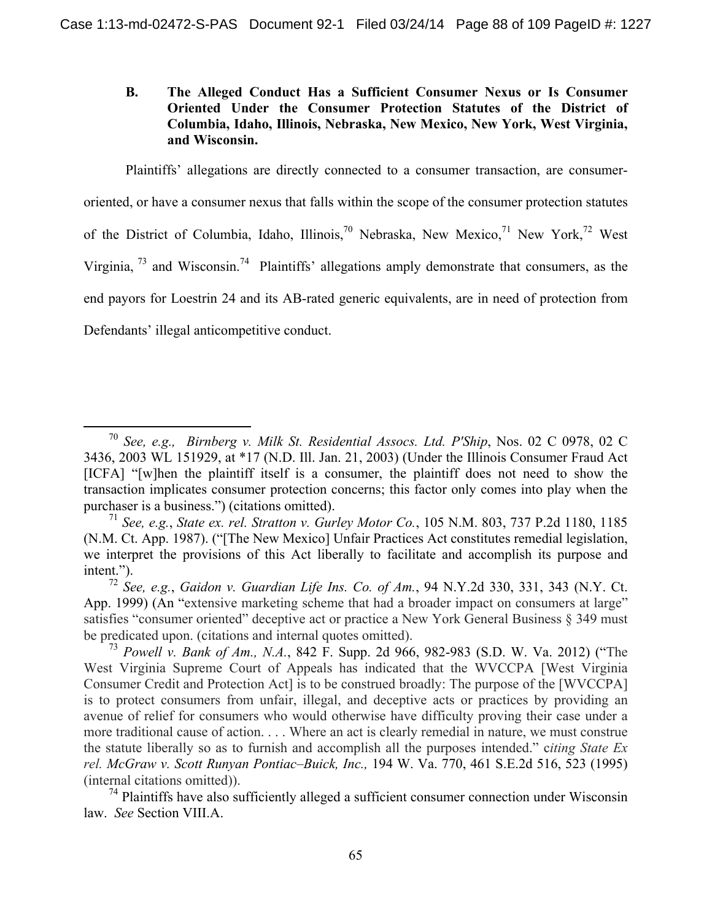# **B. The Alleged Conduct Has a Sufficient Consumer Nexus or Is Consumer Oriented Under the Consumer Protection Statutes of the District of Columbia, Idaho, Illinois, Nebraska, New Mexico, New York, West Virginia, and Wisconsin.**

Plaintiffs' allegations are directly connected to a consumer transaction, are consumeroriented, or have a consumer nexus that falls within the scope of the consumer protection statutes of the District of Columbia, Idaho, Illinois,<sup>70</sup> Nebraska, New Mexico,<sup>71</sup> New York,<sup>72</sup> West Virginia, 73 and Wisconsin.74 Plaintiffs' allegations amply demonstrate that consumers, as the end payors for Loestrin 24 and its AB-rated generic equivalents, are in need of protection from Defendants' illegal anticompetitive conduct.

 <sup>70</sup> *See, e.g., Birnberg v. Milk St. Residential Assocs. Ltd. P'Ship*, Nos. 02 C 0978, 02 C 3436, 2003 WL 151929, at \*17 (N.D. Ill. Jan. 21, 2003) (Under the Illinois Consumer Fraud Act [ICFA] "[w]hen the plaintiff itself is a consumer, the plaintiff does not need to show the transaction implicates consumer protection concerns; this factor only comes into play when the purchaser is a business.") (citations omitted).

<sup>71</sup> *See, e.g.*, *State ex. rel. Stratton v. Gurley Motor Co.*, 105 N.M. 803, 737 P.2d 1180, 1185 (N.M. Ct. App. 1987). ("[The New Mexico] Unfair Practices Act constitutes remedial legislation, we interpret the provisions of this Act liberally to facilitate and accomplish its purpose and intent.").

<sup>72</sup> *See, e.g.*, *Gaidon v. Guardian Life Ins. Co. of Am.*, 94 N.Y.2d 330, 331, 343 (N.Y. Ct. App. 1999) (An "extensive marketing scheme that had a broader impact on consumers at large" satisfies "consumer oriented" deceptive act or practice a New York General Business § 349 must be predicated upon. (citations and internal quotes omitted).

<sup>73</sup> *Powell v. Bank of Am., N.A.*, 842 F. Supp. 2d 966, 982-983 (S.D. W. Va. 2012) ("The West Virginia Supreme Court of Appeals has indicated that the WVCCPA [West Virginia Consumer Credit and Protection Act] is to be construed broadly: The purpose of the [WVCCPA] is to protect consumers from unfair, illegal, and deceptive acts or practices by providing an avenue of relief for consumers who would otherwise have difficulty proving their case under a more traditional cause of action. . . . Where an act is clearly remedial in nature, we must construe the statute liberally so as to furnish and accomplish all the purposes intended." c*iting State Ex rel. McGraw v. Scott Runyan Pontiac–Buick, Inc.,* 194 W. Va. 770, 461 S.E.2d 516, 523 (1995) (internal citations omitted)).

 $<sup>74</sup>$  Plaintiffs have also sufficiently alleged a sufficient consumer connection under Wisconsin</sup> law. *See* Section VIII.A.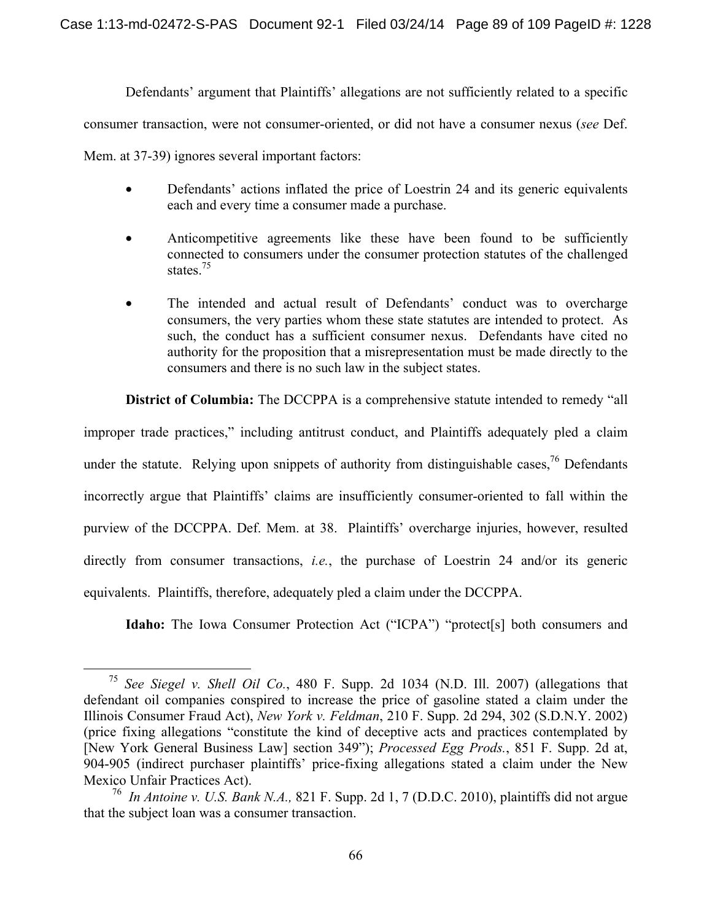Defendants' argument that Plaintiffs' allegations are not sufficiently related to a specific

consumer transaction, were not consumer-oriented, or did not have a consumer nexus (*see* Def.

Mem. at 37-39) ignores several important factors:

- Defendants' actions inflated the price of Loestrin 24 and its generic equivalents each and every time a consumer made a purchase.
- Anticompetitive agreements like these have been found to be sufficiently connected to consumers under the consumer protection statutes of the challenged states.<sup>75</sup>
- The intended and actual result of Defendants' conduct was to overcharge consumers, the very parties whom these state statutes are intended to protect. As such, the conduct has a sufficient consumer nexus. Defendants have cited no authority for the proposition that a misrepresentation must be made directly to the consumers and there is no such law in the subject states.

**District of Columbia:** The DCCPPA is a comprehensive statute intended to remedy "all

improper trade practices," including antitrust conduct, and Plaintiffs adequately pled a claim under the statute. Relying upon snippets of authority from distinguishable cases,  $^{76}$  Defendants incorrectly argue that Plaintiffs' claims are insufficiently consumer-oriented to fall within the purview of the DCCPPA. Def. Mem. at 38. Plaintiffs' overcharge injuries, however, resulted directly from consumer transactions, *i.e.*, the purchase of Loestrin 24 and/or its generic equivalents. Plaintiffs, therefore, adequately pled a claim under the DCCPPA.

**Idaho:** The Iowa Consumer Protection Act ("ICPA") "protect[s] both consumers and

 <sup>75</sup> *See Siegel v. Shell Oil Co.*, 480 F. Supp. 2d 1034 (N.D. Ill. 2007) (allegations that defendant oil companies conspired to increase the price of gasoline stated a claim under the Illinois Consumer Fraud Act), *New York v. Feldman*, 210 F. Supp. 2d 294, 302 (S.D.N.Y. 2002) (price fixing allegations "constitute the kind of deceptive acts and practices contemplated by [New York General Business Law] section 349"); *Processed Egg Prods.*, 851 F. Supp. 2d at, 904-905 (indirect purchaser plaintiffs' price-fixing allegations stated a claim under the New Mexico Unfair Practices Act).

<sup>76</sup> *In Antoine v. U.S. Bank N.A.,* 821 F. Supp. 2d 1, 7 (D.D.C. 2010), plaintiffs did not argue that the subject loan was a consumer transaction.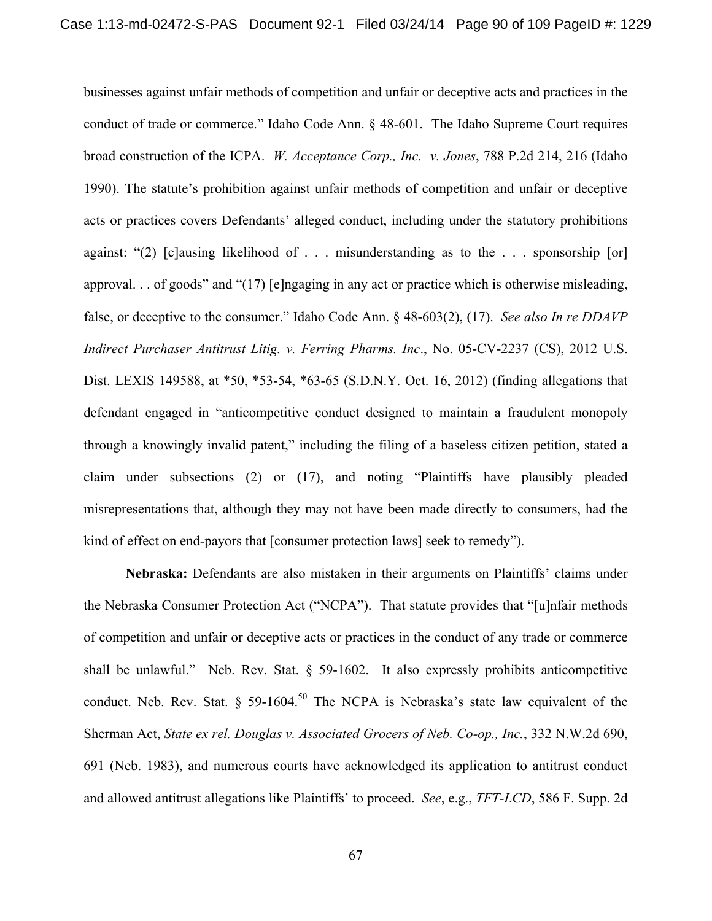businesses against unfair methods of competition and unfair or deceptive acts and practices in the conduct of trade or commerce." Idaho Code Ann. § 48-601. The Idaho Supreme Court requires broad construction of the ICPA. *W. Acceptance Corp., Inc. v. Jones*, 788 P.2d 214, 216 (Idaho 1990). The statute's prohibition against unfair methods of competition and unfair or deceptive acts or practices covers Defendants' alleged conduct, including under the statutory prohibitions against: "(2) [c]ausing likelihood of . . . misunderstanding as to the . . . sponsorship [or] approval. . . of goods" and "(17) [e]ngaging in any act or practice which is otherwise misleading, false, or deceptive to the consumer." Idaho Code Ann. § 48-603(2), (17). *See also In re DDAVP Indirect Purchaser Antitrust Litig. v. Ferring Pharms. Inc*., No. 05-CV-2237 (CS), 2012 U.S. Dist. LEXIS 149588, at \*50, \*53-54, \*63-65 (S.D.N.Y. Oct. 16, 2012) (finding allegations that defendant engaged in "anticompetitive conduct designed to maintain a fraudulent monopoly through a knowingly invalid patent," including the filing of a baseless citizen petition, stated a claim under subsections (2) or (17), and noting "Plaintiffs have plausibly pleaded misrepresentations that, although they may not have been made directly to consumers, had the kind of effect on end-payors that [consumer protection laws] seek to remedy").

**Nebraska:** Defendants are also mistaken in their arguments on Plaintiffs' claims under the Nebraska Consumer Protection Act ("NCPA"). That statute provides that "[u]nfair methods of competition and unfair or deceptive acts or practices in the conduct of any trade or commerce shall be unlawful." Neb. Rev. Stat.  $\S$  59-1602. It also expressly prohibits anticompetitive conduct. Neb. Rev. Stat.  $\S$  59-1604.<sup>50</sup> The NCPA is Nebraska's state law equivalent of the Sherman Act, *State ex rel. Douglas v. Associated Grocers of Neb. Co-op., Inc.*, 332 N.W.2d 690, 691 (Neb. 1983), and numerous courts have acknowledged its application to antitrust conduct and allowed antitrust allegations like Plaintiffs' to proceed. *See*, e.g., *TFT-LCD*, 586 F. Supp. 2d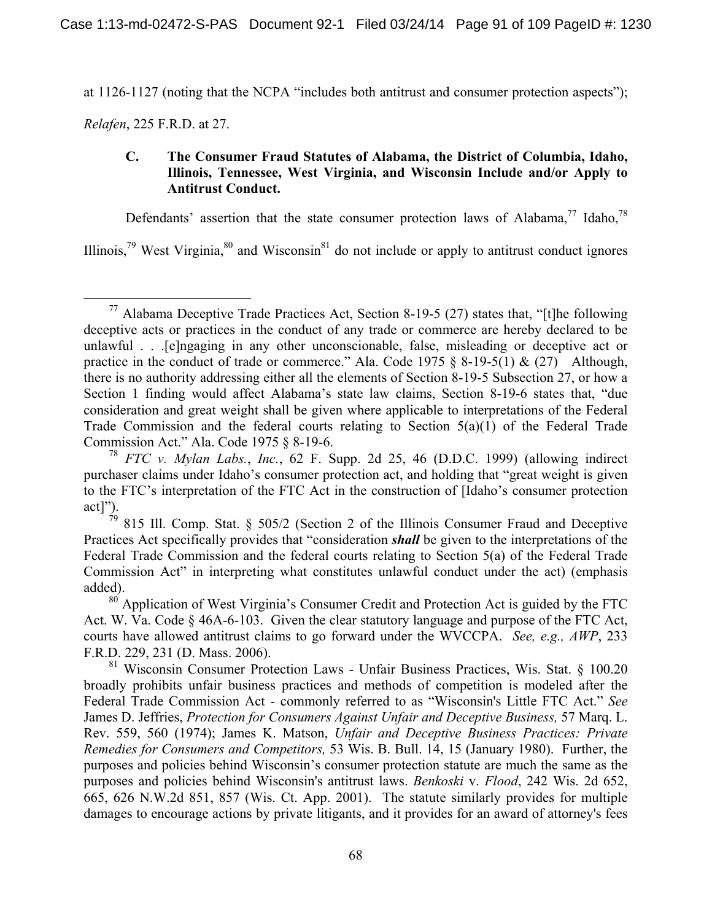at 1126-1127 (noting that the NCPA "includes both antitrust and consumer protection aspects");

*Relafen*, 225 F.R.D. at 27.

# **C. The Consumer Fraud Statutes of Alabama, the District of Columbia, Idaho, Illinois, Tennessee, West Virginia, and Wisconsin Include and/or Apply to Antitrust Conduct.**

Defendants' assertion that the state consumer protection laws of Alabama,<sup>77</sup> Idaho,<sup>78</sup>

Illinois,<sup>79</sup> West Virginia, $80$  and Wisconsin<sup>81</sup> do not include or apply to antitrust conduct ignores

<sup>&</sup>lt;sup>77</sup> Alabama Deceptive Trade Practices Act, Section 8-19-5 (27) states that, "[t]he following deceptive acts or practices in the conduct of any trade or commerce are hereby declared to be unlawful . . .[e]ngaging in any other unconscionable, false, misleading or deceptive act or practice in the conduct of trade or commerce." Ala. Code 1975  $\S$  8-19-5(1) & (27) Although, there is no authority addressing either all the elements of Section 8-19-5 Subsection 27, or how a Section 1 finding would affect Alabama's state law claims, Section 8-19-6 states that, "due consideration and great weight shall be given where applicable to interpretations of the Federal Trade Commission and the federal courts relating to Section 5(a)(1) of the Federal Trade Commission Act." Ala. Code 1975 § 8-19-6.

<sup>78</sup> *FTC v. Mylan Labs.*, *Inc.*, 62 F. Supp. 2d 25, 46 (D.D.C. 1999) (allowing indirect purchaser claims under Idaho's consumer protection act, and holding that "great weight is given to the FTC's interpretation of the FTC Act in the construction of [Idaho's consumer protection act]").

 $79$  815 Ill. Comp. Stat. § 505/2 (Section 2 of the Illinois Consumer Fraud and Deceptive Practices Act specifically provides that "consideration *shall* be given to the interpretations of the Federal Trade Commission and the federal courts relating to Section 5(a) of the Federal Trade Commission Act" in interpreting what constitutes unlawful conduct under the act) (emphasis added).

 $80^\circ$  Application of West Virginia's Consumer Credit and Protection Act is guided by the FTC Act. W. Va. Code § 46A-6-103. Given the clear statutory language and purpose of the FTC Act, courts have allowed antitrust claims to go forward under the WVCCPA. *See, e.g., AWP*, 233 F.R.D. 229, 231 (D. Mass. 2006).

<sup>81</sup> Wisconsin Consumer Protection Laws - Unfair Business Practices, Wis. Stat. § 100.20 broadly prohibits unfair business practices and methods of competition is modeled after the Federal Trade Commission Act - commonly referred to as "Wisconsin's Little FTC Act." *See* James D. Jeffries, *Protection for Consumers Against Unfair and Deceptive Business,* 57 Marq. L. Rev. 559, 560 (1974); James K. Matson, *Unfair and Deceptive Business Practices: Private Remedies for Consumers and Competitors,* 53 Wis. B. Bull. 14, 15 (January 1980). Further, the purposes and policies behind Wisconsin's consumer protection statute are much the same as the purposes and policies behind Wisconsin's antitrust laws. *Benkoski* v. *Flood*, 242 Wis. 2d 652, 665, 626 N.W.2d 851, 857 (Wis. Ct. App. 2001). The statute similarly provides for multiple damages to encourage actions by private litigants, and it provides for an award of attorney's fees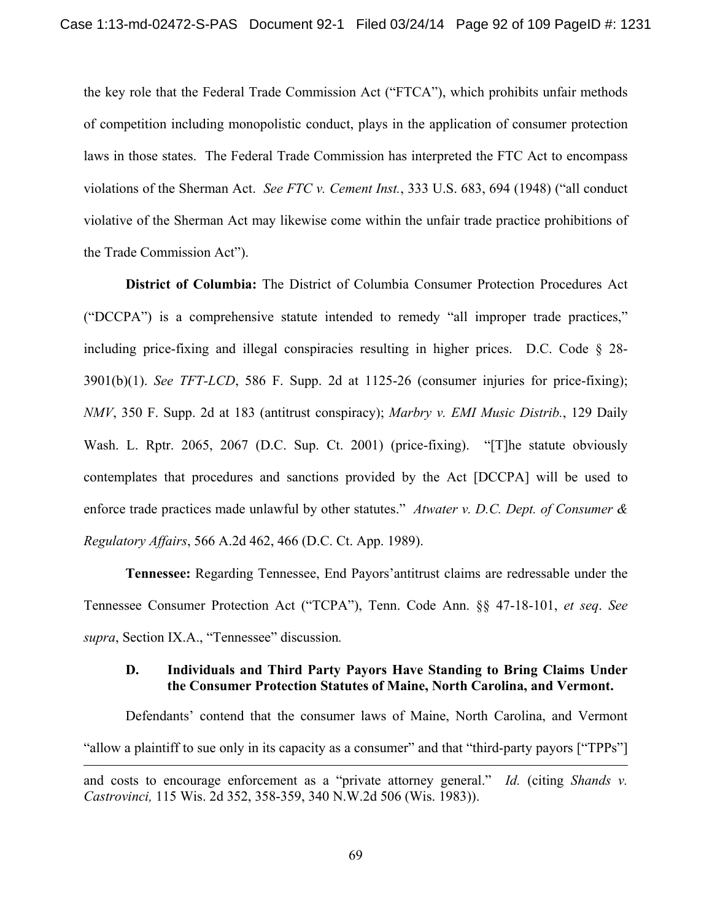the key role that the Federal Trade Commission Act ("FTCA"), which prohibits unfair methods of competition including monopolistic conduct, plays in the application of consumer protection laws in those states. The Federal Trade Commission has interpreted the FTC Act to encompass violations of the Sherman Act. *See FTC v. Cement Inst.*, 333 U.S. 683, 694 (1948) ("all conduct violative of the Sherman Act may likewise come within the unfair trade practice prohibitions of the Trade Commission Act").

**District of Columbia:** The District of Columbia Consumer Protection Procedures Act ("DCCPA") is a comprehensive statute intended to remedy "all improper trade practices," including price-fixing and illegal conspiracies resulting in higher prices. D.C. Code § 28- 3901(b)(1). *See TFT-LCD*, 586 F. Supp. 2d at 1125-26 (consumer injuries for price-fixing); *NMV*, 350 F. Supp. 2d at 183 (antitrust conspiracy); *Marbry v. EMI Music Distrib.*, 129 Daily Wash. L. Rptr. 2065, 2067 (D.C. Sup. Ct. 2001) (price-fixing). "[T]he statute obviously contemplates that procedures and sanctions provided by the Act [DCCPA] will be used to enforce trade practices made unlawful by other statutes." *Atwater v. D.C. Dept. of Consumer & Regulatory Affairs*, 566 A.2d 462, 466 (D.C. Ct. App. 1989).

**Tennessee:** Regarding Tennessee, End Payors'antitrust claims are redressable under the Tennessee Consumer Protection Act ("TCPA"), Tenn. Code Ann. §§ 47-18-101, *et seq*. *See supra*, Section IX.A., "Tennessee" discussion*.*

### **D. Individuals and Third Party Payors Have Standing to Bring Claims Under the Consumer Protection Statutes of Maine, North Carolina, and Vermont.**

Defendants' contend that the consumer laws of Maine, North Carolina, and Vermont "allow a plaintiff to sue only in its capacity as a consumer" and that "third-party payors ["TPPs"]  $\overline{a}$ 

and costs to encourage enforcement as a "private attorney general." *Id.* (citing *Shands v. Castrovinci,* 115 Wis. 2d 352, 358-359, 340 N.W.2d 506 (Wis. 1983)).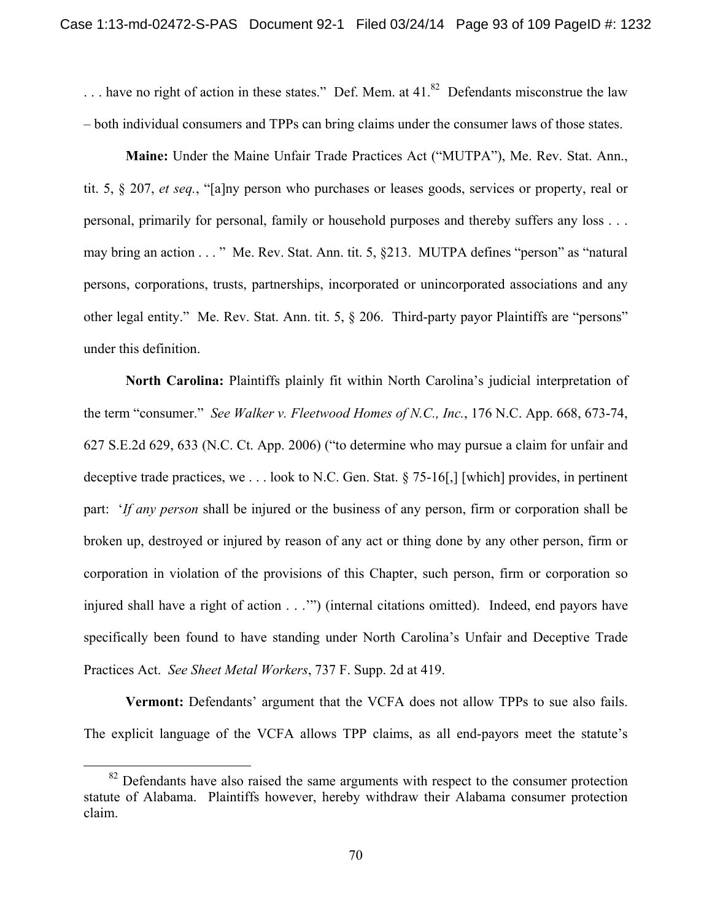$\ldots$  have no right of action in these states." Def. Mem. at 41.<sup>82</sup> Defendants misconstrue the law – both individual consumers and TPPs can bring claims under the consumer laws of those states.

**Maine:** Under the Maine Unfair Trade Practices Act ("MUTPA"), Me. Rev. Stat. Ann., tit. 5, § 207, *et seq.*, "[a]ny person who purchases or leases goods, services or property, real or personal, primarily for personal, family or household purposes and thereby suffers any loss . . . may bring an action . . . " Me. Rev. Stat. Ann. tit. 5, §213. MUTPA defines "person" as "natural persons, corporations, trusts, partnerships, incorporated or unincorporated associations and any other legal entity." Me. Rev. Stat. Ann. tit. 5, § 206. Third-party payor Plaintiffs are "persons" under this definition.

 **North Carolina:** Plaintiffs plainly fit within North Carolina's judicial interpretation of the term "consumer." *See Walker v. Fleetwood Homes of N.C., Inc.*, 176 N.C. App. 668, 673-74, 627 S.E.2d 629, 633 (N.C. Ct. App. 2006) ("to determine who may pursue a claim for unfair and deceptive trade practices, we . . . look to N.C. Gen. Stat. § 75-16[,] [which] provides, in pertinent part: '*If any person* shall be injured or the business of any person, firm or corporation shall be broken up, destroyed or injured by reason of any act or thing done by any other person, firm or corporation in violation of the provisions of this Chapter, such person, firm or corporation so injured shall have a right of action . . .'") (internal citations omitted). Indeed, end payors have specifically been found to have standing under North Carolina's Unfair and Deceptive Trade Practices Act. *See Sheet Metal Workers*, 737 F. Supp. 2d at 419.

 **Vermont:** Defendants' argument that the VCFA does not allow TPPs to sue also fails. The explicit language of the VCFA allows TPP claims, as all end-payors meet the statute's

 $82$  Defendants have also raised the same arguments with respect to the consumer protection statute of Alabama. Plaintiffs however, hereby withdraw their Alabama consumer protection claim.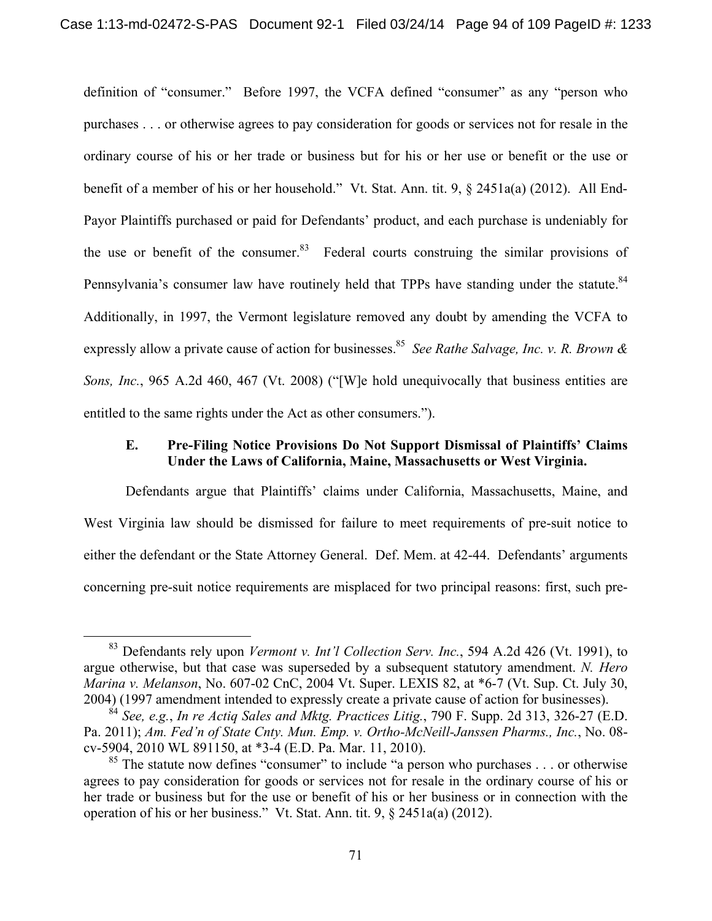definition of "consumer." Before 1997, the VCFA defined "consumer" as any "person who purchases . . . or otherwise agrees to pay consideration for goods or services not for resale in the ordinary course of his or her trade or business but for his or her use or benefit or the use or benefit of a member of his or her household." Vt. Stat. Ann. tit. 9, § 2451a(a) (2012). All End-Payor Plaintiffs purchased or paid for Defendants' product, and each purchase is undeniably for the use or benefit of the consumer. $83$  Federal courts construing the similar provisions of Pennsylvania's consumer law have routinely held that TPPs have standing under the statute.<sup>84</sup> Additionally, in 1997, the Vermont legislature removed any doubt by amending the VCFA to expressly allow a private cause of action for businesses.<sup>85</sup> *See Rathe Salvage, Inc. v. R. Brown & Sons, Inc.*, 965 A.2d 460, 467 (Vt. 2008) ("[W]e hold unequivocally that business entities are entitled to the same rights under the Act as other consumers.").

## **E. Pre-Filing Notice Provisions Do Not Support Dismissal of Plaintiffs' Claims Under the Laws of California, Maine, Massachusetts or West Virginia.**

Defendants argue that Plaintiffs' claims under California, Massachusetts, Maine, and West Virginia law should be dismissed for failure to meet requirements of pre-suit notice to either the defendant or the State Attorney General. Def. Mem. at 42-44. Defendants' arguments concerning pre-suit notice requirements are misplaced for two principal reasons: first, such pre-

 <sup>83</sup> Defendants rely upon *Vermont v. Int'l Collection Serv. Inc.*, 594 A.2d 426 (Vt. 1991), to argue otherwise, but that case was superseded by a subsequent statutory amendment. *N. Hero Marina v. Melanson*, No. 607-02 CnC, 2004 Vt. Super. LEXIS 82, at \*6-7 (Vt. Sup. Ct. July 30, 2004) (1997 amendment intended to expressly create a private cause of action for businesses).

<sup>84</sup> *See, e.g.*, *In re Actiq Sales and Mktg. Practices Litig.*, 790 F. Supp. 2d 313, 326-27 (E.D. Pa. 2011); *Am. Fed'n of State Cnty. Mun. Emp. v. Ortho-McNeill-Janssen Pharms., Inc.*, No. 08 cv-5904, 2010 WL 891150, at \*3-4 (E.D. Pa. Mar. 11, 2010).

 $85$  The statute now defines "consumer" to include "a person who purchases . . . or otherwise agrees to pay consideration for goods or services not for resale in the ordinary course of his or her trade or business but for the use or benefit of his or her business or in connection with the operation of his or her business." Vt. Stat. Ann. tit. 9, § 2451a(a) (2012).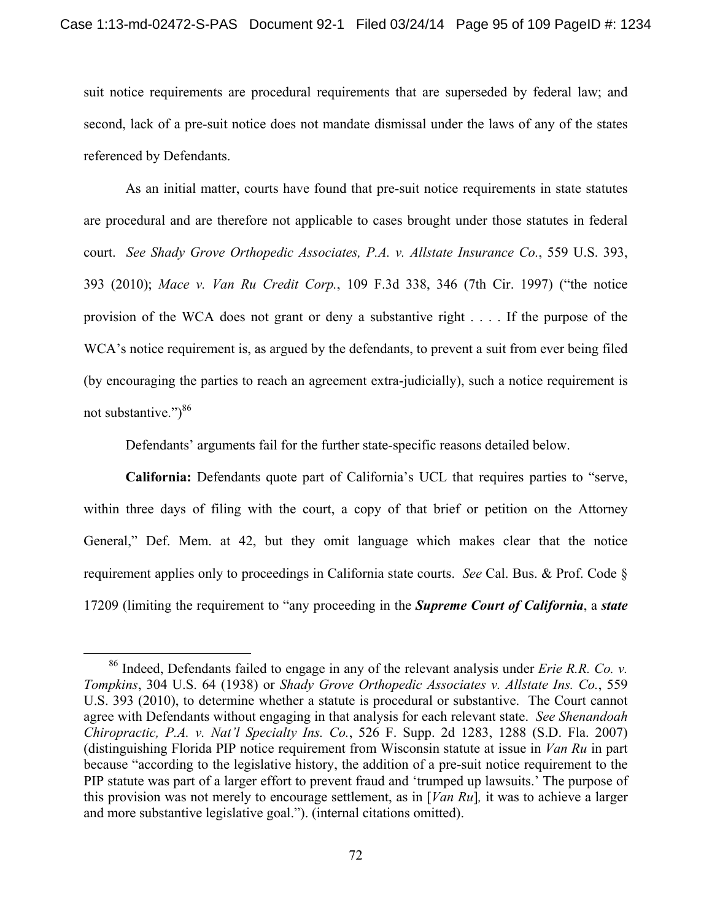suit notice requirements are procedural requirements that are superseded by federal law; and second, lack of a pre-suit notice does not mandate dismissal under the laws of any of the states referenced by Defendants.

As an initial matter, courts have found that pre-suit notice requirements in state statutes are procedural and are therefore not applicable to cases brought under those statutes in federal court. *See Shady Grove Orthopedic Associates, P.A. v. Allstate Insurance Co.*, 559 U.S. 393, 393 (2010); *Mace v. Van Ru Credit Corp.*, 109 F.3d 338, 346 (7th Cir. 1997) ("the notice provision of the WCA does not grant or deny a substantive right . . . . If the purpose of the WCA's notice requirement is, as argued by the defendants, to prevent a suit from ever being filed (by encouraging the parties to reach an agreement extra-judicially), such a notice requirement is not substantive." $)^{86}$ 

Defendants' arguments fail for the further state-specific reasons detailed below.

**California:** Defendants quote part of California's UCL that requires parties to "serve, within three days of filing with the court, a copy of that brief or petition on the Attorney General," Def. Mem. at 42, but they omit language which makes clear that the notice requirement applies only to proceedings in California state courts. *See* Cal. Bus. & Prof. Code § 17209 (limiting the requirement to "any proceeding in the *Supreme Court of California*, a *state* 

 <sup>86</sup> Indeed, Defendants failed to engage in any of the relevant analysis under *Erie R.R. Co. v. Tompkins*, 304 U.S. 64 (1938) or *Shady Grove Orthopedic Associates v. Allstate Ins. Co.*, 559 U.S. 393 (2010), to determine whether a statute is procedural or substantive. The Court cannot agree with Defendants without engaging in that analysis for each relevant state. *See Shenandoah Chiropractic, P.A. v. Nat'l Specialty Ins. Co.*, 526 F. Supp. 2d 1283, 1288 (S.D. Fla. 2007) (distinguishing Florida PIP notice requirement from Wisconsin statute at issue in *Van Ru* in part because "according to the legislative history, the addition of a pre-suit notice requirement to the PIP statute was part of a larger effort to prevent fraud and 'trumped up lawsuits.' The purpose of this provision was not merely to encourage settlement, as in [*Van Ru*]*,* it was to achieve a larger and more substantive legislative goal."). (internal citations omitted).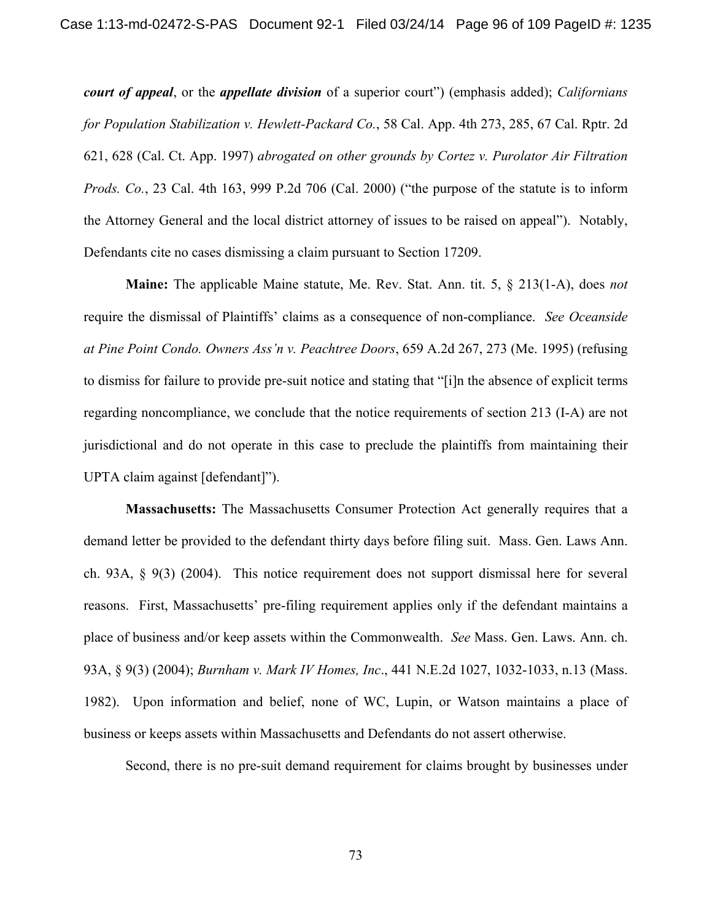*court of appeal*, or the *appellate division* of a superior court") (emphasis added); *Californians for Population Stabilization v. Hewlett-Packard Co.*, 58 Cal. App. 4th 273, 285, 67 Cal. Rptr. 2d 621, 628 (Cal. Ct. App. 1997) *abrogated on other grounds by Cortez v. Purolator Air Filtration Prods. Co.*, 23 Cal. 4th 163, 999 P.2d 706 (Cal. 2000) ("the purpose of the statute is to inform the Attorney General and the local district attorney of issues to be raised on appeal"). Notably, Defendants cite no cases dismissing a claim pursuant to Section 17209.

**Maine:** The applicable Maine statute, Me. Rev. Stat. Ann. tit. 5, § 213(1-A), does *not* require the dismissal of Plaintiffs' claims as a consequence of non-compliance. *See Oceanside at Pine Point Condo. Owners Ass'n v. Peachtree Doors*, 659 A.2d 267, 273 (Me. 1995) (refusing to dismiss for failure to provide pre-suit notice and stating that "[i]n the absence of explicit terms regarding noncompliance, we conclude that the notice requirements of section 213 (I-A) are not jurisdictional and do not operate in this case to preclude the plaintiffs from maintaining their UPTA claim against [defendant]").

**Massachusetts:** The Massachusetts Consumer Protection Act generally requires that a demand letter be provided to the defendant thirty days before filing suit. Mass. Gen. Laws Ann. ch. 93A, § 9(3) (2004). This notice requirement does not support dismissal here for several reasons. First, Massachusetts' pre-filing requirement applies only if the defendant maintains a place of business and/or keep assets within the Commonwealth. *See* Mass. Gen. Laws. Ann. ch. 93A, § 9(3) (2004); *Burnham v. Mark IV Homes, Inc*., 441 N.E.2d 1027, 1032-1033, n.13 (Mass. 1982). Upon information and belief, none of WC, Lupin, or Watson maintains a place of business or keeps assets within Massachusetts and Defendants do not assert otherwise.

Second, there is no pre-suit demand requirement for claims brought by businesses under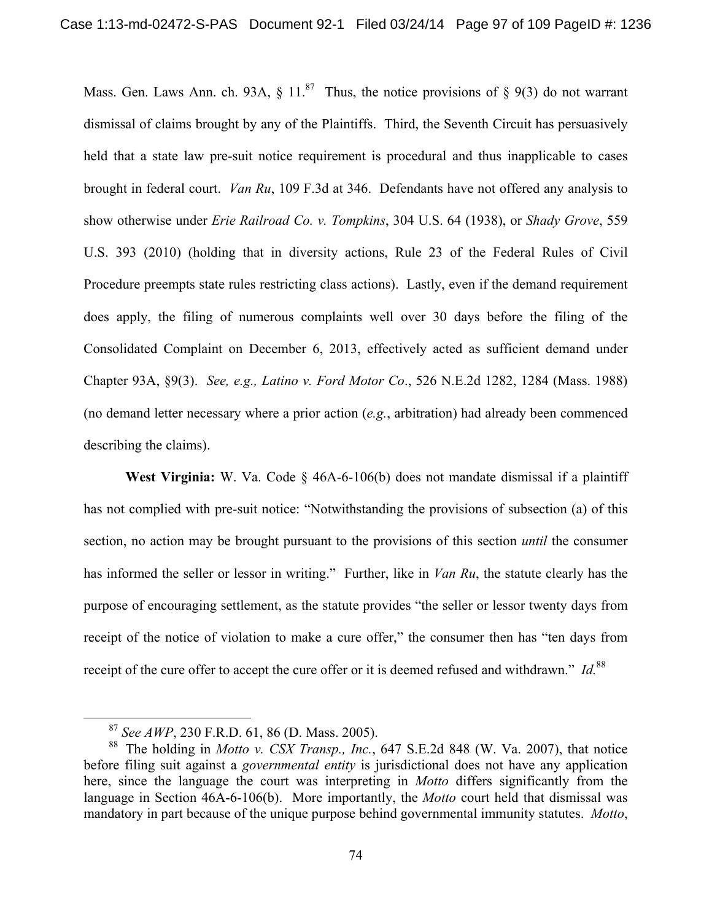Mass. Gen. Laws Ann. ch. 93A,  $\S 11$ .<sup>87</sup> Thus, the notice provisions of  $\S 9(3)$  do not warrant dismissal of claims brought by any of the Plaintiffs. Third, the Seventh Circuit has persuasively held that a state law pre-suit notice requirement is procedural and thus inapplicable to cases brought in federal court. *Van Ru*, 109 F.3d at 346. Defendants have not offered any analysis to show otherwise under *Erie Railroad Co. v. Tompkins*, 304 U.S. 64 (1938), or *Shady Grove*, 559 U.S. 393 (2010) (holding that in diversity actions, Rule 23 of the Federal Rules of Civil Procedure preempts state rules restricting class actions). Lastly, even if the demand requirement does apply, the filing of numerous complaints well over 30 days before the filing of the Consolidated Complaint on December 6, 2013, effectively acted as sufficient demand under Chapter 93A, §9(3). *See, e.g., Latino v. Ford Motor Co*., 526 N.E.2d 1282, 1284 (Mass. 1988) (no demand letter necessary where a prior action (*e.g.*, arbitration) had already been commenced describing the claims).

**West Virginia:** W. Va. Code § 46A-6-106(b) does not mandate dismissal if a plaintiff has not complied with pre-suit notice: "Notwithstanding the provisions of subsection (a) of this section, no action may be brought pursuant to the provisions of this section *until* the consumer has informed the seller or lessor in writing." Further, like in *Van Ru*, the statute clearly has the purpose of encouraging settlement, as the statute provides "the seller or lessor twenty days from receipt of the notice of violation to make a cure offer," the consumer then has "ten days from receipt of the cure offer to accept the cure offer or it is deemed refused and withdrawn." *Id.*<sup>88</sup>

 <sup>87</sup> *See AWP*, 230 F.R.D. 61, 86 (D. Mass. 2005).

<sup>88</sup> The holding in *Motto v. CSX Transp., Inc.*, 647 S.E.2d 848 (W. Va. 2007), that notice before filing suit against a *governmental entity* is jurisdictional does not have any application here, since the language the court was interpreting in *Motto* differs significantly from the language in Section 46A-6-106(b). More importantly, the *Motto* court held that dismissal was mandatory in part because of the unique purpose behind governmental immunity statutes. *Motto*,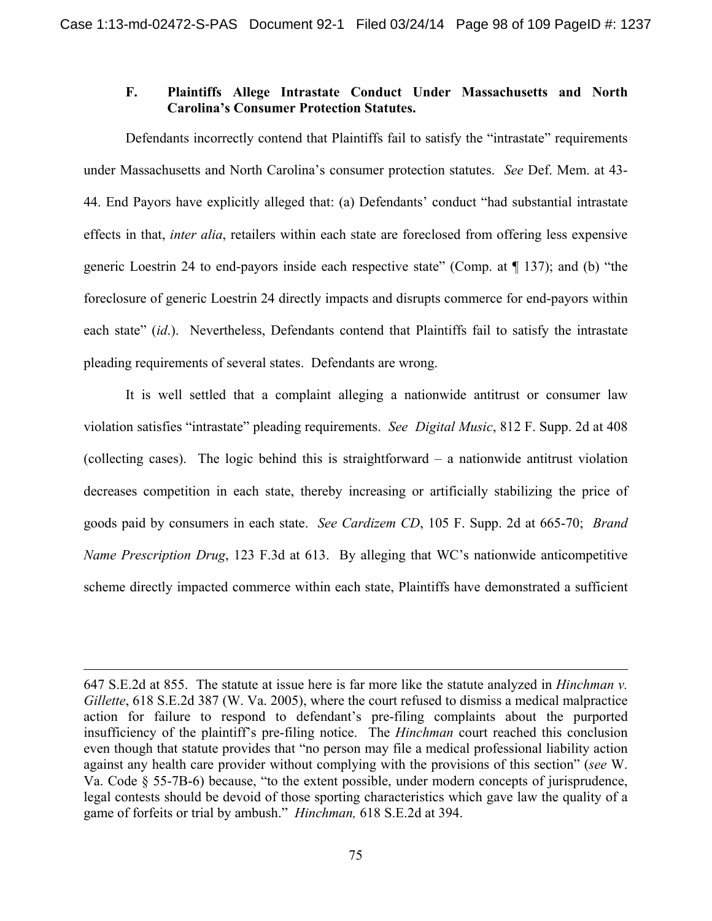## **F. Plaintiffs Allege Intrastate Conduct Under Massachusetts and North Carolina's Consumer Protection Statutes.**

Defendants incorrectly contend that Plaintiffs fail to satisfy the "intrastate" requirements under Massachusetts and North Carolina's consumer protection statutes. *See* Def. Mem. at 43- 44. End Payors have explicitly alleged that: (a) Defendants' conduct "had substantial intrastate effects in that, *inter alia*, retailers within each state are foreclosed from offering less expensive generic Loestrin 24 to end-payors inside each respective state" (Comp. at ¶ 137); and (b) "the foreclosure of generic Loestrin 24 directly impacts and disrupts commerce for end-payors within each state" *(id.).* Nevertheless, Defendants contend that Plaintiffs fail to satisfy the intrastate pleading requirements of several states. Defendants are wrong.

It is well settled that a complaint alleging a nationwide antitrust or consumer law violation satisfies "intrastate" pleading requirements. *See Digital Music*, 812 F. Supp. 2d at 408 (collecting cases). The logic behind this is straightforward – a nationwide antitrust violation decreases competition in each state, thereby increasing or artificially stabilizing the price of goods paid by consumers in each state. *See Cardizem CD*, 105 F. Supp. 2d at 665-70; *Brand Name Prescription Drug*, 123 F.3d at 613. By alleging that WC's nationwide anticompetitive scheme directly impacted commerce within each state, Plaintiffs have demonstrated a sufficient

 $\overline{a}$ 

<sup>647</sup> S.E.2d at 855. The statute at issue here is far more like the statute analyzed in *Hinchman v. Gillette*, 618 S.E.2d 387 (W. Va. 2005), where the court refused to dismiss a medical malpractice action for failure to respond to defendant's pre-filing complaints about the purported insufficiency of the plaintiff's pre-filing notice. The *Hinchman* court reached this conclusion even though that statute provides that "no person may file a medical professional liability action against any health care provider without complying with the provisions of this section" (*see* W. Va. Code § 55-7B-6) because, "to the extent possible, under modern concepts of jurisprudence, legal contests should be devoid of those sporting characteristics which gave law the quality of a game of forfeits or trial by ambush." *Hinchman,* 618 S.E.2d at 394.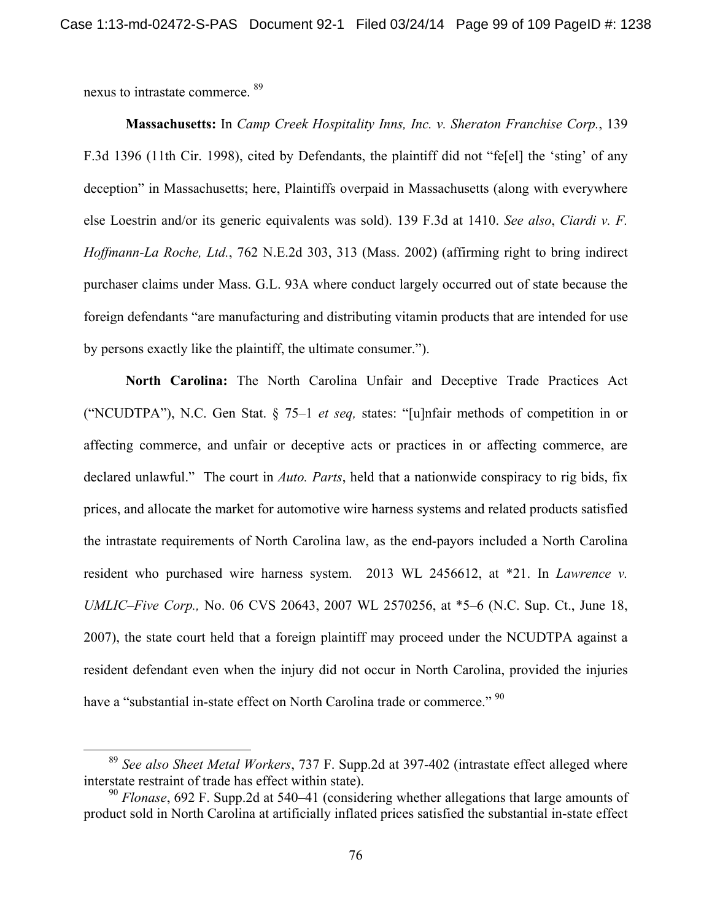nexus to intrastate commerce. 89

**Massachusetts:** In *Camp Creek Hospitality Inns, Inc. v. Sheraton Franchise Corp.*, 139 F.3d 1396 (11th Cir. 1998), cited by Defendants, the plaintiff did not "fe[el] the 'sting' of any deception" in Massachusetts; here, Plaintiffs overpaid in Massachusetts (along with everywhere else Loestrin and/or its generic equivalents was sold). 139 F.3d at 1410. *See also*, *Ciardi v. F. Hoffmann-La Roche, Ltd.*, 762 N.E.2d 303, 313 (Mass. 2002) (affirming right to bring indirect purchaser claims under Mass. G.L. 93A where conduct largely occurred out of state because the foreign defendants "are manufacturing and distributing vitamin products that are intended for use by persons exactly like the plaintiff, the ultimate consumer.").

**North Carolina:** The North Carolina Unfair and Deceptive Trade Practices Act ("NCUDTPA"), N.C. Gen Stat. § 75–1 *et seq,* states: "[u]nfair methods of competition in or affecting commerce, and unfair or deceptive acts or practices in or affecting commerce, are declared unlawful." The court in *Auto. Parts*, held that a nationwide conspiracy to rig bids, fix prices, and allocate the market for automotive wire harness systems and related products satisfied the intrastate requirements of North Carolina law, as the end-payors included a North Carolina resident who purchased wire harness system. 2013 WL 2456612, at \*21. In *Lawrence v. UMLIC–Five Corp.,* No. 06 CVS 20643, 2007 WL 2570256, at \*5–6 (N.C. Sup. Ct., June 18, 2007), the state court held that a foreign plaintiff may proceed under the NCUDTPA against a resident defendant even when the injury did not occur in North Carolina, provided the injuries have a "substantial in-state effect on North Carolina trade or commerce." <sup>90</sup>

 <sup>89</sup> *See also Sheet Metal Workers*, 737 F. Supp.2d at 397-402 (intrastate effect alleged where interstate restraint of trade has effect within state).

<sup>90</sup> *Flonase*, 692 F. Supp.2d at 540–41 (considering whether allegations that large amounts of product sold in North Carolina at artificially inflated prices satisfied the substantial in-state effect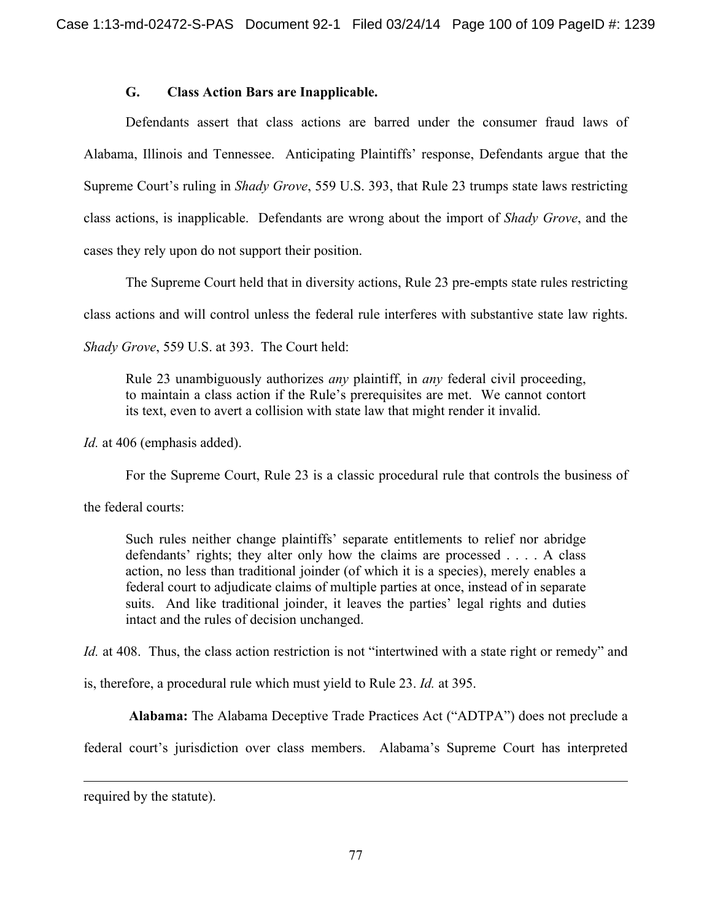# **G. Class Action Bars are Inapplicable.**

Defendants assert that class actions are barred under the consumer fraud laws of Alabama, Illinois and Tennessee. Anticipating Plaintiffs' response, Defendants argue that the Supreme Court's ruling in *Shady Grove*, 559 U.S. 393, that Rule 23 trumps state laws restricting class actions, is inapplicable. Defendants are wrong about the import of *Shady Grove*, and the cases they rely upon do not support their position.

The Supreme Court held that in diversity actions, Rule 23 pre-empts state rules restricting

class actions and will control unless the federal rule interferes with substantive state law rights.

*Shady Grove*, 559 U.S. at 393. The Court held:

Rule 23 unambiguously authorizes *any* plaintiff, in *any* federal civil proceeding, to maintain a class action if the Rule's prerequisites are met. We cannot contort its text, even to avert a collision with state law that might render it invalid.

*Id.* at 406 (emphasis added).

For the Supreme Court, Rule 23 is a classic procedural rule that controls the business of

the federal courts:

Such rules neither change plaintiffs' separate entitlements to relief nor abridge defendants' rights; they alter only how the claims are processed . . . . A class action, no less than traditional joinder (of which it is a species), merely enables a federal court to adjudicate claims of multiple parties at once, instead of in separate suits. And like traditional joinder, it leaves the parties' legal rights and duties intact and the rules of decision unchanged.

*Id.* at 408. Thus, the class action restriction is not "intertwined with a state right or remedy" and

is, therefore, a procedural rule which must yield to Rule 23. *Id.* at 395.

**Alabama:** The Alabama Deceptive Trade Practices Act ("ADTPA") does not preclude a

federal court's jurisdiction over class members. Alabama's Supreme Court has interpreted

required by the statute).

 $\overline{a}$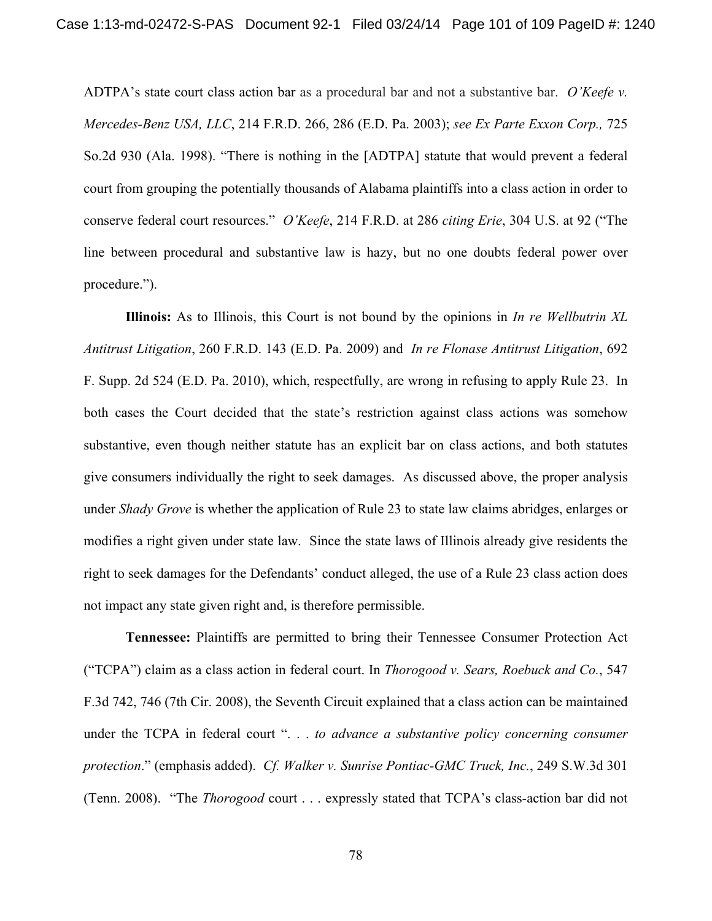ADTPA's state court class action bar as a procedural bar and not a substantive bar. *O'Keefe v. Mercedes-Benz USA, LLC*, 214 F.R.D. 266, 286 (E.D. Pa. 2003); *see Ex Parte Exxon Corp.,* 725 So.2d 930 (Ala. 1998). "There is nothing in the [ADTPA] statute that would prevent a federal court from grouping the potentially thousands of Alabama plaintiffs into a class action in order to conserve federal court resources." *O'Keefe*, 214 F.R.D. at 286 *citing Erie*, 304 U.S. at 92 ("The line between procedural and substantive law is hazy, but no one doubts federal power over procedure.").

**Illinois:** As to Illinois, this Court is not bound by the opinions in *In re Wellbutrin XL Antitrust Litigation*, 260 F.R.D. 143 (E.D. Pa. 2009) and *In re Flonase Antitrust Litigation*, 692 F. Supp. 2d 524 (E.D. Pa. 2010), which, respectfully, are wrong in refusing to apply Rule 23. In both cases the Court decided that the state's restriction against class actions was somehow substantive, even though neither statute has an explicit bar on class actions, and both statutes give consumers individually the right to seek damages. As discussed above, the proper analysis under *Shady Grove* is whether the application of Rule 23 to state law claims abridges, enlarges or modifies a right given under state law. Since the state laws of Illinois already give residents the right to seek damages for the Defendants' conduct alleged, the use of a Rule 23 class action does not impact any state given right and, is therefore permissible.

**Tennessee:** Plaintiffs are permitted to bring their Tennessee Consumer Protection Act ("TCPA") claim as a class action in federal court. In *Thorogood v. Sears, Roebuck and Co.*, 547 F.3d 742, 746 (7th Cir. 2008), the Seventh Circuit explained that a class action can be maintained under the TCPA in federal court ". . . *to advance a substantive policy concerning consumer protection*." (emphasis added). *Cf. Walker v. Sunrise Pontiac-GMC Truck, Inc.*, 249 S.W.3d 301 (Tenn. 2008). "The *Thorogood* court . . . expressly stated that TCPA's class-action bar did not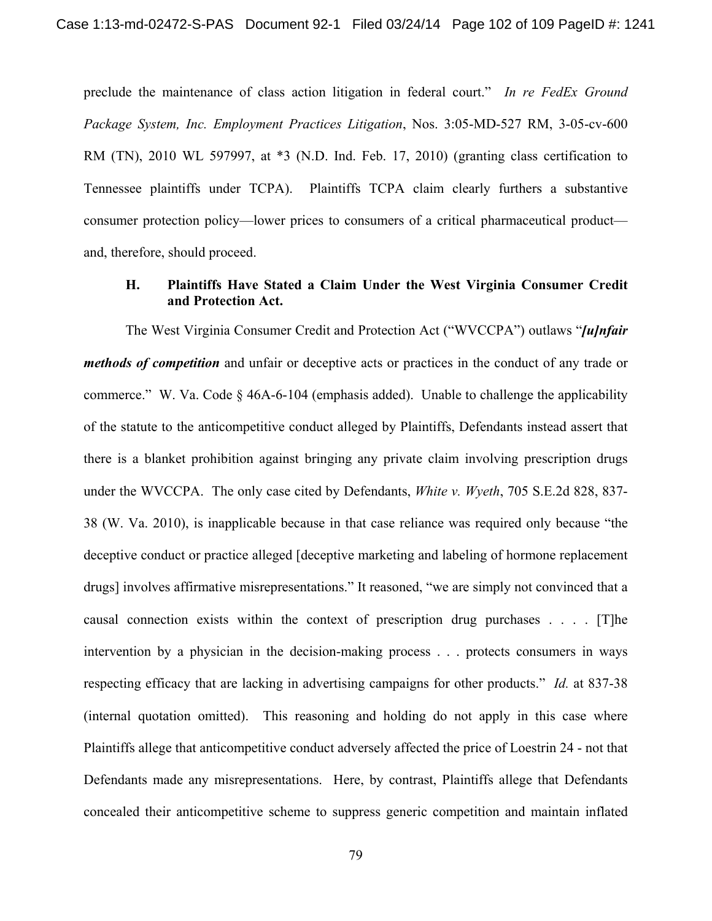preclude the maintenance of class action litigation in federal court." *In re FedEx Ground Package System, Inc. Employment Practices Litigation*, Nos. 3:05-MD-527 RM, 3-05-cv-600 RM (TN), 2010 WL 597997, at \*3 (N.D. Ind. Feb. 17, 2010) (granting class certification to Tennessee plaintiffs under TCPA).Plaintiffs TCPA claim clearly furthers a substantive consumer protection policy—lower prices to consumers of a critical pharmaceutical product and, therefore, should proceed.

## **H. Plaintiffs Have Stated a Claim Under the West Virginia Consumer Credit and Protection Act.**

The West Virginia Consumer Credit and Protection Act ("WVCCPA") outlaws "*[u]nfair methods of competition* and unfair or deceptive acts or practices in the conduct of any trade or commerce."W. Va. Code § 46A-6-104 (emphasis added). Unable to challenge the applicability of the statute to the anticompetitive conduct alleged by Plaintiffs, Defendants instead assert that there is a blanket prohibition against bringing any private claim involving prescription drugs under the WVCCPA. The only case cited by Defendants, *White v. Wyeth*, 705 S.E.2d 828, 837- 38 (W. Va. 2010), is inapplicable because in that case reliance was required only because "the deceptive conduct or practice alleged [deceptive marketing and labeling of hormone replacement drugs] involves affirmative misrepresentations." It reasoned, "we are simply not convinced that a causal connection exists within the context of prescription drug purchases . . . . [T]he intervention by a physician in the decision-making process . . . protects consumers in ways respecting efficacy that are lacking in advertising campaigns for other products." *Id.* at 837-38 (internal quotation omitted). This reasoning and holding do not apply in this case where Plaintiffs allege that anticompetitive conduct adversely affected the price of Loestrin 24 - not that Defendants made any misrepresentations. Here, by contrast, Plaintiffs allege that Defendants concealed their anticompetitive scheme to suppress generic competition and maintain inflated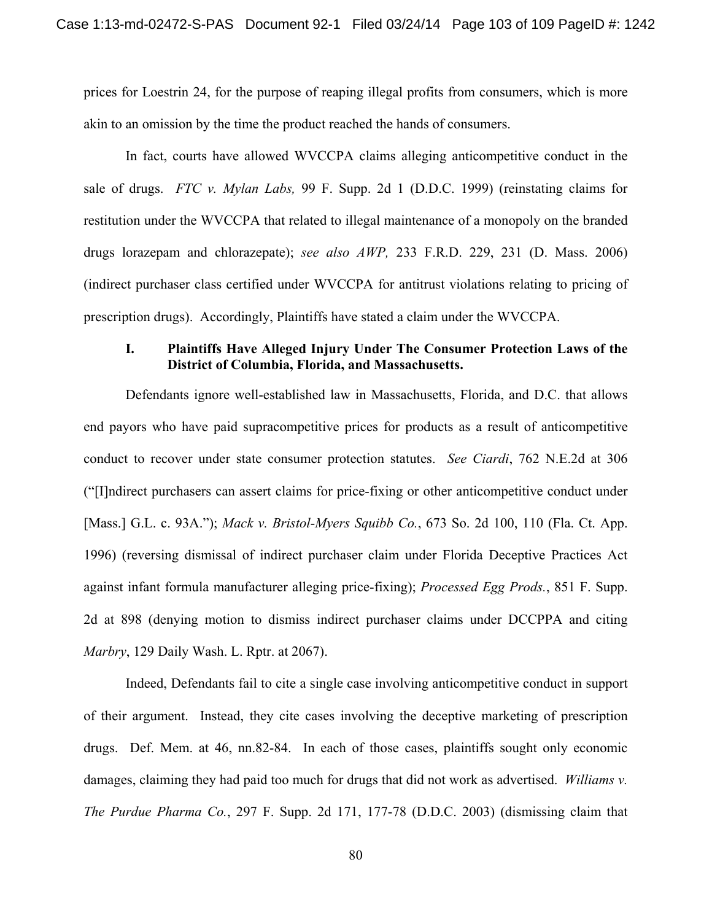prices for Loestrin 24, for the purpose of reaping illegal profits from consumers, which is more akin to an omission by the time the product reached the hands of consumers.

In fact, courts have allowed WVCCPA claims alleging anticompetitive conduct in the sale of drugs. *FTC v. Mylan Labs,* 99 F. Supp. 2d 1 (D.D.C. 1999) (reinstating claims for restitution under the WVCCPA that related to illegal maintenance of a monopoly on the branded drugs lorazepam and chlorazepate); *see also AWP,* 233 F.R.D. 229, 231 (D. Mass. 2006) (indirect purchaser class certified under WVCCPA for antitrust violations relating to pricing of prescription drugs). Accordingly, Plaintiffs have stated a claim under the WVCCPA.

### **I. Plaintiffs Have Alleged Injury Under The Consumer Protection Laws of the District of Columbia, Florida, and Massachusetts.**

 Defendants ignore well-established law in Massachusetts, Florida, and D.C. that allows end payors who have paid supracompetitive prices for products as a result of anticompetitive conduct to recover under state consumer protection statutes. *See Ciardi*, 762 N.E.2d at 306 ("[I]ndirect purchasers can assert claims for price-fixing or other anticompetitive conduct under [Mass.] G.L. c. 93A."); *Mack v. Bristol-Myers Squibb Co.*, 673 So. 2d 100, 110 (Fla. Ct. App. 1996) (reversing dismissal of indirect purchaser claim under Florida Deceptive Practices Act against infant formula manufacturer alleging price-fixing); *Processed Egg Prods.*, 851 F. Supp. 2d at 898 (denying motion to dismiss indirect purchaser claims under DCCPPA and citing *Marbry*, 129 Daily Wash. L. Rptr. at 2067).

 Indeed, Defendants fail to cite a single case involving anticompetitive conduct in support of their argument. Instead, they cite cases involving the deceptive marketing of prescription drugs. Def. Mem. at 46, nn.82-84. In each of those cases, plaintiffs sought only economic damages, claiming they had paid too much for drugs that did not work as advertised. *Williams v. The Purdue Pharma Co.*, 297 F. Supp. 2d 171, 177-78 (D.D.C. 2003) (dismissing claim that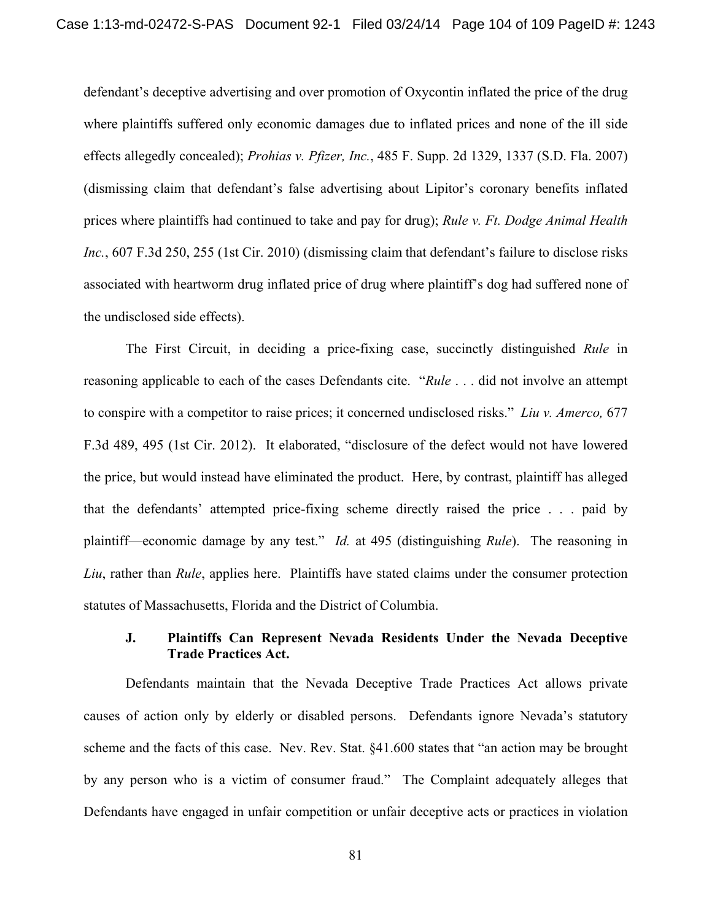defendant's deceptive advertising and over promotion of Oxycontin inflated the price of the drug where plaintiffs suffered only economic damages due to inflated prices and none of the ill side effects allegedly concealed); *Prohias v. Pfizer, Inc.*, 485 F. Supp. 2d 1329, 1337 (S.D. Fla. 2007) (dismissing claim that defendant's false advertising about Lipitor's coronary benefits inflated prices where plaintiffs had continued to take and pay for drug); *Rule v. Ft. Dodge Animal Health Inc.*, 607 F.3d 250, 255 (1st Cir. 2010) (dismissing claim that defendant's failure to disclose risks associated with heartworm drug inflated price of drug where plaintiff's dog had suffered none of the undisclosed side effects).

The First Circuit, in deciding a price-fixing case, succinctly distinguished *Rule* in reasoning applicable to each of the cases Defendants cite. "*Rule* . . . did not involve an attempt to conspire with a competitor to raise prices; it concerned undisclosed risks." *Liu v. Amerco,* 677 F.3d 489, 495 (1st Cir. 2012). It elaborated, "disclosure of the defect would not have lowered the price, but would instead have eliminated the product. Here, by contrast, plaintiff has alleged that the defendants' attempted price-fixing scheme directly raised the price . . . paid by plaintiff—economic damage by any test." *Id.* at 495 (distinguishing *Rule*). The reasoning in *Liu*, rather than *Rule*, applies here. Plaintiffs have stated claims under the consumer protection statutes of Massachusetts, Florida and the District of Columbia.

# **J. Plaintiffs Can Represent Nevada Residents Under the Nevada Deceptive Trade Practices Act.**

Defendants maintain that the Nevada Deceptive Trade Practices Act allows private causes of action only by elderly or disabled persons. Defendants ignore Nevada's statutory scheme and the facts of this case. Nev. Rev. Stat. §41.600 states that "an action may be brought by any person who is a victim of consumer fraud." The Complaint adequately alleges that Defendants have engaged in unfair competition or unfair deceptive acts or practices in violation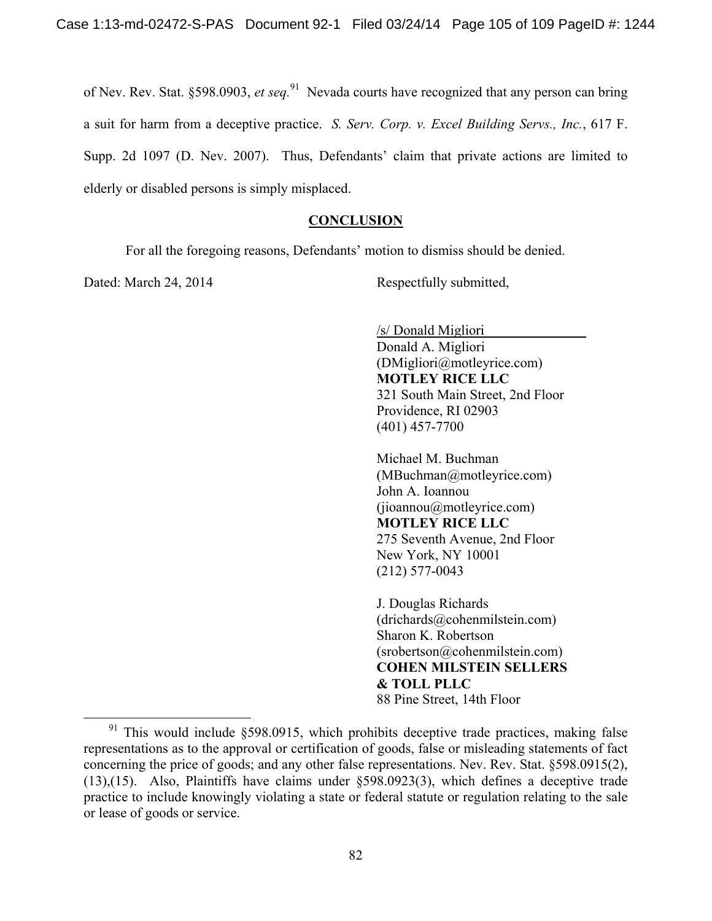of Nev. Rev. Stat. §598.0903, *et seq.*91 Nevada courts have recognized that any person can bring a suit for harm from a deceptive practice. *S. Serv. Corp. v. Excel Building Servs., Inc.*, 617 F. Supp. 2d 1097 (D. Nev. 2007). Thus, Defendants' claim that private actions are limited to elderly or disabled persons is simply misplaced.

### **CONCLUSION**

For all the foregoing reasons, Defendants' motion to dismiss should be denied.

Dated: March 24, 2014 Respectfully submitted,

/s/ Donald Migliori Donald A. Migliori

(DMigliori@motleyrice.com) **MOTLEY RICE LLC** 321 South Main Street, 2nd Floor Providence, RI 02903 (401) 457-7700

Michael M. Buchman (MBuchman@motleyrice.com) John A. Ioannou (jioannou@motleyrice.com) **MOTLEY RICE LLC** 275 Seventh Avenue, 2nd Floor New York, NY 10001 (212) 577-0043

J. Douglas Richards (drichards@cohenmilstein.com) Sharon K. Robertson (srobertson@cohenmilstein.com) **COHEN MILSTEIN SELLERS & TOLL PLLC** 88 Pine Street, 14th Floor

<sup>&</sup>lt;sup>91</sup> This would include §598.0915, which prohibits deceptive trade practices, making false representations as to the approval or certification of goods, false or misleading statements of fact concerning the price of goods; and any other false representations. Nev. Rev. Stat. §598.0915(2), (13),(15). Also, Plaintiffs have claims under §598.0923(3), which defines a deceptive trade practice to include knowingly violating a state or federal statute or regulation relating to the sale or lease of goods or service.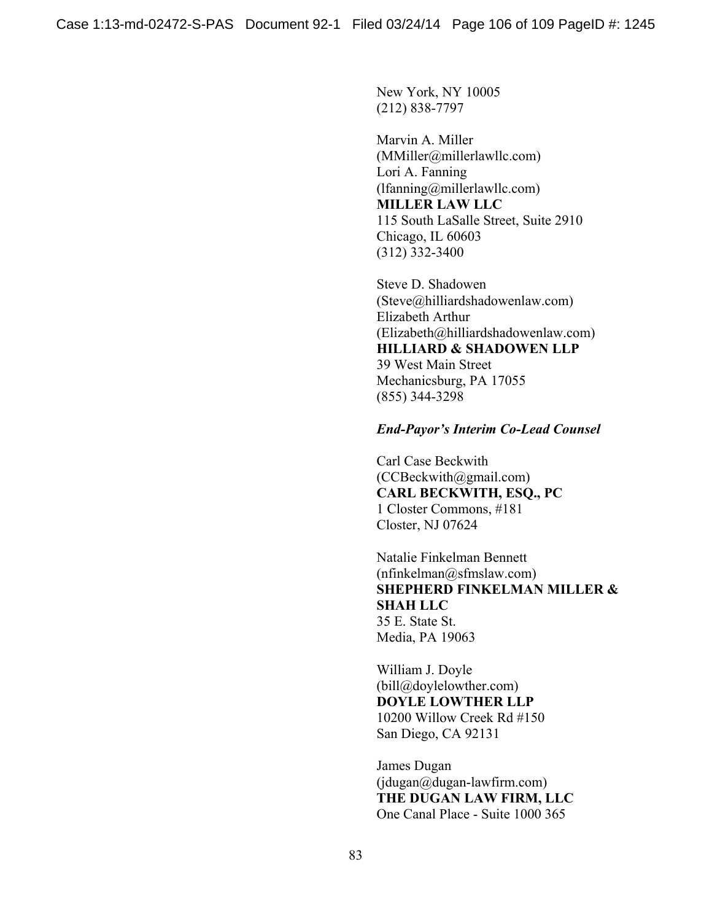New York, NY 10005 (212) 838-7797

Marvin A. Miller (MMiller@millerlawllc.com) Lori A. Fanning (lfanning@millerlawllc.com) **MILLER LAW LLC** 115 South LaSalle Street, Suite 2910 Chicago, IL 60603 (312) 332-3400

Steve D. Shadowen (Steve@hilliardshadowenlaw.com) Elizabeth Arthur (Elizabeth@hilliardshadowenlaw.com) **HILLIARD & SHADOWEN LLP** 39 West Main Street Mechanicsburg, PA 17055 (855) 344-3298

#### *End-Payor's Interim Co-Lead Counsel*

Carl Case Beckwith (CCBeckwith@gmail.com) **CARL BECKWITH, ESQ., PC**  1 Closter Commons, #181 Closter, NJ 07624

Natalie Finkelman Bennett  $(nfinkelman@sfmslaw.com)$ **SHEPHERD FINKELMAN MILLER & SHAH LLC**  35 E. State St. Media, PA 19063

William J. Doyle (bill@doylelowther.com) **DOYLE LOWTHER LLP**  10200 Willow Creek Rd #150 San Diego, CA 92131

James Dugan  $(idugan@dugan-lawfirm.com)$ **THE DUGAN LAW FIRM, LLC**  One Canal Place - Suite 1000 365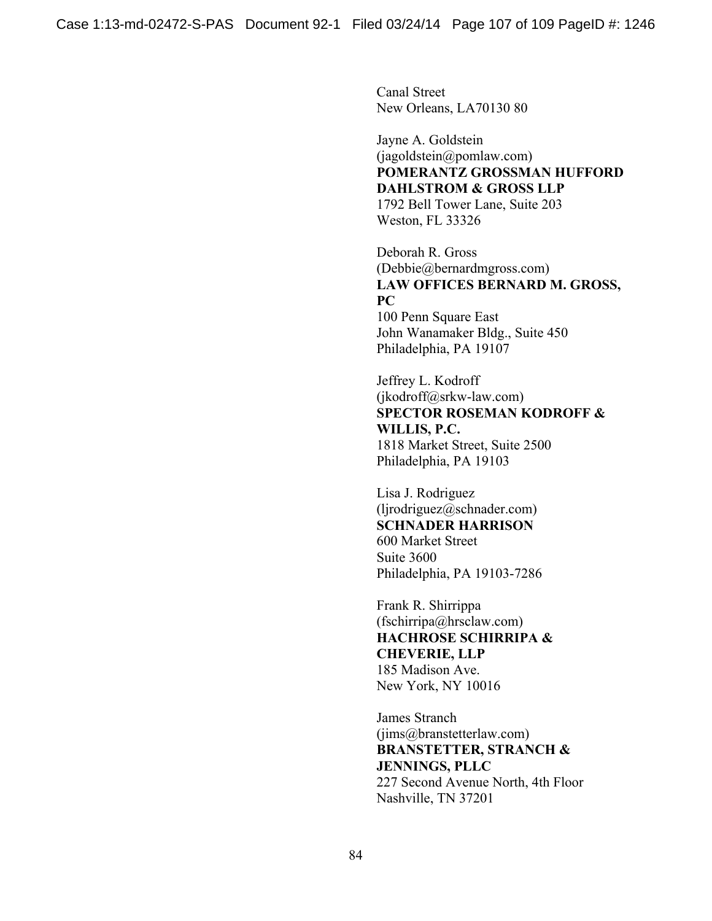Canal Street New Orleans, LA70130 80

Jayne A. Goldstein (jagoldstein@pomlaw.com) **POMERANTZ GROSSMAN HUFFORD DAHLSTROM & GROSS LLP**  1792 Bell Tower Lane, Suite 203 Weston, FL 33326

Deborah R. Gross (Debbie@bernardmgross.com) **LAW OFFICES BERNARD M. GROSS, PC**  100 Penn Square East

John Wanamaker Bldg., Suite 450 Philadelphia, PA 19107

Jeffrey L. Kodroff (jkodroff@srkw-law.com) **SPECTOR ROSEMAN KODROFF & WILLIS, P.C.**  1818 Market Street, Suite 2500 Philadelphia, PA 19103

Lisa J. Rodriguez (ljrodriguez@schnader.com) **SCHNADER HARRISON**  600 Market Street Suite 3600 Philadelphia, PA 19103-7286

Frank R. Shirrippa (fschirripa@hrsclaw.com) **HACHROSE SCHIRRIPA & CHEVERIE, LLP**  185 Madison Ave. New York, NY 10016

James Stranch (jims@branstetterlaw.com) **BRANSTETTER, STRANCH & JENNINGS, PLLC**  227 Second Avenue North, 4th Floor Nashville, TN 37201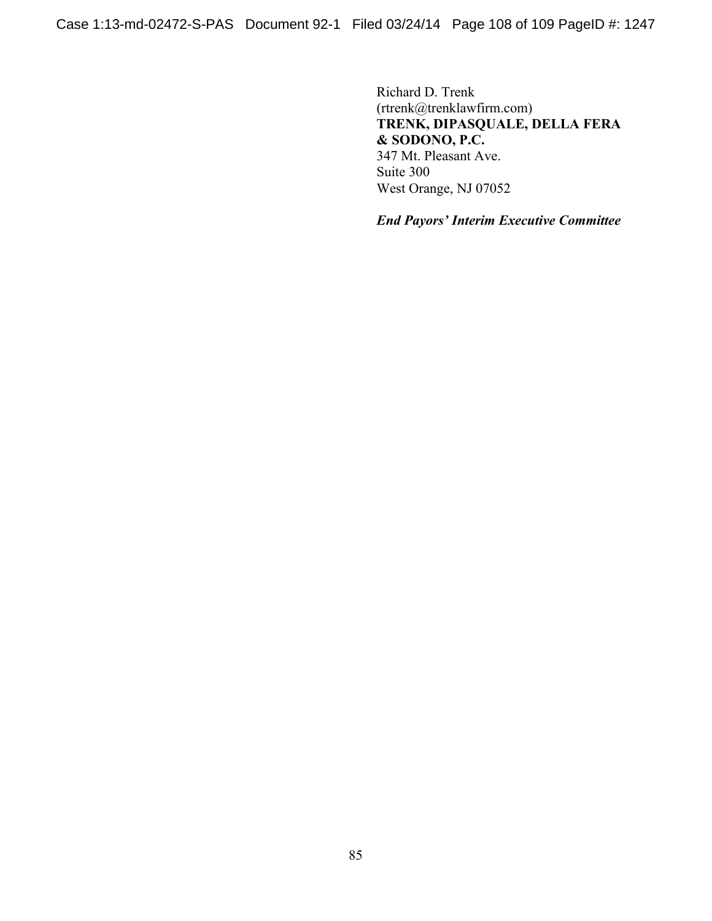Richard D. Trenk (rtrenk@trenklawfirm.com) **TRENK, DIPASQUALE, DELLA FERA & SODONO, P.C.**  347 Mt. Pleasant Ave. Suite 300 West Orange, NJ 07052

*End Payors' Interim Executive Committee*